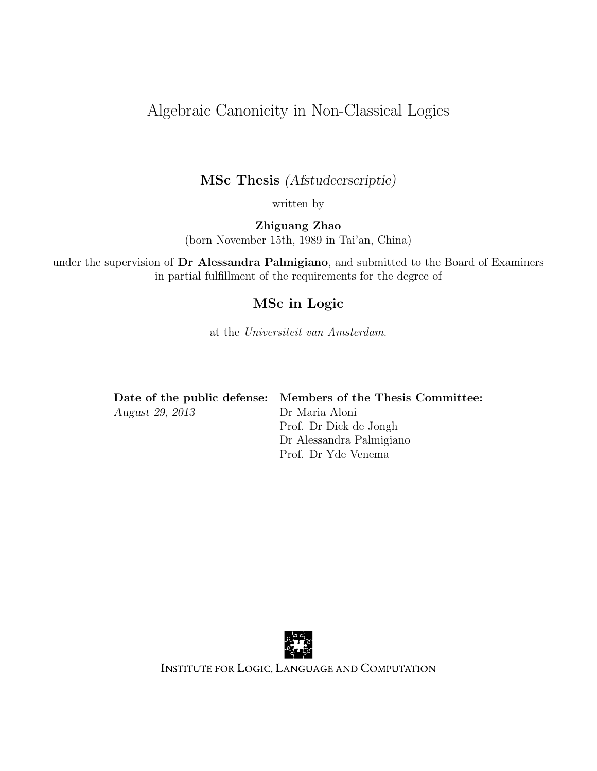## Algebraic Canonicity in Non-Classical Logics

### MSc Thesis (Afstudeerscriptie)

written by

Zhiguang Zhao (born November 15th, 1989 in Tai'an, China)

under the supervision of Dr Alessandra Palmigiano, and submitted to the Board of Examiners in partial fulfillment of the requirements for the degree of

### MSc in Logic

at the Universiteit van Amsterdam.

|                 | Date of the public defense: Members of the Thesis Committee: |
|-----------------|--------------------------------------------------------------|
| August 29, 2013 | Dr Maria Aloni                                               |
|                 | Prof. Dr Dick de Jongh                                       |
|                 | Dr Alessandra Palmigiano                                     |

Prof. Dr Yde Venema



INSTITUTE FOR LOGIC, LANGUAGE AND COMPUTATION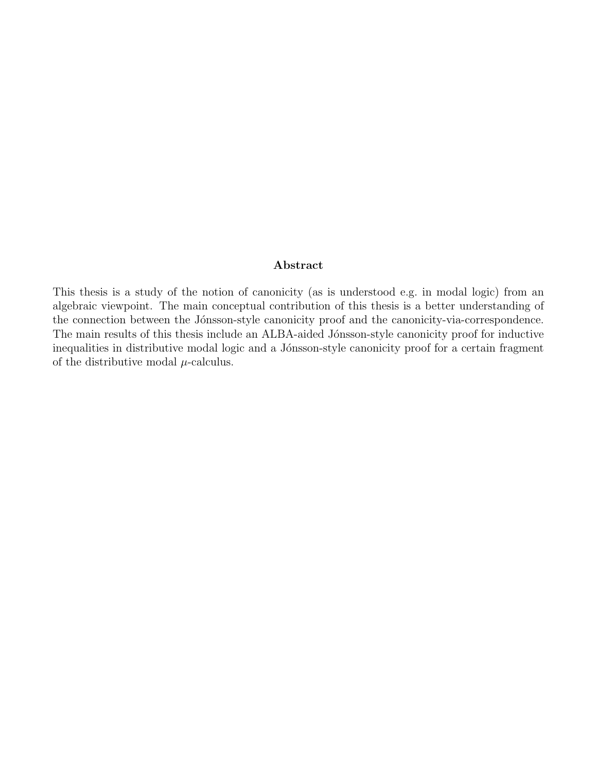#### Abstract

This thesis is a study of the notion of canonicity (as is understood e.g. in modal logic) from an algebraic viewpoint. The main conceptual contribution of this thesis is a better understanding of the connection between the Jónsson-style canonicity proof and the canonicity-via-correspondence. The main results of this thesis include an ALBA-aided Jónsson-style canonicity proof for inductive inequalities in distributive modal logic and a Jónsson-style canonicity proof for a certain fragment of the distributive modal  $\mu$ -calculus.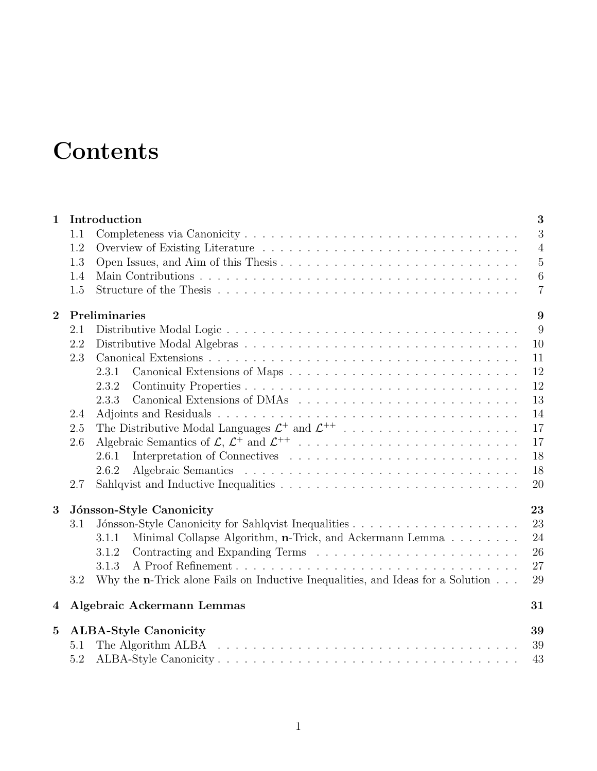# **Contents**

| $\mathbf{1}$                                 | 3<br>Introduction |                                                                                         |                |  |  |
|----------------------------------------------|-------------------|-----------------------------------------------------------------------------------------|----------------|--|--|
|                                              | 1.1               |                                                                                         | 3              |  |  |
|                                              | 1.2               |                                                                                         | $\overline{4}$ |  |  |
|                                              | 1.3               |                                                                                         | $5\,$          |  |  |
|                                              | 1.4               |                                                                                         | $\,6\,$        |  |  |
|                                              | 1.5               |                                                                                         | $\overline{7}$ |  |  |
| $\mathbf{2}$                                 |                   | Preliminaries<br>9                                                                      |                |  |  |
|                                              | 2.1               |                                                                                         | 9              |  |  |
|                                              | 2.2               |                                                                                         | 10             |  |  |
|                                              | 2.3               |                                                                                         | 11             |  |  |
|                                              |                   | 2.3.1                                                                                   | 12             |  |  |
|                                              |                   | 2.3.2                                                                                   | 12             |  |  |
|                                              |                   | 2.3.3                                                                                   | 13             |  |  |
|                                              | 2.4               |                                                                                         | 14             |  |  |
|                                              | 2.5               |                                                                                         | 17             |  |  |
|                                              | 2.6               |                                                                                         | 17             |  |  |
|                                              |                   | 2.6.1                                                                                   | 18             |  |  |
|                                              |                   | 2.6.2                                                                                   | 18             |  |  |
|                                              | 2.7               |                                                                                         | 20             |  |  |
| 3                                            |                   | Jónsson-Style Canonicity                                                                | 23             |  |  |
|                                              | 3.1               |                                                                                         | 23             |  |  |
|                                              |                   | Minimal Collapse Algorithm, n-Trick, and Ackermann Lemma<br>3.1.1                       | 24             |  |  |
|                                              |                   | 3.1.2                                                                                   | 26             |  |  |
|                                              |                   | 3.1.3                                                                                   | 27             |  |  |
|                                              | 3.2               | Why the <b>n</b> -Trick alone Fails on Inductive Inequalities, and Ideas for a Solution | 29             |  |  |
| 4                                            |                   | Algebraic Ackermann Lemmas                                                              | 31             |  |  |
| <b>ALBA-Style Canonicity</b><br>$\mathbf{5}$ |                   |                                                                                         | 39             |  |  |
|                                              | 5.1               |                                                                                         | 39             |  |  |
|                                              | 5.2               |                                                                                         | 43             |  |  |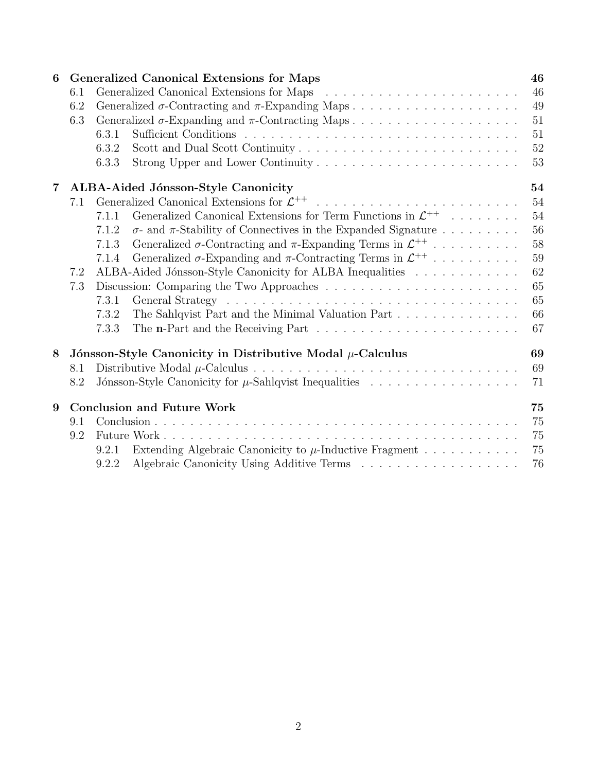| 6              |     | <b>Generalized Canonical Extensions for Maps</b>                                                             |        |
|----------------|-----|--------------------------------------------------------------------------------------------------------------|--------|
|                | 6.1 |                                                                                                              | 46     |
|                | 6.2 |                                                                                                              | 49     |
|                | 6.3 |                                                                                                              | 51     |
|                |     | 6.3.1                                                                                                        | 51     |
|                |     | 6.3.2                                                                                                        | $52\,$ |
|                |     | 6.3.3                                                                                                        | 53     |
| $\overline{7}$ |     | ALBA-Aided Jónsson-Style Canonicity                                                                          | 54     |
|                | 7.1 |                                                                                                              | 54     |
|                |     | Generalized Canonical Extensions for Term Functions in $\mathcal{L}^{++}$<br>7.1.1                           | 54     |
|                |     | $\sigma$ - and $\pi$ -Stability of Connectives in the Expanded Signature<br>7.1.2                            | $56\,$ |
|                |     | Generalized $\sigma$ -Contracting and $\pi$ -Expanding Terms in $\mathcal{L}^{++}$<br>7.1.3                  | 58     |
|                |     | Generalized $\sigma$ -Expanding and $\pi$ -Contracting Terms in $\mathcal{L}^{++}$<br>7.1.4                  | 59     |
|                | 7.2 | ALBA-Aided Jónsson-Style Canonicity for ALBA Inequalities                                                    | 62     |
|                | 7.3 | 65                                                                                                           |        |
|                |     | 7.3.1                                                                                                        | 65     |
|                |     | The Sahlqvist Part and the Minimal Valuation Part<br>7.3.2                                                   | 66     |
|                |     | 7.3.3<br>The <b>n</b> -Part and the Receiving Part $\ldots \ldots \ldots \ldots \ldots \ldots \ldots \ldots$ | 67     |
| 8              |     | Jónsson-Style Canonicity in Distributive Modal $\mu$ -Calculus                                               | 69     |
|                | 8.1 |                                                                                                              | 69     |
|                | 8.2 |                                                                                                              | 71     |
| 9              |     | <b>Conclusion and Future Work</b>                                                                            | 75     |
|                | 9.1 |                                                                                                              | 75     |
|                | 9.2 |                                                                                                              | 75     |
|                |     | Extending Algebraic Canonicity to $\mu$ -Inductive Fragment<br>9.2.1                                         | 75     |
|                |     | 9.2.2                                                                                                        | 76     |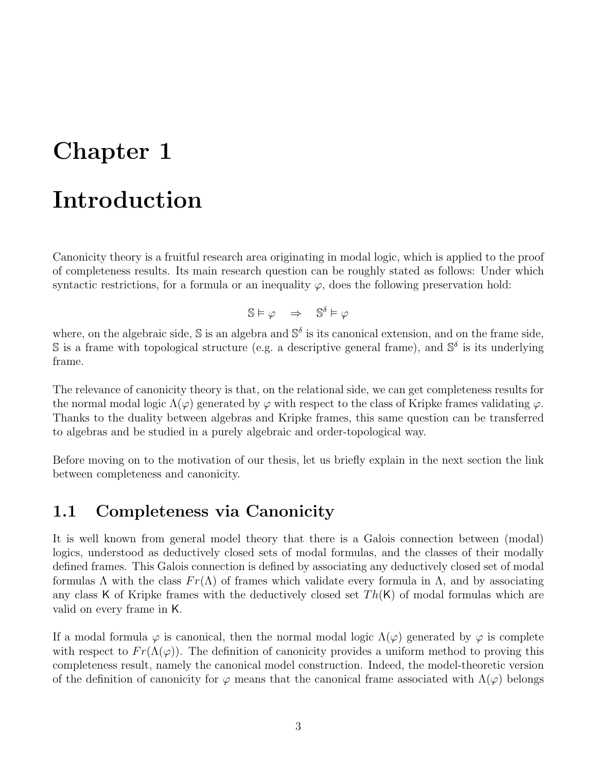## Chapter 1

## Introduction

Canonicity theory is a fruitful research area originating in modal logic, which is applied to the proof of completeness results. Its main research question can be roughly stated as follows: Under which syntactic restrictions, for a formula or an inequality  $\varphi$ , does the following preservation hold:

 $\mathbb{S} \vDash \varphi \Rightarrow \mathbb{S}^{\delta} \vDash \varphi$ 

where, on the algebraic side,  $\mathbb{S}$  is an algebra and  $\mathbb{S}^{\delta}$  is its canonical extension, and on the frame side, S is a frame with topological structure (e.g. a descriptive general frame), and  $\mathbb{S}^{\delta}$  is its underlying frame.

The relevance of canonicity theory is that, on the relational side, we can get completeness results for the normal modal logic  $\Lambda(\varphi)$  generated by  $\varphi$  with respect to the class of Kripke frames validating  $\varphi$ . Thanks to the duality between algebras and Kripke frames, this same question can be transferred to algebras and be studied in a purely algebraic and order-topological way.

Before moving on to the motivation of our thesis, let us briefly explain in the next section the link between completeness and canonicity.

## 1.1 Completeness via Canonicity

It is well known from general model theory that there is a Galois connection between (modal) logics, understood as deductively closed sets of modal formulas, and the classes of their modally defined frames. This Galois connection is defined by associating any deductively closed set of modal formulas  $\Lambda$  with the class  $Fr(\Lambda)$  of frames which validate every formula in  $\Lambda$ , and by associating any class K of Kripke frames with the deductively closed set  $Th(K)$  of modal formulas which are valid on every frame in K.

If a modal formula  $\varphi$  is canonical, then the normal modal logic  $\Lambda(\varphi)$  generated by  $\varphi$  is complete with respect to  $Fr(\Lambda(\varphi))$ . The definition of canonicity provides a uniform method to proving this completeness result, namely the canonical model construction. Indeed, the model-theoretic version of the definition of canonicity for  $\varphi$  means that the canonical frame associated with  $\Lambda(\varphi)$  belongs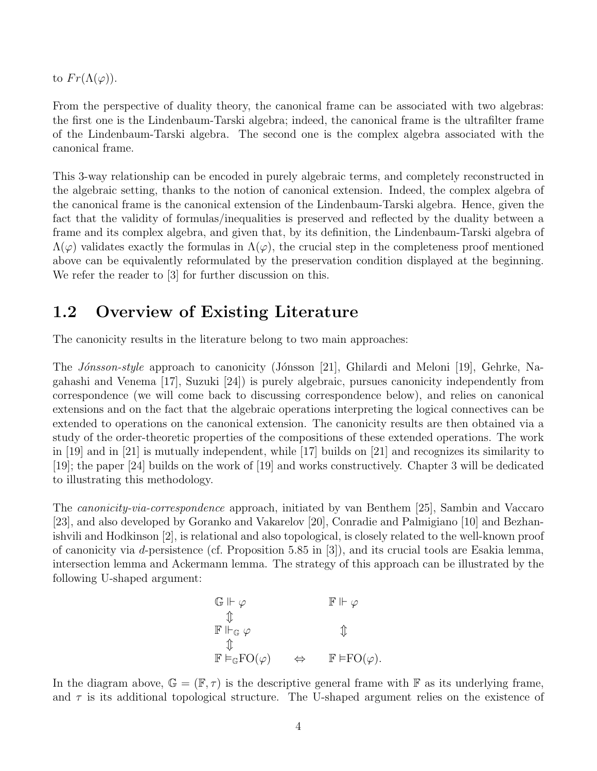to  $Fr(\Lambda(\varphi))$ .

From the perspective of duality theory, the canonical frame can be associated with two algebras: the first one is the Lindenbaum-Tarski algebra; indeed, the canonical frame is the ultrafilter frame of the Lindenbaum-Tarski algebra. The second one is the complex algebra associated with the canonical frame.

This 3-way relationship can be encoded in purely algebraic terms, and completely reconstructed in the algebraic setting, thanks to the notion of canonical extension. Indeed, the complex algebra of the canonical frame is the canonical extension of the Lindenbaum-Tarski algebra. Hence, given the fact that the validity of formulas/inequalities is preserved and reflected by the duality between a frame and its complex algebra, and given that, by its definition, the Lindenbaum-Tarski algebra of  $\Lambda(\varphi)$  validates exactly the formulas in  $\Lambda(\varphi)$ , the crucial step in the completeness proof mentioned above can be equivalently reformulated by the preservation condition displayed at the beginning. We refer the reader to [3] for further discussion on this.

## 1.2 Overview of Existing Literature

The canonicity results in the literature belong to two main approaches:

The *Jónsson-style* approach to canonicity (Jónsson [21], Ghilardi and Meloni [19], Gehrke, Nagahashi and Venema [17], Suzuki [24]) is purely algebraic, pursues canonicity independently from correspondence (we will come back to discussing correspondence below), and relies on canonical extensions and on the fact that the algebraic operations interpreting the logical connectives can be extended to operations on the canonical extension. The canonicity results are then obtained via a study of the order-theoretic properties of the compositions of these extended operations. The work in [19] and in [21] is mutually independent, while [17] builds on [21] and recognizes its similarity to [19]; the paper [24] builds on the work of [19] and works constructively. Chapter 3 will be dedicated to illustrating this methodology.

The canonicity-via-correspondence approach, initiated by van Benthem [25], Sambin and Vaccaro [23], and also developed by Goranko and Vakarelov [20], Conradie and Palmigiano [10] and Bezhanishvili and Hodkinson [2], is relational and also topological, is closely related to the well-known proof of canonicity via d-persistence (cf. Proposition 5.85 in [3]), and its crucial tools are Esakia lemma, intersection lemma and Ackermann lemma. The strategy of this approach can be illustrated by the following U-shaped argument:

$$
\begin{array}{ccc}\n\mathbb{G} \Vdash \varphi & & \mathbb{F} \Vdash \varphi \\
\updownarrow & & & \updownarrow \\
\mathbb{F} \Vdash_{\mathbb{G}} \varphi & & \updownarrow \\
\updownarrow & & & \updownarrow \\
\mathbb{F} \vDash_{\mathbb{G}} \mathrm{FO}(\varphi) & & \Leftrightarrow & \mathbb{F} \vDash \mathrm{FO}(\varphi).\n\end{array}
$$

In the diagram above,  $\mathbb{G} = (\mathbb{F}, \tau)$  is the descriptive general frame with  $\mathbb{F}$  as its underlying frame, and  $\tau$  is its additional topological structure. The U-shaped argument relies on the existence of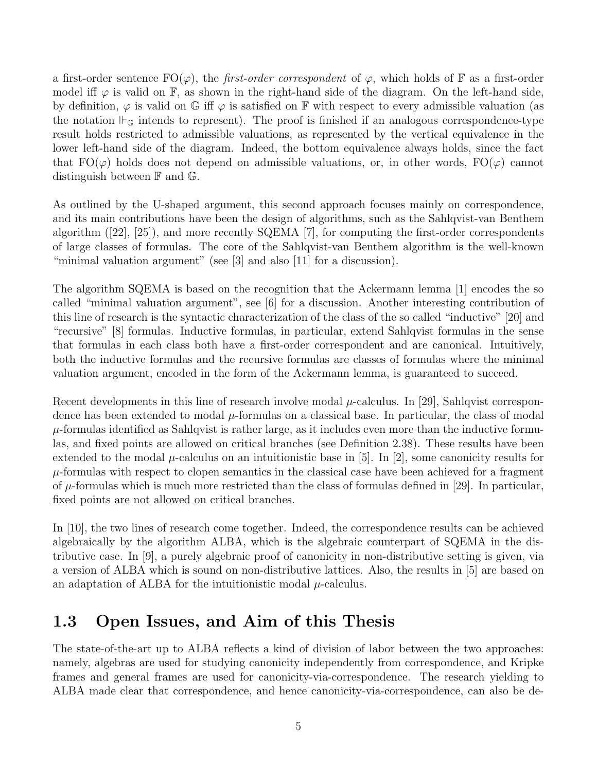a first-order sentence  $\mathrm{FO}(\varphi)$ , the *first-order correspondent* of  $\varphi$ , which holds of F as a first-order model iff  $\varphi$  is valid on  $\mathbb{F}$ , as shown in the right-hand side of the diagram. On the left-hand side, by definition,  $\varphi$  is valid on G iff  $\varphi$  is satisfied on F with respect to every admissible valuation (as the notation  $\vdash_{\mathbb{G}}$  intends to represent). The proof is finished if an analogous correspondence-type result holds restricted to admissible valuations, as represented by the vertical equivalence in the lower left-hand side of the diagram. Indeed, the bottom equivalence always holds, since the fact that  $FO(\varphi)$  holds does not depend on admissible valuations, or, in other words,  $FO(\varphi)$  cannot distinguish between F and G.

As outlined by the U-shaped argument, this second approach focuses mainly on correspondence, and its main contributions have been the design of algorithms, such as the Sahlqvist-van Benthem algorithm ([22], [25]), and more recently SQEMA [7], for computing the first-order correspondents of large classes of formulas. The core of the Sahlqvist-van Benthem algorithm is the well-known "minimal valuation argument" (see [3] and also [11] for a discussion).

The algorithm SQEMA is based on the recognition that the Ackermann lemma [1] encodes the so called "minimal valuation argument", see [6] for a discussion. Another interesting contribution of this line of research is the syntactic characterization of the class of the so called "inductive" [20] and "recursive" [8] formulas. Inductive formulas, in particular, extend Sahlqvist formulas in the sense that formulas in each class both have a first-order correspondent and are canonical. Intuitively, both the inductive formulas and the recursive formulas are classes of formulas where the minimal valuation argument, encoded in the form of the Ackermann lemma, is guaranteed to succeed.

Recent developments in this line of research involve modal  $\mu$ -calculus. In [29], Sahlqvist correspondence has been extended to modal  $\mu$ -formulas on a classical base. In particular, the class of modal  $\mu$ -formulas identified as Sahlqvist is rather large, as it includes even more than the inductive formulas, and fixed points are allowed on critical branches (see Definition 2.38). These results have been extended to the modal  $\mu$ -calculus on an intuitionistic base in [5]. In [2], some canonicity results for  $\mu$ -formulas with respect to clopen semantics in the classical case have been achieved for a fragment of  $\mu$ -formulas which is much more restricted than the class of formulas defined in [29]. In particular, fixed points are not allowed on critical branches.

In [10], the two lines of research come together. Indeed, the correspondence results can be achieved algebraically by the algorithm ALBA, which is the algebraic counterpart of SQEMA in the distributive case. In [9], a purely algebraic proof of canonicity in non-distributive setting is given, via a version of ALBA which is sound on non-distributive lattices. Also, the results in [5] are based on an adaptation of ALBA for the intuitionistic modal  $\mu$ -calculus.

## 1.3 Open Issues, and Aim of this Thesis

The state-of-the-art up to ALBA reflects a kind of division of labor between the two approaches: namely, algebras are used for studying canonicity independently from correspondence, and Kripke frames and general frames are used for canonicity-via-correspondence. The research yielding to ALBA made clear that correspondence, and hence canonicity-via-correspondence, can also be de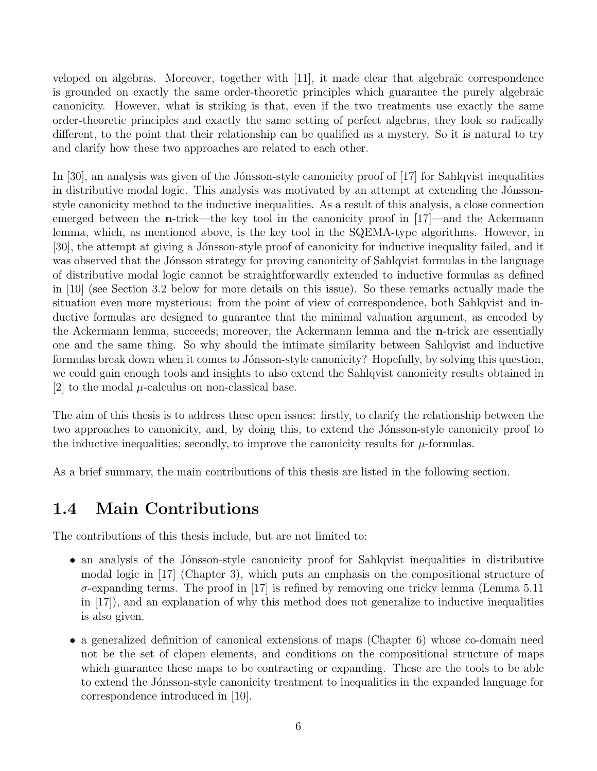veloped on algebras. Moreover, together with [11], it made clear that algebraic correspondence is grounded on exactly the same order-theoretic principles which guarantee the purely algebraic canonicity. However, what is striking is that, even if the two treatments use exactly the same order-theoretic principles and exactly the same setting of perfect algebras, they look so radically different, to the point that their relationship can be qualified as a mystery. So it is natural to try and clarify how these two approaches are related to each other.

In [30], an analysis was given of the Jónsson-style canonicity proof of  $[17]$  for Sahlqvist inequalities in distributive modal logic. This analysis was motivated by an attempt at extending the Jónssonstyle canonicity method to the inductive inequalities. As a result of this analysis, a close connection emerged between the **n**-trick—the key tool in the canonicity proof in [17]—and the Ackermann lemma, which, as mentioned above, is the key tool in the SQEMA-type algorithms. However, in [30], the attempt at giving a Jónsson-style proof of canonicity for inductive inequality failed, and it was observed that the Jónsson strategy for proving canonicity of Sahlqvist formulas in the language of distributive modal logic cannot be straightforwardly extended to inductive formulas as defined in [10] (see Section 3.2 below for more details on this issue). So these remarks actually made the situation even more mysterious: from the point of view of correspondence, both Sahlqvist and inductive formulas are designed to guarantee that the minimal valuation argument, as encoded by the Ackermann lemma, succeeds; moreover, the Ackermann lemma and the n-trick are essentially one and the same thing. So why should the intimate similarity between Sahlqvist and inductive formulas break down when it comes to Jónsson-style canonicity? Hopefully, by solving this question, we could gain enough tools and insights to also extend the Sahlqvist canonicity results obtained in [2] to the modal  $\mu$ -calculus on non-classical base.

The aim of this thesis is to address these open issues: firstly, to clarify the relationship between the two approaches to canonicity, and, by doing this, to extend the Jónsson-style canonicity proof to the inductive inequalities; secondly, to improve the canonicity results for  $\mu$ -formulas.

As a brief summary, the main contributions of this thesis are listed in the following section.

## 1.4 Main Contributions

The contributions of this thesis include, but are not limited to:

- an analysis of the Jónsson-style canonicity proof for Sahlqvist inequalities in distributive modal logic in [17] (Chapter 3), which puts an emphasis on the compositional structure of  $\sigma$ -expanding terms. The proof in [17] is refined by removing one tricky lemma (Lemma 5.11) in [17]), and an explanation of why this method does not generalize to inductive inequalities is also given.
- a generalized definition of canonical extensions of maps (Chapter 6) whose co-domain need not be the set of clopen elements, and conditions on the compositional structure of maps which guarantee these maps to be contracting or expanding. These are the tools to be able to extend the Jónsson-style canonicity treatment to inequalities in the expanded language for correspondence introduced in [10].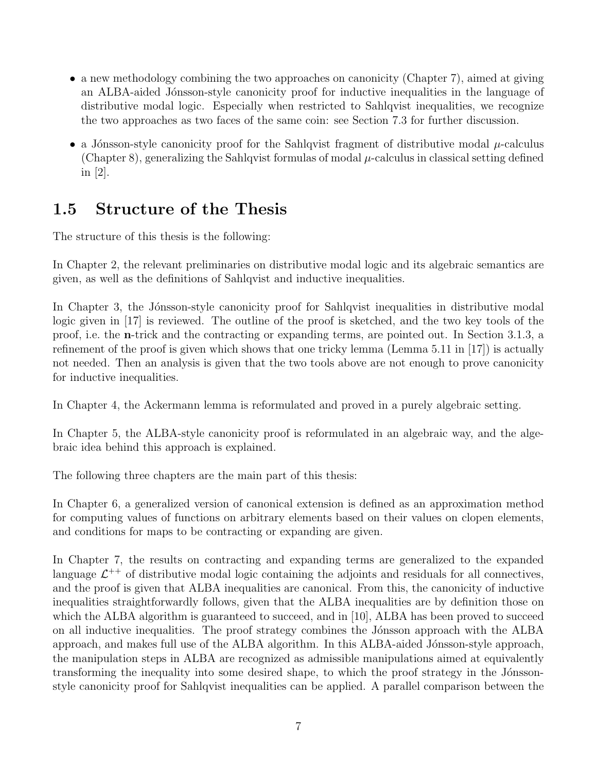- a new methodology combining the two approaches on canonicity (Chapter 7), aimed at giving an ALBA-aided Jónsson-style canonicity proof for inductive inequalities in the language of distributive modal logic. Especially when restricted to Sahlqvist inequalities, we recognize the two approaches as two faces of the same coin: see Section 7.3 for further discussion.
- a Jónsson-style canonicity proof for the Sahlqvist fragment of distributive modal  $\mu$ -calculus (Chapter 8), generalizing the Sahlqvist formulas of modal  $\mu$ -calculus in classical setting defined in [2].

## 1.5 Structure of the Thesis

The structure of this thesis is the following:

In Chapter 2, the relevant preliminaries on distributive modal logic and its algebraic semantics are given, as well as the definitions of Sahlqvist and inductive inequalities.

In Chapter 3, the Jonsson-style canonicity proof for Sahlqvist inequalities in distributive modal logic given in [17] is reviewed. The outline of the proof is sketched, and the two key tools of the proof, i.e. the n-trick and the contracting or expanding terms, are pointed out. In Section 3.1.3, a refinement of the proof is given which shows that one tricky lemma (Lemma 5.11 in [17]) is actually not needed. Then an analysis is given that the two tools above are not enough to prove canonicity for inductive inequalities.

In Chapter 4, the Ackermann lemma is reformulated and proved in a purely algebraic setting.

In Chapter 5, the ALBA-style canonicity proof is reformulated in an algebraic way, and the algebraic idea behind this approach is explained.

The following three chapters are the main part of this thesis:

In Chapter 6, a generalized version of canonical extension is defined as an approximation method for computing values of functions on arbitrary elements based on their values on clopen elements, and conditions for maps to be contracting or expanding are given.

In Chapter 7, the results on contracting and expanding terms are generalized to the expanded language  $\mathcal{L}^{++}$  of distributive modal logic containing the adjoints and residuals for all connectives, and the proof is given that ALBA inequalities are canonical. From this, the canonicity of inductive inequalities straightforwardly follows, given that the ALBA inequalities are by definition those on which the ALBA algorithm is guaranteed to succeed, and in [10], ALBA has been proved to succeed on all inductive inequalities. The proof strategy combines the Jónsson approach with the ALBA approach, and makes full use of the ALBA algorithm. In this ALBA-aided Jónsson-style approach, the manipulation steps in ALBA are recognized as admissible manipulations aimed at equivalently transforming the inequality into some desired shape, to which the proof strategy in the Jónssonstyle canonicity proof for Sahlqvist inequalities can be applied. A parallel comparison between the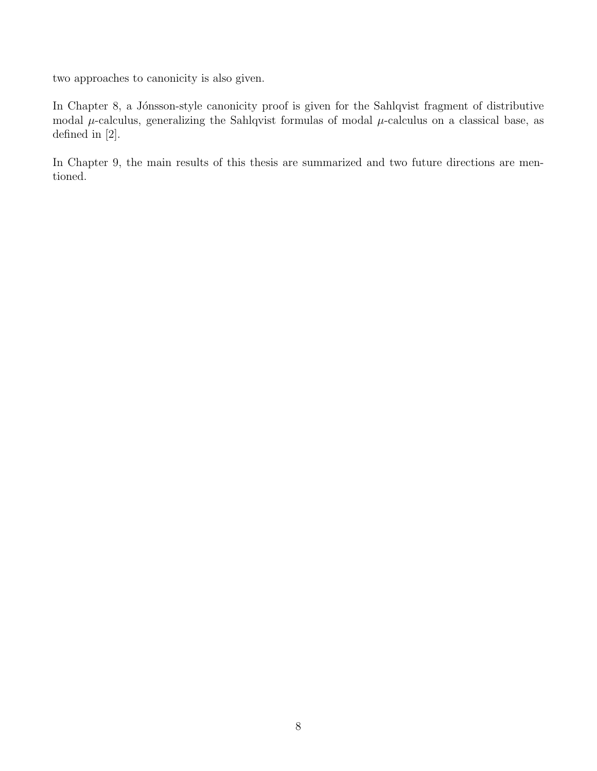two approaches to canonicity is also given.

In Chapter 8, a Jónsson-style canonicity proof is given for the Sahlqvist fragment of distributive modal  $\mu$ -calculus, generalizing the Sahlqvist formulas of modal  $\mu$ -calculus on a classical base, as defined in [2].

In Chapter 9, the main results of this thesis are summarized and two future directions are mentioned.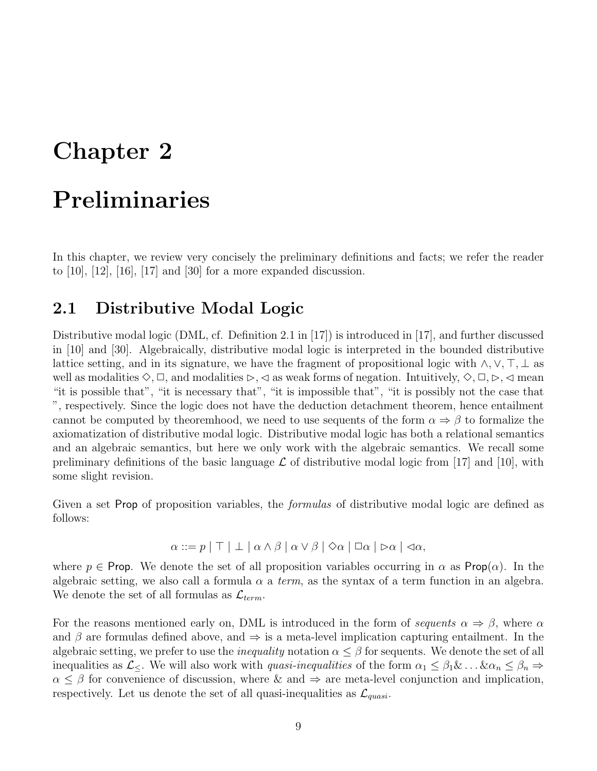## Chapter 2

## Preliminaries

In this chapter, we review very concisely the preliminary definitions and facts; we refer the reader to  $[10]$ ,  $[12]$ ,  $[16]$ ,  $[17]$  and  $[30]$  for a more expanded discussion.

### 2.1 Distributive Modal Logic

Distributive modal logic (DML, cf. Definition 2.1 in [17]) is introduced in [17], and further discussed in [10] and [30]. Algebraically, distributive modal logic is interpreted in the bounded distributive lattice setting, and in its signature, we have the fragment of propositional logic with  $\land, \lor, \top, \bot$  as well as modalities  $\Diamond$ ,  $\Box$ , and modalities  $\triangleright$ ,  $\triangleleft$  as weak forms of negation. Intuitively,  $\Diamond$ ,  $\Box$ ,  $\triangleright$ ,  $\triangleleft$  mean "it is possible that", "it is necessary that", "it is impossible that", "it is possibly not the case that ", respectively. Since the logic does not have the deduction detachment theorem, hence entailment cannot be computed by theoremhood, we need to use sequents of the form  $\alpha \Rightarrow \beta$  to formalize the axiomatization of distributive modal logic. Distributive modal logic has both a relational semantics and an algebraic semantics, but here we only work with the algebraic semantics. We recall some preliminary definitions of the basic language  $\mathcal L$  of distributive modal logic from [17] and [10], with some slight revision.

Given a set Prop of proposition variables, the *formulas* of distributive modal logic are defined as follows:

 $\alpha ::= p | \top | \bot | \alpha \wedge \beta | \alpha \vee \beta | \Diamond \alpha | \Box \alpha | \triangleright \alpha | \triangleleft \alpha$ ,

where  $p \in \text{Prop}$ . We denote the set of all proposition variables occurring in  $\alpha$  as  $\text{Prop}(\alpha)$ . In the algebraic setting, we also call a formula  $\alpha$  a term, as the syntax of a term function in an algebra. We denote the set of all formulas as  $\mathcal{L}_{term}$ .

For the reasons mentioned early on, DML is introduced in the form of sequents  $\alpha \Rightarrow \beta$ , where  $\alpha$ and  $\beta$  are formulas defined above, and  $\Rightarrow$  is a meta-level implication capturing entailment. In the algebraic setting, we prefer to use the *inequality* notation  $\alpha \leq \beta$  for sequents. We denote the set of all inequalities as  $\mathcal{L}_{\leq}$ . We will also work with *quasi-inequalities* of the form  $\alpha_1 \leq \beta_1 \& \dots \& \alpha_n \leq \beta_n \Rightarrow$  $\alpha \leq \beta$  for convenience of discussion, where & and  $\Rightarrow$  are meta-level conjunction and implication, respectively. Let us denote the set of all quasi-inequalities as  $\mathcal{L}_{quasi}$ .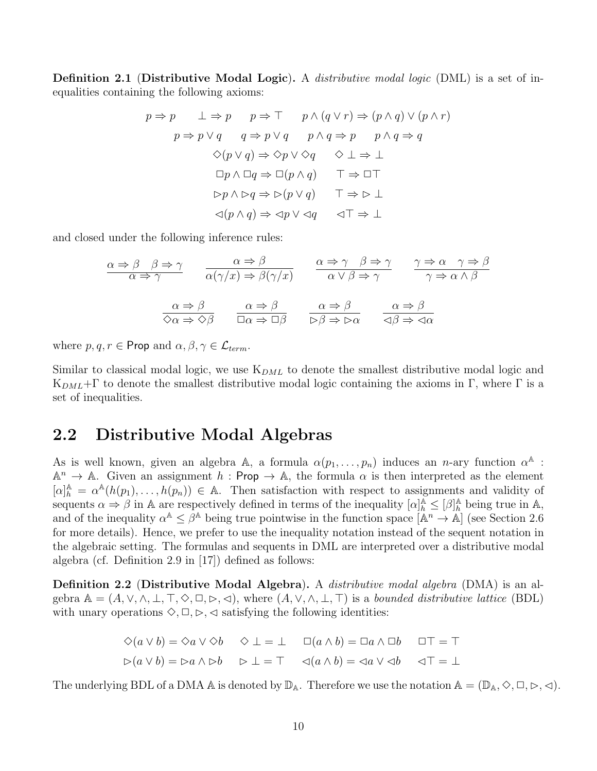Definition 2.1 (Distributive Modal Logic). A *distributive modal logic* (DML) is a set of inequalities containing the following axioms:

$$
p \Rightarrow p \qquad \bot \Rightarrow p \qquad p \Rightarrow \top \qquad p \land (q \lor r) \Rightarrow (p \land q) \lor (p \land r)
$$

$$
p \Rightarrow p \lor q \qquad q \Rightarrow p \lor q \qquad p \land q \Rightarrow p \qquad p \land q \Rightarrow q
$$

$$
\Diamond(p \lor q) \Rightarrow \Diamond p \lor \Diamond q \qquad \Diamond \bot \Rightarrow \bot
$$

$$
\Box p \land \Box q \Rightarrow \Box(p \land q) \qquad \top \Rightarrow \Box \top
$$

$$
\triangleright p \land \triangleright q \Rightarrow \triangleright (p \lor q) \qquad \top \Rightarrow \triangleright \bot
$$

$$
\lhd(p \land q) \Rightarrow \lhd p \lor \lhd q \qquad \lhd \top \Rightarrow \bot
$$

and closed under the following inference rules:

$$
\frac{\alpha \Rightarrow \beta \quad \beta \Rightarrow \gamma}{\alpha \Rightarrow \gamma} \qquad \frac{\alpha \Rightarrow \beta}{\alpha(\gamma/x) \Rightarrow \beta(\gamma/x)} \qquad \frac{\alpha \Rightarrow \gamma \quad \beta \Rightarrow \gamma}{\alpha \lor \beta \Rightarrow \gamma} \qquad \frac{\gamma \Rightarrow \alpha \quad \gamma \Rightarrow \beta}{\gamma \Rightarrow \alpha \land \beta}
$$

$$
\frac{\alpha \Rightarrow \beta}{\Diamond \alpha \Rightarrow \Diamond \beta} \qquad \frac{\alpha \Rightarrow \beta}{\Box \alpha \Rightarrow \Box \beta} \qquad \frac{\alpha \Rightarrow \beta}{\Diamond \beta \Rightarrow \triangleright \alpha} \qquad \frac{\alpha \Rightarrow \beta}{\Diamond \beta \Rightarrow \triangle \alpha}
$$

where  $p, q, r \in \text{Prop}$  and  $\alpha, \beta, \gamma \in \mathcal{L}_{term}$ .

Similar to classical modal logic, we use  $K_{DML}$  to denote the smallest distributive modal logic and K<sub>DML</sub>+Γ to denote the smallest distributive modal logic containing the axioms in Γ, where Γ is a set of inequalities.

### 2.2 Distributive Modal Algebras

As is well known, given an algebra A, a formula  $\alpha(p_1,\ldots,p_n)$  induces an n-ary function  $\alpha^{\mathbb{A}}$ :  $\mathbb{A}^n \to \mathbb{A}$ . Given an assignment  $h : \mathsf{Prop} \to \mathbb{A}$ , the formula  $\alpha$  is then interpreted as the element  $[\alpha]_h^{\mathbb{A}} = \alpha^{\mathbb{A}}(h(p_1), \ldots, h(p_n)) \in \mathbb{A}$ . Then satisfaction with respect to assignments and validity of sequents  $\alpha \Rightarrow \beta$  in A are respectively defined in terms of the inequality  $[\alpha]_h^{\mathbb{A}} \leq [\beta]_h^{\mathbb{A}}$  being true in A, and of the inequality  $\alpha^{\mathbb{A}} \leq \beta^{\mathbb{A}}$  being true pointwise in the function space  $[\mathbb{A}^n \to \mathbb{A}]$  (see Section 2.6) for more details). Hence, we prefer to use the inequality notation instead of the sequent notation in the algebraic setting. The formulas and sequents in DML are interpreted over a distributive modal algebra (cf. Definition 2.9 in [17]) defined as follows:

Definition 2.2 (Distributive Modal Algebra). A *distributive modal algebra* (DMA) is an algebra  $\mathbb{A} = (A, \vee, \wedge, \bot, \top, \Diamond, \Box, \triangleright, \triangleleft)$ , where  $(A, \vee, \wedge, \bot, \top)$  is a bounded distributive lattice (BDL) with unary operations  $\Diamond$ ,  $\Box$ ,  $\triangleright$ ,  $\triangleleft$  satisfying the following identities:

$$
\diamond(a \lor b) = \diamond a \lor \diamond b \quad \diamond \bot = \bot \quad \Box(a \land b) = \Box a \land \Box b \quad \Box \top = \top
$$
  

$$
\triangleright(a \lor b) = \triangleright a \land \triangleright b \quad \triangleright \bot = \top \quad \triangleleft(a \land b) = \triangleleft a \lor \triangleleft b \quad \triangleleft \top = \bot
$$

The underlying BDL of a DMA A is denoted by  $\mathbb{D}_A$ . Therefore we use the notation  $A = (\mathbb{D}_A, \Diamond, \Box, \Diamond, \Diamond)$ .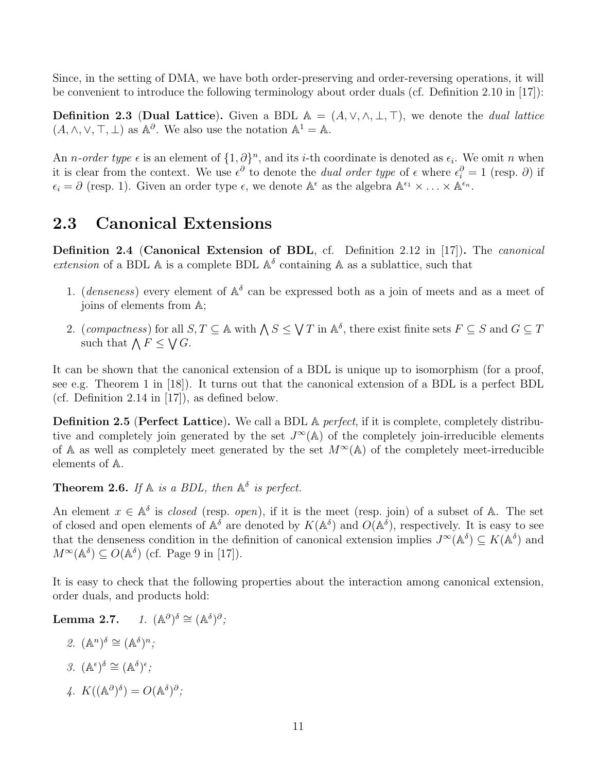Since, in the setting of DMA, we have both order-preserving and order-reversing operations, it will be convenient to introduce the following terminology about order duals (cf. Definition 2.10 in [17]):

**Definition 2.3 (Dual Lattice).** Given a BDL  $A = (A, \vee, \wedge, \perp, \top)$ , we denote the *dual lattice*  $(A, \wedge, \vee, \top, \bot)$  as  $\mathbb{A}^{\partial}$ . We also use the notation  $\mathbb{A}^1 = \mathbb{A}$ .

An *n*-order type  $\epsilon$  is an element of  $\{1,\partial\}^n$ , and its *i*-th coordinate is denoted as  $\epsilon_i$ . We omit *n* when it is clear from the context. We use  $\epsilon^{\partial}$  to denote the *dual order type* of  $\epsilon$  where  $\epsilon_i^{\partial} = 1$  (resp.  $\partial$ ) if  $\epsilon_i = \partial$  (resp. 1). Given an order type  $\epsilon$ , we denote  $\mathbb{A}^{\epsilon}$  as the algebra  $\mathbb{A}^{\epsilon_1} \times \ldots \times \mathbb{A}^{\epsilon_n}$ .

## 2.3 Canonical Extensions

Definition 2.4 (Canonical Extension of BDL, cf. Definition 2.12 in [17]). The canonical extension of a BDL  $\mathbb A$  is a complete BDL  $\mathbb A^{\delta}$  containing  $\mathbb A$  as a sublattice, such that

- 1. (*denseness*) every element of  $A^{\delta}$  can be expressed both as a join of meets and as a meet of joins of elements from A;
- 2. (compactness) for all  $S, T \subseteq A$  with  $\bigwedge S \leq \bigvee T$  in  $A^{\delta}$ , there exist finite sets  $F \subseteq S$  and  $G \subseteq T$ such that  $\bigwedge F \leq \bigvee G$ .

It can be shown that the canonical extension of a BDL is unique up to isomorphism (for a proof, see e.g. Theorem 1 in [18]). It turns out that the canonical extension of a BDL is a perfect BDL (cf. Definition 2.14 in [17]), as defined below.

**Definition 2.5 (Perfect Lattice).** We call a BDL A *perfect*, if it is complete, completely distributive and completely join generated by the set  $J^{\infty}(\mathbb{A})$  of the completely join-irreducible elements of A as well as completely meet generated by the set  $M^{\infty}(\mathbb{A})$  of the completely meet-irreducible elements of A.

**Theorem 2.6.** If  $\mathbb{A}$  is a BDL, then  $\mathbb{A}^{\delta}$  is perfect.

An element  $x \in \mathbb{A}^{\delta}$  is *closed* (resp. *open*), if it is the meet (resp. join) of a subset of A. The set of closed and open elements of  $\mathbb{A}^{\delta}$  are denoted by  $K(\mathbb{A}^{\delta})$  and  $O(\mathbb{A}^{\delta})$ , respectively. It is easy to see that the denseness condition in the definition of canonical extension implies  $J^{\infty}(\mathbb{A}^{\delta}) \subseteq K(\mathbb{A}^{\delta})$  and  $M^{\infty}(\mathbb{A}^{\delta}) \subseteq O(\mathbb{A}^{\delta})$  (cf. Page 9 in [17]).

It is easy to check that the following properties about the interaction among canonical extension, order duals, and products hold:

Lemma  $2.7.$  $(\mathbb{A}^{\delta})^{\delta} \cong (\mathbb{A}^{\delta})^{\partial}$ ;

- 2.  $(\mathbb{A}^n)^\delta \cong (\mathbb{A}^\delta)^n;$
- 3.  $(\mathbb{A}^{\epsilon})^{\delta} \cong (\mathbb{A}^{\delta})^{\epsilon}$ ;
- 4.  $K((\mathbb{A}^{\partial})^{\delta}) = O(\mathbb{A}^{\delta})^{\partial}$ ;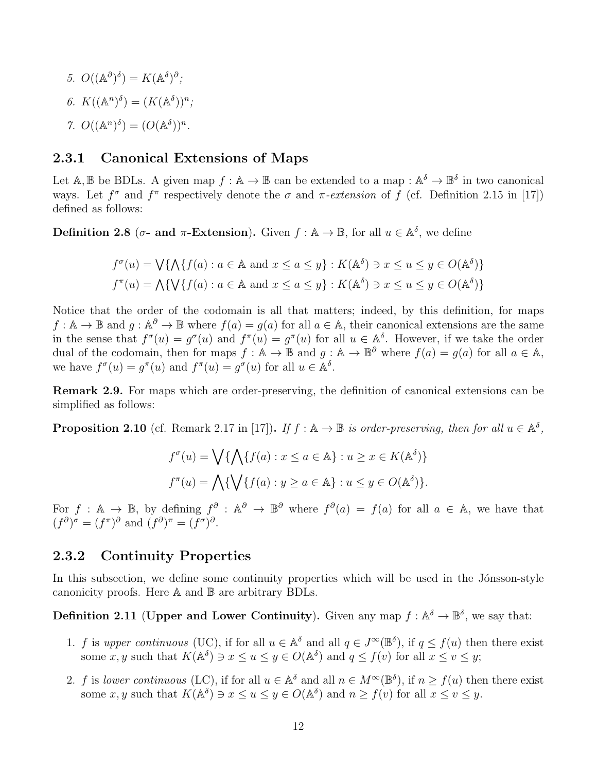5.  $O((\mathbb{A}^{\partial})^{\delta}) = K(\mathbb{A}^{\delta})^{\partial}$ ; 6.  $K((\mathbb{A}^n)^{\delta}) = (K(\mathbb{A}^{\delta}))^n;$ 7.  $O((\mathbb{A}^n)^{\delta}) = (O(\mathbb{A}^{\delta}))^n$ .

#### 2.3.1 Canonical Extensions of Maps

Let A, B be BDLs. A given map  $f : A \to B$  can be extended to a map :  $A^{\delta} \to B^{\delta}$  in two canonical ways. Let  $f^{\sigma}$  and  $f^{\pi}$  respectively denote the  $\sigma$  and  $\pi$ -extension of f (cf. Definition 2.15 in [17]) defined as follows:

**Definition 2.8** ( $\sigma$ - and  $\pi$ -Extension). Given  $f : \mathbb{A} \to \mathbb{B}$ , for all  $u \in \mathbb{A}^{\delta}$ , we define

$$
f^{\sigma}(u) = \bigvee \{ \bigwedge \{ f(a) : a \in \mathbb{A} \text{ and } x \le a \le y \} : K(\mathbb{A}^{\delta}) \ni x \le u \le y \in O(\mathbb{A}^{\delta}) \}
$$

$$
f^{\pi}(u) = \bigwedge \{ \bigvee \{ f(a) : a \in \mathbb{A} \text{ and } x \le a \le y \} : K(\mathbb{A}^{\delta}) \ni x \le u \le y \in O(\mathbb{A}^{\delta}) \}
$$

Notice that the order of the codomain is all that matters; indeed, by this definition, for maps  $f: \mathbb{A} \to \mathbb{B}$  and  $g: \mathbb{A}^{\partial} \to \mathbb{B}$  where  $f(a) = g(a)$  for all  $a \in \mathbb{A}$ , their canonical extensions are the same in the sense that  $f^{\sigma}(u) = g^{\sigma}(u)$  and  $f^{\pi}(u) = g^{\pi}(u)$  for all  $u \in \mathbb{A}^{\delta}$ . However, if we take the order dual of the codomain, then for maps  $f : \mathbb{A} \to \mathbb{B}$  and  $g : \mathbb{A} \to \mathbb{B}^{\partial}$  where  $f(a) = g(a)$  for all  $a \in \mathbb{A}$ , we have  $f^{\sigma}(u) = g^{\pi}(u)$  and  $f^{\pi}(u) = g^{\sigma}(u)$  for all  $u \in \mathbb{A}^{\delta}$ .

Remark 2.9. For maps which are order-preserving, the definition of canonical extensions can be simplified as follows:

**Proposition 2.10** (cf. Remark 2.17 in [17]). If  $f : \mathbb{A} \to \mathbb{B}$  is order-preserving, then for all  $u \in \mathbb{A}^{\delta}$ ,

$$
f^{\sigma}(u) = \bigvee \{ \bigwedge \{ f(a) : x \le a \in \mathbb{A} \} : u \ge x \in K(\mathbb{A}^{\delta}) \}
$$

$$
f^{\pi}(u) = \bigwedge \{ \bigvee \{ f(a) : y \ge a \in \mathbb{A} \} : u \le y \in O(\mathbb{A}^{\delta}) \}.
$$

For  $f : \mathbb{A} \to \mathbb{B}$ , by defining  $f^{\partial} : \mathbb{A}^{\partial} \to \mathbb{B}^{\partial}$  where  $f^{\partial}(a) = f(a)$  for all  $a \in \mathbb{A}$ , we have that  $(f^{\partial})^{\sigma} = (f^{\pi})^{\partial}$  and  $(f^{\partial})^{\pi} = (f^{\sigma})^{\partial}$ .

#### 2.3.2 Continuity Properties

In this subsection, we define some continuity properties which will be used in the Jónsson-style canonicity proofs. Here A and B are arbitrary BDLs.

**Definition 2.11 (Upper and Lower Continuity).** Given any map  $f : \mathbb{A}^{\delta} \to \mathbb{B}^{\delta}$ , we say that:

- 1. f is upper continuous (UC), if for all  $u \in \mathbb{A}^{\delta}$  and all  $q \in J^{\infty}(\mathbb{B}^{\delta})$ , if  $q \leq f(u)$  then there exist some x, y such that  $K(\mathbb{A}^{\delta}) \ni x \leq u \leq y \in O(\mathbb{A}^{\delta})$  and  $q \leq f(v)$  for all  $x \leq v \leq y$ ;
- 2. f is lower continuous (LC), if for all  $u \in \mathbb{A}^{\delta}$  and all  $n \in M^{\infty}(\mathbb{B}^{\delta})$ , if  $n \ge f(u)$  then there exist some x, y such that  $K(\mathbb{A}^{\delta}) \ni x \leq u \leq y \in O(\mathbb{A}^{\delta})$  and  $n \geq f(v)$  for all  $x \leq v \leq y$ .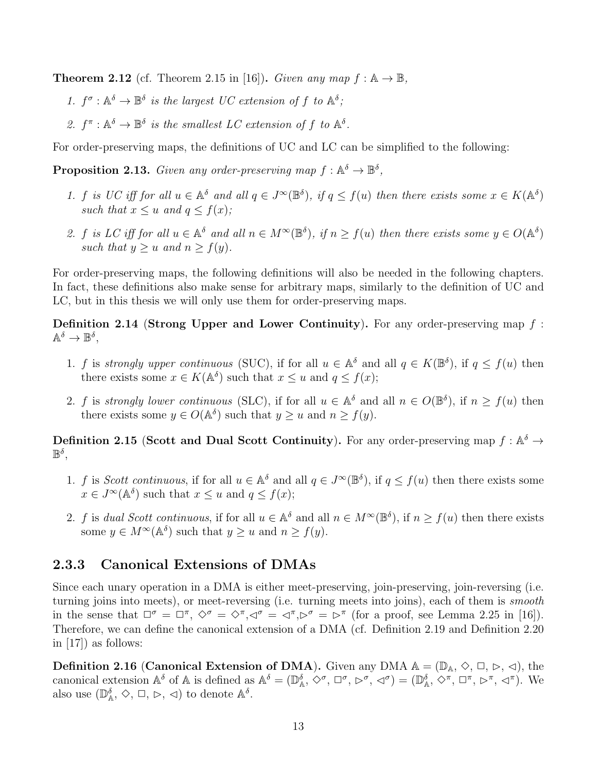**Theorem 2.12** (cf. Theorem 2.15 in [16]). Given any map  $f : A \rightarrow \mathbb{B}$ ,

- 1.  $f^{\sigma} : \mathbb{A}^{\delta} \to \mathbb{B}^{\delta}$  is the largest UC extension of f to  $\mathbb{A}^{\delta}$ ;
- 2.  $f^{\pi}: \mathbb{A}^{\delta} \to \mathbb{B}^{\delta}$  is the smallest LC extension of f to  $\mathbb{A}^{\delta}$ .

For order-preserving maps, the definitions of UC and LC can be simplified to the following:

**Proposition 2.13.** Given any order-preserving map  $f : \mathbb{A}^{\delta} \to \mathbb{B}^{\delta}$ ,

- 1. f is UC iff for all  $u \in \mathbb{A}^{\delta}$  and all  $q \in J^{\infty}(\mathbb{B}^{\delta})$ , if  $q \leq f(u)$  then there exists some  $x \in K(\mathbb{A}^{\delta})$ such that  $x \leq u$  and  $q \leq f(x)$ ;
- 2. f is LC iff for all  $u \in \mathbb{A}^{\delta}$  and all  $n \in M^{\infty}(\mathbb{B}^{\delta})$ , if  $n \ge f(u)$  then there exists some  $y \in O(\mathbb{A}^{\delta})$ such that  $y \geq u$  and  $n \geq f(y)$ .

For order-preserving maps, the following definitions will also be needed in the following chapters. In fact, these definitions also make sense for arbitrary maps, similarly to the definition of UC and LC, but in this thesis we will only use them for order-preserving maps.

**Definition 2.14 (Strong Upper and Lower Continuity).** For any order-preserving map  $f$ :  $\mathbb{A}^{\delta} \to \mathbb{B}^{\delta},$ 

- 1. f is strongly upper continuous (SUC), if for all  $u \in \mathbb{A}^{\delta}$  and all  $q \in K(\mathbb{B}^{\delta})$ , if  $q \leq f(u)$  then there exists some  $x \in K(\mathbb{A}^{\delta})$  such that  $x \leq u$  and  $q \leq f(x)$ ;
- 2. f is strongly lower continuous (SLC), if for all  $u \in \mathbb{A}^{\delta}$  and all  $n \in O(\mathbb{B}^{\delta})$ , if  $n \ge f(u)$  then there exists some  $y \in O(\mathbb{A}^{\delta})$  such that  $y \geq u$  and  $n \geq f(y)$ .

**Definition 2.15 (Scott and Dual Scott Continuity).** For any order-preserving map  $f : \mathbb{A}^{\delta} \to$  $\mathbb{B}^{\delta},$ 

- 1. f is Scott continuous, if for all  $u \in \mathbb{A}^{\delta}$  and all  $q \in J^{\infty}(\mathbb{B}^{\delta})$ , if  $q \leq f(u)$  then there exists some  $x \in J^{\infty}(\mathbb{A}^{\delta})$  such that  $x \leq u$  and  $q \leq f(x)$ ;
- 2. f is dual Scott continuous, if for all  $u \in \mathbb{A}^{\delta}$  and all  $n \in M^{\infty}(\mathbb{B}^{\delta})$ , if  $n \ge f(u)$  then there exists some  $y \in M^{\infty}(\mathbb{A}^{\delta})$  such that  $y \geq u$  and  $n \geq f(y)$ .

#### 2.3.3 Canonical Extensions of DMAs

Since each unary operation in a DMA is either meet-preserving, join-preserving, join-reversing (i.e. turning joins into meets), or meet-reversing (i.e. turning meets into joins), each of them is smooth in the sense that  $\Box^{\sigma} = \Box^{\pi}, \Diamond^{\sigma} = \Diamond^{\pi}, \Diamond^{\sigma} = \Diamond^{\pi}, \Diamond^{\sigma} = \Diamond^{\pi}$  (for a proof, see Lemma 2.25 in [16]). Therefore, we can define the canonical extension of a DMA (cf. Definition 2.19 and Definition 2.20 in [17]) as follows:

**Definition 2.16 (Canonical Extension of DMA).** Given any DMA  $A = (\mathbb{D}_A, \diamondsuit, \Box, \triangleright, \triangleleft)$ , the canonical extension  $\mathbb{A}^{\delta}$  of  $\mathbb{A}$  is defined as  $\mathbb{A}^{\delta} = (\mathbb{D}^{\delta}_{\mathbb{A}}, \diamondsuit^{\sigma}, \Box^{\sigma}, \diamondsuit^{\sigma}, \triangle^{\sigma}) = (\mathbb{D}^{\delta}_{\mathbb{A}}, \diamondsuit^{\pi}, \Box^{\pi}, \diamondsuit^{\pi}, \triangle^{\pi})$ . We also use  $(\mathbb{D}_{\mathbb{A}}^{\delta}, \diamondsuit, \Box, \triangleright, \triangleleft)$  to denote  $\mathbb{A}^{\delta}$ .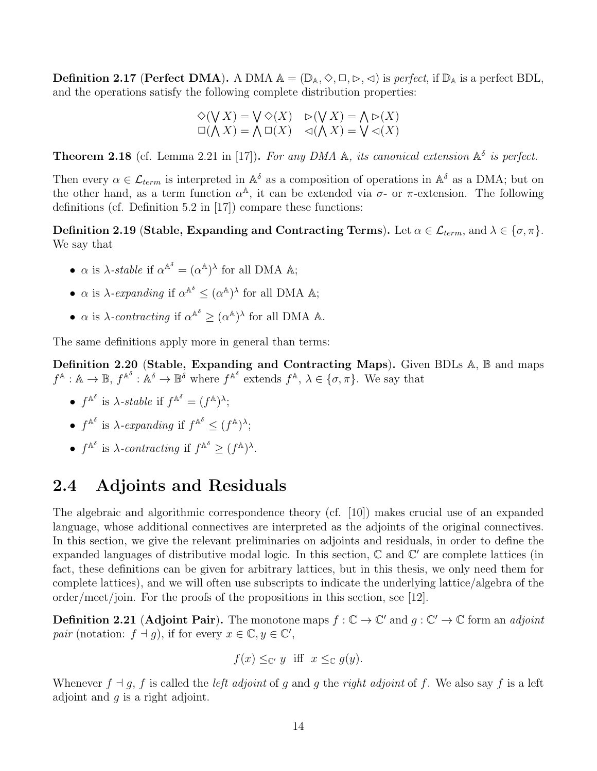**Definition 2.17 (Perfect DMA).** A DMA  $\mathbb{A} = (\mathbb{D}_{\mathbb{A}}, \Diamond, \Box, \Diamond, \Diamond)$  is perfect, if  $\mathbb{D}_{\mathbb{A}}$  is a perfect BDL, and the operations satisfy the following complete distribution properties:

$$
\diamond(V X) = V \diamond(X) \quad \diamond(V X) = \wedge \diamond(X)
$$
  

$$
\square(\wedge X) = \wedge \square(X) \quad \triangleleft(\wedge X) = V \triangleleft(X)
$$

**Theorem 2.18** (cf. Lemma 2.21 in [17]). For any DMA A, its canonical extension  $\mathbb{A}^{\delta}$  is perfect.

Then every  $\alpha \in \mathcal{L}_{term}$  is interpreted in  $\mathbb{A}^{\delta}$  as a composition of operations in  $\mathbb{A}^{\delta}$  as a DMA; but on the other hand, as a term function  $\alpha^{\mathbb{A}}$ , it can be extended via  $\sigma$ - or  $\pi$ -extension. The following definitions (cf. Definition 5.2 in [17]) compare these functions:

Definition 2.19 (Stable, Expanding and Contracting Terms). Let  $\alpha \in \mathcal{L}_{term}$ , and  $\lambda \in \{\sigma, \pi\}$ . We say that

- $\alpha$  is  $\lambda$ -stable if  $\alpha^{\mathbb{A}^{\delta}} = (\alpha^{\mathbb{A}})^{\lambda}$  for all DMA  $\mathbb{A}$ ;
- $\alpha$  is  $\lambda$ -expanding if  $\alpha^{\mathbb{A}^{\delta}} \leq (\alpha^{\mathbb{A}})^{\lambda}$  for all DMA  $\mathbb{A}$ ;
- $\alpha$  is  $\lambda$ -contracting if  $\alpha^{\mathbb{A}^{\delta}} \geq (\alpha^{\mathbb{A}})^{\lambda}$  for all DMA  $\mathbb{A}$ .

The same definitions apply more in general than terms:

Definition 2.20 (Stable, Expanding and Contracting Maps). Given BDLs A, B and maps  $f^{\mathbb{A}}: \mathbb{A} \to \mathbb{B}, f^{\mathbb{A}^{\delta}}: \mathbb{A}^{\delta} \to \mathbb{B}^{\delta}$  where  $f^{\mathbb{A}^{\delta}}$  extends  $f^{\mathbb{A}}, \lambda \in \{\sigma, \pi\}.$  We say that

- $f^{\mathbb{A}^{\delta}}$  is  $\lambda$ -stable if  $f^{\mathbb{A}^{\delta}} = (f^{\mathbb{A}})^{\lambda};$
- $f^{\mathbb{A}^{\delta}}$  is  $\lambda$ -expanding if  $f^{\mathbb{A}^{\delta}} \leq (f^{\mathbb{A}})^{\lambda}$ ;
- $f^{\mathbb{A}^{\delta}}$  is  $\lambda$ -contracting if  $f^{\mathbb{A}^{\delta}} \geq (f^{\mathbb{A}})^{\lambda}$ .

### 2.4 Adjoints and Residuals

The algebraic and algorithmic correspondence theory (cf. [10]) makes crucial use of an expanded language, whose additional connectives are interpreted as the adjoints of the original connectives. In this section, we give the relevant preliminaries on adjoints and residuals, in order to define the expanded languages of distributive modal logic. In this section,  $\mathbb C$  and  $\mathbb C'$  are complete lattices (in fact, these definitions can be given for arbitrary lattices, but in this thesis, we only need them for complete lattices), and we will often use subscripts to indicate the underlying lattice/algebra of the order/meet/join. For the proofs of the propositions in this section, see [12].

**Definition 2.21 (Adjoint Pair).** The monotone maps  $f : \mathbb{C} \to \mathbb{C}'$  and  $g : \mathbb{C}' \to \mathbb{C}$  form an *adjoint* pair (notation:  $f \dashv g$ ), if for every  $x \in \mathbb{C}, y \in \mathbb{C}'$ ,

$$
f(x) \leq_{\mathbb{C}'} y
$$
 iff  $x \leq_{\mathbb{C}} g(y)$ .

Whenever  $f \dashv g$ , f is called the *left adjoint* of g and g the *right adjoint* of f. We also say f is a left adjoint and  $q$  is a right adjoint.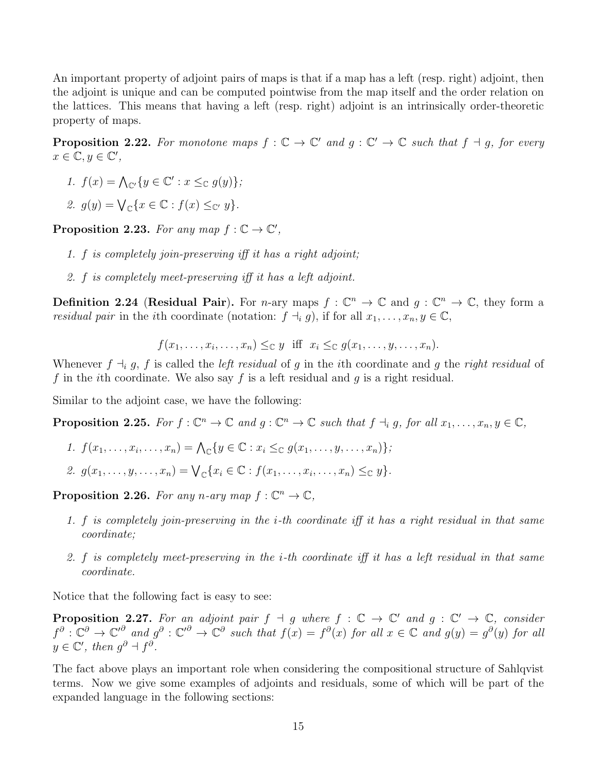An important property of adjoint pairs of maps is that if a map has a left (resp. right) adjoint, then the adjoint is unique and can be computed pointwise from the map itself and the order relation on the lattices. This means that having a left (resp. right) adjoint is an intrinsically order-theoretic property of maps.

**Proposition 2.22.** For monotone maps  $f : \mathbb{C} \to \mathbb{C}'$  and  $g : \mathbb{C}' \to \mathbb{C}$  such that  $f \dashv g$ , for every  $x \in \overline{\mathbb{C}}, y \in \overline{\mathbb{C}'},$ 

- 1.  $f(x) = \bigwedge_{\mathbb{C}'} \{y \in \mathbb{C}' : x \leq_{\mathbb{C}} g(y)\};$
- 2.  $g(y) = \bigvee_{\mathbb{C}} \{x \in \mathbb{C} : f(x) \leq_{\mathbb{C}'} y\}.$

Proposition 2.23. For any map  $f : \mathbb{C} \to \mathbb{C}'$ ,

- 1. f is completely join-preserving iff it has a right adjoint;
- 2. f is completely meet-preserving iff it has a left adjoint.

**Definition 2.24 (Residual Pair).** For *n*-ary maps  $f: \mathbb{C}^n \to \mathbb{C}$  and  $g: \mathbb{C}^n \to \mathbb{C}$ , they form a *residual pair* in the *i*th coordinate (notation:  $f \dashv_i g$ ), if for all  $x_1, \ldots, x_n, y \in \mathbb{C}$ ,

$$
f(x_1,\ldots,x_i,\ldots,x_n)\leq_{\mathbb{C}} y
$$
 iff  $x_i\leq_{\mathbb{C}} g(x_1,\ldots,y,\ldots,x_n)$ .

Whenever  $f \dashv_i g$ , f is called the *left residual* of g in the *i*th coordinate and g the *right residual* of f in the *i*th coordinate. We also say f is a left residual and g is a right residual.

Similar to the adjoint case, we have the following:

**Proposition 2.25.** For  $f: \mathbb{C}^n \to \mathbb{C}$  and  $g: \mathbb{C}^n \to \mathbb{C}$  such that  $f \dashv_i g$ , for all  $x_1, \ldots, x_n, y \in \mathbb{C}$ ,

- 1.  $f(x_1,...,x_i,...,x_n) = \bigwedge_{\mathbb{C}} \{y \in \mathbb{C} : x_i \leq_{\mathbb{C}} g(x_1,...,y,...,x_n)\}\;;$
- 2.  $g(x_1, ..., y, ..., x_n) = \bigvee_{\mathbb{C}} \{x_i \in \mathbb{C} : f(x_1, ..., x_i, ..., x_n) \leq_{\mathbb{C}} y\}.$

**Proposition 2.26.** For any n-ary map  $f: \mathbb{C}^n \to \mathbb{C}$ ,

- 1. f is completely join-preserving in the i-th coordinate iff it has a right residual in that same coordinate;
- 2. f is completely meet-preserving in the i-th coordinate iff it has a left residual in that same coordinate.

Notice that the following fact is easy to see:

**Proposition 2.27.** For an adjoint pair  $f \dashv g$  where  $f : \mathbb{C} \to \mathbb{C}'$  and  $g : \mathbb{C}' \to \mathbb{C}$ , consider  $f^{\partial}: \mathbb{C}^{\partial} \to \mathbb{C}^{\prime \partial}$  and  $g^{\partial}: \mathbb{C}^{\prime \partial} \to \mathbb{C}^{\partial}$  such that  $f(x) = f^{\partial}(x)$  for all  $x \in \mathbb{C}$  and  $g(y) = g^{\partial}(y)$  for all  $y \in \mathbb{C}'$ , then  $g^{\partial} + f^{\partial}$ .

The fact above plays an important role when considering the compositional structure of Sahlqvist terms. Now we give some examples of adjoints and residuals, some of which will be part of the expanded language in the following sections: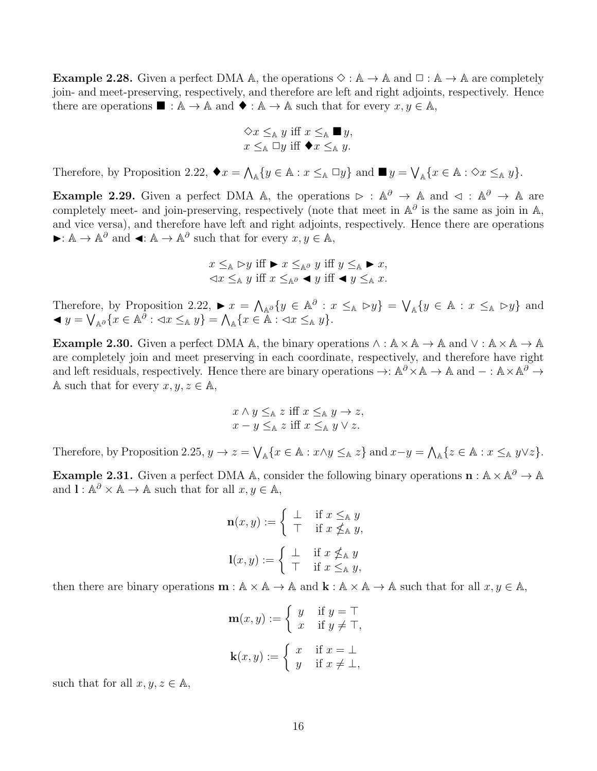**Example 2.28.** Given a perfect DMA  $\mathbb{A}$ , the operations  $\Diamond : \mathbb{A} \to \mathbb{A}$  and  $\Box : \mathbb{A} \to \mathbb{A}$  are completely join- and meet-preserving, respectively, and therefore are left and right adjoints, respectively. Hence there are operations  $\blacksquare : \mathbb{A} \to \mathbb{A}$  and  $\blacklozenge : \mathbb{A} \to \mathbb{A}$  such that for every  $x, y \in \mathbb{A}$ ,

$$
\diamond x \leq_{\mathbb{A}} y \text{ iff } x \leq_{\mathbb{A}} \blacksquare y,
$$
  

$$
x \leq_{\mathbb{A}} \square y \text{ iff } \blacklozenge x \leq_{\mathbb{A}} y.
$$

Therefore, by Proposition 2.22,  $\blacklozenge x = \bigwedge_{\mathbb{A}} \{y \in \mathbb{A} : x \leq_{\mathbb{A}} \Box y\}$  and  $\blacksquare y = \bigvee_{\mathbb{A}} \{x \in \mathbb{A} : \Diamond x \leq_{\mathbb{A}} y\}.$ 

**Example 2.29.** Given a perfect DMA A, the operations  $\triangleright$  :  $\mathbb{A}^{\partial} \to \mathbb{A}$  and  $\triangleleft$  :  $\mathbb{A}^{\partial} \to \mathbb{A}$  are completely meet- and join-preserving, respectively (note that meet in  $\mathbb{A}^{\partial}$  is the same as join in  $\mathbb{A}$ , and vice versa), and therefore have left and right adjoints, respectively. Hence there are operations  $\blacktriangleright: \mathbb{A} \to \mathbb{A}^{\partial}$  and  $\blacktriangleleft: \mathbb{A} \to \mathbb{A}^{\partial}$  such that for every  $x, y \in \mathbb{A}$ ,

$$
x \leq_{\mathbb{A}} \mathop{\triangleright} y \text{ iff } \blacktriangleright x \leq_{\mathbb{A}^{\partial}} y \text{ iff } y \leq_{\mathbb{A}} \blacktriangleright x,
$$
  

$$
\mathop{\triangleleft} x \leq_{\mathbb{A}} y \text{ iff } x \leq_{\mathbb{A}^{\partial}} \blacktriangleleft y \text{ iff } \blacktriangleleft y \leq_{\mathbb{A}} x.
$$

Therefore, by Proposition 2.22,  $\blacktriangleright x = \bigwedge_{\mathbb{A}^{\partial}} \{y \in \mathbb{A}^{\partial} : x \leq_{\mathbb{A}} \vartriangleright y\} = \bigvee_{\mathbb{A}} \{y \in \mathbb{A} : x \leq_{\mathbb{A}} \vartriangleright y\}$  and  $\blacktriangleleft y = \bigvee_{\mathbb{A}^{\partial}} \{x \in \mathbb{A}^{\partial} : \langle x \leq_{\mathbb{A}} y\} = \bigwedge_{\mathbb{A}} \{x \in \mathbb{A} : \langle x \leq_{\mathbb{A}} y\}.$ 

**Example 2.30.** Given a perfect DMA A, the binary operations  $\wedge : \mathbb{A} \times \mathbb{A} \to \mathbb{A}$  and  $\vee : \mathbb{A} \times \mathbb{A} \to \mathbb{A}$ are completely join and meet preserving in each coordinate, respectively, and therefore have right and left residuals, respectively. Hence there are binary operations  $\to: \mathbb{A}^{\partial} \times \mathbb{A} \to \mathbb{A}$  and  $-: \mathbb{A} \times \mathbb{A}^{\partial} \to$ A such that for every  $x, y, z \in A$ ,

$$
x \wedge y \leq_{\mathbb{A}} z \text{ iff } x \leq_{\mathbb{A}} y \to z,
$$
  

$$
x - y \leq_{\mathbb{A}} z \text{ iff } x \leq_{\mathbb{A}} y \vee z.
$$

Therefore, by Proposition 2.25,  $y \to z = \bigvee_{\mathbb{A}} \{x \in \mathbb{A} : x \wedge y \leq_{\mathbb{A}} z\}$  and  $x-y = \bigwedge_{\mathbb{A}} \{z \in \mathbb{A} : x \leq_{\mathbb{A}} y \vee z\}.$ 

**Example 2.31.** Given a perfect DMA A, consider the following binary operations  $\mathbf{n} : \mathbb{A} \times \mathbb{A}^{\partial} \to \mathbb{A}$ and  $\mathbf{l} : \mathbb{A}^{\partial} \times \mathbb{A} \to \mathbb{A}$  such that for all  $x, y \in \mathbb{A}$ ,

$$
\mathbf{n}(x, y) := \begin{cases} \perp & \text{if } x \leq_{\mathbb{A}} y \\ \top & \text{if } x \nleq_{\mathbb{A}} y, \\ 1(x, y) := \begin{cases} \perp & \text{if } x \nleq_{\mathbb{A}} y \\ \top & \text{if } x \leq_{\mathbb{A}} y, \end{cases} \end{cases}
$$

then there are binary operations  $\mathbf{m} : \mathbb{A} \times \mathbb{A} \to \mathbb{A}$  and  $\mathbf{k} : \mathbb{A} \times \mathbb{A} \to \mathbb{A}$  such that for all  $x, y \in \mathbb{A}$ ,

$$
\mathbf{m}(x, y) := \begin{cases} y & \text{if } y = \top \\ x & \text{if } y \neq \top, \end{cases}
$$

$$
\mathbf{k}(x, y) := \begin{cases} x & \text{if } x = \bot \\ y & \text{if } x \neq \bot, \end{cases}
$$

such that for all  $x, y, z \in A$ ,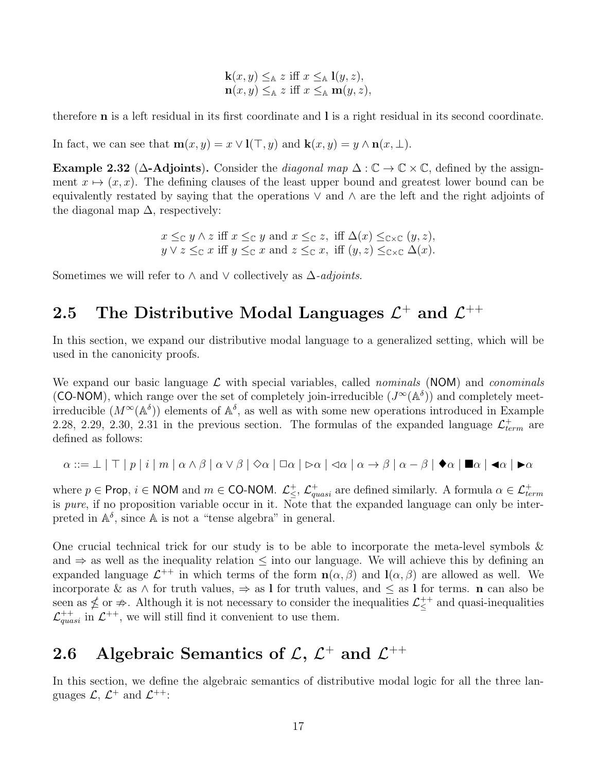$$
\mathbf{k}(x, y) \leq_{\mathbb{A}} z \text{ iff } x \leq_{\mathbb{A}} \mathbf{l}(y, z),
$$
  

$$
\mathbf{n}(x, y) \leq_{\mathbb{A}} z \text{ iff } x \leq_{\mathbb{A}} \mathbf{m}(y, z),
$$

therefore n is a left residual in its first coordinate and l is a right residual in its second coordinate.

In fact, we can see that  $\mathbf{m}(x, y) = x \vee \mathbf{l}(\top, y)$  and  $\mathbf{k}(x, y) = y \wedge \mathbf{n}(x, \bot)$ .

Example 2.32 ( $\Delta$ -Adjoints). Consider the *diagonal map*  $\Delta : \mathbb{C} \to \mathbb{C} \times \mathbb{C}$ , defined by the assignment  $x \mapsto (x, x)$ . The defining clauses of the least upper bound and greatest lower bound can be equivalently restated by saying that the operations  $\vee$  and  $\wedge$  are the left and the right adjoints of the diagonal map  $\Delta$ , respectively:

$$
x \leq_{\mathbb{C}} y \land z \text{ iff } x \leq_{\mathbb{C}} y \text{ and } x \leq_{\mathbb{C}} z, \text{ iff } \Delta(x) \leq_{\mathbb{C} \times \mathbb{C}} (y, z),
$$
  

$$
y \lor z \leq_{\mathbb{C}} x \text{ iff } y \leq_{\mathbb{C}} x \text{ and } z \leq_{\mathbb{C}} x, \text{ iff } (y, z) \leq_{\mathbb{C} \times \mathbb{C}} \Delta(x).
$$

Sometimes we will refer to  $\wedge$  and  $\vee$  collectively as  $\triangle$ -adjoints.

## 2.5 The Distributive Modal Languages  $\mathcal{L}^+$  and  $\mathcal{L}^{++}$

In this section, we expand our distributive modal language to a generalized setting, which will be used in the canonicity proofs.

We expand our basic language  $\mathcal L$  with special variables, called *nominals* (NOM) and *conominals* (CO-NOM), which range over the set of completely join-irreducible  $(J^{\infty}(\mathbb{A}^{\delta}))$  and completely meetirreducible  $(M^{\infty}(\mathbb{A}^{\delta}))$  elements of  $\mathbb{A}^{\delta}$ , as well as with some new operations introduced in Example 2.28, 2.29, 2.30, 2.31 in the previous section. The formulas of the expanded language  $\mathcal{L}_{term}^{+}$  are defined as follows:

$$
\alpha ::= \bot \mid \top \mid p \mid i \mid m \mid \alpha \wedge \beta \mid \alpha \vee \beta \mid \Diamond \alpha \mid \Box \alpha \mid \Diamond \alpha \mid \Diamond \alpha \mid \alpha \rightarrow \beta \mid \alpha - \beta \mid \blacklozenge \alpha \mid \blacksquare \alpha \mid \blacktriangle \alpha \mid \blacktriangleright \alpha
$$

where  $p \in \text{Prop}, i \in \text{NOM}$  and  $m \in \text{CO-NOM}.$   $\mathcal{L}^+_{\leq}$ ,  $\mathcal{L}^+_{quasi}$  are defined similarly. A formula  $\alpha \in \mathcal{L}^+_{term}$ is *pure*, if no proposition variable occur in it. Note that the expanded language can only be interpreted in  $\mathbb{A}^{\delta}$ , since  $\mathbb{A}$  is not a "tense algebra" in general.

One crucial technical trick for our study is to be able to incorporate the meta-level symbols  $\&$ and  $\Rightarrow$  as well as the inequality relation  $\leq$  into our language. We will achieve this by defining an expanded language  $\mathcal{L}^{++}$  in which terms of the form  $\mathbf{n}(\alpha,\beta)$  and  $\mathbf{l}(\alpha,\beta)$  are allowed as well. We incorporate & as  $\land$  for truth values,  $\Rightarrow$  as I for truth values, and  $\leq$  as I for terms. n can also be seen as  $\nleq$  or  $\nRightarrow$ . Although it is not necessary to consider the inequalities  $\mathcal{L}^{++}_\le$  and quasi-inequalities  $\mathcal{L}_{quasi}^{++}$  in  $\mathcal{L}^{++}$ , we will still find it convenient to use them.

## 2.6 Algebraic Semantics of  $\mathcal{L}, \, \mathcal{L}^+$  and  $\mathcal{L}^{++}$

In this section, we define the algebraic semantics of distributive modal logic for all the three languages  $\mathcal{L}, \mathcal{L}^+$  and  $\mathcal{L}^{++}$ :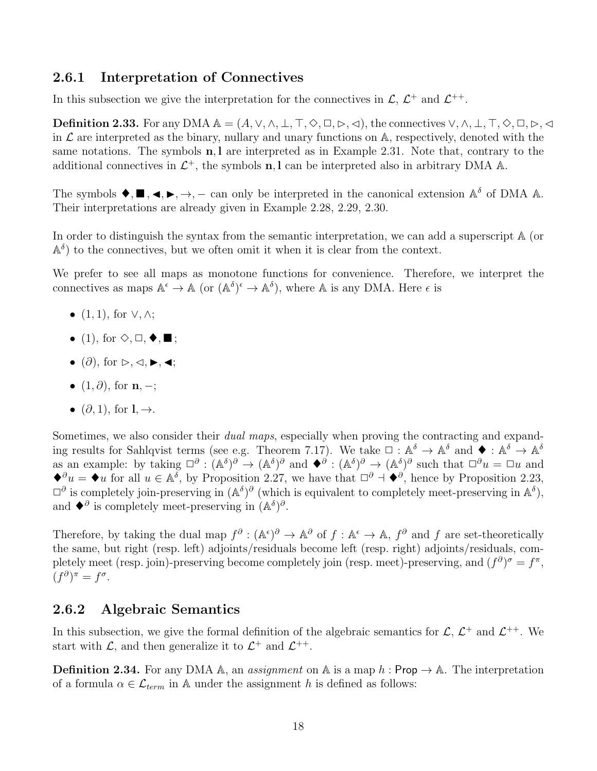#### 2.6.1 Interpretation of Connectives

In this subsection we give the interpretation for the connectives in  $\mathcal{L}, \mathcal{L}^+$  and  $\mathcal{L}^{++}$ .

**Definition 2.33.** For any DMA  $\mathbb{A} = (A, \vee, \wedge, \bot, \top, \diamondsuit, \square, \triangleright, \triangleleft)$ , the connectives  $\vee, \wedge, \bot, \top, \diamondsuit, \square, \triangleright, \triangleleft$ in  $\mathcal L$  are interpreted as the binary, nullary and unary functions on  $\mathbb A$ , respectively, denoted with the same notations. The symbols  $n, l$  are interpreted as in Example 2.31. Note that, contrary to the additional connectives in  $\mathcal{L}^+$ , the symbols **n**, l can be interpreted also in arbitrary DMA A.

The symbols  $\blacklozenge, \blacksquare, \blacktriangle, \blacktriangleright, \rightarrow, -$  can only be interpreted in the canonical extension  $\mathbb{A}^{\delta}$  of DMA  $\mathbb{A}$ . Their interpretations are already given in Example 2.28, 2.29, 2.30.

In order to distinguish the syntax from the semantic interpretation, we can add a superscript  $A$  (or  $\mathbb{A}^{\delta}$ ) to the connectives, but we often omit it when it is clear from the context.

We prefer to see all maps as monotone functions for convenience. Therefore, we interpret the connectives as maps  $\mathbb{A}^{\epsilon} \to \mathbb{A}$  (or  $(\mathbb{A}^{\delta})^{\epsilon} \to \mathbb{A}^{\delta}$ ), where  $\mathbb{A}$  is any DMA. Here  $\epsilon$  is

- $(1, 1)$ , for  $\vee, \wedge;$
- (1), for  $\diamondsuit, \Box, \blacklozenge, \blacksquare$ ;
- $(\partial)$ , for  $\triangleright, \triangleleft, \blacktriangleright, \blacktriangleleft;$
- $(1, \partial)$ , for  $n, -$ ;
- $(\partial, 1)$ , for  $l, \rightarrow$ .

Sometimes, we also consider their *dual maps*, especially when proving the contracting and expanding results for Sahlqvist terms (see e.g. Theorem 7.17). We take  $\Box : \mathbb{A}^{\delta} \to \mathbb{A}^{\delta}$  and  $\blacklozenge : \mathbb{A}^{\delta} \to \mathbb{A}^{\delta}$ as an example: by taking  $\Box^{\partial}$ :  $(\mathbb{A}^{\delta})^{\partial} \to (\mathbb{A}^{\delta})^{\partial}$  and  $\blacklozenge^{\partial}$ :  $(\mathbb{A}^{\delta})^{\partial} \to (\mathbb{A}^{\delta})^{\partial}$  such that  $\Box^{\partial} u = \Box u$  and  $\blacklozenge^{\partial} u = \blacklozenge u$  for all  $u \in \mathbb{A}^{\delta}$ , by Proposition 2.27, we have that  $\Box^{\partial} \dashv \blacklozenge^{\partial}$ , hence by Proposition 2.23,  $\Box^{\partial}$  is completely join-preserving in  $(\mathbb{A}^{\delta})^{\partial}$  (which is equivalent to completely meet-preserving in  $\mathbb{A}^{\delta}$ ), and  $\blacklozenge^{\partial}$  is completely meet-preserving in  $(\mathbb{A}^{\delta})^{\partial}$ .

Therefore, by taking the dual map  $f^{\partial}: (\mathbb{A}^{\epsilon})^{\partial} \to \mathbb{A}^{\partial}$  of  $f: \mathbb{A}^{\epsilon} \to \mathbb{A}$ ,  $f^{\partial}$  and f are set-theoretically the same, but right (resp. left) adjoints/residuals become left (resp. right) adjoints/residuals, completely meet (resp. join)-preserving become completely join (resp. meet)-preserving, and  $(f^{\partial})^{\sigma} = f^{\pi}$ ,  $(f^{\partial})^{\pi} = f^{\sigma}.$ 

#### 2.6.2 Algebraic Semantics

In this subsection, we give the formal definition of the algebraic semantics for  $\mathcal{L}, \mathcal{L}^+$  and  $\mathcal{L}^{++}$ . We start with  $\mathcal{L}$ , and then generalize it to  $\mathcal{L}^+$  and  $\mathcal{L}^{++}$ .

**Definition 2.34.** For any DMA  $\mathbb{A}$ , an *assignment* on  $\mathbb{A}$  is a map h: Prop  $\rightarrow \mathbb{A}$ . The interpretation of a formula  $\alpha \in \mathcal{L}_{term}$  in A under the assignment h is defined as follows: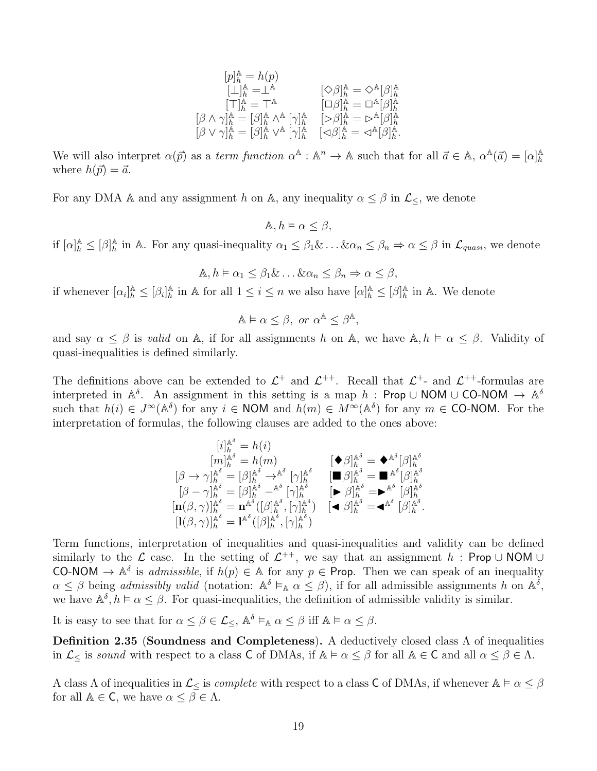$$
\begin{array}{ll} [p]^\mathbb{A}_h=h(p)\\[1mm] [\bot]^\mathbb{A}_h=\bot^\mathbb{A} & [\Diamond\beta]^\mathbb{A}_h=\Diamond^\mathbb{A}[\beta]^\mathbb{A}_h\\[1mm] [\top]^\mathbb{A}_h=\top^\mathbb{A} & [\Box\beta]^\mathbb{A}_h=\Box^\mathbb{A}[\beta]^\mathbb{A}_h\\[1mm] [\beta\wedge\gamma]^\mathbb{A}_h=[\beta]^\mathbb{A}_h\wedge^\mathbb{A}[\gamma]^\mathbb{A}_h & [\triangleright\beta]^\mathbb{A}_h=\triangleright^\mathbb{A}[\beta]^\mathbb{A}_h\\[1mm] [\beta\vee\gamma]^\mathbb{A}_h=[\beta]^\mathbb{A}_h\vee^\mathbb{A}[\gamma]^\mathbb{A}_h & [\triangle\beta]^\mathbb{A}_h=\triangle^\mathbb{A}[\beta]^\mathbb{A}_h. \end{array}
$$

We will also interpret  $\alpha(\vec{p})$  as a term function  $\alpha^{\mathbb{A}} : \mathbb{A}^n \to \mathbb{A}$  such that for all  $\vec{a} \in \mathbb{A}$ ,  $\alpha^{\mathbb{A}}(\vec{a}) = [\alpha]_h^{\mathbb{A}}$ h where  $h(\vec{p}) = \vec{a}$ .

For any DMA A and any assignment h on A, any inequality  $\alpha \leq \beta$  in  $\mathcal{L}_{\leq}$ , we denote

 $A, h \models \alpha \leq \beta$ ,

if  $[\alpha]_h^{\mathbb{A}} \leq [\beta]_h^{\mathbb{A}}$  $\frac{\mathbb{A}}{\hbar}$  in A. For any quasi-inequality  $\alpha_1 \leq \beta_1 \& \dots \& \alpha_n \leq \beta_n \Rightarrow \alpha \leq \beta$  in  $\mathcal{L}_{quasi}$ , we denote

 $\mathbb{A}, h \models \alpha_1 \leq \beta_1 \& \dots \& \alpha_n \leq \beta_n \Rightarrow \alpha < \beta,$ 

if whenever  $[\alpha_i]_h^{\mathbb{A}} \leq [\beta_i]_h^{\mathbb{A}}$  $\frac{\mathbb{A}}{h}$  in A for all  $1 \leq i \leq n$  we also have  $[\alpha]_h^{\mathbb{A}} \leq [\beta]_h^{\mathbb{A}}$  $h \atop h$  in A. We denote

$$
\mathbb{A} \models \alpha \leq \beta, \text{ or } \alpha^{\mathbb{A}} \leq \beta^{\mathbb{A}},
$$

and say  $\alpha \leq \beta$  is valid on A, if for all assignments h on A, we have  $\mathbb{A}, h \models \alpha \leq \beta$ . Validity of quasi-inequalities is defined similarly.

The definitions above can be extended to  $\mathcal{L}^+$  and  $\mathcal{L}^{++}$ . Recall that  $\mathcal{L}^{+}$ - and  $\mathcal{L}^{++}$ -formulas are interpreted in  $\mathbb{A}^{\delta}$ . An assignment in this setting is a map h: Prop ∪ NOM ∪ CO-NOM  $\rightarrow \mathbb{A}^{\delta}$ such that  $h(i) \in J^{\infty}(\mathbb{A}^{\delta})$  for any  $i \in \mathsf{NOM}$  and  $h(m) \in M^{\infty}(\mathbb{A}^{\delta})$  for any  $m \in \mathsf{CO}\text{-}\mathsf{NOM}$ . For the interpretation of formulas, the following clauses are added to the ones above:

$$
\begin{array}{llll}\n[i]^\mathbb{A^\delta}_{h} = h(i) & & [\blacklozenge\beta]^\mathbb{A^\delta}_{h} = \blacklozenge^{\mathbb{A^\delta}}[\beta]^\mathbb{A^\delta}_{h} \\
[\beta \to \gamma]^\mathbb{A^\delta}_{h} = [\beta]^\mathbb{A^\delta}_{h} \to^{\mathbb{A^\delta}}[\gamma]^\mathbb{A^\delta}_{h} & & [\blacksquare\beta]^\mathbb{A^\delta}_{h} = \blacksquare^{\mathbb{A^\delta}}[\beta]^\mathbb{A^\delta}_{h} \\
[\beta - \gamma]^\mathbb{A^\delta}_{h} = [\beta]^\mathbb{A^\delta}_{h} -^\mathbb{A^\delta}[\gamma]^\mathbb{A^\delta}_{h} & & [\blacktriangleright\beta]^\mathbb{A^\delta}_{h} = \blacktriangleright^{\mathbb{A^\delta}}[\beta]^\mathbb{A^\delta}_{h} \\
[\mathbf{n}(\beta, \gamma)]^\mathbb{A^\delta}_{h} = \mathbf{n}^{\mathbb{A^\delta}}([\beta]^\mathbb{A^\delta}_{h}, [\gamma]^\mathbb{A^\delta}_{h}) & & [\blacktriangle\beta]^\mathbb{A^\delta}_{h} = \blacktriangle^\delta[\beta]^\mathbb{A^\delta}_{h} \\
[\mathbf{l}(\beta, \gamma)]^\mathbb{A^\delta}_{h} = \mathbf{l}^{\mathbb{A^\delta}}([\beta]^\mathbb{A^\delta}_{h}, [\gamma]^\mathbb{A^\delta}_{h}) & & [\blacktriangle\beta]^\mathbb{A^\delta}_{h} = \blacktriangle^\delta[\beta]^\mathbb{A^\delta}_{h}.\n\end{array}
$$

Term functions, interpretation of inequalities and quasi-inequalities and validity can be defined similarly to the L case. In the setting of  $\mathcal{L}^{++}$ , we say that an assignment h: Prop ∪ NOM ∪ CO-NOM  $\rightarrow$   $\mathbb{A}^{\delta}$  is *admissible*, if  $h(p) \in \mathbb{A}$  for any  $p \in$  Prop. Then we can speak of an inequality  $\alpha \leq \beta$  being admissibly valid (notation:  $A^{\delta} \vDash_{A} \alpha \leq \beta$ ), if for all admissible assignments h on  $A^{\delta}$ , we have  $\mathbb{A}^{\delta}, h \models \alpha \leq \beta$ . For quasi-inequalities, the definition of admissible validity is similar.

It is easy to see that for  $\alpha \leq \beta \in \mathcal{L}_{\leq}$ ,  $\mathbb{A}^{\delta} \vDash_{\mathbb{A}} \alpha \leq \beta$  iff  $\mathbb{A} \vDash \alpha \leq \beta$ .

Definition 2.35 (Soundness and Completeness). A deductively closed class Λ of inequalities in  $\mathcal{L}_{\leq}$  is sound with respect to a class C of DMAs, if  $\mathbb{A} \models \alpha \leq \beta$  for all  $\mathbb{A} \in \mathsf{C}$  and all  $\alpha \leq \beta \in \Lambda$ .

A class  $\Lambda$  of inequalities in  $\mathcal{L}_{\leq}$  is *complete* with respect to a class **C** of DMAs, if whenever  $\mathbb{A} \models \alpha \leq \beta$ for all  $\mathbb{A} \in \mathsf{C}$ , we have  $\alpha \leq \beta \in \Lambda$ .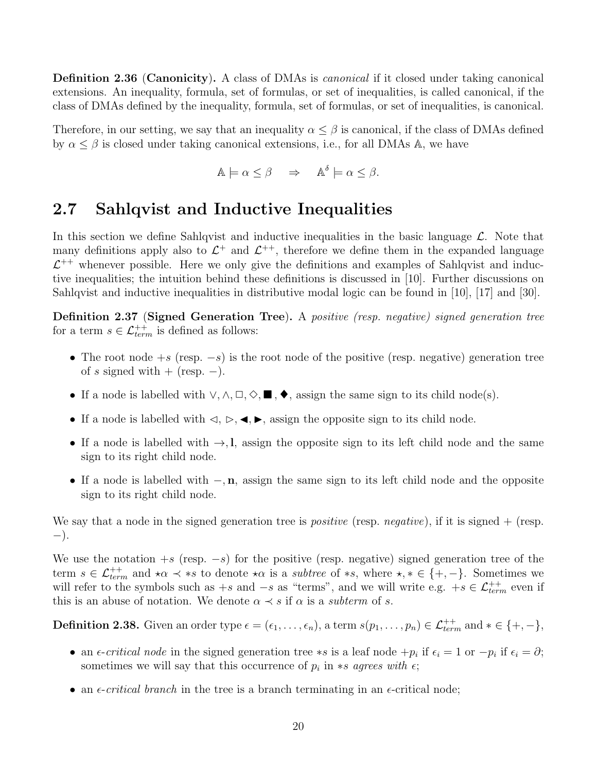Definition 2.36 (Canonicity). A class of DMAs is *canonical* if it closed under taking canonical extensions. An inequality, formula, set of formulas, or set of inequalities, is called canonical, if the class of DMAs defined by the inequality, formula, set of formulas, or set of inequalities, is canonical.

Therefore, in our setting, we say that an inequality  $\alpha \leq \beta$  is canonical, if the class of DMAs defined by  $\alpha \leq \beta$  is closed under taking canonical extensions, i.e., for all DMAs A, we have

$$
\mathbb{A}\models \alpha \leq \beta \quad \Rightarrow \quad \mathbb{A}^{\delta}\models \alpha \leq \beta.
$$

### 2.7 Sahlqvist and Inductive Inequalities

In this section we define Sahlqvist and inductive inequalities in the basic language  $\mathcal{L}$ . Note that many definitions apply also to  $\mathcal{L}^+$  and  $\mathcal{L}^{++}$ , therefore we define them in the expanded language  $\mathcal{L}^{++}$  whenever possible. Here we only give the definitions and examples of Sahlqvist and inductive inequalities; the intuition behind these definitions is discussed in [10]. Further discussions on Sahlqvist and inductive inequalities in distributive modal logic can be found in [10], [17] and [30].

Definition 2.37 (Signed Generation Tree). A positive (resp. negative) signed generation tree for a term  $s \in \mathcal{L}_{term}^{++}$  is defined as follows:

- The root node  $+s$  (resp.  $-s$ ) is the root node of the positive (resp. negative) generation tree of s signed with + (resp.  $-$ ).
- If a node is labelled with  $\vee, \wedge, \square, \Diamond, \blacksquare, \blacklozenge$ , assign the same sign to its child node(s).
- If a node is labelled with  $\triangleleft, \triangleright, \triangleleft, \triangleright$ , assign the opposite sign to its child node.
- If a node is labelled with  $\rightarrow$ , l, assign the opposite sign to its left child node and the same sign to its right child node.
- If a node is labelled with  $-, n$ , assign the same sign to its left child node and the opposite sign to its right child node.

We say that a node in the signed generation tree is *positive* (resp. *negative*), if it is signed  $+$  (resp. −).

We use the notation  $+s$  (resp.  $-s$ ) for the positive (resp. negative) signed generation tree of the term  $s \in \mathcal{L}_{term}^{++}$  and  $\star \alpha \prec \ast s$  to denote  $\star \alpha$  is a *subtree* of  $\ast s$ , where  $\star, \star \in \{+, -\}.$  Sometimes we will refer to the symbols such as  $+s$  and  $-s$  as "terms", and we will write e.g.  $+s \in \mathcal{L}_{term}^{++}$  even if this is an abuse of notation. We denote  $\alpha \prec s$  if  $\alpha$  is a *subterm* of s.

**Definition 2.38.** Given an order type  $\epsilon = (\epsilon_1, \ldots, \epsilon_n)$ , a term  $s(p_1, \ldots, p_n) \in \mathcal{L}_{term}^{++}$  and  $* \in \{+, -\},$ 

- an  $\epsilon$ -critical node in the signed generation tree  $\ast s$  is a leaf node  $+p_i$  if  $\epsilon_i = 1$  or  $-p_i$  if  $\epsilon_i = \partial$ ; sometimes we will say that this occurrence of  $p_i$  in \*s agrees with  $\epsilon$ ;
- an  $\epsilon$ -*critical branch* in the tree is a branch terminating in an  $\epsilon$ -critical node;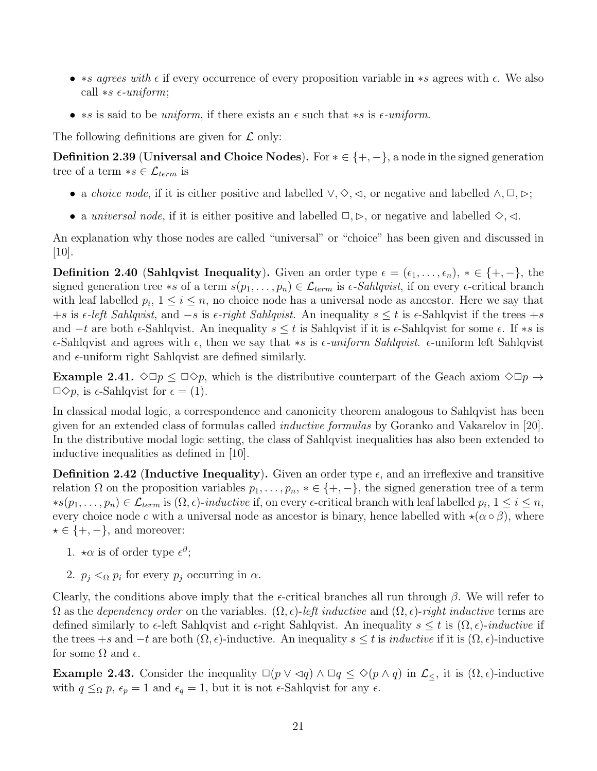- \*s agrees with  $\epsilon$  if every occurrence of every proposition variable in \*s agrees with  $\epsilon$ . We also call  $\ast s \in \mathit{uniform}$ ;
- \*s is said to be *uniform*, if there exists an  $\epsilon$  such that \*s is  $\epsilon$ -uniform.

The following definitions are given for  $\mathcal L$  only:

**Definition 2.39 (Universal and Choice Nodes).** For  $* \in \{+, -\}$ , a node in the signed generation tree of a term  $*_s \in \mathcal{L}_{term}$  is

- a *choice node*, if it is either positive and labelled  $\vee, \Diamond, \triangleleft$ , or negative and labelled  $\wedge, \Box, \triangleright;$
- a universal node, if it is either positive and labelled  $\Box, \triangleright$ , or negative and labelled  $\diamondsuit, \triangleleft$ .

An explanation why those nodes are called "universal" or "choice" has been given and discussed in [10].

**Definition 2.40 (Sahlqvist Inequality).** Given an order type  $\epsilon = (\epsilon_1, \ldots, \epsilon_n), * \in \{+, -\},\$ signed generation tree \*s of a term  $s(p_1, \ldots, p_n) \in \mathcal{L}_{term}$  is  $\epsilon$ -Sahlqvist, if on every  $\epsilon$ -critical branch with leaf labelled  $p_i$ ,  $1 \leq i \leq n$ , no choice node has a universal node as ancestor. Here we say that  $+s$  is  $\epsilon$ -left Sahlqvist, and  $-s$  is  $\epsilon$ -right Sahlqvist. An inequality  $s \leq t$  is  $\epsilon$ -Sahlqvist if the trees +s and  $-t$  are both  $\epsilon$ -Sahlqvist. An inequality  $s \leq t$  is Sahlqvist if it is  $\epsilon$ -Sahlqvist for some  $\epsilon$ . If  $\ast s$  is  $\epsilon$ -Sahlqvist and agrees with  $\epsilon$ , then we say that \*s is  $\epsilon$ -uniform Sahlqvist.  $\epsilon$ -uniform left Sahlqvist and  $\epsilon$ -uniform right Sahlqvist are defined similarly.

**Example 2.41.**  $\Diamond \Box p \leq \Box \Diamond p$ , which is the distributive counterpart of the Geach axiom  $\Diamond \Box p \rightarrow$  $\Box \Diamond p$ , is  $\epsilon$ -Sahlqvist for  $\epsilon = (1)$ .

In classical modal logic, a correspondence and canonicity theorem analogous to Sahlqvist has been given for an extended class of formulas called inductive formulas by Goranko and Vakarelov in [20]. In the distributive modal logic setting, the class of Sahlqvist inequalities has also been extended to inductive inequalities as defined in [10].

**Definition 2.42 (Inductive Inequality).** Given an order type  $\epsilon$ , and an irreflexive and transitive relation  $\Omega$  on the proposition variables  $p_1, \ldots, p_n, * \in \{+, -\}$ , the signed generation tree of a term  $*s(p_1,\ldots,p_n) \in \mathcal{L}_{term}$  is  $(\Omega,\epsilon)$ -*inductive* if, on every  $\epsilon$ -critical branch with leaf labelled  $p_i, 1 \leq i \leq n$ , every choice node c with a universal node as ancestor is binary, hence labelled with  $\star(\alpha \circ \beta)$ , where  $\star \in \{+, -\},\$ and moreover:

- 1.  $\star \alpha$  is of order type  $\epsilon^{\partial}$ ;
- 2.  $p_j <_{\Omega} p_i$  for every  $p_j$  occurring in  $\alpha$ .

Clearly, the conditions above imply that the  $\epsilon$ -critical branches all run through  $\beta$ . We will refer to  $\Omega$  as the dependency order on the variables.  $(\Omega, \epsilon)$ -left inductive and  $(\Omega, \epsilon)$ -right inductive terms are defined similarly to  $\epsilon$ -left Sahlqvist and  $\epsilon$ -right Sahlqvist. An inequality  $s \leq t$  is  $(\Omega, \epsilon)$ -inductive if the trees +s and  $-t$  are both  $(\Omega, \epsilon)$ -inductive. An inequality  $s \leq t$  is *inductive* if it is  $(\Omega, \epsilon)$ -inductive for some  $\Omega$  and  $\epsilon$ .

Example 2.43. Consider the inequality  $\Box(p \vee \triangleleft q) \wedge \Box q \leq \Diamond(p \wedge q)$  in  $\mathcal{L}_{\leq}$ , it is  $(\Omega, \epsilon)$ -inductive with  $q \leq_{\Omega} p$ ,  $\epsilon_p = 1$  and  $\epsilon_q = 1$ , but it is not  $\epsilon$ -Sahlqvist for any  $\epsilon$ .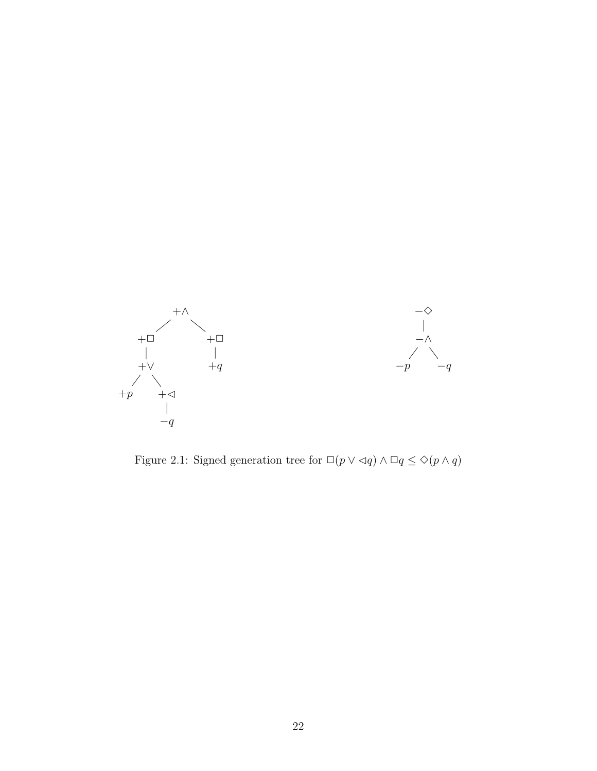

Figure 2.1: Signed generation tree for  $\Box(p \vee \lhd q) \wedge \Box q \leq \Diamond(p \wedge q)$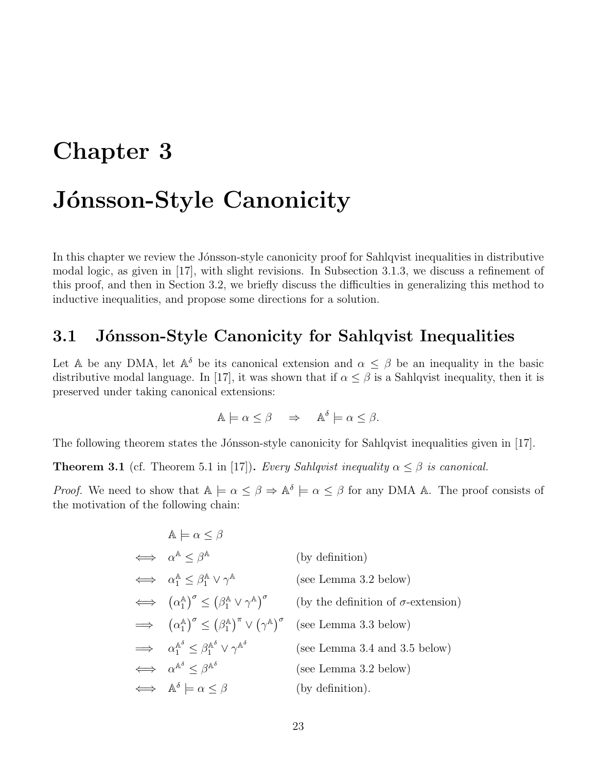## Chapter 3

## Jónsson-Style Canonicity

In this chapter we review the Jónsson-style canonicity proof for Sahlqvist inequalities in distributive modal logic, as given in [17], with slight revisions. In Subsection 3.1.3, we discuss a refinement of this proof, and then in Section 3.2, we briefly discuss the difficulties in generalizing this method to inductive inequalities, and propose some directions for a solution.

### 3.1 Jónsson-Style Canonicity for Sahlqvist Inequalities

Let A be any DMA, let  $\mathbb{A}^{\delta}$  be its canonical extension and  $\alpha \leq \beta$  be an inequality in the basic distributive modal language. In [17], it was shown that if  $\alpha \leq \beta$  is a Sahlqvist inequality, then it is preserved under taking canonical extensions:

$$
\mathbb{A} \models \alpha \le \beta \quad \Rightarrow \quad \mathbb{A}^{\delta} \models \alpha \le \beta.
$$

The following theorem states the Jónsson-style canonicity for Sahlqvist inequalities given in [17].

**Theorem 3.1** (cf. Theorem 5.1 in [17]). Every Sahlqvist inequality  $\alpha \leq \beta$  is canonical.

*Proof.* We need to show that  $\mathbb{A} \models \alpha \leq \beta \Rightarrow \mathbb{A}^{\delta} \models \alpha \leq \beta$  for any DMA A. The proof consists of the motivation of the following chain:

| $\mathbb{A} \models \alpha \leq \beta$                                                                              |                                            |
|---------------------------------------------------------------------------------------------------------------------|--------------------------------------------|
| $\iff \alpha^{\mathbb{A}} \leq \beta^{\mathbb{A}}$                                                                  | (by definition)                            |
| $\iff \alpha_1^{\mathbb{A}} \leq \beta_1^{\mathbb{A}} \vee \gamma^{\mathbb{A}}$                                     | (see Lemma 3.2 below)                      |
| $\iff (\alpha_1^{\mathbb{A}})^{\sigma} \leq (\beta_1^{\mathbb{A}} \vee \gamma^{\mathbb{A}})^{\sigma}$               | (by the definition of $\sigma$ -extension) |
| $\implies$ $(\alpha_1^{\mathbb{A}})^{\sigma} \leq (\beta_1^{\mathbb{A}})^{\pi} \vee (\gamma^{\mathbb{A}})^{\sigma}$ | (see Lemma 3.3 below)                      |
| $\implies \alpha_1^{\mathbb{A}^\delta} \leq \beta_1^{\mathbb{A}^\delta} \vee \gamma^{\mathbb{A}^\delta}$            | (see Lemma 3.4 and 3.5 below)              |
| $\iff \alpha^{\mathbb{A}^\delta} < \beta^{\mathbb{A}^\delta}$                                                       | (see Lemma 3.2 below)                      |
| $\iff \mathbb{A}^{\delta} \models \alpha \leq \beta$                                                                | (by definition).                           |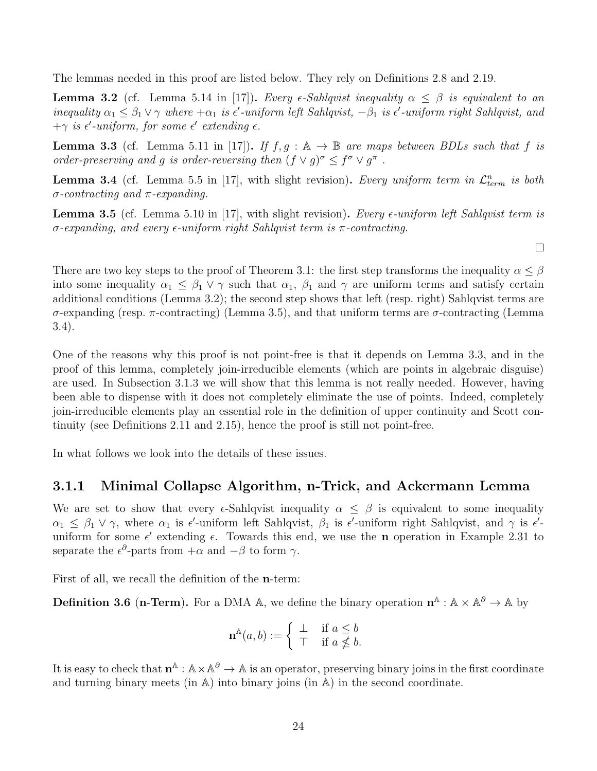The lemmas needed in this proof are listed below. They rely on Definitions 2.8 and 2.19.

**Lemma 3.2** (cf. Lemma 5.14 in [17]). Every  $\epsilon$ -Sahlqvist inequality  $\alpha \leq \beta$  is equivalent to an inequality  $\alpha_1 \leq \beta_1 \vee \gamma$  where  $+\alpha_1$  is  $\epsilon'$ -uniform left Sahlqvist,  $-\beta_1$  is  $\epsilon'$ -uniform right Sahlqvist, and  $+\gamma$  is  $\epsilon'$ -uniform, for some  $\epsilon'$  extending  $\epsilon$ .

**Lemma 3.3** (cf. Lemma 5.11 in [17]). If  $f, g : \mathbb{A} \to \mathbb{B}$  are maps between BDLs such that f is order-preserving and g is order-reversing then  $(f \vee g)^{\sigma} \leq f^{\sigma} \vee g^{\pi}$ .

**Lemma 3.4** (cf. Lemma 5.5 in [17], with slight revision). Every uniform term in  $\mathcal{L}^n_{term}$  is both σ-contracting and π-expanding.

**Lemma 3.5** (cf. Lemma 5.10 in [17], with slight revision). Every  $\epsilon$ -uniform left Sahlqvist term is  $σ$ -expanding, and every  $ε$ -uniform right Sahlqvist term is  $π$ -contracting.

 $\Box$ 

There are two key steps to the proof of Theorem 3.1: the first step transforms the inequality  $\alpha \leq \beta$ into some inequality  $\alpha_1 \leq \beta_1 \vee \gamma$  such that  $\alpha_1$ ,  $\beta_1$  and  $\gamma$  are uniform terms and satisfy certain additional conditions (Lemma 3.2); the second step shows that left (resp. right) Sahlqvist terms are σ-expanding (resp. π-contracting) (Lemma 3.5), and that uniform terms are σ-contracting (Lemma 3.4).

One of the reasons why this proof is not point-free is that it depends on Lemma 3.3, and in the proof of this lemma, completely join-irreducible elements (which are points in algebraic disguise) are used. In Subsection 3.1.3 we will show that this lemma is not really needed. However, having been able to dispense with it does not completely eliminate the use of points. Indeed, completely join-irreducible elements play an essential role in the definition of upper continuity and Scott continuity (see Definitions 2.11 and 2.15), hence the proof is still not point-free.

In what follows we look into the details of these issues.

#### 3.1.1 Minimal Collapse Algorithm, n-Trick, and Ackermann Lemma

We are set to show that every  $\epsilon$ -Sahlqvist inequality  $\alpha \leq \beta$  is equivalent to some inequality  $\alpha_1 \leq \beta_1 \vee \gamma$ , where  $\alpha_1$  is  $\epsilon'$ -uniform left Sahlqvist,  $\beta_1$  is  $\epsilon'$ -uniform right Sahlqvist, and  $\gamma$  is  $\epsilon'$ uniform for some  $\epsilon'$  extending  $\epsilon$ . Towards this end, we use the **n** operation in Example 2.31 to separate the  $\epsilon^{\partial}$ -parts from  $+\alpha$  and  $-\beta$  to form  $\gamma$ .

First of all, we recall the definition of the n-term:

**Definition 3.6 (n-Term).** For a DMA A, we define the binary operation  $\mathbf{n}^{\mathbb{A}} : \mathbb{A} \times \mathbb{A}^{\partial} \to \mathbb{A}$  by

$$
\mathbf{n}^{\mathbb{A}}(a,b) := \begin{cases} \perp & \text{if } a \leq b \\ \top & \text{if } a \nleq b. \end{cases}
$$

It is easy to check that  $\mathbf{n}^{\mathbb{A}} : \mathbb{A} \times \mathbb{A}^{\partial} \to \mathbb{A}$  is an operator, preserving binary joins in the first coordinate and turning binary meets (in  $A$ ) into binary joins (in  $A$ ) in the second coordinate.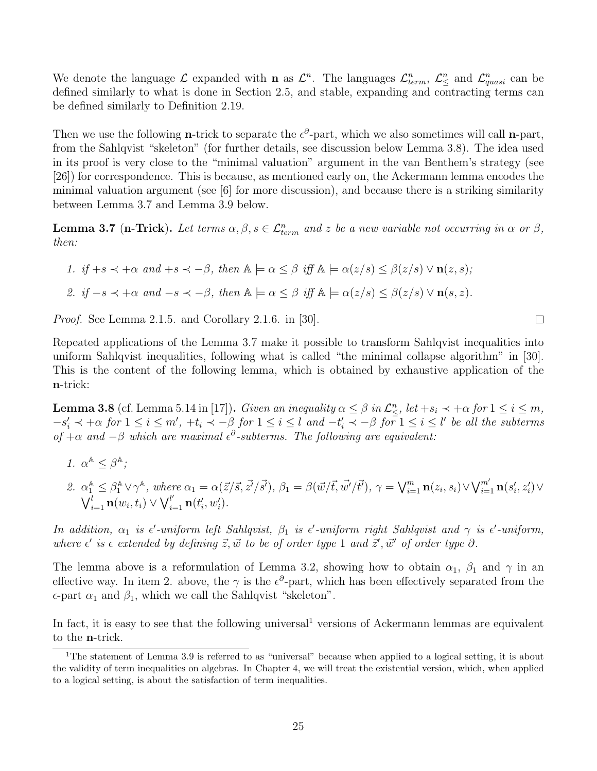We denote the language  $\mathcal L$  expanded with **n** as  $\mathcal L^n$ . The languages  $\mathcal L^n_{term}$ ,  $\mathcal L^n_{\leq}$  and  $\mathcal L^n_{quasi}$  can be defined similarly to what is done in Section 2.5, and stable, expanding and contracting terms can be defined similarly to Definition 2.19.

Then we use the following **n**-trick to separate the  $\epsilon^{\partial}$ -part, which we also sometimes will call **n**-part, from the Sahlqvist "skeleton" (for further details, see discussion below Lemma 3.8). The idea used in its proof is very close to the "minimal valuation" argument in the van Benthem's strategy (see [26]) for correspondence. This is because, as mentioned early on, the Ackermann lemma encodes the minimal valuation argument (see [6] for more discussion), and because there is a striking similarity between Lemma 3.7 and Lemma 3.9 below.

**Lemma 3.7** (n-Trick). Let terms  $\alpha, \beta, s \in \mathcal{L}^n_{term}$  and z be a new variable not occurring in  $\alpha$  or  $\beta$ , then:

\n- 1. if 
$$
+s \prec +\alpha
$$
 and  $+s \prec -\beta$ , then  $\mathbb{A} \models \alpha \leq \beta$  iff  $\mathbb{A} \models \alpha(z/s) \leq \beta(z/s) \vee \mathbf{n}(z, s)$ ;
\n- 2. if  $-s \prec +\alpha$  and  $-s \prec -\beta$ , then  $\mathbb{A} \models \alpha \leq \beta$  iff  $\mathbb{A} \models \alpha(z/s) \leq \beta(z/s) \vee \mathbf{n}(s, z)$ .
\n

Proof. See Lemma 2.1.5. and Corollary 2.1.6. in [30].

Repeated applications of the Lemma 3.7 make it possible to transform Sahlqvist inequalities into uniform Sahlqvist inequalities, following what is called "the minimal collapse algorithm" in [30]. This is the content of the following lemma, which is obtained by exhaustive application of the n-trick:

**Lemma 3.8** (cf. Lemma 5.14 in [17]). Given an inequality  $\alpha \leq \beta$  in  $\mathcal{L}_{\leq}^n$ , let  $+s_i \prec +\alpha$  for  $1 \leq i \leq m$ ,  $-s'_i \prec +\alpha$  for  $1 \leq i \leq m'$ ,  $+t_i \prec -\beta$  for  $1 \leq i \leq l$  and  $-t'_i \prec -\beta$  for  $1 \leq i \leq l'$  be all the subterms of  $+\alpha$  and  $-\beta$  which are maximal  $\epsilon^{\partial}$ -subterms. The following are equivalent:

1. 
$$
\alpha^{\mathbb{A}} \leq \beta^{\mathbb{A}}
$$
;

2. 
$$
\alpha_1^{\mathbb{A}} \leq \beta_1^{\mathbb{A}} \vee \gamma^{\mathbb{A}}
$$
, where  $\alpha_1 = \alpha(\vec{z}/\vec{s}, \vec{z'}/\vec{s'})$ ,  $\beta_1 = \beta(\vec{w}/\vec{t}, \vec{w'}/\vec{t'})$ ,  $\gamma = \bigvee_{i=1}^m \mathbf{n}(z_i, s_i) \vee \bigvee_{i=1}^{m'} \mathbf{n}(s'_i, z'_i) \vee \bigvee_{i=1}^{l'} \mathbf{n}(w_i, t_i) \vee \bigvee_{i=1}^{l'} \mathbf{n}(t'_i, w'_i)$ .

In addition,  $\alpha_1$  is  $\epsilon'$ -uniform left Sahlqvist,  $\beta_1$  is  $\epsilon'$ -uniform right Sahlqvist and  $\gamma$  is  $\epsilon'$ -uniform, where  $\epsilon'$  is  $\epsilon$  extended by defining  $\vec{z}, \vec{w}$  to be of order type 1 and  $\vec{z}', \vec{w}'$  of order type  $\partial$ .

The lemma above is a reformulation of Lemma 3.2, showing how to obtain  $\alpha_1$ ,  $\beta_1$  and  $\gamma$  in an effective way. In item 2. above, the  $\gamma$  is the  $\epsilon^{\partial}$ -part, which has been effectively separated from the  $\epsilon$ -part  $\alpha_1$  and  $\beta_1$ , which we call the Sahlqvist "skeleton".

In fact, it is easy to see that the following universal<sup>1</sup> versions of Ackermann lemmas are equivalent to the n-trick.

 $\Box$ 

<sup>&</sup>lt;sup>1</sup>The statement of Lemma 3.9 is referred to as "universal" because when applied to a logical setting, it is about the validity of term inequalities on algebras. In Chapter 4, we will treat the existential version, which, when applied to a logical setting, is about the satisfaction of term inequalities.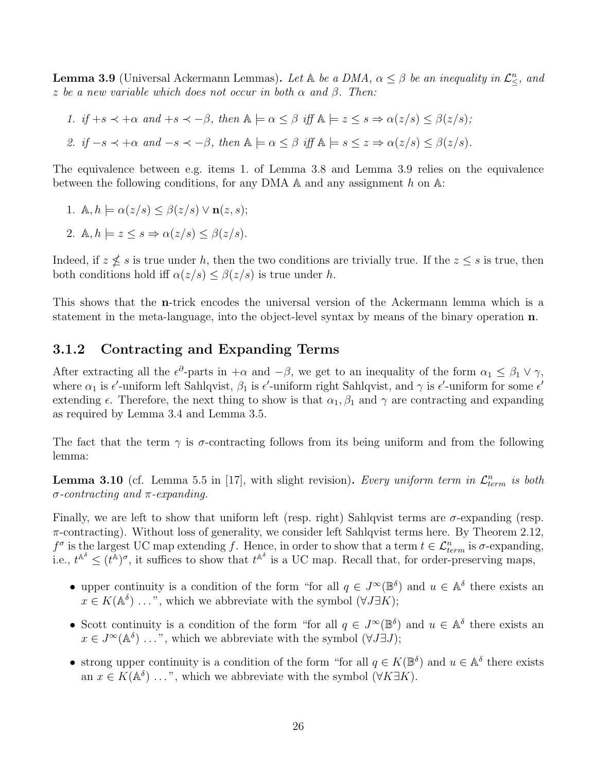**Lemma 3.9** (Universal Ackermann Lemmas). Let  $\mathbb{A}$  be a DMA,  $\alpha \leq \beta$  be an inequality in  $\mathcal{L}^n_{\leq}$ , and z be a new variable which does not occur in both  $\alpha$  and  $\beta$ . Then:

1. if 
$$
+s \prec +\alpha
$$
 and  $+s \prec -\beta$ , then  $\mathbb{A} \models \alpha \leq \beta$  iff  $\mathbb{A} \models z \leq s \Rightarrow \alpha(z/s) \leq \beta(z/s)$ ;

2. if 
$$
-s \prec +\alpha
$$
 and  $-s \prec -\beta$ , then  $\mathbb{A} \models \alpha \leq \beta$  iff  $\mathbb{A} \models s \leq z \Rightarrow \alpha(z/s) \leq \beta(z/s)$ .

The equivalence between e.g. items 1. of Lemma 3.8 and Lemma 3.9 relies on the equivalence between the following conditions, for any DMA  $\mathbb A$  and any assignment h on  $\mathbb A$ :

1. 
$$
\mathbb{A}, h \models \alpha(z/s) \leq \beta(z/s) \vee \mathbf{n}(z, s);
$$

2. 
$$
\mathbb{A}, h \models z \leq s \Rightarrow \alpha(z/s) \leq \beta(z/s)
$$
.

Indeed, if  $z \nleq s$  is true under h, then the two conditions are trivially true. If the  $z \leq s$  is true, then both conditions hold iff  $\alpha(z/s) \leq \beta(z/s)$  is true under h.

This shows that the n-trick encodes the universal version of the Ackermann lemma which is a statement in the meta-language, into the object-level syntax by means of the binary operation n.

#### 3.1.2 Contracting and Expanding Terms

After extracting all the  $\epsilon^{\partial}$ -parts in  $+\alpha$  and  $-\beta$ , we get to an inequality of the form  $\alpha_1 \leq \beta_1 \vee \gamma$ , where  $\alpha_1$  is  $\epsilon'$ -uniform left Sahlqvist,  $\beta_1$  is  $\epsilon'$ -uniform right Sahlqvist, and  $\gamma$  is  $\epsilon'$ -uniform for some  $\epsilon'$ extending  $\epsilon$ . Therefore, the next thing to show is that  $\alpha_1, \beta_1$  and  $\gamma$  are contracting and expanding as required by Lemma 3.4 and Lemma 3.5.

The fact that the term  $\gamma$  is  $\sigma$ -contracting follows from its being uniform and from the following lemma:

**Lemma 3.10** (cf. Lemma 5.5 in [17], with slight revision). Every uniform term in  $\mathcal{L}^n_{term}$  is both σ-contracting and π-expanding.

Finally, we are left to show that uniform left (resp. right) Sahlqvist terms are  $\sigma$ -expanding (resp.  $\pi$ -contracting). Without loss of generality, we consider left Sahlqvist terms here. By Theorem 2.12,  $f^{\sigma}$  is the largest UC map extending f. Hence, in order to show that a term  $t \in \mathcal{L}^n_{term}$  is  $\sigma$ -expanding, i.e.,  $t^{\mathbb{A}^{\delta}} \leq (t^{\mathbb{A}})^{\sigma}$ , it suffices to show that  $t^{\mathbb{A}^{\delta}}$  is a UC map. Recall that, for order-preserving maps,

- upper continuity is a condition of the form "for all  $q \in J^{\infty}(\mathbb{B}^{\delta})$  and  $u \in \mathbb{A}^{\delta}$  there exists an  $x \in K(\mathbb{A}^{\delta}) \dots$ ", which we abbreviate with the symbol  $(\forall J \exists K)$ ;
- Scott continuity is a condition of the form "for all  $q \in J^{\infty}(\mathbb{B}^{\delta})$  and  $u \in \mathbb{A}^{\delta}$  there exists an  $x \in J^{\infty}(\mathbb{A}^{\delta}) \dots$ ", which we abbreviate with the symbol  $(\forall J \exists J)$ ;
- strong upper continuity is a condition of the form "for all  $q \in K(\mathbb{B}^{\delta})$  and  $u \in \mathbb{A}^{\delta}$  there exists an  $x \in K(\mathbb{A}^{\delta}) \dots$ ", which we abbreviate with the symbol  $(\forall K \exists K)$ .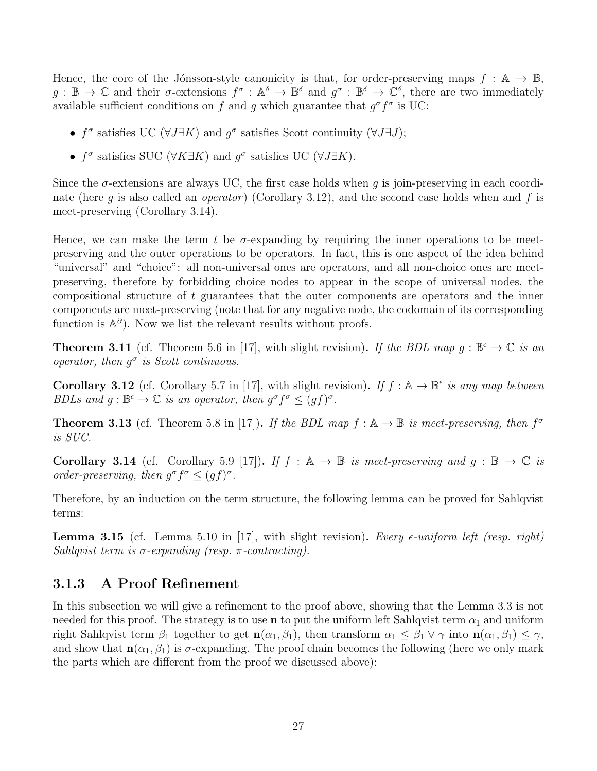Hence, the core of the Jónsson-style canonicity is that, for order-preserving maps  $f : A \to \mathbb{B}$ ,  $g: \mathbb{B} \to \mathbb{C}$  and their  $\sigma$ -extensions  $f^{\sigma}: \mathbb{A}^{\delta} \to \mathbb{B}^{\delta}$  and  $g^{\sigma}: \mathbb{B}^{\delta} \to \mathbb{C}^{\delta}$ , there are two immediately available sufficient conditions on f and g which guarantee that  $g^{\sigma} f^{\sigma}$  is UC:

- $f^{\sigma}$  satisfies UC ( $\forall J \exists K$ ) and  $g^{\sigma}$  satisfies Scott continuity ( $\forall J \exists J$ );
- $f^{\sigma}$  satisfies SUC ( $\forall K \exists K$ ) and  $g^{\sigma}$  satisfies UC ( $\forall J \exists K$ ).

Since the  $\sigma$ -extensions are always UC, the first case holds when q is join-preserving in each coordinate (here q is also called an *operator*) (Corollary 3.12), and the second case holds when and f is meet-preserving (Corollary 3.14).

Hence, we can make the term t be  $\sigma$ -expanding by requiring the inner operations to be meetpreserving and the outer operations to be operators. In fact, this is one aspect of the idea behind "universal" and "choice": all non-universal ones are operators, and all non-choice ones are meetpreserving, therefore by forbidding choice nodes to appear in the scope of universal nodes, the compositional structure of t guarantees that the outer components are operators and the inner components are meet-preserving (note that for any negative node, the codomain of its corresponding function is  $\mathbb{A}^{\partial}$ . Now we list the relevant results without proofs.

**Theorem 3.11** (cf. Theorem 5.6 in [17], with slight revision). If the BDL map  $g : \mathbb{B}^{\epsilon} \to \mathbb{C}$  is an operator, then  $g^{\sigma}$  is Scott continuous.

**Corollary 3.12** (cf. Corollary 5.7 in [17], with slight revision). If  $f : A \rightarrow \mathbb{B}^{\epsilon}$  is any map between BDLs and  $g : \mathbb{B}^{\epsilon} \to \mathbb{C}$  is an operator, then  $g^{\sigma} f^{\sigma} \leq (gf)^{\sigma}$ .

**Theorem 3.13** (cf. Theorem 5.8 in [17]). If the BDL map  $f : A \rightarrow \mathbb{B}$  is meet-preserving, then  $f^{\sigma}$ is SUC.

**Corollary 3.14** (cf. Corollary 5.9 [17]). If  $f : \mathbb{A} \to \mathbb{B}$  is meet-preserving and  $g : \mathbb{B} \to \mathbb{C}$  is order-preserving, then  $g^{\sigma} f^{\sigma} \leq (gf)^{\sigma}$ .

Therefore, by an induction on the term structure, the following lemma can be proved for Sahlqvist terms:

**Lemma 3.15** (cf. Lemma 5.10 in [17], with slight revision). Every  $\epsilon$ -uniform left (resp. right) Sahlqvist term is  $\sigma$ -expanding (resp.  $\pi$ -contracting).

#### 3.1.3 A Proof Refinement

In this subsection we will give a refinement to the proof above, showing that the Lemma 3.3 is not needed for this proof. The strategy is to use **n** to put the uniform left Sahlqvist term  $\alpha_1$  and uniform right Sahlqvist term  $\beta_1$  together to get  $\mathbf{n}(\alpha_1, \beta_1)$ , then transform  $\alpha_1 \leq \beta_1 \vee \gamma$  into  $\mathbf{n}(\alpha_1, \beta_1) \leq \gamma$ , and show that  $\mathbf{n}(\alpha_1, \beta_1)$  is  $\sigma$ -expanding. The proof chain becomes the following (here we only mark the parts which are different from the proof we discussed above):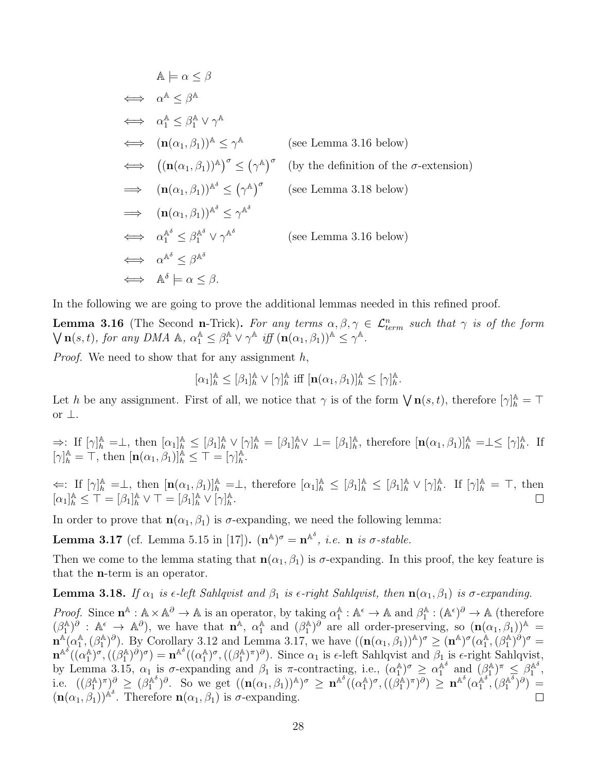$$
\mathbb{A} \models \alpha \leq \beta
$$
\n
$$
\iff \alpha^{\mathbb{A}} \leq \beta^{\mathbb{A}}
$$
\n
$$
\iff \alpha_1^{\mathbb{A}} \leq \beta_1^{\mathbb{A}} \lor \gamma^{\mathbb{A}}
$$
\n
$$
\iff (\mathbf{n}(\alpha_1, \beta_1))^{\mathbb{A}} \leq \gamma^{\mathbb{A}} \qquad \text{(see Lemma 3.16 below)}
$$
\n
$$
\iff ((\mathbf{n}(\alpha_1, \beta_1))^{\mathbb{A}})^{\sigma} \leq (\gamma^{\mathbb{A}})^{\sigma} \qquad \text{(by the definition of the } \sigma\text{-extension)}
$$
\n
$$
\iff (\mathbf{n}(\alpha_1, \beta_1))^{\mathbb{A}^{\delta}} \leq (\gamma^{\mathbb{A}})^{\sigma} \qquad \text{(see Lemma 3.18 below)}
$$
\n
$$
\iff (\mathbf{n}(\alpha_1, \beta_1))^{\mathbb{A}^{\delta}} \leq \gamma^{\mathbb{A}^{\delta}}
$$
\n
$$
\iff \alpha_1^{\mathbb{A}^{\delta}} \leq \beta_1^{\mathbb{A}^{\delta}} \lor \gamma^{\mathbb{A}^{\delta}}
$$
\n
$$
\iff \alpha_1^{\mathbb{A}^{\delta}} \leq \beta^{\mathbb{A}^{\delta}} \qquad \text{(see Lemma 3.16 below)}
$$
\n
$$
\iff \alpha^{\mathbb{A}^{\delta}} \leq \beta^{\mathbb{A}^{\delta}}
$$
\n
$$
\iff \mathbb{A}^{\delta} \models \alpha \leq \beta.
$$

In the following we are going to prove the additional lemmas needed in this refined proof.

**Lemma 3.16** (The Second n-Trick). For any terms  $\alpha, \beta, \gamma \in \mathcal{L}^n_{term}$  such that  $\gamma$  is of the form  $\bigvee \mathbf{n}(s,t)$ , for any DMA  $\mathbb{A}, \alpha_1^{\mathbb{A}} \leq \beta_1^{\mathbb{A}} \vee \gamma^{\mathbb{A}}$  iff  $(\mathbf{n}(\alpha_1,\beta_1))^{\mathbb{A}} \leq \gamma^{\mathbb{A}}$ .

*Proof.* We need to show that for any assignment  $h$ ,

 $[\alpha_1]_h^{\mathbb{A}} \leq [\beta_1]_h^{\mathbb{A}} \vee [\gamma]_h^{\mathbb{A}}$  $\frac{\mathbb{A}}{h}$  iff  $[\mathbf{n}(\alpha_1, \beta_1)]_h^{\mathbb{A}} \leq [\gamma]_h^{\mathbb{A}}$  $_{h}^{\mathbb{A}}.$ 

Let h be any assignment. First of all, we notice that  $\gamma$  is of the form  $\bigvee \mathbf{n}(s,t)$ , therefore  $[\gamma]_h^{\mathbb{A}} = \top$ or ⊥.

 $\Rightarrow$ : If  $[\gamma]_h^{\mathbb{A}} = \perp$ , then  $[\alpha_1]_h^{\mathbb{A}} \leq [\beta_1]_h^{\mathbb{A}} \vee [\gamma]_h^{\mathbb{A}} = [\beta_1]_h^{\mathbb{A}} \vee \perp = [\beta_1]_h^{\mathbb{A}}$ <sup>A</sup><sub>h</sub>, therefore  $[\mathbf{n}(\alpha_1,\beta_1)]_h^{\mathbb{A}} = \perp \leq [\gamma]_h^{\mathbb{A}}$  $\frac{A}{h}$ . If  $[\gamma]_h^{\mathbb{A}} = \top$ , then  $[\mathbf{n}(\alpha_1, \beta_1)]_h^{\mathbb{A}} \leq \top = [\gamma]_h^{\mathbb{A}}$  $_{h}^{\mathbb{A}}.$ 

 $\Leftarrow:$  If  $[\gamma]^{\mathbb{A}}_{h} = \perp$ , then  $[\mathbf{n}(\alpha_1, \beta_1)]^{\mathbb{A}}_{h} = \perp$ , therefore  $[\alpha_1]^{\mathbb{A}}_{h} \leq [\beta_1]^{\mathbb{A}}_{h} \leq [\beta_1]^{\mathbb{A}}_{h} \vee [\gamma]^{\mathbb{A}}_{h}$  $h \atop h$ . If  $[\gamma]_h^{\mathbb{A}} = \top$ , then  $[\alpha_1]_h^{\mathbb{A}} \leq \overline{\mathsf{T}} = [\beta_1]_h^{\mathbb{A}} \vee \overline{\mathsf{T}} = [\beta_1]_h^{\mathbb{A}} \vee [\gamma]_h^{\mathbb{A}}$  $_{h}^{\mathbb{A}}$ .

In order to prove that  $n(\alpha_1, \beta_1)$  is  $\sigma$ -expanding, we need the following lemma:

**Lemma 3.17** (cf. Lemma 5.15 in [17]).  $(\mathbf{n}^{\mathbb{A}})^{\sigma} = \mathbf{n}^{\mathbb{A}^{\delta}}$ , *i.e.* **n** is  $\sigma$ -stable.

Then we come to the lemma stating that  $n(\alpha_1, \beta_1)$  is  $\sigma$ -expanding. In this proof, the key feature is that the n-term is an operator.

**Lemma 3.18.** If  $\alpha_1$  is  $\epsilon$ -left Sahlqvist and  $\beta_1$  is  $\epsilon$ -right Sahlqvist, then  $\mathbf{n}(\alpha_1, \beta_1)$  is  $\sigma$ -expanding.

*Proof.* Since  $\mathbf{n}^{\mathbb{A}} : \mathbb{A} \times \mathbb{A}^{\partial} \to \mathbb{A}$  is an operator, by taking  $\alpha_1^{\mathbb{A}}$  $A_1^{\mathbb{A}} : \mathbb{A}^{\epsilon} \to \mathbb{A}$  and  $\beta_1^{\mathbb{A}}$  $\Lambda_1^{\mathbb{A}} : (\mathbb{A}^{\epsilon})^{\partial} \to \mathbb{A}$  (therefore  $(\beta_1^{\mathbb{A}}$  $\Lambda_1^{\mathbb{A}}$ ,  $\delta$  :  $\mathbb{A}^{\epsilon} \to \mathbb{A}^{\partial}$ , we have that  $\mathbf{n}^{\mathbb{A}}, \alpha_1^{\mathbb{A}}$  $_1^{\mathbb{A}}$  and  $(\beta_1^{\mathbb{A}})$  $\binom{A}{1}$ <sup> $\delta$ </sup> are all order-preserving, so  $(\mathbf{n}(\alpha_1,\beta_1))^A$  =  $\mathbf{n}^{\mathbb{A}}(\alpha_1^{\mathbb{A}})$  $_1^\mathbb{A},(\beta_1^\mathbb{A}$ <sup>A</sup>)<sup> $\partial$ </sup>). By Corollary 3.12 and Lemma 3.17, we have  $((\mathbf{n}(\alpha_1,\beta_1))^{\mathbb{A}})^{\sigma} \geq (\mathbf{n}^{\mathbb{A}})^{\sigma}(\alpha_1^{\mathbb{A}})$  $_1^\mathbb{A},(\beta_1^\mathbb{A}$  $\binom{A}{1}$  $\binom{B}{0}$  $\sigma =$  $\mathbf{n}^{\mathbb{A}^\delta}((\alpha_1^\mathbb{A}$  $_{1}^{\mathbb{A}}$ )<sup> $\sigma$ </sup>, (( $\beta_{1}^{\mathbb{A}}$  $(\alpha_1^{\mathbb{A}})^{\partial})^{\sigma}) = \mathbf{n}^{\mathbb{A}^{\delta}}((\alpha_1^{\mathbb{A}})$  $_{1}^{\mathbb{A}}$ )<sup> $\sigma$ </sup>, (( $\beta_{1}^{\mathbb{A}}$ <sup>A</sup><sup> $\binom{A}{1}$ </sup> $\binom{A}{0}$ . Since  $\alpha_1$  is  $\epsilon$ -left Sahlqvist and  $\beta_1$  is  $\epsilon$ -right Sahlqvist, by Lemma 3.15,  $\alpha_1$  is σ-expanding and  $\beta_1$  is π-contracting, i.e.,  $(\alpha_1^{\mathbb{A}})$  $\binom{\mathbb{A}}{1}^{\sigma} \geq \alpha_1^{\mathbb{A}^{\delta}}$  $\mathbb{A}^{\delta}$  and  $(\beta_1^{\mathbb{A}})$  $(\begin{smallmatrix}\nA & A \\
1 & A\n\end{smallmatrix})^{\pi} \leq \beta_1^{\mathbb{A}^{\delta}}$  $_{1}^{\mathbb{A}^{o}},$ i.e.  $((\beta_1^{\mathbb{A}}$  $(\beta_1^{\mathbb{A}})^{\pi})_s^{\partial} \geq (\beta_1^{\mathbb{A}^{\delta}})$  $\int_1^{\mathbb{A}^\delta}$ ) $\partial$ . So we get  $((\mathbf{n}(\alpha_1,\beta_1))^{\mathbb{A}})^{\sigma} \geq \mathbf{n}^{\mathbb{A}^\delta}((\alpha_1^{\mathbb{A}})$  $_{1}^{\mathbb{A}}$ ) $^{\sigma}$ ,  $($ ( $\beta_{1}^{\mathbb{A}}$  $\big(\alpha_1^{\mathbb{A}}\big)^{\pi}\big)^{\partial}\big) \, \geq \, \, {\bf n}^{\mathbb{A}^{\delta}}\big(\alpha_1^{\mathbb{A}^{\delta}}\big)^{\pi}$  $\mathbb{A}^{\delta^{\bullet}}, \left(\beta_1^{\mathbb{A}^{\delta}}\right)$  $\binom{\mathbb{A}^\delta}{1}^\partial$  =  $(\mathbf{n}(\alpha_1,\beta_1))^{\hat{\mathbb{A}}\delta}$ . Therefore  $\mathbf{n}(\alpha_1,\beta_1)$  is  $\sigma$ -expanding.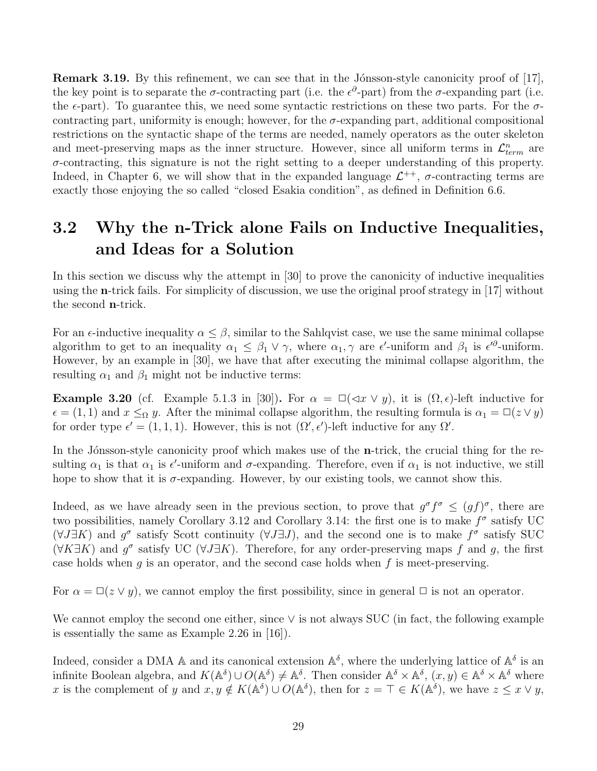**Remark 3.19.** By this refinement, we can see that in the Jónsson-style canonicity proof of  $[17]$ , the key point is to separate the  $\sigma$ -contracting part (i.e. the  $\epsilon^{\partial}$ -part) from the  $\sigma$ -expanding part (i.e. the  $\epsilon$ -part). To guarantee this, we need some syntactic restrictions on these two parts. For the  $\sigma$ contracting part, uniformity is enough; however, for the  $\sigma$ -expanding part, additional compositional restrictions on the syntactic shape of the terms are needed, namely operators as the outer skeleton and meet-preserving maps as the inner structure. However, since all uniform terms in  $\mathcal{L}^n_{term}$  are  $\sigma$ -contracting, this signature is not the right setting to a deeper understanding of this property. Indeed, in Chapter 6, we will show that in the expanded language  $\mathcal{L}^{++}$ ,  $\sigma$ -contracting terms are exactly those enjoying the so called "closed Esakia condition", as defined in Definition 6.6.

## 3.2 Why the n-Trick alone Fails on Inductive Inequalities, and Ideas for a Solution

In this section we discuss why the attempt in [30] to prove the canonicity of inductive inequalities using the n-trick fails. For simplicity of discussion, we use the original proof strategy in [17] without the second n-trick.

For an  $\epsilon$ -inductive inequality  $\alpha \leq \beta$ , similar to the Sahlqvist case, we use the same minimal collapse algorithm to get to an inequality  $\alpha_1 \leq \beta_1 \vee \gamma$ , where  $\alpha_1, \gamma$  are  $\epsilon'$ -uniform and  $\beta_1$  is  $\epsilon'^{\partial}$ -uniform. However, by an example in [30], we have that after executing the minimal collapse algorithm, the resulting  $\alpha_1$  and  $\beta_1$  might not be inductive terms:

**Example 3.20** (cf. Example 5.1.3 in [30]). For  $\alpha = \square(\triangleleft x \vee y)$ , it is  $(\Omega, \epsilon)$ -left inductive for  $\epsilon = (1, 1)$  and  $x \leq_{\Omega} y$ . After the minimal collapse algorithm, the resulting formula is  $\alpha_1 = \Box(z \vee y)$ for order type  $\epsilon' = (1, 1, 1)$ . However, this is not  $(\Omega', \epsilon')$ -left inductive for any  $\Omega'$ .

In the Jónsson-style canonicity proof which makes use of the  $n$ -trick, the crucial thing for the resulting  $\alpha_1$  is that  $\alpha_1$  is  $\epsilon'$ -uniform and  $\sigma$ -expanding. Therefore, even if  $\alpha_1$  is not inductive, we still hope to show that it is  $\sigma$ -expanding. However, by our existing tools, we cannot show this.

Indeed, as we have already seen in the previous section, to prove that  $g^{\sigma} f^{\sigma} \leq (gf)^{\sigma}$ , there are two possibilities, namely Corollary 3.12 and Corollary 3.14: the first one is to make  $f^{\sigma}$  satisfy UC  $(\forall J \exists K)$  and  $g^{\sigma}$  satisfy Scott continuity  $(\forall J \exists J)$ , and the second one is to make  $f^{\sigma}$  satisfy SUC  $(\forall K \exists K)$  and  $g^{\sigma}$  satisfy UC ( $\forall J \exists K$ ). Therefore, for any order-preserving maps f and g, the first case holds when  $g$  is an operator, and the second case holds when  $f$  is meet-preserving.

For  $\alpha = \Box(z \vee y)$ , we cannot employ the first possibility, since in general  $\Box$  is not an operator.

We cannot employ the second one either, since ∨ is not always SUC (in fact, the following example is essentially the same as Example 2.26 in [16]).

Indeed, consider a DMA A and its canonical extension  $\mathbb{A}^{\delta}$ , where the underlying lattice of  $\mathbb{A}^{\delta}$  is an infinite Boolean algebra, and  $K(\mathbb{A}^{\delta}) \cup O(\mathbb{A}^{\delta}) \neq \mathbb{A}^{\delta}$ . Then consider  $\mathbb{A}^{\delta} \times \mathbb{A}^{\delta}$ ,  $(x, y) \in \mathbb{A}^{\delta} \times \mathbb{A}^{\delta}$  where x is the complement of y and  $x, y \notin K(\mathbb{A}^{\delta}) \cup O(\mathbb{A}^{\delta})$ , then for  $z = \top \in K(\mathbb{A}^{\delta})$ , we have  $z \leq x \vee y$ ,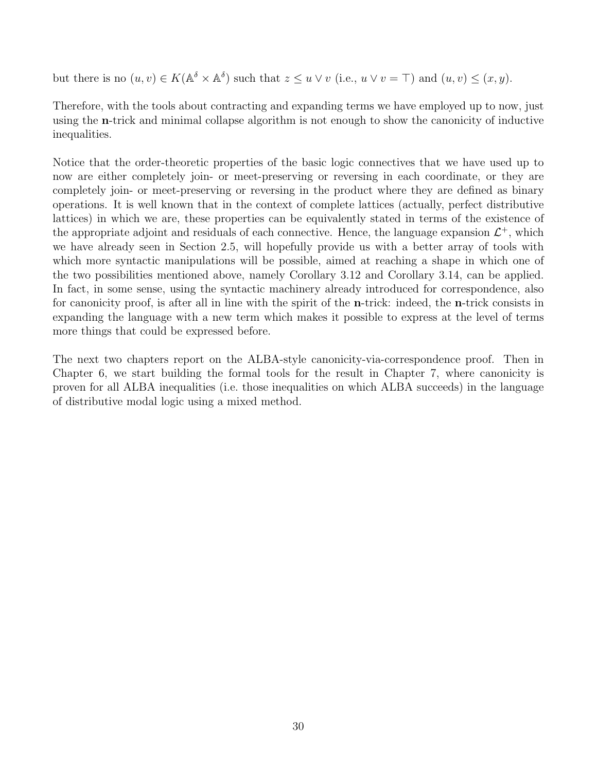but there is no  $(u, v) \in K(\mathbb{A}^{\delta} \times \mathbb{A}^{\delta})$  such that  $z \leq u \vee v$  (i.e.,  $u \vee v = \top$ ) and  $(u, v) \leq (x, y)$ .

Therefore, with the tools about contracting and expanding terms we have employed up to now, just using the n-trick and minimal collapse algorithm is not enough to show the canonicity of inductive inequalities.

Notice that the order-theoretic properties of the basic logic connectives that we have used up to now are either completely join- or meet-preserving or reversing in each coordinate, or they are completely join- or meet-preserving or reversing in the product where they are defined as binary operations. It is well known that in the context of complete lattices (actually, perfect distributive lattices) in which we are, these properties can be equivalently stated in terms of the existence of the appropriate adjoint and residuals of each connective. Hence, the language expansion  $\mathcal{L}^+$ , which we have already seen in Section 2.5, will hopefully provide us with a better array of tools with which more syntactic manipulations will be possible, aimed at reaching a shape in which one of the two possibilities mentioned above, namely Corollary 3.12 and Corollary 3.14, can be applied. In fact, in some sense, using the syntactic machinery already introduced for correspondence, also for canonicity proof, is after all in line with the spirit of the n-trick: indeed, the n-trick consists in expanding the language with a new term which makes it possible to express at the level of terms more things that could be expressed before.

The next two chapters report on the ALBA-style canonicity-via-correspondence proof. Then in Chapter 6, we start building the formal tools for the result in Chapter 7, where canonicity is proven for all ALBA inequalities (i.e. those inequalities on which ALBA succeeds) in the language of distributive modal logic using a mixed method.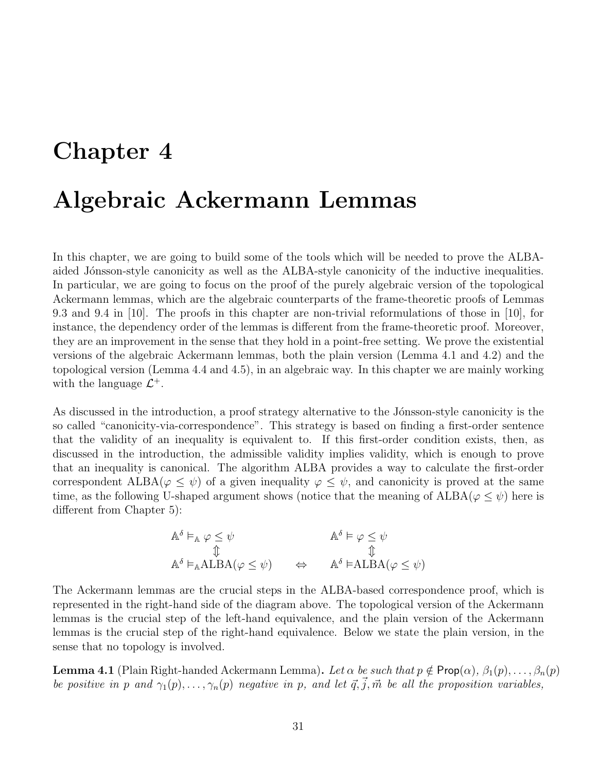## Chapter 4

## Algebraic Ackermann Lemmas

In this chapter, we are going to build some of the tools which will be needed to prove the ALBAaided Jónsson-style canonicity as well as the ALBA-style canonicity of the inductive inequalities. In particular, we are going to focus on the proof of the purely algebraic version of the topological Ackermann lemmas, which are the algebraic counterparts of the frame-theoretic proofs of Lemmas 9.3 and 9.4 in [10]. The proofs in this chapter are non-trivial reformulations of those in [10], for instance, the dependency order of the lemmas is different from the frame-theoretic proof. Moreover, they are an improvement in the sense that they hold in a point-free setting. We prove the existential versions of the algebraic Ackermann lemmas, both the plain version (Lemma 4.1 and 4.2) and the topological version (Lemma 4.4 and 4.5), in an algebraic way. In this chapter we are mainly working with the language  $\mathcal{L}^+$ .

As discussed in the introduction, a proof strategy alternative to the Jónsson-style canonicity is the so called "canonicity-via-correspondence". This strategy is based on finding a first-order sentence that the validity of an inequality is equivalent to. If this first-order condition exists, then, as discussed in the introduction, the admissible validity implies validity, which is enough to prove that an inequality is canonical. The algorithm ALBA provides a way to calculate the first-order correspondent ALBA( $\varphi \leq \psi$ ) of a given inequality  $\varphi \leq \psi$ , and canonicity is proved at the same time, as the following U-shaped argument shows (notice that the meaning of  $\text{ALBA}(\varphi \leq \psi)$ ) here is different from Chapter 5):

$$
\mathbb{A}^{\delta} \vDash_{\mathbb{A}} \varphi \leq \psi \qquad \qquad \mathbb{A}^{\delta} \vDash \varphi \leq \psi
$$
\n
$$
\mathbb{A}^{\delta} \vDash_{\mathbb{A}} \mathsf{ALBA}(\varphi \leq \psi) \qquad \Leftrightarrow \qquad \mathbb{A}^{\delta} \vDash \mathsf{ALBA}(\varphi \leq \psi)
$$

The Ackermann lemmas are the crucial steps in the ALBA-based correspondence proof, which is represented in the right-hand side of the diagram above. The topological version of the Ackermann lemmas is the crucial step of the left-hand equivalence, and the plain version of the Ackermann lemmas is the crucial step of the right-hand equivalence. Below we state the plain version, in the sense that no topology is involved.

**Lemma 4.1** (Plain Right-handed Ackermann Lemma). Let  $\alpha$  be such that  $p \notin \text{Prop}(\alpha)$ ,  $\beta_1(p), \ldots, \beta_n(p)$ be positive in p and  $\gamma_1(p), \ldots, \gamma_n(p)$  negative in p, and let  $\vec{q}, \vec{j}, \vec{m}$  be all the proposition variables,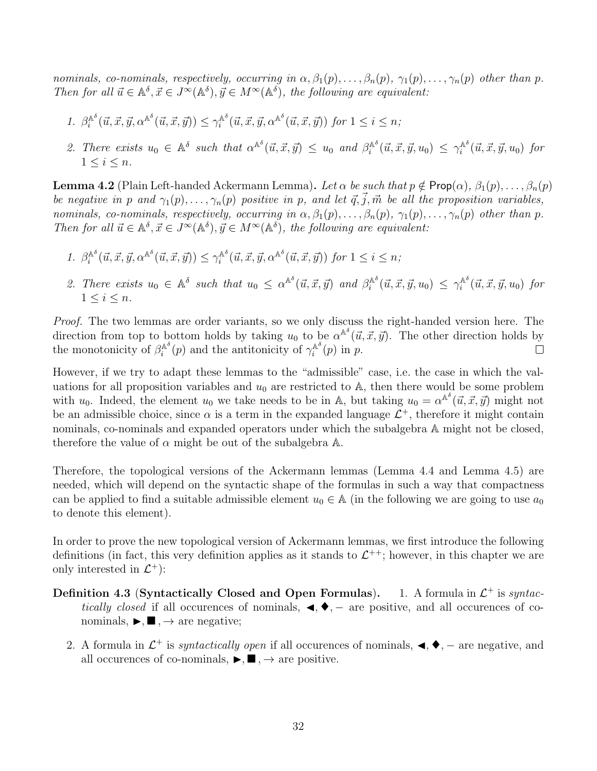nominals, co-nominals, respectively, occurring in  $\alpha, \beta_1(p), \ldots, \beta_n(p), \gamma_1(p), \ldots, \gamma_n(p)$  other than p. Then for all  $\vec{u} \in A^{\delta}, \vec{x} \in J^{\infty}(A^{\delta}), \vec{y} \in M^{\infty}(A^{\delta}),$  the following are equivalent:

- 1.  $\beta_i^{\mathbb{A}^\delta}$  $\hat{u}_i^{\mathbb{A}^\delta}(\vec{u}, \vec{x}, \vec{y}, \alpha^{\mathbb{A}^\delta}(\vec{u}, \vec{x}, \vec{y})) \leq \gamma_i^{\mathbb{A}^\delta}$  $\int_{i}^{\mathbb{A}^{\delta}}(\vec{u}, \vec{x}, \vec{y}, \alpha^{\mathbb{A}^{\delta}}(\vec{u}, \vec{x}, \vec{y}))$  for  $1 \leq i \leq n$ ;
- 2. There exists  $u_0 \in \mathbb{A}^{\delta}$  such that  $\alpha^{\mathbb{A}^{\delta}}(\vec{u}, \vec{x}, \vec{y}) \leq u_0$  and  $\beta_i^{\mathbb{A}^{\delta}}$  $\hat{u}_i^{\mathbb{A}^\delta}(\vec{u},\vec{x},\vec{y},u_0) \leq \gamma_i^{\mathbb{A}^\delta}$  $\int_{i}^{\mathbb{A}^o}(\vec{u}, \vec{x}, \vec{y}, u_0)$  for  $1 \leq i \leq n$ .

**Lemma 4.2** (Plain Left-handed Ackermann Lemma). Let  $\alpha$  be such that  $p \notin \text{Prop}(\alpha)$ ,  $\beta_1(p), \ldots, \beta_n(p)$ be negative in p and  $\gamma_1(p), \ldots, \gamma_n(p)$  positive in p, and let  $\vec{q}, \vec{j}, \vec{m}$  be all the proposition variables, nominals, co-nominals, respectively, occurring in  $\alpha, \beta_1(p), \ldots, \beta_n(p), \gamma_1(p), \ldots, \gamma_n(p)$  other than p. Then for all  $\vec{u} \in A^{\delta}, \vec{x} \in J^{\infty}(A^{\delta}), \vec{y} \in M^{\infty}(A^{\delta}),$  the following are equivalent:

- 1.  $\beta_i^{\mathbb{A}^\delta}$  $\gamma_i^{\mathbb{A}^{\delta}}(\vec{u}, \vec{x}, \vec{y}, \alpha^{\mathbb{A}^{\delta}}(\vec{u}, \vec{x}, \vec{y})) \leq \gamma_i^{\mathbb{A}^{\delta}}$  $\int_{i}^{\mathbb{A}^{\delta}}(\vec{u}, \vec{x}, \vec{y}, \alpha^{\mathbb{A}^{\delta}}(\vec{u}, \vec{x}, \vec{y}))$  for  $1 \leq i \leq n$ ;
- 2. There exists  $u_0 \in \mathbb{A}^{\delta}$  such that  $u_0 \leq \alpha^{\mathbb{A}^{\delta}}(\vec{u}, \vec{x}, \vec{y})$  and  $\beta_i^{\mathbb{A}^{\delta}}$  $\hat{u}_i^{\mathbb{A}^\delta}(\vec{u},\vec{x},\vec{y},u_0) \leq \gamma_i^{\mathbb{A}^\delta}$  $\int_{i}^{\mathbb{A}^o}(\vec{u}, \vec{x}, \vec{y}, u_0)$  for  $1 \leq i \leq n$ .

Proof. The two lemmas are order variants, so we only discuss the right-handed version here. The direction from top to bottom holds by taking  $u_0$  to be  $\alpha^{\mathbb{A}^\delta}(\vec{u}, \vec{x}, \vec{y})$ . The other direction holds by the monotonicity of  $\beta_i^{\mathbb{A}^{\delta}}$  $i^{\mathbb{A}^{\delta}}(p)$  and the antitonicity of  $\gamma_i^{\mathbb{A}^{\delta}}$  $i^{\mathbb{A}^o}(p)$  in p.  $\Box$ 

However, if we try to adapt these lemmas to the "admissible" case, i.e. the case in which the valuations for all proposition variables and  $u_0$  are restricted to A, then there would be some problem with  $u_0$ . Indeed, the element  $u_0$  we take needs to be in A, but taking  $u_0 = \alpha^{\mathbb{A}^\delta}(\vec{u}, \vec{x}, \vec{y})$  might not be an admissible choice, since  $\alpha$  is a term in the expanded language  $\mathcal{L}^+$ , therefore it might contain nominals, co-nominals and expanded operators under which the subalgebra A might not be closed, therefore the value of  $\alpha$  might be out of the subalgebra  $\mathbb{A}$ .

Therefore, the topological versions of the Ackermann lemmas (Lemma 4.4 and Lemma 4.5) are needed, which will depend on the syntactic shape of the formulas in such a way that compactness can be applied to find a suitable admissible element  $u_0 \in A$  (in the following we are going to use  $a_0$ to denote this element).

In order to prove the new topological version of Ackermann lemmas, we first introduce the following definitions (in fact, this very definition applies as it stands to  $\mathcal{L}^{++}$ ; however, in this chapter we are only interested in  $\mathcal{L}^+$ :

- Definition 4.3 (Syntactically Closed and Open Formulas). 1. A formula in  $\mathcal{L}^+$  is syntactically closed if all occurences of nominals,  $\blacktriangleleft$ ,  $\blacktriangleright$ ,  $-$  are positive, and all occurences of conominals,  $\blacktriangleright$ ,  $\blacksquare$ ,  $\rightarrow$  are negative;
	- 2. A formula in  $\mathcal{L}^+$  is *syntactically open* if all occurences of nominals,  $\blacktriangleleft$ ,  $\blacktriangleleft$ ,  $\blacktriangleleft$ ,  $\blacktriangleleft$ , are negative, and all occurences of co-nominals,  $\blacktriangleright$ ,  $\blacksquare$ ,  $\rightarrow$  are positive.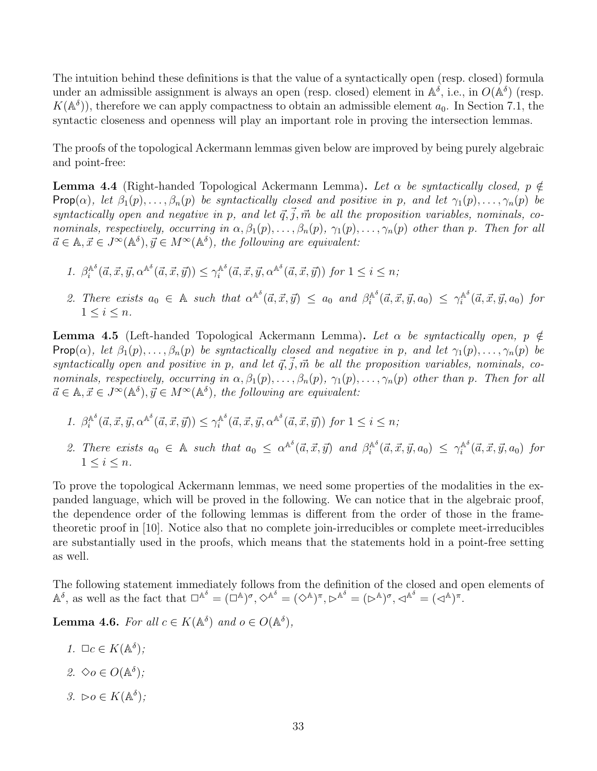The intuition behind these definitions is that the value of a syntactically open (resp. closed) formula under an admissible assignment is always an open (resp. closed) element in  $\mathbb{A}^{\delta}$ , i.e., in  $O(\mathbb{A}^{\delta})$  (resp.  $K(\mathbb{A}^{\delta})$ , therefore we can apply compactness to obtain an admissible element  $a_0$ . In Section 7.1, the syntactic closeness and openness will play an important role in proving the intersection lemmas.

The proofs of the topological Ackermann lemmas given below are improved by being purely algebraic and point-free:

**Lemma 4.4** (Right-handed Topological Ackermann Lemma). Let  $\alpha$  be syntactically closed,  $p \notin \mathbb{R}$ Prop( $\alpha$ ), let  $\beta_1(p), \ldots, \beta_n(p)$  be syntactically closed and positive in p, and let  $\gamma_1(p), \ldots, \gamma_n(p)$  be syntactically open and negative in p, and let  $\vec{q}, \vec{j}, \vec{m}$  be all the proposition variables, nominals, conominals, respectively, occurring in  $\alpha$ ,  $\beta_1(p), \ldots, \beta_n(p), \gamma_1(p), \ldots, \gamma_n(p)$  other than p. Then for all  $\vec{a} \in \mathbb{A}, \vec{x} \in J^{\infty}(\mathbb{A}^{\delta}), \vec{y} \in M^{\infty}(\mathbb{A}^{\delta}),$  the following are equivalent:

- 1.  $\beta_i^{\mathbb{A}^\delta}$  $\hat{C}_i^{\mathbb{A}^\delta}(\vec{a}, \vec{x}, \vec{y}, \alpha^{\mathbb{A}^\delta}(\vec{a}, \vec{x}, \vec{y})) \leq \gamma^{\mathbb{A}^\delta}_i$  $\int_{i}^{\mathbb{A}^{\delta}}(\vec{a}, \vec{x}, \vec{y}, \alpha^{\mathbb{A}^{\delta}}(\vec{a}, \vec{x}, \vec{y}))$  for  $1 \leq i \leq n$ ;
- 2. There exists  $a_0 \in A$  such that  $\alpha^{\mathbb{A}^{\delta}}(\vec{a}, \vec{x}, \vec{y}) \le a_0$  and  $\beta_i^{\mathbb{A}^{\delta}}$  $\hat{a}_i^{\mathbb{A}^\delta}(\vec{a}, \vec{x}, \vec{y}, a_0) \leq \gamma_i^{\mathbb{A}^\delta}$  $\int_{i}^{\mathbb{A}^{\circ}}(\vec{a}, \vec{x}, \vec{y}, a_0)$  for  $1 \leq i \leq n$ .

**Lemma 4.5** (Left-handed Topological Ackermann Lemma). Let  $\alpha$  be syntactically open,  $p \notin \mathcal{L}$ Prop( $\alpha$ ), let  $\beta_1(p), \ldots, \beta_n(p)$  be syntactically closed and negative in p, and let  $\gamma_1(p), \ldots, \gamma_n(p)$  be syntactically open and positive in p, and let  $\vec{q}, \vec{j}, \vec{m}$  be all the proposition variables, nominals, conominals, respectively, occurring in  $\alpha, \beta_1(p), \ldots, \beta_n(p), \gamma_1(p), \ldots, \gamma_n(p)$  other than p. Then for all  $\vec{a} \in \mathbb{A}, \vec{x} \in J^{\infty}(\mathbb{A}^{\delta}), \vec{y} \in M^{\infty}(\mathbb{A}^{\delta}),$  the following are equivalent:

- 1.  $\beta_i^{\mathbb{A}^\delta}$  $\hat{C}_i^{\mathbb{A}^\delta}(\vec{a}, \vec{x}, \vec{y}, \alpha^{\mathbb{A}^\delta}(\vec{a}, \vec{x}, \vec{y})) \leq \gamma^{\mathbb{A}^\delta}_i$  $i^{\mathbb{A}^\delta}(\vec{a}, \vec{x}, \vec{y}, \alpha^{\mathbb{A}^\delta}(\vec{a}, \vec{x}, \vec{y}))$  for  $1 \leq i \leq n$ ;
- 2. There exists  $a_0 \in A$  such that  $a_0 \leq \alpha^{A^{\delta}}(\vec{a}, \vec{x}, \vec{y})$  and  $\beta_i^{A^{\delta}}$  $\hat{a}_i^{\mathbb{A}^\delta}(\vec{a}, \vec{x}, \vec{y}, a_0) \leq \gamma_i^{\mathbb{A}^\delta}$  $\int_i^{\mathbb{A}^o} (\vec{a}, \vec{x}, \vec{y}, a_0)$  for  $1 \leq i \leq n$ .

To prove the topological Ackermann lemmas, we need some properties of the modalities in the expanded language, which will be proved in the following. We can notice that in the algebraic proof, the dependence order of the following lemmas is different from the order of those in the frametheoretic proof in [10]. Notice also that no complete join-irreducibles or complete meet-irreducibles are substantially used in the proofs, which means that the statements hold in a point-free setting as well.

The following statement immediately follows from the definition of the closed and open elements of  $\mathbb{A}^{\delta}$ , as well as the fact that  $\Box^{\mathbb{A}^{\delta}} = (\Box^{\mathbb{A}})^{\sigma}, \Diamond^{\mathbb{A}^{\delta}} = (\Diamond^{\mathbb{A}})^{\pi}, \Box^{\mathbb{A}^{\delta}} = (\Box^{\mathbb{A}})^{\sigma}, \triangle^{\mathbb{A}^{\delta}} = (\Box^{\mathbb{A}})^{\pi}.$ 

**Lemma 4.6.** For all  $c \in K(\mathbb{A}^{\delta})$  and  $o \in O(\mathbb{A}^{\delta})$ ,

- 1.  $\Box c \in K(\mathbb{A}^{\delta});$
- 2.  $\diamondsuit o \in O(\mathbb{A}^{\delta})$ ;
- 3.  $\triangleright$ o  $\in K(\mathbb{A}^{\delta})$ ;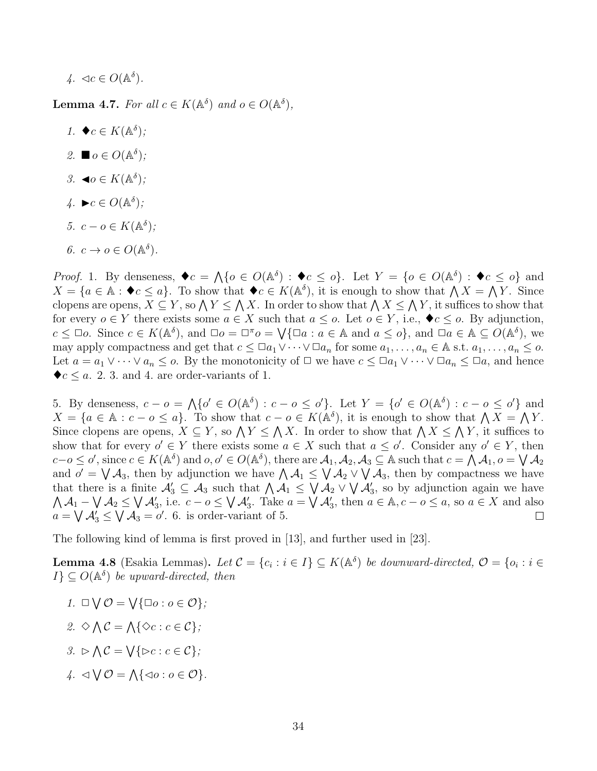$$
4. \ \ \triangleleft c \in O(\mathbb{A}^{\delta}).
$$

**Lemma 4.7.** For all  $c \in K(\mathbb{A}^{\delta})$  and  $o \in O(\mathbb{A}^{\delta})$ ,

1.  $\blacklozenge c \in K(\mathbb{A}^{\delta});$ 2.  $\blacksquare o \in O(\mathbb{A}^{\delta})$ ; 3.  $\blacktriangleleft o \in K(\mathbb{A}^{\delta});$  $4. ▶c ∈ O(A<sup>δ</sup>)$ ; 5.  $c - o \in K(\mathbb{A}^{\delta})$ ; 6.  $c \to o \in O(\mathbb{A}^{\delta}).$ 

*Proof.* 1. By denseness,  $\blacklozenge c = \bigwedge \{o \in O(\mathbb{A}^{\delta}) : \blacklozenge c \le o\}$ . Let  $Y = \{o \in O(\mathbb{A}^{\delta}) : \blacklozenge c \le o\}$  and  $X = \{a \in \mathbb{A} : \blacklozenge c \le a\}.$  To show that  $\blacklozenge c \in K(\mathbb{A}^{\delta})$ , it is enough to show that  $\bigwedge X = \bigwedge Y$ . Since clopens are opens,  $X \subseteq Y$ , so  $\bigwedge Y \leq \bigwedge X$ . In order to show that  $\bigwedge X \leq \bigwedge Y$ , it suffices to show that for every  $o \in Y$  there exists some  $a \in X$  such that  $a \leq o$ . Let  $o \in Y$ , i.e.,  $\blacklozenge c \leq o$ . By adjunction,  $c \leq \Box o$ . Since  $c \in K(\mathbb{A}^{\delta})$ , and  $\Box o = \Box^{\pi} o = \bigvee \{ \Box a : a \in \mathbb{A} \text{ and } a \leq o \}$ , and  $\Box a \in \mathbb{A} \subseteq O(\mathbb{A}^{\delta})$ , we may apply compactness and get that  $c \leq \Box a_1 \vee \cdots \vee \Box a_n$  for some  $a_1, \ldots, a_n \in \mathbb{A}$  s.t.  $a_1, \ldots, a_n \leq o$ . Let  $a = a_1 \vee \cdots \vee a_n \leq o$ . By the monotonicity of  $\Box$  we have  $c \leq \Box a_1 \vee \cdots \vee \Box a_n \leq \Box a$ , and hence  $\blacklozenge c \le a$ . 2. 3. and 4. are order-variants of 1.

5. By denseness,  $c - o = \Lambda \{o' \in O(\mathbb{A}^{\delta}) : c - o \leq o'\}.$  Let  $Y = \{o' \in O(\mathbb{A}^{\delta}) : c - o \leq o'\}$  and  $X = \{a \in \mathbb{A} : c - b \le a\}.$  To show that  $c - b \in K(\mathbb{A}^{\delta})$ , it is enough to show that  $\bigwedge X = \bigwedge Y$ . Since clopens are opens,  $X \subseteq Y$ , so  $\bigwedge Y \leq \bigwedge X$ . In order to show that  $\bigwedge X \leq \bigwedge Y$ , it suffices to show that for every  $o' \in Y$  there exists some  $a \in X$  such that  $a \leq o'$ . Consider any  $o' \in Y$ , then  $c-o \leq o'$ , since  $c \in K(\mathbb{A}^{\delta})$  and  $o, o' \in O(\mathbb{A}^{\delta})$ , there are  $\mathcal{A}_1, \mathcal{A}_2, \mathcal{A}_3 \subseteq \mathbb{A}$  such that  $c = \bigwedge \mathcal{A}_1, o = \bigvee \mathcal{A}_2$ and  $o' = \bigvee A_3$ , then by adjunction we have  $\bigwedge A_1 \leq \bigvee A_2 \vee \bigvee A_3$ , then by compactness we have that there is a finite  $\mathcal{A}'_3 \subseteq \mathcal{A}_3$  such that  $\bigwedge \mathcal{A}_1 \leq \bigvee \mathcal{A}_2 \vee \bigvee \mathcal{A}'_3$ , so by adjunction again we have  $\bigwedge A_1 - \bigvee A_2 \leq \bigvee A'_3$ , i.e.  $c - o \leq \bigvee A'_3$ . Take  $a = \bigvee A'_3$ , then  $a \in \mathbb{A}$ ,  $c - o \leq a$ , so  $a \in X$  and also  $a = \bigvee A'_3 \leq \bigvee A_3 = o'.$  6. is order-variant of 5.  $\Box$ 

The following kind of lemma is first proved in [13], and further used in [23].

**Lemma 4.8** (Esakia Lemmas). Let  $C = \{c_i : i \in I\} \subseteq K(\mathbb{A}^{\delta})$  be downward-directed,  $\mathcal{O} = \{o_i : i \in I\}$  $I\} \subseteq O(\mathbb{A}^{\delta})$  be upward-directed, then

- 1.  $\Box \bigvee \mathcal{O} = \bigvee {\Box o : o \in \mathcal{O}};$
- 2.  $\Diamond \wedge \mathcal{C} = \wedge \{ \Diamond c : c \in \mathcal{C} \};$
- $3. \supset \bigwedge \mathcal{C} = \bigvee \{ \triangleright c : c \in \mathcal{C} \};$
- $\{A \cdot \lhd \bigvee \mathcal{O} = \bigwedge \{ \lhd o : o \in \mathcal{O} \}.$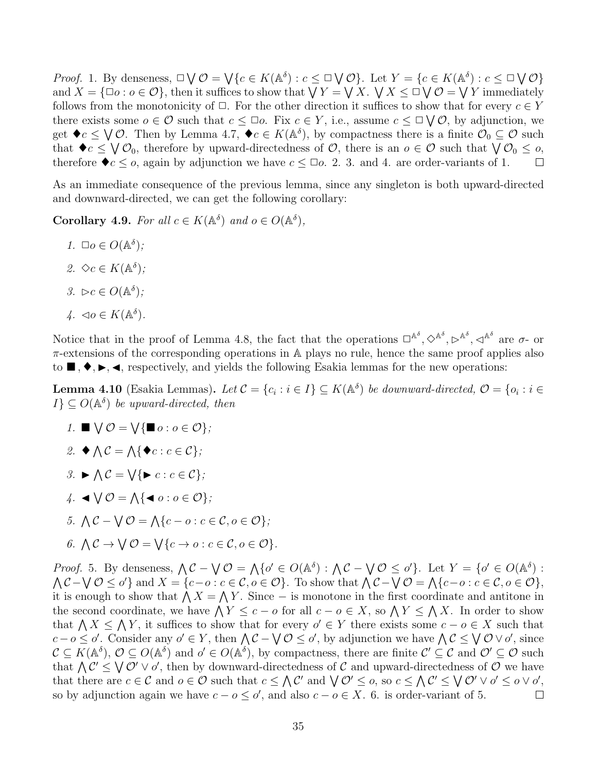*Proof.* 1. By denseness,  $\Box \bigvee \mathcal{O} = \bigvee \{c \in K(\mathbb{A}^{\delta}) : c \leq \Box \bigvee \mathcal{O}\}$ . Let  $Y = \{c \in K(\mathbb{A}^{\delta}) : c \leq \Box \bigvee \mathcal{O}\}$ and  $X = \{\Box o : o \in \mathcal{O}\},\$  then it suffices to show that  $\bigvee Y = \bigvee X$ .  $\bigvee X \leq \Box \bigvee \mathcal{O} = \bigvee Y$  immediately follows from the monotonicity of  $\Box$ . For the other direction it suffices to show that for every  $c \in Y$ there exists some  $o \in \mathcal{O}$  such that  $c \leq \Box o$ . Fix  $c \in Y$ , i.e., assume  $c \leq \Box \bigvee \mathcal{O}$ , by adjunction, we get  $\blacklozenge c \le \bigvee \mathcal{O}$ . Then by Lemma 4.7,  $\blacklozenge c \in K(\mathbb{A}^{\delta})$ , by compactness there is a finite  $\mathcal{O}_0 \subseteq \mathcal{O}$  such that  $\blacklozenge c \leq \bigvee \mathcal{O}_0$ , therefore by upward-directedness of  $\mathcal{O}$ , there is an  $o \in \mathcal{O}$  such that  $\bigvee \mathcal{O}_0 \leq o$ , therefore  $\blacklozenge c \le o$ , again by adjunction we have  $c \le \Box o$ . 2. 3. and 4. are order-variants of 1.  $\Box$ 

As an immediate consequence of the previous lemma, since any singleton is both upward-directed and downward-directed, we can get the following corollary:

**Corollary 4.9.** For all  $c \in K(\mathbb{A}^{\delta})$  and  $o \in O(\mathbb{A}^{\delta})$ ,

1.  $\square$ o  $\in$   $O(\mathbb{A}^{\delta})$ ; 2.  $\Diamond c \in K(\mathbb{A}^{\delta})$ ; 3.  $\triangleright c \in O(\mathbb{A}^{\delta})$ ;  $\downarrow$ .  $\lhd o \in K(\mathbb{A}^{\delta})$ .

Notice that in the proof of Lemma 4.8, the fact that the operations  $\Box^{\mathbb{A}^{\delta}}, \Diamond^{\mathbb{A}^{\delta}}, \Diamond^{\mathbb{A}^{\delta}}, \Diamond^{\mathbb{A}^{\delta}}$  are  $\sigma$ - or π-extensions of the corresponding operations in A plays no rule, hence the same proof applies also to  $\blacksquare, \blacklozenge, \blacktriangleright, \blacktriangleleft,$  respectively, and yields the following Esakia lemmas for the new operations:

**Lemma 4.10** (Esakia Lemmas). Let  $C = \{c_i : i \in I\} \subseteq K(\mathbb{A}^{\delta})$  be downward-directed,  $\mathcal{O} = \{o_i : i \in I\}$  $I\} \subseteq O(\mathbb{A}^{\delta})$  be upward-directed, then

- 1.  $\blacksquare \bigvee \mathcal{O} = \bigvee \{ \blacksquare o : o \in \mathcal{O} \};$
- 2.  $\blacklozenge \bigwedge \mathcal{C} = \bigwedge \{ \blacklozenge c : c \in \mathcal{C} \};$
- 3.  $\triangleright \bigwedge \mathcal{C} = \bigvee \{ \triangleright c : c \in \mathcal{C} \};$
- $4. \triangleleft \bigvee \mathcal{O} = \bigwedge \{ \blacktriangleleft o : o \in \mathcal{O} \};$
- 5.  $\bigwedge \mathcal{C} \bigvee \mathcal{O} = \bigwedge \{c o : c \in \mathcal{C}, o \in \mathcal{O}\}\; ;$

6. 
$$
\bigwedge \mathcal{C} \to \bigvee \mathcal{O} = \bigvee \{c \to o : c \in \mathcal{C}, o \in \mathcal{O}\}.
$$

*Proof.* 5. By denseness,  $\bigwedge \mathcal{C} - \bigvee \mathcal{O} = \bigwedge \{o' \in O(\mathbb{A}^{\delta}) : \bigwedge \mathcal{C} - \bigvee \mathcal{O} \leq o'\}.$  Let  $Y = \{o' \in O(\mathbb{A}^{\delta}) :$  $\Lambda$ C –  $\lor$   $\mathcal{O} \leq o'$  and  $X = \{c - o : c \in \mathcal{C}, o \in \mathcal{O}\}\$ . To show that  $\Lambda$ C –  $\lor$   $\mathcal{O} = \Lambda\{c - o : c \in \mathcal{C}, o \in \mathcal{O}\}\,$ it is enough to show that  $\bigwedge X = \bigwedge Y$ . Since – is monotone in the first coordinate and antitone in the second coordinate, we have  $\bigwedge Y \leq c - o$  for all  $c - o \in X$ , so  $\bigwedge Y \leq \bigwedge X$ . In order to show that  $\bigwedge X \leq \bigwedge Y$ , it suffices to show that for every  $o' \in Y$  there exists some  $c - o \in X$  such that  $c - o \leq o'$ . Consider any  $o' \in Y$ , then  $\bigwedge C - \bigvee O \leq o'$ , by adjunction we have  $\bigwedge C \leq \bigvee O \vee o'$ , since  $\mathcal{C} \subseteq K(\mathbb{A}^{\delta}), \mathcal{O} \subseteq O(\mathbb{A}^{\delta})$  and  $o' \in O(\mathbb{A}^{\delta}),$  by compactness, there are finite  $\mathcal{C}' \subseteq \mathcal{C}$  and  $\mathcal{O}' \subseteq \mathcal{O}$  such that  $\Lambda C' \leq \bigvee \mathcal{O}' \vee \mathcal{O}'$ , then by downward-directedness of C and upward-directedness of O we have that there are  $c \in \mathcal{C}$  and  $o \in \mathcal{O}$  such that  $c \leq \bigwedge \mathcal{C}'$  and  $\bigvee \mathcal{O}' \leq o$ , so  $c \leq \bigwedge \mathcal{C}' \leq \bigvee \mathcal{O}' \vee o' \leq o \vee o'$ , so by adjunction again we have  $c - o \le o'$ , and also  $c - o \in X$ . 6. is order-variant of 5.  $\Box$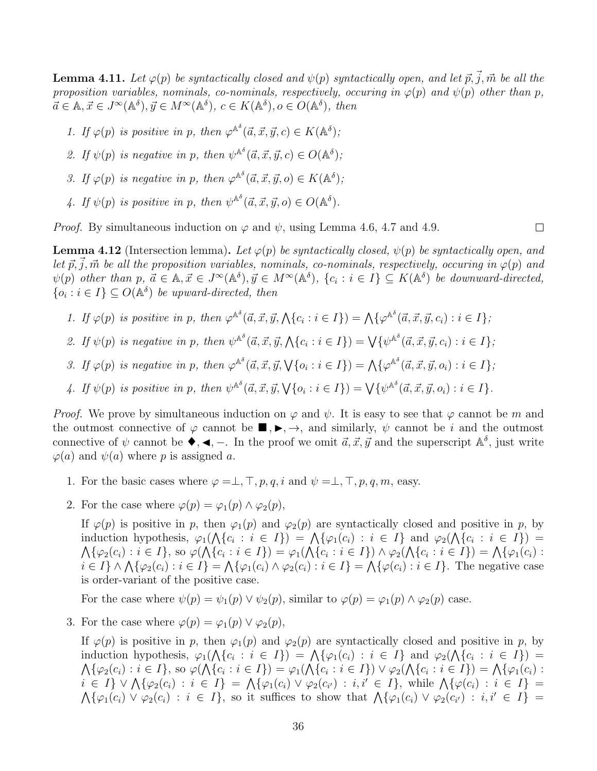**Lemma 4.11.** Let  $\varphi(p)$  be syntactically closed and  $\psi(p)$  syntactically open, and let  $\vec{p}, \vec{j}, \vec{m}$  be all the proposition variables, nominals, co-nominals, respectively, occuring in  $\varphi(p)$  and  $\psi(p)$  other than p,  $\vec{a} \in \mathbb{A}, \vec{x} \in J^{\infty}(\mathbb{A}^{\delta}), \vec{y} \in M^{\infty}(\mathbb{A}^{\delta}), c \in K(\mathbb{A}^{\delta}), o \in O(\mathbb{A}^{\delta}), \text{ then}$ 

- 1. If  $\varphi(p)$  is positive in p, then  $\varphi^{\mathbb{A}^{\delta}}(\vec{a}, \vec{x}, \vec{y}, c) \in K(\mathbb{A}^{\delta})$ ;
- 2. If  $\psi(p)$  is negative in p, then  $\psi^{\mathbb{A}^{\delta}}(\vec{a}, \vec{x}, \vec{y}, c) \in O(\mathbb{A}^{\delta})$ ;
- 3. If  $\varphi(p)$  is negative in p, then  $\varphi^{\mathbb{A}^{\delta}}(\vec{a}, \vec{x}, \vec{y}, o) \in K(\mathbb{A}^{\delta})$ ;
- 4. If  $\psi(p)$  is positive in p, then  $\psi^{\mathbb{A}^{\delta}}(\vec{a}, \vec{x}, \vec{y}, o) \in O(\mathbb{A}^{\delta}).$

*Proof.* By simultaneous induction on  $\varphi$  and  $\psi$ , using Lemma 4.6, 4.7 and 4.9.

**Lemma 4.12** (Intersection lemma). Let  $\varphi(p)$  be syntactically closed,  $\psi(p)$  be syntactically open, and let  $\vec{p}, \vec{j}, \vec{m}$  be all the proposition variables, nominals, co-nominals, respectively, occuring in  $\varphi(p)$  and  $\psi(p)$  other than  $p, \, \vec{a} \in \mathbb{A}, \vec{x} \in J^{\infty}(\mathbb{A}^{\delta}), \vec{y} \in M^{\infty}(\mathbb{A}^{\delta}), \, \{c_i : i \in I\} \subseteq K(\mathbb{A}^{\delta})$  be downward-directed,  $\{o_i : i \in I\} \subseteq O(\mathbb{A}^{\delta})$  be upward-directed, then

- 1. If  $\varphi(p)$  is positive in p, then  $\varphi^{\mathbb{A}^{\delta}}(\vec{a}, \vec{x}, \vec{y}, \bigwedge \{c_i : i \in I\}) = \bigwedge \{\varphi^{\mathbb{A}^{\delta}}(\vec{a}, \vec{x}, \vec{y}, c_i) : i \in I\}$ ;
- 2. If  $\psi(p)$  is negative in p, then  $\psi^{\mathbb{A}^{\delta}}(\vec{a}, \vec{x}, \vec{y}, \bigwedge \{c_i : i \in I\}) = \bigvee \{\psi^{\mathbb{A}^{\delta}}(\vec{a}, \vec{x}, \vec{y}, c_i) : i \in I\}$ ;
- 3. If  $\varphi(p)$  is negative in p, then  $\varphi^{\mathbb{A}^{\delta}}(\vec{a}, \vec{x}, \vec{y}, \sqrt{\{o_i : i \in I\}}) = \bigwedge \{\varphi^{\mathbb{A}^{\delta}}(\vec{a}, \vec{x}, \vec{y}, o_i) : i \in I\}$ ;
- 4. If  $\psi(p)$  is positive in p, then  $\psi^{\mathbb{A}^{\delta}}(\vec{a}, \vec{x}, \vec{y}, \forall \{o_i : i \in I\}) = \bigvee \{\psi^{\mathbb{A}^{\delta}}(\vec{a}, \vec{x}, \vec{y}, o_i) : i \in I\}.$

*Proof.* We prove by simultaneous induction on  $\varphi$  and  $\psi$ . It is easy to see that  $\varphi$  cannot be m and the outmost connective of  $\varphi$  cannot be  $\blacksquare, \blacktriangleright, \rightarrow$ , and similarly,  $\psi$  cannot be i and the outmost connective of  $\psi$  cannot be  $\blacklozenge, \blacktriangleleft, -$ . In the proof we omit  $\vec{a}, \vec{x}, \vec{y}$  and the superscript  $\mathbb{A}^{\delta}$ , just write  $\varphi(a)$  and  $\psi(a)$  where p is assigned a.

- 1. For the basic cases where  $\varphi = \perp, \perp, p, q, i$  and  $\psi = \perp, \perp, p, q, m$ , easy.
- 2. For the case where  $\varphi(p) = \varphi_1(p) \wedge \varphi_2(p)$ ,

If  $\varphi(p)$  is positive in p, then  $\varphi_1(p)$  and  $\varphi_2(p)$  are syntactically closed and positive in p, by induction hypothesis,  $\varphi_1(\bigwedge \{c_i : i \in I\}) = \bigwedge \{\varphi_1(c_i) : i \in I\}$  and  $\varphi_2(\bigwedge \{c_i : i \in I\}) =$  $\bigwedge \{\varphi_2(c_i) : i \in I\},\$  so  $\varphi(\bigwedge \{c_i : i \in I\}) = \varphi_1(\bigwedge \{c_i : i \in I\}) \wedge \varphi_2(\bigwedge \{c_i : i \in I\}) = \bigwedge \{\varphi_1(c_i) : i \in I\}$  $i \in I$   $\land \bigwedge \{\varphi_2(c_i) : i \in I\} = \bigwedge \{\varphi_1(c_i) \land \varphi_2(c_i) : i \in I\} = \bigwedge \{\varphi(c_i) : i \in I\}$ . The negative case is order-variant of the positive case.

For the case where  $\psi(p) = \psi_1(p) \vee \psi_2(p)$ , similar to  $\varphi(p) = \varphi_1(p) \wedge \varphi_2(p)$  case.

3. For the case where  $\varphi(p) = \varphi_1(p) \vee \varphi_2(p)$ ,

If  $\varphi(p)$  is positive in p, then  $\varphi_1(p)$  and  $\varphi_2(p)$  are syntactically closed and positive in p, by induction hypothesis,  $\varphi_1(\bigwedge \{c_i : i \in I\}) = \bigwedge \{\varphi_1(c_i) : i \in I\}$  and  $\varphi_2(\bigwedge \{c_i : i \in I\}) =$  $\bigwedge \{\varphi_2(c_i) : i \in I\},\$  so  $\varphi(\bigwedge \{c_i : i \in I\}) = \varphi_1(\bigwedge \{c_i : i \in I\}) \vee \varphi_2(\bigwedge \{c_i : i \in I\}) = \bigwedge \{\varphi_1(c_i) : i \in I\}$  $i \in I$   $\vee \bigwedge \{\varphi_2(c_i) : i \in I\} = \bigwedge \{\varphi_1(c_i) \vee \varphi_2(c_{i'}) : i, i' \in I\},\$  while  $\bigwedge \{\varphi(c_i) : i \in I\}$  $\bigwedge \{\varphi_1(c_i) \vee \varphi_2(c_i) : i \in I\},\$  so it suffices to show that  $\bigwedge \{\varphi_1(c_i) \vee \varphi_2(c_{i'}) : i, i' \in I\}$ 

 $\Box$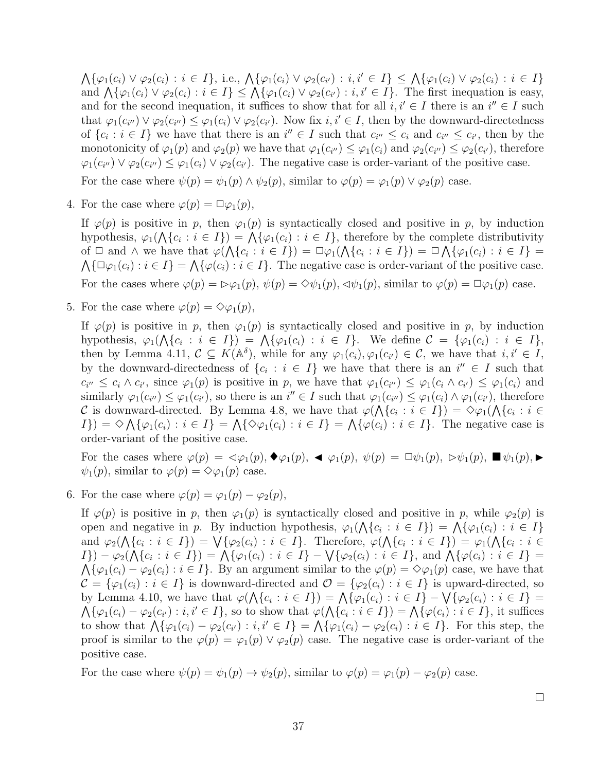$\bigwedge \{\varphi_1(c_i) \vee \varphi_2(c_i) : i \in I\},\$ i.e.,  $\bigwedge \{\varphi_1(c_i) \vee \varphi_2(c_{i'}) : i, i' \in I\} \leq \bigwedge \{\varphi_1(c_i) \vee \varphi_2(c_i) : i \in I\}$ and  $\bigwedge \{\varphi_1(c_i) \vee \varphi_2(c_i) : i \in I\} \leq \bigwedge \{\varphi_1(c_i) \vee \varphi_2(c_{i'}) : i, i' \in I\}.$  The first inequation is easy, and for the second inequation, it suffices to show that for all  $i, i' \in I$  there is an  $i'' \in I$  such that  $\varphi_1(c_{i''}) \vee \varphi_2(c_{i''}) \leq \varphi_1(c_i) \vee \varphi_2(c_{i'})$ . Now fix  $i, i' \in I$ , then by the downward-directedness of  $\{c_i : i \in I\}$  we have that there is an  $i'' \in I$  such that  $c_{i''} \leq c_i$  and  $c_{i''} \leq c_{i'}$ , then by the monotonicity of  $\varphi_1(p)$  and  $\varphi_2(p)$  we have that  $\varphi_1(c_{i'}) \leq \varphi_1(c_i)$  and  $\varphi_2(c_{i'}) \leq \varphi_2(c_{i'})$ , therefore  $\varphi_1(c_{i''}) \vee \varphi_2(c_{i''}) \leq \varphi_1(c_i) \vee \varphi_2(c_{i'})$ . The negative case is order-variant of the positive case.

For the case where  $\psi(p) = \psi_1(p) \wedge \psi_2(p)$ , similar to  $\varphi(p) = \varphi_1(p) \vee \varphi_2(p)$  case.

4. For the case where  $\varphi(p) = \Box \varphi_1(p)$ ,

If  $\varphi(p)$  is positive in p, then  $\varphi_1(p)$  is syntactically closed and positive in p, by induction hypothesis,  $\varphi_1(\bigwedge \{c_i : i \in I\}) = \bigwedge \{\varphi_1(c_i) : i \in I\}$ , therefore by the complete distributivity of  $\Box$  and  $\land$  we have that  $\varphi(\bigwedge\{c_i : i \in I\}) = \Box \varphi_1(\bigwedge\{c_i : i \in I\}) = \Box \bigwedge\{\varphi_1(c_i) : i \in I\}$  $\bigwedge \{\Box \varphi_1(c_i) : i \in I\} = \bigwedge \{\varphi(c_i) : i \in I\}.$  The negative case is order-variant of the positive case. For the cases where  $\varphi(p) = \varphi_1(p), \psi(p) = \varphi_1(p), \varphi_1(p)$ , similar to  $\varphi(p) = \varphi_1(p)$  case.

5. For the case where  $\varphi(p) = \Diamond \varphi_1(p)$ ,

If  $\varphi(p)$  is positive in p, then  $\varphi_1(p)$  is syntactically closed and positive in p, by induction hypothesis,  $\varphi_1(\bigwedge \{c_i : i \in I\}) = \bigwedge \{\varphi_1(c_i) : i \in I\}.$  We define  $\mathcal{C} = \{\varphi_1(c_i) : i \in I\},$ then by Lemma 4.11,  $C \subseteq K(\mathbb{A}^{\delta})$ , while for any  $\varphi_1(c_i), \varphi_1(c_{i'}) \in C$ , we have that  $i, i' \in I$ , by the downward-directedness of  $\{c_i : i \in I\}$  we have that there is an  $i'' \in I$  such that  $c_{i'} \leq c_i \wedge c_{i'}$ , since  $\varphi_1(p)$  is positive in p, we have that  $\varphi_1(c_{i'}) \leq \varphi_1(c_i \wedge c_{i'}) \leq \varphi_1(c_i)$  and similarly  $\varphi_1(c_{i'}) \leq \varphi_1(c_{i'})$ , so there is an  $i'' \in I$  such that  $\varphi_1(c_{i'}) \leq \varphi_1(c_i) \wedge \varphi_1(c_{i'})$ , therefore C is downward-directed. By Lemma 4.8, we have that  $\varphi(\bigwedge\{c_i : i \in I\}) = \Diamond \varphi_1(\bigwedge\{c_i : i \in I\})$  $I\}) = \Diamond \bigwedge \{\varphi_1(c_i) : i \in I\} = \bigwedge \{\Diamond \varphi_1(c_i) : i \in I\} = \bigwedge \{\varphi(c_i) : i \in I\}.$  The negative case is order-variant of the positive case.

For the cases where  $\varphi(p) = \varphi_1(p), \blacklozenge_1(p), \blacktriangleleft \varphi_1(p), \psi(p) = \Box \psi_1(p), \triangleright \psi_1(p), \blacksquare \psi_1(p), \blacktriangleright \psi_1(p)$  $\psi_1(p)$ , similar to  $\varphi(p) = \Diamond \varphi_1(p)$  case.

6. For the case where  $\varphi(p) = \varphi_1(p) - \varphi_2(p)$ ,

If  $\varphi(p)$  is positive in p, then  $\varphi_1(p)$  is syntactically closed and positive in p, while  $\varphi_2(p)$  is open and negative in p. By induction hypothesis,  $\varphi_1(\bigwedge \{c_i : i \in I\}) = \bigwedge \{\varphi_1(c_i) : i \in I\}$ and  $\varphi_2(\bigwedge\{c_i : i \in I\}) = \bigvee\{\varphi_2(c_i) : i \in I\}.$  Therefore,  $\varphi(\bigwedge\{c_i : i \in I\}) = \varphi_1(\bigwedge\{c_i : i \in I\})$  $I\}) - \varphi_2(\bigwedge \{c_i : i \in I\}) = \bigwedge \{\varphi_1(c_i) : i \in I\} - \bigvee \{\varphi_2(c_i) : i \in I\},\$ and  $\bigwedge \{\varphi(c_i) : i \in I\} =$  $\bigwedge \{\varphi_1(c_i) - \varphi_2(c_i) : i \in I\}.$  By an argument similar to the  $\varphi(p) = \Diamond \varphi_1(p)$  case, we have that  $\mathcal{C} = {\varphi_1(c_i) : i \in I}$  is downward-directed and  $\mathcal{O} = {\varphi_2(c_i) : i \in I}$  is upward-directed, so by Lemma 4.10, we have that  $\varphi(\bigwedge \{c_i : i \in I\}) = \bigwedge \{\varphi_1(c_i) : i \in I\} - \bigvee \{\varphi_2(c_i) : i \in I\}$  $\bigwedge \{\varphi_1(c_i) - \varphi_2(c_{i'}): i, i' \in I\}$ , so to show that  $\varphi(\bigwedge \{c_i : i \in I\}) = \bigwedge \{\varphi(c_i) : i \in I\}$ , it suffices to show that  $\bigwedge \{\varphi_1(c_i) - \varphi_2(c_{i'}) : i, i' \in I\} = \bigwedge \{\varphi_1(c_i) - \varphi_2(c_i) : i \in I\}$ . For this step, the proof is similar to the  $\varphi(p) = \varphi_1(p) \vee \varphi_2(p)$  case. The negative case is order-variant of the positive case.

For the case where  $\psi(p) = \psi_1(p) \to \psi_2(p)$ , similar to  $\varphi(p) = \varphi_1(p) - \varphi_2(p)$  case.

 $\Box$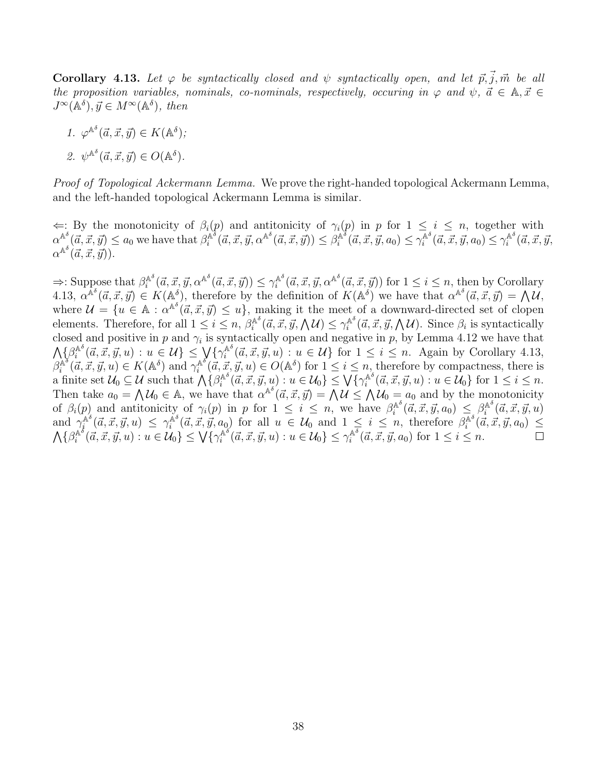**Corollary 4.13.** Let  $\varphi$  be syntactically closed and  $\psi$  syntactically open, and let  $\vec{p}, \vec{j}, \vec{m}$  be all the proposition variables, nominals, co-nominals, respectively, occuring in  $\varphi$  and  $\psi$ ,  $\vec{a} \in \mathbb{A}, \vec{x} \in$  $J^{\infty}(\mathbb{A}^{\delta}), \vec{y} \in M^{\infty}(\mathbb{A}^{\delta}), \text{ then}$ 

1. 
$$
\varphi^{\mathbb{A}^{\delta}}(\vec{a}, \vec{x}, \vec{y}) \in K(\mathbb{A}^{\delta});
$$
  
2.  $\psi^{\mathbb{A}^{\delta}}(\vec{a}, \vec{x}, \vec{y}) \in O(\mathbb{A}^{\delta}).$ 

Proof of Topological Ackermann Lemma. We prove the right-handed topological Ackermann Lemma, and the left-handed topological Ackermann Lemma is similar.

 $\Leftarrow$ : By the monotonicity of  $\beta_i(p)$  and antitonicity of  $\gamma_i(p)$  in p for 1 ≤ i ≤ n, together with  $\alpha^{\mathbb{A}^{\delta}}(\vec{a},\vec{x},\vec{y}) \leq a_0$  we have that  $\beta_i^{\mathbb{A}^{\delta}}$  $\hat{A}^{\delta}(\vec{a},\vec{x},\vec{y},\alpha^{\mathbb{A}^{\delta}}(\vec{a},\vec{x},\vec{y})) \leq \beta^{\mathbb{A}^{\delta}}_i$  $\hat{A}^{\delta}(\vec{a}, \vec{x}, \vec{y}, a_0) \leq \gamma^{\mathbb{A}^{\delta}}_i$  $\sum_{i=1}^{\mathbb{A}^{\delta}}(\vec{a}, \vec{x}, \vec{y}, a_0) \leq \gamma_i^{\mathbb{A}^{\delta}}$  $\vec{A}^{\circ}(\vec{a}, \vec{x}, \vec{y},$  $\alpha^{\mathbb{A}^\delta}(\vec{a}, \vec{x}, \vec{y})).$ 

 $\Rightarrow$ : Suppose that  $\beta_i^{\mathbb{A}^\delta}$  $\hat{C}_i^{\mathbb{A}^\delta}(\vec{a}, \vec{x}, \vec{y}, \alpha^{\mathbb{A}^\delta}(\vec{a}, \vec{x}, \vec{y})) \leq \gamma^{\mathbb{A}^\delta}_i$  $\mathbb{A}^{\delta}$  ( $\vec{a}, \vec{x}, \vec{y}, \alpha^{\mathbb{A}^{\delta}}(\vec{a}, \vec{x}, \vec{y})$ ) for  $1 \leq i \leq n$ , then by Corollary 4.13,  $\alpha^{\mathbb{A}^{\delta}}(\vec{a},\vec{x},\vec{y}) \in K(\mathbb{A}^{\delta})$ , therefore by the definition of  $K(\mathbb{A}^{\delta})$  we have that  $\alpha^{\mathbb{A}^{\delta}}(\vec{a},\vec{x},\vec{y}) = \mathbb{A} \mathcal{U}$ , where  $\mathcal{U} = \{u \in \mathbb{A} : \alpha^{\mathbb{A}^\delta}(\vec{a}, \vec{x}, \vec{y}) \leq u\}$ , making it the meet of a downward-directed set of clopen elements. Therefore, for all  $1 \leq i \leq n$ ,  $\beta_i^{\mathbb{A}^\delta}$  $\hat{c}^{\mathbb{A}^\delta}_i(\vec{a},\vec{x},\vec{y},\bigwedge \mathcal{U}) \leq \gamma^{\mathbb{A}^\delta}_i$  $\int_{i}^{\mathbb{A}^o}(\vec{a}, \vec{x}, \vec{y}, \bigwedge \mathcal{U})$ . Since  $\beta_i$  is syntactically closed and positive in p and  $\gamma_i$  is syntactically open and negative in p, by Lemma 4.12 we have that  $\bigwedge {\{\beta_i^{\mathbb{A}^\delta}}$  $\hat{c}^{\mathbb{A}^\delta}_i(\vec{a},\vec{x},\vec{y},u) : u \in \mathcal{U} \} \leq \bigvee \{ \gamma^{\mathbb{A}^\delta}_i$  $\mathbb{A}^{\circ}(\vec{a}, \vec{x}, \vec{y}, u) : u \in \mathcal{U} \}$  for  $1 \leq i \leq n$ . Again by Corollary 4.13,  $\beta_i^{\mathbb{A}^\delta}$  $\widetilde{f}_i^{\mathbb{A}^\delta}(\vec{a}, \vec{x}, \vec{y}, u) \in K(\mathbb{A}^\delta)$  and  $\gamma_i^{\mathbb{A}^\delta}$  $\mathbb{A}^{\delta}(\vec{a}, \vec{x}, \vec{y}, u) \in O(\mathbb{A}^{\delta})$  for  $1 \leq i \leq n$ , therefore by compactness, there is a finite set  $\mathcal{U}_0 \subseteq \mathcal{U}$  such that  $\bigwedge \{\beta_i^{\mathbb{A}^\delta}\}$  $\mathcal{C}^{\mathbb{A}^{\delta}}_i(\vec{a},\vec{x},\vec{y},u): u \in \mathcal{U}_0 \} \leq \bigvee \{\gamma^{\mathbb{A}^{\delta}}_i$  $\mathbb{A}^{\mathbb{A}^{\sigma}}(\vec{a}, \vec{x}, \vec{y}, u) : u \in \mathcal{U}_0$  for  $1 \leq i \leq n$ . Then take  $a_0 = \bigwedge \mathcal{U}_0 \in \mathbb{A}$ , we have that  $\alpha^{\mathbb{A}^\delta}(\vec{a}, \vec{x}, \vec{y}) = \bigwedge \mathcal{U} \leq \bigwedge \mathcal{U}_0 = a_0$  and by the monotonicity of  $\beta_i(p)$  and antitonicity of  $\gamma_i(p)$  in p for  $1 \leq i \leq n$ , we have  $\beta_i^{\mathbb{A}^{\delta}}$  $\hat{A}^{\delta}(\vec{a}, \vec{x}, \vec{y}, a_0) \ \leq \ \beta_{i}^{\mathbb{A}^{\delta}}$  $\int_a^{\mathbb{A}^{\degree}} (\vec{a}, \vec{x}, \vec{y}, u)$ and  $\gamma_i^{\mathbb{A}^\delta}$  $\hat{A}^{\delta}(\vec{a},\vec{x},\vec{y},u) \ \leq \ \gamma^{\hat{\mathbb{A}}^{\delta}}_i$  $\mathbb{A}^{\delta}$   $(\vec{a}, \vec{x}, \vec{y}, a_0)$  for all  $u \in \mathcal{U}_0$  and  $1 \leq i \leq n$ , therefore  $\beta_i^{\mathbb{A}^{\delta}}$  $\int_{i}^{\mathbb{A}^{\circ}}(\vec{a}, \vec{x}, \vec{y}, a_0) \leq$  $\bigwedge {\{\beta_i^{\mathbb{A}^\delta}}$  $\hat{c}^{\mathbb{A}^\delta}_i(\vec{a},\vec{x},\vec{y},u): u\in \mathcal{U}_0\}\leq \bigvee \{\gamma^{\mathbb{A}^\delta}_i\}$  $\hat{u}^{\mathbb{A}^{\widetilde{\delta}}}( \vec{a},\vec{x},\vec{y},u): u \in \mathcal{U}_0 \} \leq \gamma^{\mathbb{A}^{\delta}}_i$  $\lambda_i^{\mathbb{A}^o}(\vec{a}, \vec{x}, \vec{y}, a_0)$  for  $1 \leq i \leq n$ .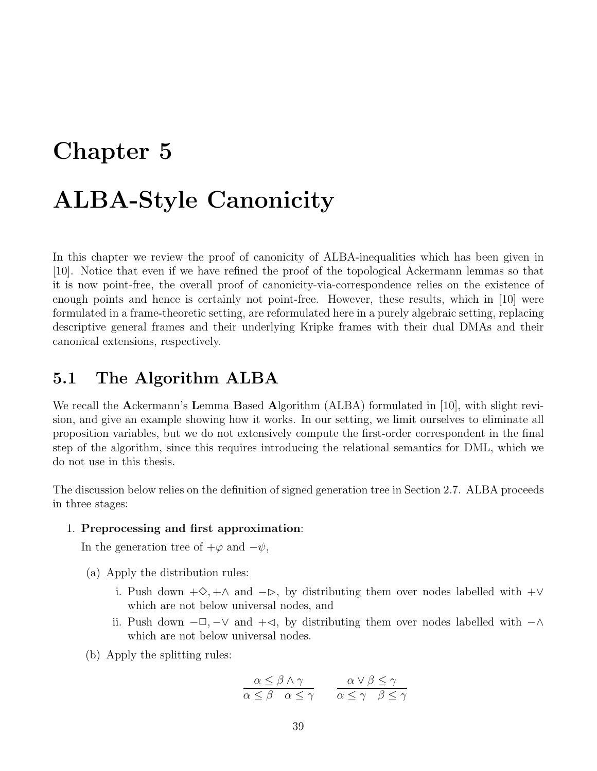# Chapter 5

# ALBA-Style Canonicity

In this chapter we review the proof of canonicity of ALBA-inequalities which has been given in [10]. Notice that even if we have refined the proof of the topological Ackermann lemmas so that it is now point-free, the overall proof of canonicity-via-correspondence relies on the existence of enough points and hence is certainly not point-free. However, these results, which in [10] were formulated in a frame-theoretic setting, are reformulated here in a purely algebraic setting, replacing descriptive general frames and their underlying Kripke frames with their dual DMAs and their canonical extensions, respectively.

## 5.1 The Algorithm ALBA

We recall the Ackermann's Lemma Based Algorithm (ALBA) formulated in [10], with slight revision, and give an example showing how it works. In our setting, we limit ourselves to eliminate all proposition variables, but we do not extensively compute the first-order correspondent in the final step of the algorithm, since this requires introducing the relational semantics for DML, which we do not use in this thesis.

The discussion below relies on the definition of signed generation tree in Section 2.7. ALBA proceeds in three stages:

#### 1. Preprocessing and first approximation:

In the generation tree of  $+\varphi$  and  $-\psi$ ,

- (a) Apply the distribution rules:
	- i. Push down  $+\diamondsuit, +\wedge$  and  $-\triangleright$ , by distributing them over nodes labelled with  $+\vee$ which are not below universal nodes, and
	- ii. Push down  $-\Box$ ,  $-\lor$  and  $+\triangleleft$ , by distributing them over nodes labelled with  $-\land$ which are not below universal nodes.
- (b) Apply the splitting rules:

$$
\frac{\alpha \le \beta \land \gamma}{\alpha \le \beta \quad \alpha \le \gamma} \qquad \frac{\alpha \lor \beta \le \gamma}{\alpha \le \gamma \quad \beta \le \gamma}
$$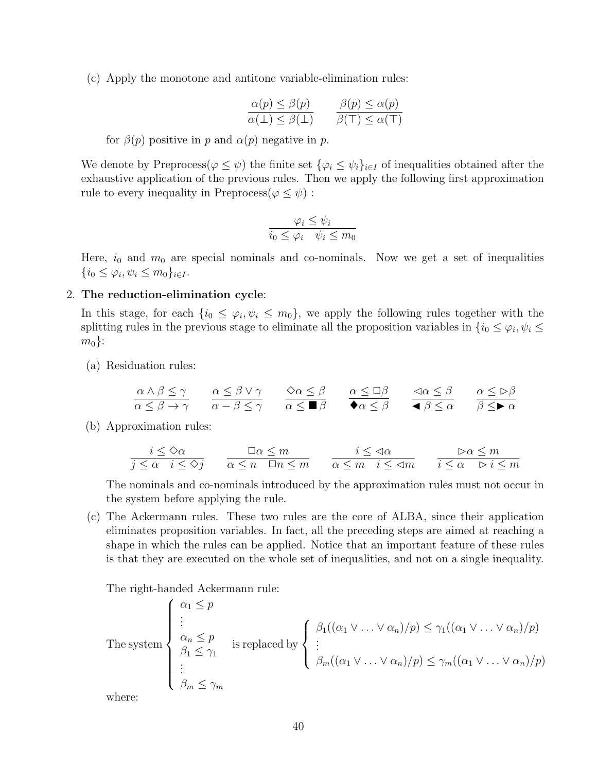(c) Apply the monotone and antitone variable-elimination rules:

$$
\frac{\alpha(p) \le \beta(p)}{\alpha(\bot) \le \beta(\bot)} \qquad \frac{\beta(p) \le \alpha(p)}{\beta(\top) \le \alpha(\top)}
$$

for  $\beta(p)$  positive in p and  $\alpha(p)$  negative in p.

We denote by Preprocess( $\varphi \leq \psi$ ) the finite set  $\{\varphi_i \leq \psi_i\}_{i \in I}$  of inequalities obtained after the exhaustive application of the previous rules. Then we apply the following first approximation rule to every inequality in Preprocess $(\varphi \leq \psi)$ :

$$
\frac{\varphi_i \le \psi_i}{i_0 \le \varphi_i \quad \psi_i \le m_0}
$$

Here,  $i_0$  and  $m_0$  are special nominals and co-nominals. Now we get a set of inequalities  $\{i_0 \leq \varphi_i, \psi_i \leq m_0\}_{i \in I}.$ 

#### 2. The reduction-elimination cycle:

In this stage, for each  $\{i_0 \leq \varphi_i, \psi_i \leq m_0\}$ , we apply the following rules together with the splitting rules in the previous stage to eliminate all the proposition variables in  $\{i_0 \le \varphi_i, \psi_i \le$  $m_0$ :

(a) Residuation rules:

$$
\frac{\alpha \wedge \beta \le \gamma}{\alpha \le \beta \to \gamma} \qquad \frac{\alpha \le \beta \vee \gamma}{\alpha - \beta \le \gamma} \qquad \frac{\Diamond \alpha \le \beta}{\alpha \le \blacksquare \beta} \qquad \frac{\alpha \le \Box \beta}{\blacklozenge \alpha \le \beta} \qquad \frac{\Diamond \alpha \le \beta}{\blacktriangle \beta \le \alpha} \qquad \frac{\alpha \le \triangleright \beta}{\beta \le \blacktriangleright \alpha}
$$

(b) Approximation rules:

$$
\frac{i \leq \Diamond \alpha}{j \leq \alpha} \quad \frac{\Box \alpha \leq m}{i \leq \Diamond j} \qquad \frac{\Box \alpha \leq m}{\alpha \leq n \quad \Box n \leq m} \qquad \frac{i \leq \lhd \alpha}{\alpha \leq m} \quad \frac{\Box \alpha \leq m}{i \leq \lhd m} \qquad \frac{\rhd \alpha \leq m}{i \leq \alpha \quad \rhd i \leq m}
$$

The nominals and co-nominals introduced by the approximation rules must not occur in the system before applying the rule.

(c) The Ackermann rules. These two rules are the core of ALBA, since their application eliminates proposition variables. In fact, all the preceding steps are aimed at reaching a shape in which the rules can be applied. Notice that an important feature of these rules is that they are executed on the whole set of inequalities, and not on a single inequality.

The right-handed Ackermann rule:

The system\n
$$
\begin{cases}\n\alpha_1 \leq p \\
\vdots \\
\alpha_n \leq p \\
\beta_1 \leq \gamma_1\n\end{cases}
$$
\nis replaced by\n
$$
\begin{cases}\n\beta_1((\alpha_1 \vee \dots \vee \alpha_n)/p) \leq \gamma_1((\alpha_1 \vee \dots \vee \alpha_n)/p) \\
\vdots \\
\beta_m((\alpha_1 \vee \dots \vee \alpha_n)/p) \leq \gamma_m((\alpha_1 \vee \dots \vee \alpha_n)/p)\n\end{cases}
$$
\nwhere:

where: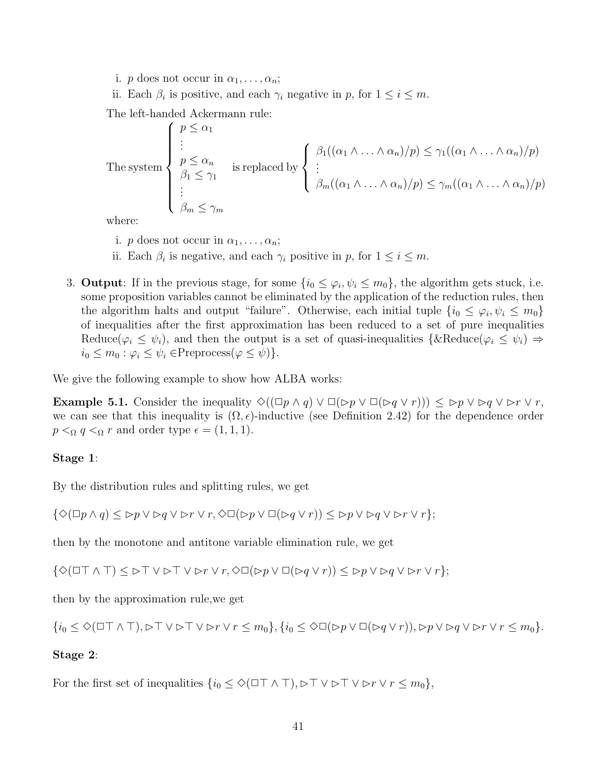- i. *p* does not occur in  $\alpha_1, \ldots, \alpha_n$ ;
- ii. Each  $\beta_i$  is positive, and each  $\gamma_i$  negative in p, for  $1 \leq i \leq m$ .

The left-handed Ackermann rule:

The system\n
$$
\begin{cases}\n p \leq \alpha_1 \\
 \vdots \\
 p \leq \alpha_n \\
 \beta_1 \leq \gamma_1\n\end{cases}
$$
\nis replaced by\n
$$
\begin{cases}\n \beta_1((\alpha_1 \wedge \ldots \wedge \alpha_n)/p) \leq \gamma_1((\alpha_1 \wedge \ldots \wedge \alpha_n)/p) \\
 \vdots \\
 \beta_m((\alpha_1 \wedge \ldots \wedge \alpha_n)/p) \leq \gamma_m((\alpha_1 \wedge \ldots \wedge \alpha_n)/p)\n\end{cases}
$$

where:

- i. p does not occur in  $\alpha_1, \ldots, \alpha_n;$
- ii. Each  $\beta_i$  is negative, and each  $\gamma_i$  positive in p, for  $1 \leq i \leq m$ .
- 3. **Output**: If in the previous stage, for some  $\{i_0 \leq \varphi_i, \psi_i \leq m_0\}$ , the algorithm gets stuck, i.e. some proposition variables cannot be eliminated by the application of the reduction rules, then the algorithm halts and output "failure". Otherwise, each initial tuple  $\{i_0 \leq \varphi_i, \psi_i \leq m_0\}$ of inequalities after the first approximation has been reduced to a set of pure inequalities Reduce( $\varphi_i \leq \psi_i$ ), and then the output is a set of quasi-inequalities  $\{\&\text{Reduce}(\varphi_i \leq \psi_i) \Rightarrow$  $i_0 \leq m_0 : \varphi_i \leq \psi_i \in \text{Preprocess}(\varphi \leq \psi).$

We give the following example to show how ALBA works:

**Example 5.1.** Consider the inequality  $\Diamond((\Box p \land q) \lor \Box(\triangleright p \lor \Box(\triangleright q \lor r))) \leq \triangleright p \lor \triangleright q \lor \triangleright r \lor r$ , we can see that this inequality is  $(\Omega, \epsilon)$ -inductive (see Definition 2.42) for the dependence order  $p <_{\Omega} q <_{\Omega} r$  and order type  $\epsilon = (1, 1, 1).$ 

#### Stage 1:

By the distribution rules and splitting rules, we get

 $\{\Diamond(\Box p \land q) \leq \Box p \lor \Box q \lor \Box r \lor r, \Diamond \Box(\Box p \lor \Box(\Box q \lor r)) \leq \Box p \lor \Box q \lor \Box r \lor r\};$ 

then by the monotone and antitone variable elimination rule, we get

 ${\{\Diamond(\Box\top \land \top) \leq \Box\top \lor \Box\top \lor \Box r \lor r, \Diamond \Box(\Box p \lor \Box(\Box q \lor r)) \leq \Box p \lor \Box q \lor \Box r \lor r \};$ 

then by the approximation rule,we get

$$
\{i_0 \leq \Diamond (\Box \top \land \top), \Box \top \lor \Box \top \lor \Box r \lor r \leq m_0\}, \{i_0 \leq \Diamond \Box (\Box p \lor \Box (\Box q \lor r)), \Box p \lor \Box q \lor \Box r \lor r \leq m_0\}.
$$

#### Stage 2:

For the first set of inequalities  $\{i_0 \leq \Diamond(\Box \top \land \top), \Box \top \lor \Box \top \lor \Box r \lor r \leq m_0\},\$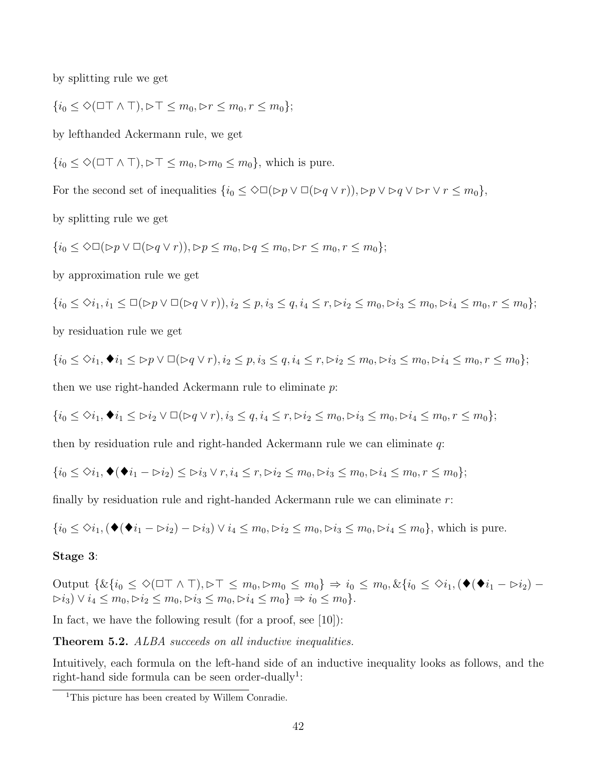by splitting rule we get

$$
\{i_0\leq \Diamond (\Box \top \wedge \top), \Box \top \leq m_0, \Box r \leq m_0, r\leq m_0\};
$$

by lefthanded Ackermann rule, we get

 ${i_0 \leq \Diamond (\Box \top \land \top)}$ ,  $\triangleright \top \leq m_0$ ,  $\triangleright m_0 \leq m_0}$ , which is pure.

For the second set of inequalities  $\{i_0 \leq \Diamond \Box(\triangleright p \vee \Box(\triangleright q \vee r)), \triangleright p \vee \triangleright q \vee \triangleright r \vee r \leq m_0\},\$ 

by splitting rule we get

$$
\{i_0 \leq \Diamond \Box(\Diamond p \vee \Box(\Diamond q \vee r)), \Diamond p \leq m_0, \Diamond q \leq m_0, \Diamond r \leq m_0, r \leq m_0\};
$$

by approximation rule we get

$$
\{i_0 \le \diamond i_1, i_1 \le \Box(\triangleright p \vee \Box(\triangleright q \vee r)), i_2 \le p, i_3 \le q, i_4 \le r, \triangleright i_2 \le m_0, \triangleright i_3 \le m_0, \triangleright i_4 \le m_0, r \le m_0\};
$$
 by residual  
tion rule we get

$$
\{i_0\leq \diamond i_1, \blacklozenge i_1\leq \rhd p\vee \square (\rhd q\vee r), i_2\leq p, i_3\leq q, i_4\leq r, \rhd i_2\leq m_0, \rhd i_3\leq m_0, \rhd i_4\leq m_0, r\leq m_0\};
$$

then we use right-handed Ackermann rule to eliminate p:

$$
\{i_0\leq \diamondsuit i_1, \blacklozenge i_1\leq \rhd i_2 \vee \square (\rhd q\vee r), i_3\leq q, i_4\leq r, \rhd i_2\leq m_0, \rhd i_3\leq m_0, \rhd i_4\leq m_0, r\leq m_0\};
$$

then by residuation rule and right-handed Ackermann rule we can eliminate q:

$$
\{i_0\leq \diamond i_1, \blacklozenge(\blacklozenge i_1-\triangleright i_2)\leq \triangleright i_3\vee r, i_4\leq r, \triangleright i_2\leq m_0, \triangleright i_3\leq m_0, \triangleright i_4\leq m_0, r\leq m_0\};
$$

finally by residuation rule and right-handed Ackermann rule we can eliminate r:

$$
\{i_0 \le \diamond i_1, (\blacklozenge (\blacklozenge i_1 - \triangleright i_2) - \triangleright i_3) \vee i_4 \le m_0, \blacktriangleright i_2 \le m_0, \blacktriangleright i_3 \le m_0, \blacktriangleright i_4 \le m_0\},\
$$
 which is pure.

#### Stage 3:

Output  $\{ \& \{i_0 \leq \Diamond (\Box \top \land \top), \Box \top \leq m_0, \Box m_0 \leq m_0 \} \Rightarrow i_0 \leq m_0, \& \{i_0 \leq \Diamond i_1, (\blacklozenge (\blacklozenge i_1 - \Box i_2) - \Box \top) \}$  $\triangleright i_3$ ) ∨  $i_4 \le m_0, \triangleright i_2 \le m_0, \triangleright i_3 \le m_0, \triangleright i_4 \le m_0$ }  $\Rightarrow i_0 \le m_0$ }.

In fact, we have the following result (for a proof, see [10]):

**Theorem 5.2.** ALBA succeeds on all inductive inequalities.

Intuitively, each formula on the left-hand side of an inductive inequality looks as follows, and the right-hand side formula can be seen order-dually<sup>1</sup>:

<sup>&</sup>lt;sup>1</sup>This picture has been created by Willem Conradie.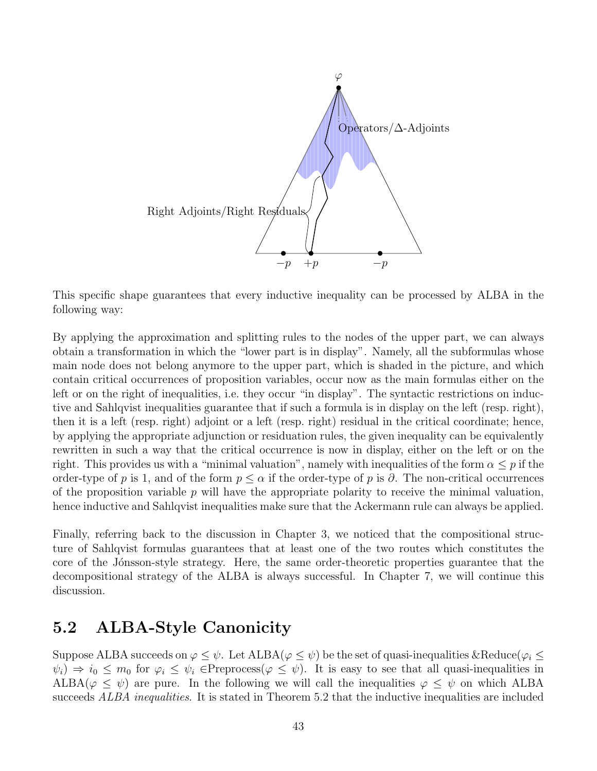

This specific shape guarantees that every inductive inequality can be processed by ALBA in the following way:

By applying the approximation and splitting rules to the nodes of the upper part, we can always obtain a transformation in which the "lower part is in display". Namely, all the subformulas whose main node does not belong anymore to the upper part, which is shaded in the picture, and which contain critical occurrences of proposition variables, occur now as the main formulas either on the left or on the right of inequalities, i.e. they occur "in display". The syntactic restrictions on inductive and Sahlqvist inequalities guarantee that if such a formula is in display on the left (resp. right), then it is a left (resp. right) adjoint or a left (resp. right) residual in the critical coordinate; hence, by applying the appropriate adjunction or residuation rules, the given inequality can be equivalently rewritten in such a way that the critical occurrence is now in display, either on the left or on the right. This provides us with a "minimal valuation", namely with inequalities of the form  $\alpha \leq p$  if the order-type of p is 1, and of the form  $p \leq \alpha$  if the order-type of p is  $\partial$ . The non-critical occurrences of the proposition variable  $p$  will have the appropriate polarity to receive the minimal valuation, hence inductive and Sahlqvist inequalities make sure that the Ackermann rule can always be applied.

Finally, referring back to the discussion in Chapter 3, we noticed that the compositional structure of Sahlqvist formulas guarantees that at least one of the two routes which constitutes the core of the Jónsson-style strategy. Here, the same order-theoretic properties guarantee that the decompositional strategy of the ALBA is always successful. In Chapter 7, we will continue this discussion.

## 5.2 ALBA-Style Canonicity

Suppose ALBA succeeds on  $\varphi \leq \psi$ . Let ALBA( $\varphi \leq \psi$ ) be the set of quasi-inequalities &Reduce( $\varphi_i \leq$  $\psi_i$ )  $\Rightarrow i_0 \leq m_0$  for  $\varphi_i \leq \psi_i$   $\in$ Preprocess $(\varphi \leq \psi)$ . It is easy to see that all quasi-inequalities in  $ALBA(\varphi \leq \psi)$  are pure. In the following we will call the inequalities  $\varphi \leq \psi$  on which ALBA succeeds ALBA inequalities. It is stated in Theorem 5.2 that the inductive inequalities are included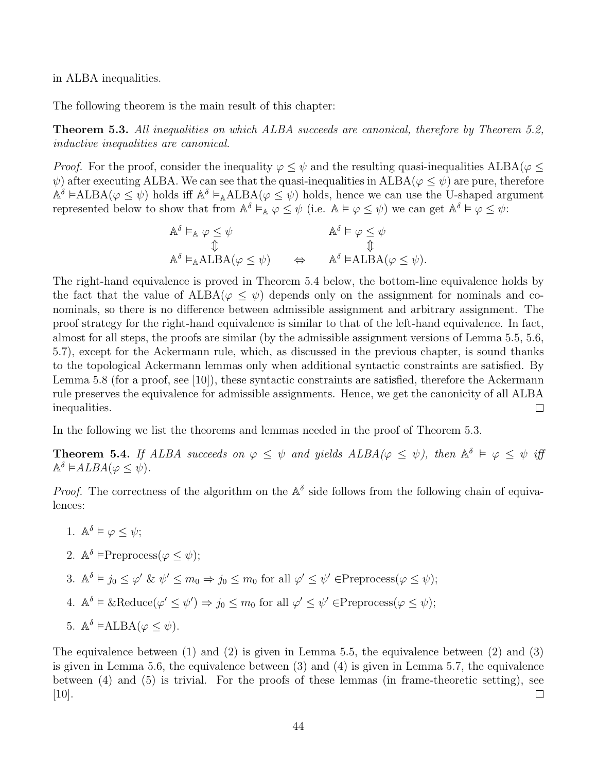in ALBA inequalities.

The following theorem is the main result of this chapter:

**Theorem 5.3.** All inequalities on which ALBA succeeds are canonical, therefore by Theorem 5.2, inductive inequalities are canonical.

*Proof.* For the proof, consider the inequality  $\varphi \leq \psi$  and the resulting quasi-inequalities ALBA( $\varphi \leq \psi$  $\psi$ ) after executing ALBA. We can see that the quasi-inequalities in ALBA( $\varphi \leq \psi$ ) are pure, therefore  $\mathbb{A}^{\delta}$   $\models \text{ALBA}(\varphi \leq \psi)$  holds iff  $\mathbb{A}^{\delta} \models_{\mathbb{A}} \text{ALBA}(\varphi \leq \psi)$  holds, hence we can use the U-shaped argument represented below to show that from  $\mathbb{A}^{\delta} \vDash_{\mathbb{A}} \varphi \leq \psi$  (i.e.  $\mathbb{A} \vDash \varphi \leq \psi$ ) we can get  $\mathbb{A}^{\delta} \vDash \varphi \leq \psi$ .

$$
\mathbb{A}^{\delta} \vDash_{\mathbb{A}} \varphi \leq \psi \qquad \qquad \mathbb{A}^{\delta} \vDash \varphi \leq \psi
$$
\n
$$
\mathbb{A}^{\delta} \vDash_{\mathbb{A}} \mathsf{ALBA}(\varphi \leq \psi) \qquad \Leftrightarrow \qquad \mathbb{A}^{\delta} \vDash \mathsf{ALBA}(\varphi \leq \psi).
$$

The right-hand equivalence is proved in Theorem 5.4 below, the bottom-line equivalence holds by the fact that the value of  $ALBA(\varphi \leq \psi)$  depends only on the assignment for nominals and conominals, so there is no difference between admissible assignment and arbitrary assignment. The proof strategy for the right-hand equivalence is similar to that of the left-hand equivalence. In fact, almost for all steps, the proofs are similar (by the admissible assignment versions of Lemma 5.5, 5.6, 5.7), except for the Ackermann rule, which, as discussed in the previous chapter, is sound thanks to the topological Ackermann lemmas only when additional syntactic constraints are satisfied. By Lemma 5.8 (for a proof, see [10]), these syntactic constraints are satisfied, therefore the Ackermann rule preserves the equivalence for admissible assignments. Hence, we get the canonicity of all ALBA inequalities.  $\Box$ 

In the following we list the theorems and lemmas needed in the proof of Theorem 5.3.

**Theorem 5.4.** If ALBA succeeds on  $\varphi \leq \psi$  and yields  $ALBA(\varphi \leq \psi)$ , then  $\mathbb{A}^{\delta} \models \varphi \leq \psi$  if  $\mathbb{A}^{\delta} \models ALBA(\varphi \leq \psi).$ 

*Proof.* The correctness of the algorithm on the  $\mathbb{A}^{\delta}$  side follows from the following chain of equivalences:

- 1.  $\mathbb{A}^{\delta} \models \varphi \leq \psi;$
- 2.  $\mathbb{A}^{\delta}$   $\models$ Preprocess $(\varphi \leq \psi);$

3.  $\mathbb{A}^{\delta} \models j_0 \leq \varphi' \& \psi' \leq m_0 \Rightarrow j_0 \leq m_0 \text{ for all } \varphi' \leq \psi' \in \text{Preprocess}(\varphi \leq \psi);$ 

- 4.  $\mathbb{A}^{\delta} \models \& \text{Reduce}(\varphi' \leq \psi') \Rightarrow j_0 \leq m_0 \text{ for all } \varphi' \leq \psi' \in \text{Preprocess}(\varphi \leq \psi);$
- 5.  $\mathbb{A}^{\delta}$   $\models \text{ALBA}(\varphi \leq \psi)$ .

The equivalence between (1) and (2) is given in Lemma 5.5, the equivalence between (2) and (3) is given in Lemma 5.6, the equivalence between (3) and (4) is given in Lemma 5.7, the equivalence between (4) and (5) is trivial. For the proofs of these lemmas (in frame-theoretic setting), see  $|10|$ .  $\Box$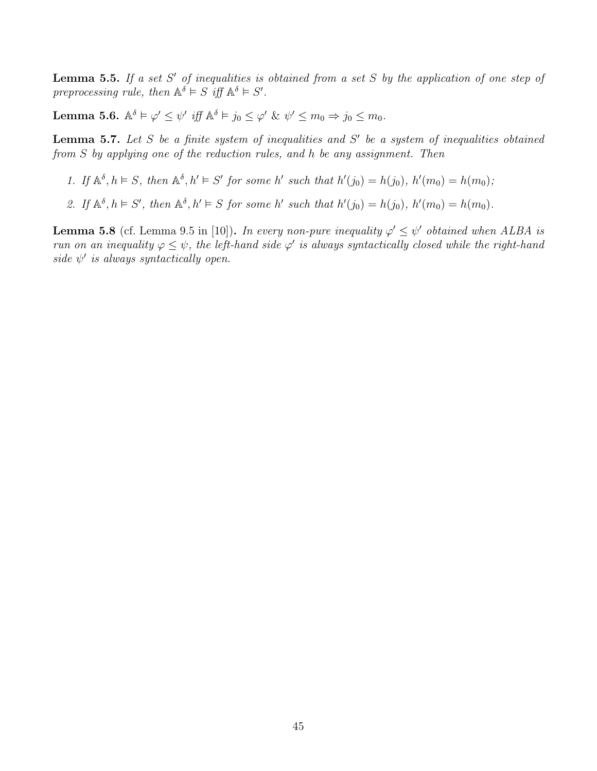**Lemma 5.5.** If a set S' of inequalities is obtained from a set S by the application of one step of preprocessing rule, then  $\mathbb{A}^{\delta} \models S$  iff  $\mathbb{A}^{\delta} \models S'$ .

Lemma 5.6.  $\mathbb{A}^{\delta} \models \varphi' \leq \psi'$  iff  $\mathbb{A}^{\delta} \models j_0 \leq \varphi' \& \psi' \leq m_0 \Rightarrow j_0 \leq m_0$ .

**Lemma 5.7.** Let S be a finite system of inequalities and S' be a system of inequalities obtained from S by applying one of the reduction rules, and h be any assignment. Then

- 1. If  $\mathbb{A}^{\delta}, h \models S$ , then  $\mathbb{A}^{\delta}, h' \models S'$  for some h' such that  $h'(j_0) = h(j_0), h'(m_0) = h(m_0);$
- 2. If  $\mathbb{A}^{\delta}, h \models S'$ , then  $\mathbb{A}^{\delta}, h' \models S$  for some h' such that  $h'(j_0) = h(j_0), h'(m_0) = h(m_0)$ .

**Lemma 5.8** (cf. Lemma 9.5 in [10]). In every non-pure inequality  $\varphi' \leq \psi'$  obtained when ALBA is run on an inequality  $\varphi \leq \psi$ , the left-hand side  $\varphi'$  is always syntactically closed while the right-hand side  $\psi'$  is always syntactically open.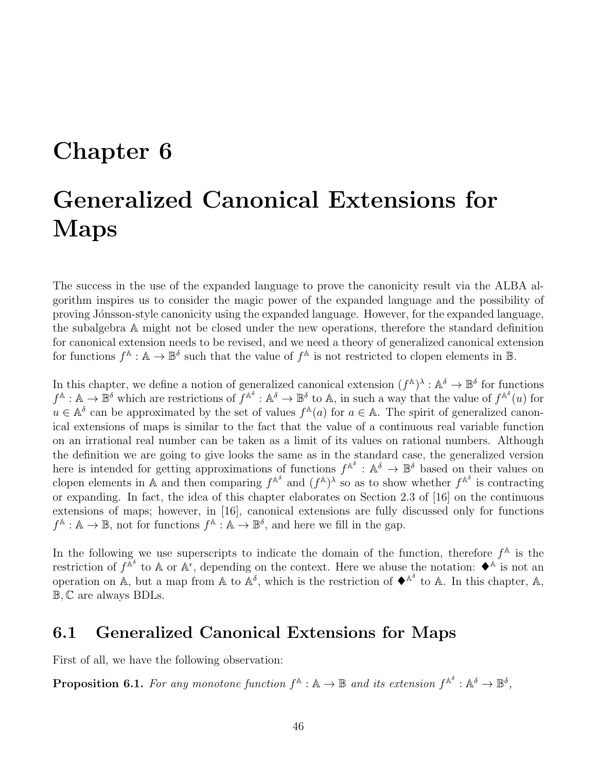## Chapter 6

# Generalized Canonical Extensions for Maps

The success in the use of the expanded language to prove the canonicity result via the ALBA algorithm inspires us to consider the magic power of the expanded language and the possibility of proving Jónsson-style canonicity using the expanded language. However, for the expanded language, the subalgebra A might not be closed under the new operations, therefore the standard definition for canonical extension needs to be revised, and we need a theory of generalized canonical extension for functions  $f^{\mathbb{A}}: \mathbb{A} \to \mathbb{B}^{\delta}$  such that the value of  $f^{\mathbb{A}}$  is not restricted to clopen elements in  $\mathbb{B}$ .

In this chapter, we define a notion of generalized canonical extension  $(f^{\mathbb{A}})^{\lambda} : \mathbb{A}^{\delta} \to \mathbb{B}^{\delta}$  for functions  $f^{\mathbb{A}}: \mathbb{A} \to \mathbb{B}^{\delta}$  which are restrictions of  $f^{\mathbb{A}^{\delta}}: \mathbb{A}^{\delta} \to \mathbb{B}^{\delta}$  to  $\mathbb{A}$ , in such a way that the value of  $f^{\mathbb{A}^{\delta}}(u)$  for  $u \in \mathbb{A}^{\delta}$  can be approximated by the set of values  $f^{\mathbb{A}}(a)$  for  $a \in \mathbb{A}$ . The spirit of generalized canonical extensions of maps is similar to the fact that the value of a continuous real variable function on an irrational real number can be taken as a limit of its values on rational numbers. Although the definition we are going to give looks the same as in the standard case, the generalized version here is intended for getting approximations of functions  $f^{\mathbb{A}^\delta}: \mathbb{A}^\delta \to \mathbb{B}^\delta$  based on their values on clopen elements in A and then comparing  $f^{\mathbb{A}^{\delta}}$  and  $(f^{\mathbb{A}})^{\lambda}$  so as to show whether  $f^{\mathbb{A}^{\delta}}$  is contracting or expanding. In fact, the idea of this chapter elaborates on Section 2.3 of [16] on the continuous extensions of maps; however, in [16], canonical extensions are fully discussed only for functions  $f^{\mathbb{A}}: \mathbb{A} \to \mathbb{B}$ , not for functions  $f^{\mathbb{A}}: \mathbb{A} \to \mathbb{B}^{\delta}$ , and here we fill in the gap.

In the following we use superscripts to indicate the domain of the function, therefore  $f^{\mathbb{A}}$  is the restriction of  $f^{\tilde{A}^{\delta}}$  to A or  $A^{\epsilon}$ , depending on the context. Here we abuse the notation:  $\blacklozenge^{\delta}$  is not an operation on  $\mathbb{A}$ , but a map from  $\mathbb{A}$  to  $\mathbb{A}^{\delta}$ , which is the restriction of  $\blacklozenge^{\mathbb{A}^{\delta}}$  to  $\mathbb{A}$ . In this chapter,  $\mathbb{A}$ , B, C are always BDLs.

## 6.1 Generalized Canonical Extensions for Maps

First of all, we have the following observation:

**Proposition 6.1.** For any monotone function  $f^{\mathbb{A}} : \mathbb{A} \to \mathbb{B}$  and its extension  $f^{\mathbb{A}^{\delta}} : \mathbb{A}^{\delta} \to \mathbb{B}^{\delta}$ ,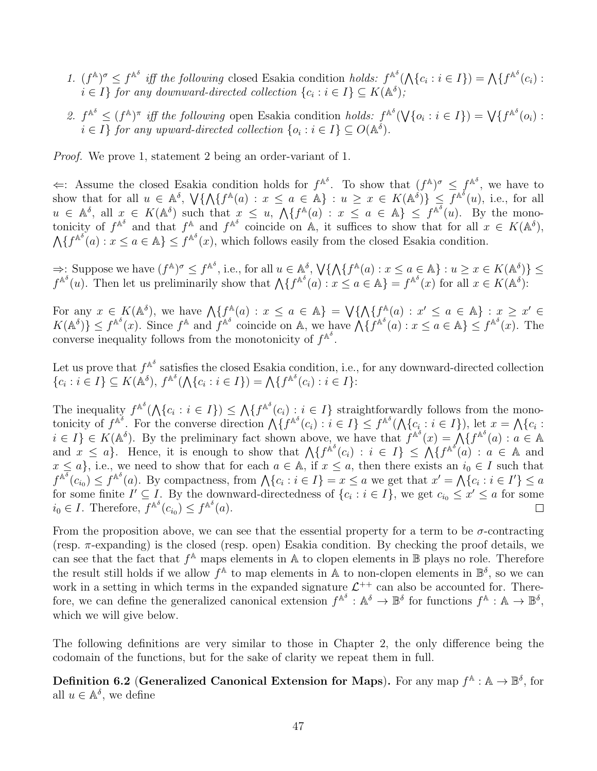- 1.  $(f^{\mathbb{A}})^{\sigma} \leq f^{\mathbb{A}^{\delta}}$  iff the following closed Esakia condition holds:  $f^{\mathbb{A}^{\delta}}(\bigwedge \{c_i : i \in I\}) = \bigwedge \{f^{\mathbb{A}^{\delta}}(c_i) : i \in I\}$  $i \in I$  for any downward-directed collection  $\{c_i : i \in I\} \subseteq K(\mathbb{A}^{\delta})$ ;
- 2.  $f^{\mathbb{A}^{\delta}} \leq (f^{\mathbb{A}})^{\pi}$  iff the following open Esakia condition holds:  $f^{\mathbb{A}^{\delta}}(\bigvee\{o_i : i \in I\}) = \bigvee \{f^{\mathbb{A}^{\delta}}(o_i) : i \in I\}$  $i \in I$  for any upward-directed collection  $\{o_i : i \in I\} \subseteq O(\mathbb{A}^{\delta}).$

*Proof.* We prove 1, statement 2 being an order-variant of 1.

 $\Leftarrow$ : Assume the closed Esakia condition holds for  $f^{\mathbb{A}^{\delta}}$ . To show that  $(f^{\mathbb{A}})^{\sigma} \leq f^{\mathbb{A}^{\delta}}$ , we have to show that for all  $u \in \mathbb{A}^{\delta}$ ,  $\bigvee \{\bigwedge \{f^{\mathbb{A}}(a): x \leq a \in \mathbb{A}\} : u \geq x \in K(\mathbb{A}^{\delta})\} \leq f^{\mathbb{A}^{\delta}}(u)$ , i.e., for all  $u \in \mathbb{A}^{\delta}$ , all  $x \in K(\mathbb{A}^{\delta})$  such that  $x \leq u$ ,  $\mathcal{M}{f^{\mathbb{A}}(a)}$ :  $x \leq a \in \mathbb{A}$   $\leq f^{\mathbb{A}^{\delta}}(u)$ . By the monotonicity of  $f^{\mathbb{A}^{\delta}}$  and that  $f^{\mathbb{A}}$  and  $f^{\mathbb{A}^{\delta}}$  coincide on  $\mathbb{A}$ , it suffices to show that for all  $x \in K(\mathbb{A}^{\delta})$ ,  $\bigwedge \{f^{\mathbb{A}^\delta}(a): x \leq a \in \mathbb{A}\}\leq f^{\mathbb{A}^\delta}(x)$ , which follows easily from the closed Esakia condition.

 $\Rightarrow$ : Suppose we have  $(f^{\mathbb{A}})^{\sigma} \leq f^{\mathbb{A}^{\delta}}$ , i.e., for all  $u \in \mathbb{A}^{\delta}$ ,  $\bigvee \{ \bigwedge \{ f^{\mathbb{A}}(a) : x \leq a \in \mathbb{A} \} : u \geq x \in K(\mathbb{A}^{\delta}) \}$  $f^{\mathbb{A}^{\delta}}(u)$ . Then let us preliminarily show that  $\bigwedge \{f^{\mathbb{A}^{\delta}}(a) : x \leq a \in \mathbb{A}\} = f^{\mathbb{A}^{\delta}}(x)$  for all  $x \in K(\mathbb{A}^{\delta})$ .

For any  $x \in K(\mathbb{A}^{\delta})$ , we have  $\bigwedge \{f^{\mathbb{A}}(a) : x \le a \in \mathbb{A}\} = \bigvee \{\bigwedge \{f^{\mathbb{A}}(a) : x' \le a \in \mathbb{A}\} : x \ge x' \in \mathbb{A}\}$  $K(\mathbb{A}^{\delta})$   $\leq f^{\mathbb{A}^{\delta}}(x)$ . Since  $f^{\mathbb{A}}$  and  $f^{\mathbb{A}^{\delta}}$  coincide on A, we have  $\mathcal{A}\lbrace f^{\mathbb{A}^{\delta}}(a) : x \leq a \in \mathbb{A}\rbrace \leq f^{\mathbb{A}^{\delta}}(x)$ . The converse inequality follows from the monotonicity of  $f^{\mathbb{A}^{\delta}}$ .

Let us prove that  $f^{\mathbb{A}^{\delta}}$  satisfies the closed Esakia condition, i.e., for any downward-directed collection  ${c_i : i \in I} \subseteq K(\mathbb{A}^{\delta}), f^{\mathbb{A}^{\delta}}(\mathcal{A}{c_i : i \in I}) = \mathcal{A}{f^{\mathbb{A}^{\delta}}(c_i) : i \in I}$ :

The inequality  $f^{\mathbb{A}^{\delta}}(\bigwedge \{c_i : i \in I\}) \leq \bigwedge \{f^{\mathbb{A}^{\delta}}(c_i) : i \in I\}$  straightforwardly follows from the monotonicity of  $f^{\mathbb{A}^\delta}$ . For the converse direction  $\bigwedge \{f^{\mathbb{A}^\delta}(c_i) : i \in I\} \leq f^{\mathbb{A}^\delta}(\bigwedge \{c_i : i \in I\})$ , let  $x = \bigwedge \{c_i : i \in I\}$  $i \in I$   $\in K(\mathbb{A}^{\delta})$ . By the preliminary fact shown above, we have that  $f^{\mathbb{A}^{\delta}}(x) = \bigwedge^{\delta} \{f^{\mathbb{A}^{\delta}}(a) : a \in \mathbb{A} \}$ and  $x \le a$ . Hence, it is enough to show that  $\Lambda\{f^{\mathbb{A}^\delta}(c_i) : i \in I\} \le \Lambda\{f^{\mathbb{A}^\delta}(a) : a \in \mathbb{A} \text{ and }$  $x \le a$ , i.e., we need to show that for each  $a \in A$ , if  $x \le a$ , then there exists an  $i_0 \in I$  such that  $f^{\mathbb{A}^{\delta}}(c_{i_0}) \leq f^{\mathbb{A}^{\delta}}(a)$ . By compactness, from  $\bigwedge \{c_i : i \in I\} = x \leq a$  we get that  $x' = \bigwedge \{c_i : i \in I'\} \leq a$ for some finite  $I' \subseteq I$ . By the downward-directedness of  $\{c_i : i \in I\}$ , we get  $c_{i_0} \leq x' \leq a$  for some  $i_0 \in I$ . Therefore,  $f^{\mathbb{A}^\delta}(c_{i_0}) \leq f^{\mathbb{A}^\delta}(a)$ .  $\Box$ 

From the proposition above, we can see that the essential property for a term to be  $\sigma$ -contracting (resp.  $\pi$ -expanding) is the closed (resp. open) Esakia condition. By checking the proof details, we can see that the fact that  $f^{\mathbb{A}}$  maps elements in  $\mathbb A$  to clopen elements in  $\mathbb B$  plays no role. Therefore the result still holds if we allow  $f^{\mathbb{A}}$  to map elements in  $\mathbb{A}$  to non-clopen elements in  $\mathbb{B}^{\delta}$ , so we can work in a setting in which terms in the expanded signature  $\mathcal{L}^{++}$  can also be accounted for. Therefore, we can define the generalized canonical extension  $f^{\mathbb{A}^\delta}: \mathbb{A}^\delta \to \mathbb{B}^\delta$  for functions  $f^{\mathbb{A}}: \mathbb{A} \to \mathbb{B}^\delta$ , which we will give below.

The following definitions are very similar to those in Chapter 2, the only difference being the codomain of the functions, but for the sake of clarity we repeat them in full.

Definition 6.2 (Generalized Canonical Extension for Maps). For any map  $f^{\mathbb{A}}: \mathbb{A} \to \mathbb{B}^{\delta}$ , for all  $u \in \mathbb{A}^{\delta}$ , we define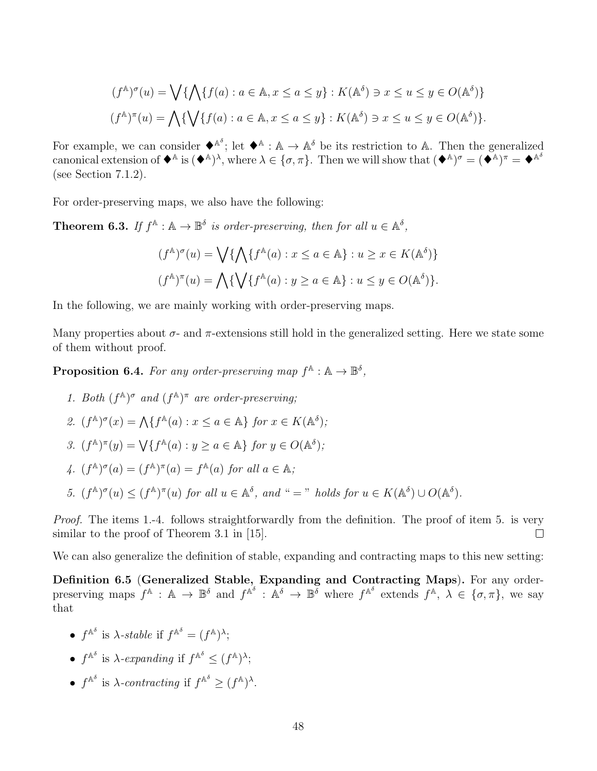$$
(f^{\mathbb{A}})^{\sigma}(u) = \bigvee \{ \bigwedge \{ f(a) : a \in \mathbb{A}, x \le a \le y \} : K(\mathbb{A}^{\delta}) \ni x \le u \le y \in O(\mathbb{A}^{\delta}) \}
$$

$$
(f^{\mathbb{A}})^{\pi}(u) = \bigwedge \{ \bigvee \{ f(a) : a \in \mathbb{A}, x \le a \le y \} : K(\mathbb{A}^{\delta}) \ni x \le u \le y \in O(\mathbb{A}^{\delta}) \}.
$$

For example, we can consider  $\bullet^{\mathbb{A}^{\delta}}$ ; let  $\bullet^{\mathbb{A}}$ :  $\mathbb{A} \to \mathbb{A}^{\delta}$  be its restriction to A. Then the generalized canonical extension of  $\blacklozenge^{\mathbb{A}}$  is  $(\blacklozenge^{\mathbb{A}})^{\lambda}$ , where  $\lambda \in \{\sigma, \pi\}$ . Then we will show that  $(\blacklozenge^{\mathbb{A}})^{\sigma} = (\blacklozenge^{\mathbb{A}})^{\pi} = \blacklozenge^{\mathbb{A}^{\delta}}$ (see Section 7.1.2).

For order-preserving maps, we also have the following:

**Theorem 6.3.** If  $f^{\mathbb{A}} : \mathbb{A} \to \mathbb{B}^{\delta}$  is order-preserving, then for all  $u \in \mathbb{A}^{\delta}$ ,

$$
(f^{\mathbb{A}})^{\sigma}(u) = \bigvee \{ \bigwedge \{ f^{\mathbb{A}}(a) : x \le a \in \mathbb{A} \} : u \ge x \in K(\mathbb{A}^{\delta}) \}
$$

$$
(f^{\mathbb{A}})^{\pi}(u) = \bigwedge \{ \bigvee \{ f^{\mathbb{A}}(a) : y \ge a \in \mathbb{A} \} : u \le y \in O(\mathbb{A}^{\delta}) \}.
$$

In the following, we are mainly working with order-preserving maps.

Many properties about  $\sigma$ - and  $\pi$ -extensions still hold in the generalized setting. Here we state some of them without proof.

**Proposition 6.4.** For any order-preserving map  $f^{\mathbb{A}} : \mathbb{A} \to \mathbb{B}^{\delta}$ ,

- 1. Both  $(f^{\mathbb{A}})^{\sigma}$  and  $(f^{\mathbb{A}})^{\pi}$  are order-preserving;
- 2.  $(f^{\mathbb{A}})^{\sigma}(x) = \bigwedge \{ f^{\mathbb{A}}(a) : x \le a \in \mathbb{A} \}$  for  $x \in K(\mathbb{A}^{\delta})$ ;
- 3.  $(f^{\mathbb{A}})^{\pi}(y) = \bigvee \{ f^{\mathbb{A}}(a) : y \ge a \in \mathbb{A} \}$  for  $y \in O(\mathbb{A}^{\delta})$ ;
- 4.  $(f^{\mathbb{A}})^{\sigma}(a) = (f^{\mathbb{A}})^{\pi}(a) = f^{\mathbb{A}}(a)$  for all  $a \in \mathbb{A}$ ;
- 5.  $(f^{\mathbb{A}})^{\sigma}(u) \leq (f^{\mathbb{A}})^{\pi}(u)$  for all  $u \in \mathbb{A}^{\delta}$ , and " = " holds for  $u \in K(\mathbb{A}^{\delta}) \cup O(\mathbb{A}^{\delta})$ .

*Proof.* The items 1.-4. follows straightforwardly from the definition. The proof of item 5. is very similar to the proof of Theorem 3.1 in [15].  $\Box$ 

We can also generalize the definition of stable, expanding and contracting maps to this new setting:

Definition 6.5 (Generalized Stable, Expanding and Contracting Maps). For any orderpreserving maps  $f^{\mathbb{A}} : \mathbb{A} \to \mathbb{B}^{\delta}$  and  $f^{\mathbb{A}^{\delta}} : \mathbb{A}^{\delta} \to \mathbb{B}^{\delta}$  where  $f^{\mathbb{A}^{\delta}}$  extends  $f^{\mathbb{A}}, \lambda \in \{\sigma, \pi\}$ , we say that

- $f^{\mathbb{A}^{\delta}}$  is  $\lambda$ -stable if  $f^{\mathbb{A}^{\delta}} = (f^{\mathbb{A}})^{\lambda};$
- $f^{\mathbb{A}^{\delta}}$  is  $\lambda$ -expanding if  $f^{\mathbb{A}^{\delta}} \leq (f^{\mathbb{A}})^{\lambda}$ ;
- $f^{\mathbb{A}^{\delta}}$  is  $\lambda$ -contracting if  $f^{\mathbb{A}^{\delta}} \geq (f^{\mathbb{A}})^{\lambda}$ .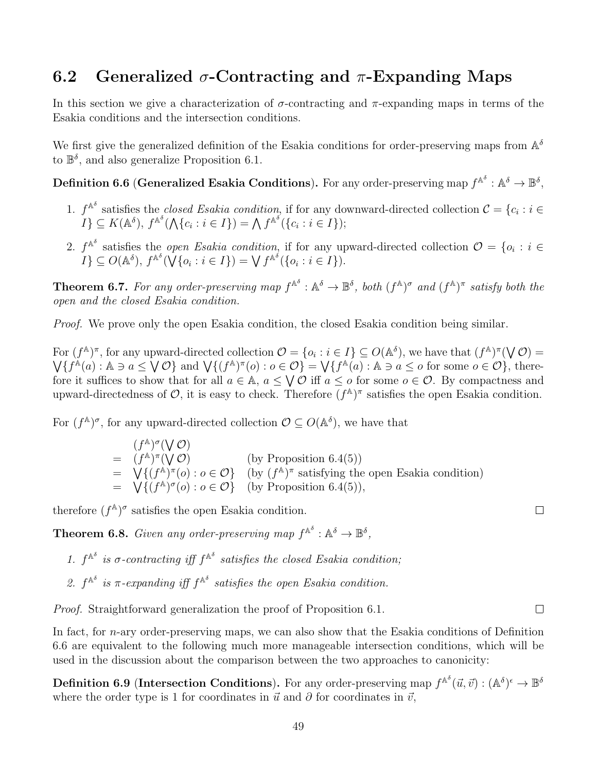## 6.2 Generalized  $\sigma$ -Contracting and  $\pi$ -Expanding Maps

In this section we give a characterization of  $\sigma$ -contracting and  $\pi$ -expanding maps in terms of the Esakia conditions and the intersection conditions.

We first give the generalized definition of the Esakia conditions for order-preserving maps from  $\mathbb{A}^{\delta}$ to  $\mathbb{B}^{\delta}$ , and also generalize Proposition 6.1.

Definition 6.6 (Generalized Esakia Conditions). For any order-preserving map  $f^{\mathbb{A}^\delta}:\mathbb{A}^\delta\to\mathbb{B}^\delta,$ 

- 1.  $f^{\mathbb{A}^{\delta}}$  satisfies the *closed Esakia condition*, if for any downward-directed collection  $\mathcal{C} = \{c_i : i \in \mathcal{C} \}$  $I\}\subseteq K(\mathbb{A}^{\delta}),\,f^{\mathbb{A}^{\delta}}(\bigwedge\{c_{i}:i\in I\})=\bigwedge f^{\mathbb{A}^{\delta}}(\{c_{i}:i\in I\});$
- 2.  $f^{\mathbb{A}^{\delta}}$  satisfies the *open Esakia condition*, if for any upward-directed collection  $\mathcal{O} = \{o_i : i \in$  $I\}\subseteq O(\mathbb{A}^{\delta}),\,f^{\mathbb{A}^{\delta}}(\sqrt{\{o_i:i\in I\}})=\sqrt{f^{\mathbb{A}^{\delta}}(\{o_i:i\in I\})}.$

**Theorem 6.7.** For any order-preserving map  $f^{\mathbb{A}^{\delta}}$  :  $\mathbb{A}^{\delta} \to \mathbb{B}^{\delta}$ , both  $(f^{\mathbb{A}})^{\sigma}$  and  $(f^{\mathbb{A}})^{\pi}$  satisfy both the open and the closed Esakia condition.

Proof. We prove only the open Esakia condition, the closed Esakia condition being similar.

For  $(f^{\mathbb{A}})^{\pi}$ , for any upward-directed collection  $\mathcal{O} = \{o_i : i \in I\} \subseteq O(\mathbb{A}^{\delta})$ , we have that  $(f^{\mathbb{A}})^{\pi}(\bigvee \mathcal{O}) =$  $\bigvee \{f^{\mathbb{A}}(a): \mathbb{A} \ni a \leq \bigvee \mathcal{O}\}\$ and  $\bigvee \{(f^{\mathbb{A}})^{\pi}(o): o \in \mathcal{O}\} = \bigvee \{f^{\mathbb{A}}(a): \mathbb{A} \ni a \leq o \text{ for some } o \in \mathcal{O}\}\$ , therefore it suffices to show that for all  $a \in \mathbb{A}$ ,  $a \leq \bigvee \mathcal{O}$  iff  $a \leq o$  for some  $o \in \mathcal{O}$ . By compactness and upward-directedness of  $\mathcal{O}$ , it is easy to check. Therefore  $(f^{\mathbb{A}})^{\pi}$  satisfies the open Esakia condition.

For  $(f^{\mathbb{A}})^{\sigma}$ , for any upward-directed collection  $\mathcal{O} \subseteq O(\mathbb{A}^{\delta})$ , we have that

 $(f^{\mathbb{A}})^{\sigma}(\bigvee \mathcal{O})$  $=$   $(f^{\mathbb{A}})^{\pi}(\mathsf{V} \mathcal{O})$  (by Proposition 6.4(5)) =  $\bigvee^{\bullet} \{ (f^{\mathbb{A}})^{\pi}(o) : o \in \mathcal{O} \}$  (by  $(f^{\mathbb{A}})^{\pi}$  satisfying the open Esakia condition) =  $\bigvee \{ (f^{\mathbb{A}})^{\sigma}(o) : o \in \mathcal{O} \}$  (by Proposition 6.4(5)),

therefore  $(f^{\mathbb{A}})^{\sigma}$  satisfies the open Esakia condition.

**Theorem 6.8.** Given any order-preserving map  $f^{\mathbb{A}^{\delta}}$  :  $\mathbb{A}^{\delta} \to \mathbb{B}^{\delta}$ ,

- 1.  $f^{\mathbb{A}^{\delta}}$  is  $\sigma$ -contracting iff  $f^{\mathbb{A}^{\delta}}$  satisfies the closed Esakia condition;
- 2.  $f^{\mathbb{A}^{\delta}}$  is  $\pi$ -expanding iff  $f^{\mathbb{A}^{\delta}}$  satisfies the open Esakia condition.

Proof. Straightforward generalization the proof of Proposition 6.1.

In fact, for *n*-ary order-preserving maps, we can also show that the Esakia conditions of Definition 6.6 are equivalent to the following much more manageable intersection conditions, which will be used in the discussion about the comparison between the two approaches to canonicity:

**Definition 6.9 (Intersection Conditions).** For any order-preserving map  $f^{\mathbb{A}^\delta}(\vec{u}, \vec{v}) : (\mathbb{A}^\delta)^{\epsilon} \to \mathbb{B}^\delta$ where the order type is 1 for coordinates in  $\vec{u}$  and  $\partial$  for coordinates in  $\vec{v}$ ,

 $\Box$ 

 $\Box$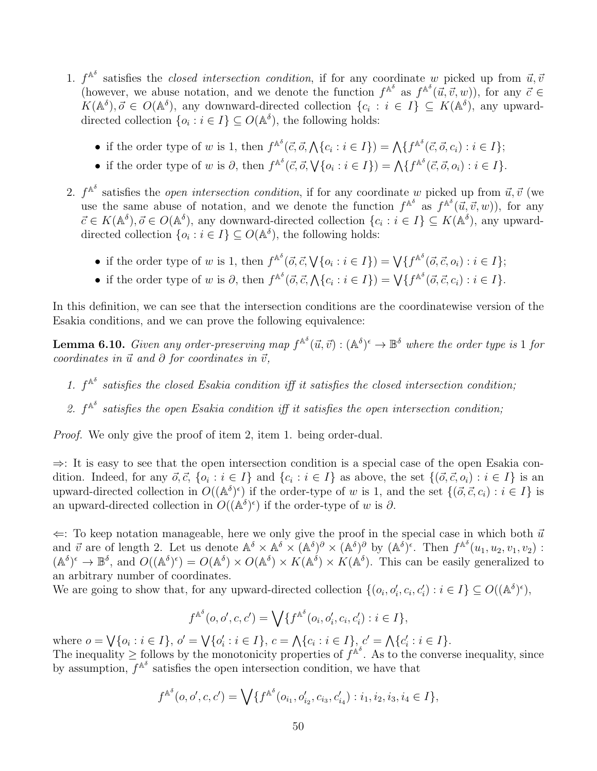- 1.  $f^{\mathbb{A}^{\delta}}$  satisfies the *closed intersection condition*, if for any coordinate w picked up from  $\vec{u}, \vec{v}$ (however, we abuse notation, and we denote the function  $f^{\mathbb{A}^\delta}$  as  $f^{\mathbb{A}^\delta}(\vec{u}, \vec{v}, w)$ ), for any  $\vec{c} \in$  $K(\mathbb{A}^{\delta}), \vec{\sigma} \in O(\mathbb{A}^{\delta}),$  any downward-directed collection  $\{c_i : i \in I\} \subseteq K(\mathbb{A}^{\delta}),$  any upwarddirected collection  $\{o_i : i \in I\} \subseteq O(\mathbb{A}^{\delta})$ , the following holds:
	- if the order type of w is 1, then  $f^{\mathbb{A}^{\delta}}(\vec{c}, \vec{o}, \bigwedge\{c_i : i \in I\}) = \bigwedge\{f^{\mathbb{A}^{\delta}}(\vec{c}, \vec{o}, c_i) : i \in I\};$
	- if the order type of w is  $\partial$ , then  $f^{\mathbb{A}^{\delta}}(\vec{c}, \vec{o}, \sqrt{\{o_i : i \in I\}}) = \bigwedge \{f^{\mathbb{A}^{\delta}}(\vec{c}, \vec{o}, o_i) : i \in I\}.$
- 2.  $f^{\mathbb{A}^{\delta}}$  satisfies the *open intersection condition*, if for any coordinate w picked up from  $\vec{u}, \vec{v}$  (we use the same abuse of notation, and we denote the function  $f^{\mathbb{A}^\delta}$  as  $f^{\mathbb{A}^\delta}(\vec{u}, \vec{v}, w)$ , for any  $\vec{c} \in K(\mathbb{A}^{\delta}), \vec{o} \in O(\mathbb{A}^{\delta})$ , any downward-directed collection  $\{c_i : i \in I\} \subseteq K(\mathbb{A}^{\delta}),$  any upwarddirected collection  $\{o_i : i \in I\} \subseteq O(\mathbb{A}^{\delta})$ , the following holds:
	- if the order type of w is 1, then  $f^{\mathbb{A}^{\delta}}(\vec{o}, \vec{c}, \sqrt{\{o_i : i \in I\}}) = \bigvee \{f^{\mathbb{A}^{\delta}}(\vec{o}, \vec{c}, o_i) : i \in I\};$
	- if the order type of w is  $\partial$ , then  $f^{\mathbb{A}^{\delta}}(\vec{c}, \vec{c}, \bigwedge \{c_i : i \in I\}) = \bigvee \{f^{\mathbb{A}^{\delta}}(\vec{c}, \vec{c}, c_i) : i \in I\}.$

In this definition, we can see that the intersection conditions are the coordinatewise version of the Esakia conditions, and we can prove the following equivalence:

**Lemma 6.10.** Given any order-preserving map  $f^{A^\delta}(\vec{u}, \vec{v}) : (A^\delta)^{\epsilon} \to \mathbb{B}^\delta$  where the order type is 1 for coordinates in  $\vec{u}$  and  $\partial$  for coordinates in  $\vec{v}$ ,

- 1.  $f^{\mathbb{A}^{\delta}}$  satisfies the closed Esakia condition iff it satisfies the closed intersection condition;
- 2.  $f^{\mathbb{A}^{\delta}}$  satisfies the open Esakia condition iff it satisfies the open intersection condition;

Proof. We only give the proof of item 2, item 1. being order-dual.

⇒: It is easy to see that the open intersection condition is a special case of the open Esakia condition. Indeed, for any  $\vec{o}, \vec{c}, \{o_i : i \in I\}$  and  $\{c_i : i \in I\}$  as above, the set  $\{(\vec{o}, \vec{c}, o_i) : i \in I\}$  is an upward-directed collection in  $O((\mathbb{A}^{\delta})^{\epsilon})$  if the order-type of w is 1, and the set  $\{(\vec{o}, \vec{c}, c_i) : i \in I\}$  is an upward-directed collection in  $O((\mathbb{A}^{\delta})^{\epsilon})$  if the order-type of w is  $\partial$ .

 $\Leftarrow$ : To keep notation manageable, here we only give the proof in the special case in which both  $\vec{u}$ and  $\vec{v}$  are of length 2. Let us denote  $\mathbb{A}^{\delta} \times \mathbb{A}^{\delta} \times (\mathbb{A}^{\delta})^{\partial} \times (\mathbb{A}^{\delta})^{\delta}$  by  $(\mathbb{A}^{\delta})^{\epsilon}$ . Then  $f^{\mathbb{A}^{\delta}}(u_1, u_2, v_1, v_2)$ :  $(A^{\delta})^{\epsilon} \to \mathbb{B}^{\delta}$ , and  $O((A^{\delta})^{\epsilon}) = O(A^{\delta}) \times O(A^{\delta}) \times K(A^{\delta}) \times K(A^{\delta})$ . This can be easily generalized to an arbitrary number of coordinates.

We are going to show that, for any upward-directed collection  $\{(o_i, o'_i, c_i, c'_i) : i \in I\} \subseteq O((\mathbb{A}^{\delta})^{\epsilon}),$ 

$$
f^{\mathbb{A}^{\delta}}(o, o', c, c') = \bigvee \{ f^{\mathbb{A}^{\delta}}(o_i, o'_i, c_i, c'_i) : i \in I \},\
$$

where  $o = \bigvee \{o_i : i \in I\}, o' = \bigvee \{o'_i : i \in I\}, c = \bigwedge \{c_i : i \in I\}, c' = \bigwedge \{c'_i : i \in I\}.$ The inequality  $\geq$  follows by the monotonicity properties of  $f^{\mathbb{A}^{\delta}}$ . As to the converse inequality, since by assumption,  $f^{\mathbb{A}^{\delta}}$  satisfies the open intersection condition, we have that

$$
f^{\mathbb{A}^{\delta}}(o, o', c, c') = \bigvee \{ f^{\mathbb{A}^{\delta}}(o_{i_1}, o'_{i_2}, c_{i_3}, c'_{i_4}) : i_1, i_2, i_3, i_4 \in I \},\
$$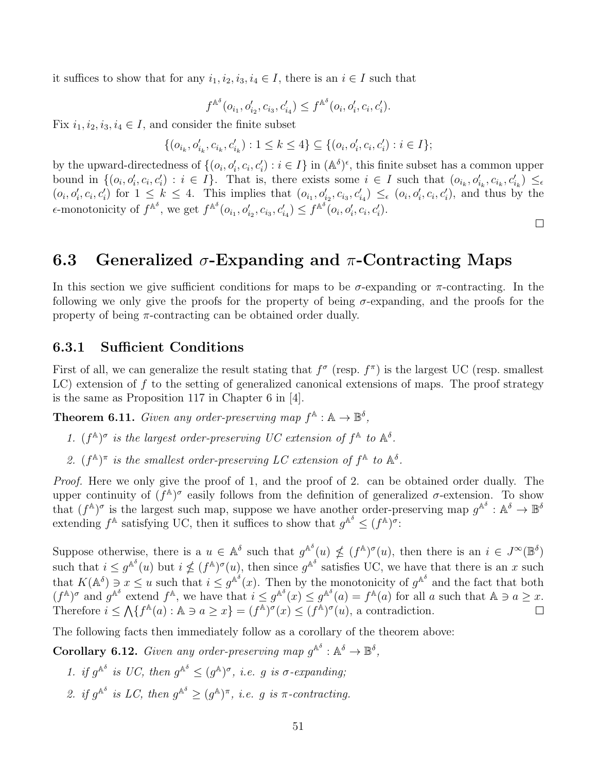it suffices to show that for any  $i_1, i_2, i_3, i_4 \in I$ , there is an  $i \in I$  such that

$$
f^{\mathbb{A}^{\delta}}(o_{i_1}, o'_{i_2}, c_{i_3}, c'_{i_4}) \leq f^{\mathbb{A}^{\delta}}(o_i, o'_i, c_i, c'_i).
$$

Fix  $i_1, i_2, i_3, i_4 \in I$ , and consider the finite subset

$$
\{(o_{i_k}, o'_{i_k}, c_{i_k}, c'_{i_k}) : 1 \leq k \leq 4\} \subseteq \{(o_i, o'_i, c_i, c'_i) : i \in I\};
$$

by the upward-directedness of  $\{(o_i, o'_i, c_i, c'_i) : i \in I\}$  in  $(\mathbb{A}^{\delta})^{\epsilon}$ , this finite subset has a common upper bound in  $\{(o_i, o'_i, c_i, c'_i) : i \in I\}$ . That is, there exists some  $i \in I$  such that  $(o_{i_k}, o'_{i_k}, c_{i_k}, c'_{i_k}) \leq \epsilon$  $(o_i, o'_i, c_i, c'_i)$  for  $1 \leq k \leq 4$ . This implies that  $(o_{i_1}, o'_{i_2}, c_{i_3}, c'_{i_4}) \leq_{\epsilon} (o_i, o'_i, c_i, c'_i)$ , and thus by the  $\epsilon$ -monotonicity of  $f^{\mathbb{A}^\delta}$ , we get  $f^{\mathbb{A}^\delta}(o_{i_1}, o'_{i_2}, c_{i_3}, c'_{i_4}) \leq f^{\mathbb{A}^\delta}(o_i, o'_i, c_i, c'_i)$ .

#### $\Box$

## 6.3 Generalized  $\sigma$ -Expanding and  $\pi$ -Contracting Maps

In this section we give sufficient conditions for maps to be  $\sigma$ -expanding or  $\pi$ -contracting. In the following we only give the proofs for the property of being  $\sigma$ -expanding, and the proofs for the property of being  $\pi$ -contracting can be obtained order dually.

#### 6.3.1 Sufficient Conditions

First of all, we can generalize the result stating that  $f^{\sigma}$  (resp.  $f^{\pi}$ ) is the largest UC (resp. smallest  $LC$ ) extension of f to the setting of generalized canonical extensions of maps. The proof strategy is the same as Proposition 117 in Chapter 6 in [4].

**Theorem 6.11.** Given any order-preserving map  $f^{\mathbb{A}} : \mathbb{A} \to \mathbb{B}^{\delta}$ ,

- 1.  $(f^{\mathbb{A}})^{\sigma}$  is the largest order-preserving UC extension of  $f^{\mathbb{A}}$  to  $\mathbb{A}^{\delta}$ .
- 2.  $(f^{\mathbb{A}})^{\pi}$  is the smallest order-preserving LC extension of  $f^{\mathbb{A}}$  to  $\mathbb{A}^{\delta}$ .

Proof. Here we only give the proof of 1, and the proof of 2. can be obtained order dually. The upper continuity of  $(f^{\mathbb{A}})^\sigma$  easily follows from the definition of generalized  $\sigma$ -extension. To show that  $(f^{\mathbb{A}})^{\sigma}$  is the largest such map, suppose we have another order-preserving map  $g^{\mathbb{A}^{\delta}}$ :  $\mathbb{A}^{\delta} \to \mathbb{B}^{\delta}$ extending  $f^{\mathbb{A}}$  satisfying UC, then it suffices to show that  $g^{\mathbb{A}^{\delta}} \leq (f^{\mathbb{A}})^{\sigma}$ .

Suppose otherwise, there is a  $u \in \mathbb{A}^{\delta}$  such that  $g^{\mathbb{A}^{\delta}}(u) \nleq (f^{\mathbb{A}})^{\sigma}(u)$ , then there is an  $i \in J^{\infty}(\mathbb{B}^{\delta})$ such that  $i \leq g^{\mathbb{A}^\delta}(u)$  but  $i \nleq (f^{\mathbb{A}})^\sigma(u)$ , then since  $g^{\mathbb{A}^\delta}$  satisfies UC, we have that there is an x such that  $K(\mathbb{A}^{\delta}) \ni x \leq u$  such that  $i \leq g^{\mathbb{A}^{\delta}}(x)$ . Then by the monotonicity of  $g^{\mathbb{A}^{\delta}}$  and the fact that both  $(f^{\mathbb{A}})^{\sigma}$  and  $g^{\mathbb{A}^{\delta}}$  extend  $f^{\mathbb{A}}$ , we have that  $i \leq g^{\mathbb{A}^{\delta}}(x) \leq g^{\mathbb{A}^{\delta}}(a) = f^{\mathbb{A}}(a)$  for all a such that  $\mathbb{A} \ni a \geq x$ . Therefore  $i \leq \Lambda \{f^{\mathbb{A}}(a) : \mathbb{A} \ni a \geq x\} = (f^{\mathbb{A}})^{\sigma}(x) \leq (f^{\mathbb{A}})^{\sigma}(u)$ , a contradiction.  $\Box$ 

The following facts then immediately follow as a corollary of the theorem above:

**Corollary 6.12.** Given any order-preserving map  $g^{\mathbb{A}^{\delta}}$  :  $\mathbb{A}^{\delta} \to \mathbb{B}^{\delta}$ ,

- 1. if  $g^{\mathbb{A}^{\delta}}$  is UC, then  $g^{\mathbb{A}^{\delta}} \leq (g^{\mathbb{A}})^{\sigma}$ , i.e. g is  $\sigma$ -expanding;
- 2. if  $g^{\mathbb{A}^{\delta}}$  is LC, then  $g^{\mathbb{A}^{\delta}} \geq (g^{\mathbb{A}})^{\pi}$ , i.e. g is  $\pi$ -contracting.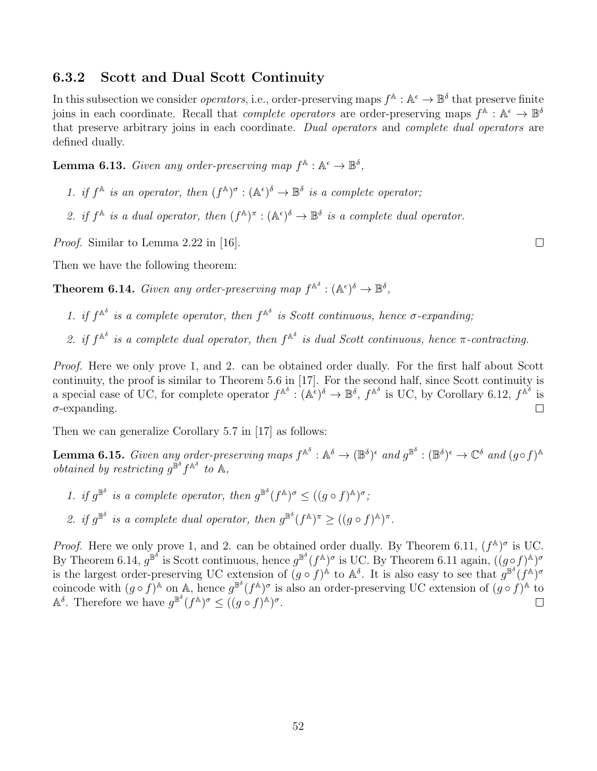#### 6.3.2 Scott and Dual Scott Continuity

In this subsection we consider *operators*, i.e., order-preserving maps  $f^{\mathbb{A}}: \mathbb{A}^{\epsilon} \to \mathbb{B}^{\delta}$  that preserve finite joins in each coordinate. Recall that *complete operators* are order-preserving maps  $f^{\mathbb{A}}: \mathbb{A}^{\epsilon} \to \mathbb{B}^{\delta}$ that preserve arbitrary joins in each coordinate. Dual operators and complete dual operators are defined dually.

**Lemma 6.13.** Given any order-preserving map  $f^{\mathbb{A}} : \mathbb{A}^{\epsilon} \to \mathbb{B}^{\delta}$ ,

- 1. if  $f^{\mathbb{A}}$  is an operator, then  $(f^{\mathbb{A}})^{\sigma} : (\mathbb{A}^{\epsilon})^{\delta} \to \mathbb{B}^{\delta}$  is a complete operator;
- 2. if  $f^{\mathbb{A}}$  is a dual operator, then  $(f^{\mathbb{A}})^{\pi} : (\mathbb{A}^{\epsilon})^{\delta} \to \mathbb{B}^{\delta}$  is a complete dual operator.

Proof. Similar to Lemma 2.22 in [16].

Then we have the following theorem:

**Theorem 6.14.** Given any order-preserving map  $f^{\mathbb{A}^{\delta}} : (\mathbb{A}^{\epsilon})^{\delta} \to \mathbb{B}^{\delta}$ ,

- 1. if  $f^{\mathbb{A}^{\delta}}$  is a complete operator, then  $f^{\mathbb{A}^{\delta}}$  is Scott continuous, hence  $\sigma$ -expanding;
- 2. if  $f^{\mathbb{A}^{\delta}}$  is a complete dual operator, then  $f^{\mathbb{A}^{\delta}}$  is dual Scott continuous, hence  $\pi$ -contracting.

Proof. Here we only prove 1, and 2. can be obtained order dually. For the first half about Scott continuity, the proof is similar to Theorem 5.6 in [17]. For the second half, since Scott continuity is a special case of UC, for complete operator  $f^{\mathbb{A}^\delta}: (\mathbb{A}^\epsilon)^\delta \to \mathbb{B}^\delta$ ,  $f^{\mathbb{A}^\delta}$  is UC, by Corollary 6.12,  $f^{\mathbb{A}^\delta}$  is  $\sigma$ -expanding.  $\Box$ 

Then we can generalize Corollary 5.7 in [17] as follows:

**Lemma 6.15.** Given any order-preserving maps  $f^{\mathbb{A}^\delta} : \mathbb{A}^\delta \to (\mathbb{B}^\delta)^\epsilon$  and  $g^{\mathbb{B}^\delta} : (\mathbb{B}^\delta)^\epsilon \to \mathbb{C}^\delta$  and  $(g \circ f)^\mathbb{A}$ obtained by restricting  $g^{\tilde{\mathbb{B}}^{\delta}} f^{\mathbb{A}^{\delta}}$  to  $\mathbb{A}$ ,

- 1. if  $g^{\mathbb{B}^{\delta}}$  is a complete operator, then  $g^{\mathbb{B}^{\delta}}(f^{\mathbb{A}})^{\sigma} \leq ((g \circ f)^{\mathbb{A}})^{\sigma}$ ;
- 2. if  $g^{\mathbb{B}^{\delta}}$  is a complete dual operator, then  $g^{\mathbb{B}^{\delta}}(f^{\mathbb{A}})^{\pi} \geq ((g \circ f)^{\mathbb{A}})^{\pi}$ .

*Proof.* Here we only prove 1, and 2. can be obtained order dually. By Theorem 6.11,  $(f^{\mathbb{A}})^{\sigma}$  is UC. By Theorem 6.14,  $g^{\mathbb{B}^\delta}$  is Scott continuous, hence  $g^{\mathbb{B}^\delta}(f^{\mathbb{A}})^\sigma$  is UC. By Theorem 6.11 again,  $((g \circ f)^{\mathbb{A}})^\sigma$ is the largest order-preserving UC extension of  $(g \circ f)^{\mathbb{A}}$  to  $\mathbb{A}^{\delta}$ . It is also easy to see that  $g^{\mathbb{B}^{\delta}}(f^{\mathbb{A}})^{\sigma}$ coincode with  $(g \circ f)^{\mathbb{A}}$  on  $\mathbb{A}$ , hence  $g^{\mathbb{B}^{\delta}}(f^{\mathbb{A}})^{\sigma}$  is also an order-preserving UC extension of  $(g \circ f)^{\mathbb{A}}$  to  $\mathbb{A}^{\delta}$ . Therefore we have  $g^{\mathbb{B}^{\delta}}(f^{\mathbb{A}})^{\sigma} \leq ((g \circ f)^{\mathbb{A}})^{\sigma}$ .

 $\Box$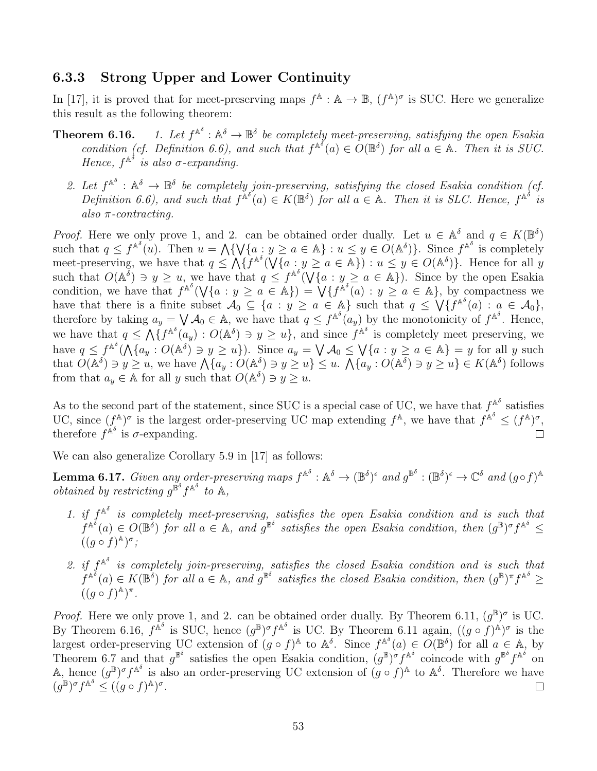#### 6.3.3 Strong Upper and Lower Continuity

In [17], it is proved that for meet-preserving maps  $f^{\mathbb{A}} : \mathbb{A} \to \mathbb{B}$ ,  $(f^{\mathbb{A}})^{\sigma}$  is SUC. Here we generalize this result as the following theorem:

- Theorem  $6.16$ .  $A^{\delta}: A^{\delta} \to \mathbb{B}^{\delta}$  be completely meet-preserving, satisfying the open Esakia condition (cf. Definition 6.6), and such that  $f^{\mathbb{A}^{\delta}}(a) \in O(\mathbb{B}^{\delta})$  for all  $a \in \mathbb{A}$ . Then it is SUC. Hence,  $f^{\mathbb{A}^\delta}$  is also  $\sigma$ -expanding.
	- 2. Let  $f^{\mathbb{A}^{\delta}}$  :  $\mathbb{A}^{\delta} \to \mathbb{B}^{\delta}$  be completely join-preserving, satisfying the closed Esakia condition (cf. Definition 6.6), and such that  $f^{\mathbb{A}^\delta}(a) \in K(\mathbb{B}^\delta)$  for all  $a \in \mathbb{A}$ . Then it is SLC. Hence,  $f^{\mathbb{A}^\delta}$  is also  $\pi$ -contracting.

*Proof.* Here we only prove 1, and 2. can be obtained order dually. Let  $u \in \mathbb{A}^{\delta}$  and  $q \in K(\mathbb{B}^{\delta})$ such that  $q \leq f^{\mathbb{A}^\delta}(u)$ . Then  $u = \bigwedge \{ \bigvee \{a : y \geq a \in \mathbb{A} \} : u \leq y \in O(\mathbb{A}^\delta) \}$ . Since  $f^{\mathbb{A}^\delta}$  is completely meet-preserving, we have that  $q \leq \Lambda\{f^{\mathbb{A}^\delta}(\bigvee\{a : y \geq a \in \mathbb{A}\}) : u \leq y \in O(\mathbb{A}^\delta)\}\.$  Hence for all y such that  $O(A^{\delta}) \ni y \geq u$ , we have that  $q \leq f^{A^{\delta}}(\bigvee \{a : y \geq a \in A\})$ . Since by the open Esakia condition, we have that  $f^{\mathbb{A}^\delta}(\bigvee\{a : y \geq a \in \mathbb{A}\}) = \bigvee \{f^{\mathbb{A}^\delta}(a) : y \geq a \in \mathbb{A}\},\$  by compactness we have that there is a finite subset  $\mathcal{A}_0 \subseteq \{a : y \ge a \in \mathbb{A}\}\$  such that  $q \le \sqrt{\{f^{\mathbb{A}^\delta}(a) : a \in \mathcal{A}_0\}}$ , therefore by taking  $a_y = \bigvee A_0 \in A$ , we have that  $q \leq f^{A^{\delta}}(a_y)$  by the monotonicity of  $f^{A^{\delta}}$ . Hence, we have that  $q \leq \Lambda \{f^{\mathbb{A}^{\delta}}(a_y) : O(\mathbb{A}^{\delta}) \ni y \geq u\}$ , and since  $f^{\mathbb{A}^{\delta}}$  is completely meet preserving, we have  $q \leq f^{\mathbb{A}^\delta}(\bigwedge \{a_y : O(\mathbb{A}^\delta) \ni y \geq u\})$ . Since  $a_y = \bigvee \mathcal{A}_0 \leq \bigvee \{a : y \geq a \in \mathbb{A}\} = y$  for all y such that  $O(\mathbb{A}^{\delta}) \ni y \geq u$ , we have  $\mathcal{N}\lbrace a_y : O(\mathbb{A}^{\delta}) \ni y \geq u \rbrace \leq u$ .  $\mathcal{N}\lbrace a_y : O(\mathbb{A}^{\delta}) \ni y \geq u \rbrace \in K(\mathbb{A}^{\delta})$  follows from that  $a_y \in \mathbb{A}$  for all y such that  $O(\mathbb{A}^{\delta}) \ni y \geq u$ .

As to the second part of the statement, since SUC is a special case of UC, we have that  $f^{\mathbb{A}^{\delta}}$  satisfies UC, since  $(f^{\mathbb{A}})^{\sigma}$  is the largest order-preserving UC map extending  $f^{\mathbb{A}}$ , we have that  $f^{\mathbb{A}^{\delta}} \leq (f^{\mathbb{A}})^{\sigma}$ , therefore  $f^{\hat{\mathbb{A}}^{\delta}}$  is  $\sigma$ -expanding.  $\Box$ 

We can also generalize Corollary 5.9 in [17] as follows:

**Lemma 6.17.** Given any order-preserving maps  $f^{\mathbb{A}^\delta} : \mathbb{A}^\delta \to (\mathbb{B}^\delta)^\epsilon$  and  $g^{\mathbb{B}^\delta} : (\mathbb{B}^\delta)^\epsilon \to \mathbb{C}^\delta$  and  $(g \circ f)^\mathbb{A}$ obtained by restricting  $g^{\tilde{\mathbb{B}}^{\delta}} f^{\mathbb{A}^{\delta}}$  to  $\mathbb{A}$ ,

- 1. if  $f^{\mathbb{A}^{\delta}}$  is completely meet-preserving, satisfies the open Esakia condition and is such that  $f^{\mathbb{A}^{\delta}}(a) \in O(\mathbb{B}^{\delta})$  for all  $a \in \mathbb{A}$ , and  $g^{\mathbb{B}^{\delta}}$  satisfies the open Esakia condition, then  $(g^{\mathbb{B}})^{\sigma} f^{\mathbb{A}^{\delta}} \leq$  $((g \circ f)^{\mathbb{A}})^{\sigma}$ ;
- 2. if  $f^{\mathbb{A}^{\delta}}$  is completely join-preserving, satisfies the closed Esakia condition and is such that  $f^{\mathbb{A}^{\delta}}(a) \in K(\mathbb{B}^{\delta})$  for all  $a \in \mathbb{A}$ , and  $g^{\mathbb{B}^{\delta}}$  satisfies the closed Esakia condition, then  $(g^{\mathbb{B}})^{\pi} f^{\mathbb{A}^{\delta}} \geq$  $((g \circ f)^{\mathbb{A}})^{\pi}.$

*Proof.* Here we only prove 1, and 2. can be obtained order dually. By Theorem 6.11,  $(g^{\mathbb{B}})^{\sigma}$  is UC. By Theorem 6.16,  $f^{\mathbb{A}^\delta}$  is SUC, hence  $(g^{\mathbb{B}})^{\sigma} f^{\mathbb{A}^\delta}$  is UC. By Theorem 6.11 again,  $((g \circ f)^{\mathbb{A}})^{\sigma}$  is the largest order-preserving UC extension of  $(g \circ f)^{\mathbb{A}}$  to  $\mathbb{A}^{\delta}$ . Since  $f^{\mathbb{A}^{\delta}}(a) \in O(\mathbb{B}^{\delta})$  for all  $a \in \mathbb{A}$ , by Theorem 6.7 and that  $g^{\mathbb{B}^{\delta}}$  satisfies the open Esakia condition,  $(g^{\mathbb{B}})^{\sigma} f^{\mathbb{A}^{\delta}}$  coincode with  $g^{\mathbb{B}^{\delta}} f^{\mathbb{A}^{\delta}}$  on A, hence  $(g^{\mathbb{B}})^{\sigma} f^{\mathbb{A}^{\delta}}$  is also an order-preserving UC extension of  $(g \circ f)^{\mathbb{A}}$  to  $\mathbb{A}^{\delta}$ . Therefore we have  $(g^{\mathbb{B}})^{\sigma} f^{\mathbb{A}^{\delta}} \leq ((g \circ f)^{\mathbb{A}})^{\sigma}.$  $\Box$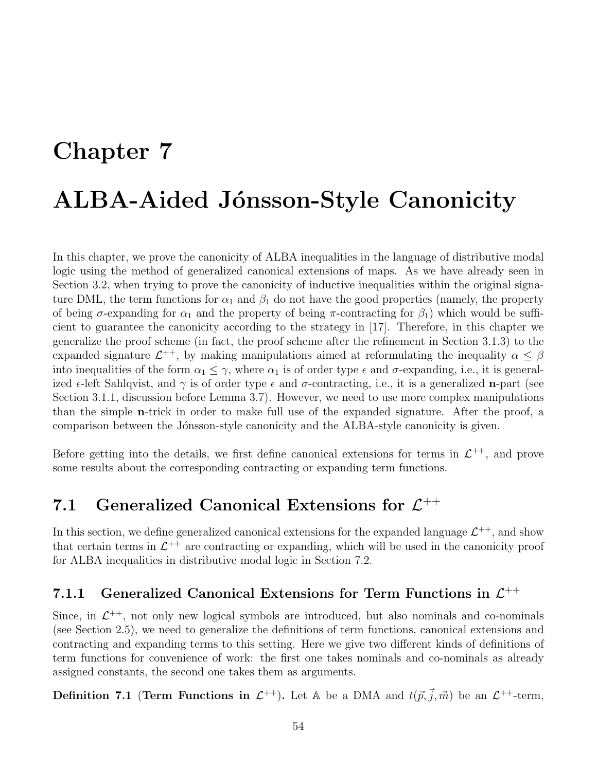# Chapter 7 ALBA-Aided Jónsson-Style Canonicity

In this chapter, we prove the canonicity of ALBA inequalities in the language of distributive modal logic using the method of generalized canonical extensions of maps. As we have already seen in Section 3.2, when trying to prove the canonicity of inductive inequalities within the original signature DML, the term functions for  $\alpha_1$  and  $\beta_1$  do not have the good properties (namely, the property of being  $\sigma$ -expanding for  $\alpha_1$  and the property of being  $\pi$ -contracting for  $\beta_1$ ) which would be sufficient to guarantee the canonicity according to the strategy in [17]. Therefore, in this chapter we generalize the proof scheme (in fact, the proof scheme after the refinement in Section 3.1.3) to the expanded signature  $\mathcal{L}^{++}$ , by making manipulations aimed at reformulating the inequality  $\alpha \leq \beta$ into inequalities of the form  $\alpha_1 \leq \gamma$ , where  $\alpha_1$  is of order type  $\epsilon$  and  $\sigma$ -expanding, i.e., it is generalized  $\epsilon$ -left Sahlqvist, and  $\gamma$  is of order type  $\epsilon$  and  $\sigma$ -contracting, i.e., it is a generalized **n**-part (see Section 3.1.1, discussion before Lemma 3.7). However, we need to use more complex manipulations than the simple n-trick in order to make full use of the expanded signature. After the proof, a comparison between the Jónsson-style canonicity and the ALBA-style canonicity is given.

Before getting into the details, we first define canonical extensions for terms in  $\mathcal{L}^{++}$ , and prove some results about the corresponding contracting or expanding term functions.

## 7.1 Generalized Canonical Extensions for  $\mathcal{L}^{++}$

In this section, we define generalized canonical extensions for the expanded language  $\mathcal{L}^{++}$ , and show that certain terms in  $\mathcal{L}^{++}$  are contracting or expanding, which will be used in the canonicity proof for ALBA inequalities in distributive modal logic in Section 7.2.

## 7.1.1 Generalized Canonical Extensions for Term Functions in  $\mathcal{L}^{++}$

Since, in  $\mathcal{L}^{++}$ , not only new logical symbols are introduced, but also nominals and co-nominals (see Section 2.5), we need to generalize the definitions of term functions, canonical extensions and contracting and expanding terms to this setting. Here we give two different kinds of definitions of term functions for convenience of work: the first one takes nominals and co-nominals as already assigned constants, the second one takes them as arguments.

**Definition 7.1 (Term Functions in**  $\mathcal{L}^{++}$ **).** Let A be a DMA and  $t(\vec{p}, \vec{j}, \vec{m})$  be an  $\mathcal{L}^{++}$ -term,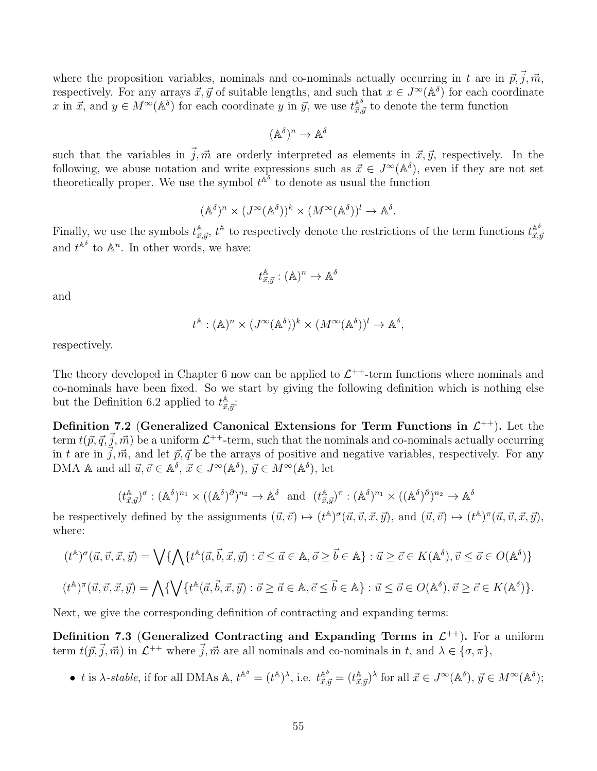where the proposition variables, nominals and co-nominals actually occurring in t are in  $\vec{p}, \vec{j}, \vec{m}$ , respectively. For any arrays  $\vec{x}, \vec{y}$  of suitable lengths, and such that  $x \in J^{\infty}(\mathbb{A}^{\delta})$  for each coordinate x in  $\vec{x}$ , and  $y \in M^{\infty}(\mathbb{A}^{\delta})$  for each coordinate y in  $\vec{y}$ , we use  $t^{\mathbb{A}^{\delta}}_{\vec{x}, \vec{y}}$  to denote the term function

$$
(\mathbb{A}^{\delta})^n \to \mathbb{A}^{\delta}
$$

such that the variables in  $\vec{j}, \vec{m}$  are orderly interpreted as elements in  $\vec{x}, \vec{y}$ , respectively. In the following, we abuse notation and write expressions such as  $\vec{x} \in J^{\infty}(\mathbb{A}^{\delta})$ , even if they are not set theoretically proper. We use the symbol  $t^{\mathbb{A}^{\delta}}$  to denote as usual the function

$$
(\mathbb{A}^{\delta})^n \times (J^{\infty}(\mathbb{A}^{\delta}))^k \times (M^{\infty}(\mathbb{A}^{\delta}))^l \to \mathbb{A}^{\delta}.
$$

Finally, we use the symbols  $t_{\vec{x},\vec{y}}^{\mathbb{A}}, t^{\mathbb{A}}$  to respectively denote the restrictions of the term functions  $t_{\vec{x},\vec{y}}^{\mathbb{A}^{\delta}}$  $\vec{x},\vec{y}$ and  $t^{\mathbb{A}^\delta}$  to  $\mathbb{A}^n$ . In other words, we have:

$$
t_{\vec{x},\vec{y}}^{\mathbb{A}}:(\mathbb{A})^n\to \mathbb{A}^{\delta}
$$

and

$$
t^{\mathbb{A}}:(\mathbb{A})^n\times (J^\infty(\mathbb{A}^\delta))^k\times (M^\infty(\mathbb{A}^\delta))^l\to \mathbb{A}^\delta,
$$

respectively.

The theory developed in Chapter 6 now can be applied to  $\mathcal{L}^{++}$ -term functions where nominals and co-nominals have been fixed. So we start by giving the following definition which is nothing else but the Definition 6.2 applied to  $t^{\mathbb{A}}_{\vec{x}, \vec{y}}$ :

Definition 7.2 (Generalized Canonical Extensions for Term Functions in  $\mathcal{L}^{++}$ ). Let the term  $t({\vec{p}}, {\vec{q}}, {\vec{j}}, {\vec{m}})$  be a uniform  $\mathcal{L}^{++}$ -term, such that the nominals and co-nominals actually occurring in t are in  $j, \vec{m}$ , and let  $\vec{p}, \vec{q}$  be the arrays of positive and negative variables, respectively. For any DMA A and all  $\vec{u}, \vec{v} \in A^{\delta}, \vec{x} \in J^{\infty}(\mathbb{A}^{\delta}), \vec{y} \in M^{\infty}(\mathbb{A}^{\delta}),$  let

$$
(t_{\vec{x},\vec{y}}^{\mathbb{A}})^{\sigma} : (\mathbb{A}^{\delta})^{n_1} \times ((\mathbb{A}^{\delta})^{\partial})^{n_2} \to \mathbb{A}^{\delta} \text{ and } (t_{\vec{x},\vec{y}}^{\mathbb{A}})^{\pi} : (\mathbb{A}^{\delta})^{n_1} \times ((\mathbb{A}^{\delta})^{\partial})^{n_2} \to \mathbb{A}^{\delta}
$$

be respectively defined by the assignments  $(\vec{u}, \vec{v}) \mapsto (t^{\mathbb{A}})^{\sigma}(\vec{u}, \vec{v}, \vec{x}, \vec{y})$ , and  $(\vec{u}, \vec{v}) \mapsto (t^{\mathbb{A}})^{\pi}(\vec{u}, \vec{v}, \vec{x}, \vec{y})$ , where:

$$
(t^{\mathbb{A}})^{\sigma}(\vec{u}, \vec{v}, \vec{x}, \vec{y}) = \bigvee \{ \bigwedge \{ t^{\mathbb{A}}(\vec{a}, \vec{b}, \vec{x}, \vec{y}) : \vec{c} \le \vec{a} \in \mathbb{A}, \vec{o} \ge \vec{b} \in \mathbb{A} \} : \vec{u} \ge \vec{c} \in K(\mathbb{A}^{\delta}), \vec{v} \le \vec{o} \in O(\mathbb{A}^{\delta}) \}
$$
  

$$
(t^{\mathbb{A}})^{\pi}(\vec{u}, \vec{v}, \vec{x}, \vec{y}) = \bigwedge \{ \bigvee \{ t^{\mathbb{A}}(\vec{a}, \vec{b}, \vec{x}, \vec{y}) : \vec{o} \ge \vec{a} \in \mathbb{A}, \vec{c} \le \vec{b} \in \mathbb{A} \} : \vec{u} \le \vec{o} \in O(\mathbb{A}^{\delta}), \vec{v} \ge \vec{c} \in K(\mathbb{A}^{\delta}) \}.
$$

Next, we give the corresponding definition of contracting and expanding terms:

Definition 7.3 (Generalized Contracting and Expanding Terms in  $\mathcal{L}^{++}$ ). For a uniform term  $t(\vec{p}, \vec{j}, \vec{m})$  in  $\mathcal{L}^{++}$  where  $\vec{j}, \vec{m}$  are all nominals and co-nominals in t, and  $\lambda \in {\sigma, \pi}$ ,

• t is  $\lambda$ -stable, if for all DMAs  $\mathbb{A}, t^{\mathbb{A}^{\delta}} = (t^{\mathbb{A}})^{\lambda}$ , i.e.  $t^{\mathbb{A}^{\delta}}_{\vec{x},\vec{y}} = (t^{\mathbb{A}}_{\vec{x},\vec{y}})^{\lambda}$  for all  $\vec{x} \in J^{\infty}(\mathbb{A}^{\delta}), \vec{y} \in M^{\infty}(\mathbb{A}^{\delta})$ ;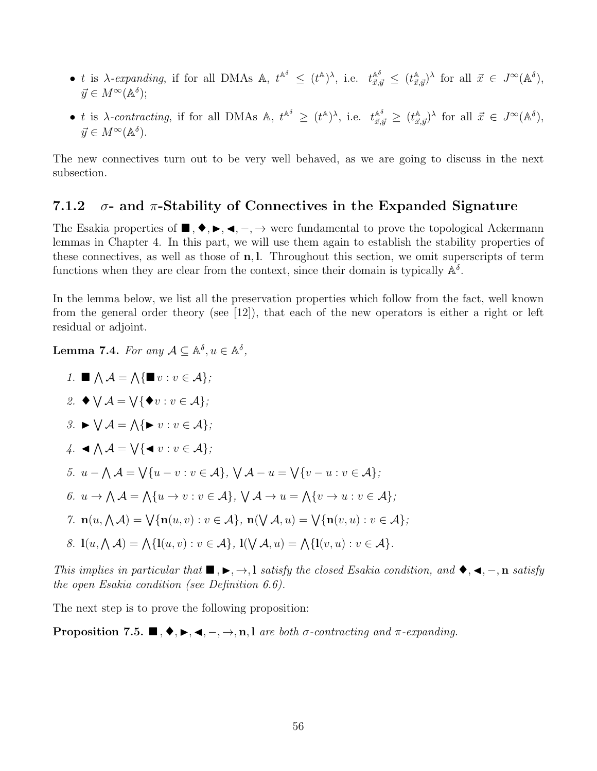- t is  $\lambda$ -expanding, if for all DMAs  $\mathbb{A}, t^{\mathbb{A}^{\delta}} \leq (t^{\mathbb{A}})^{\lambda}$ , i.e.  $t^{\mathbb{A}^{\delta}}_{\vec{x},\vec{y}} \leq (t^{\mathbb{A}}_{\vec{x},\vec{y}})^{\lambda}$  for all  $\vec{x} \in J^{\infty}(\mathbb{A}^{\delta})$ ,  $\vec{y} \in M^{\infty}(\mathbb{A}^{\delta});$
- t is  $\lambda$ -contracting, if for all DMAs  $\mathbb{A}, t^{\mathbb{A}^{\delta}} \ge (t^{\mathbb{A}})^{\lambda}$ , i.e.  $t^{\mathbb{A}^{\delta}}_{\vec{x},\vec{y}} \ge (t^{\mathbb{A}}_{\vec{x},\vec{y}})^{\lambda}$  for all  $\vec{x} \in J^{\infty}(\mathbb{A}^{\delta})$ ,  $\vec{y} \in M^{\infty}(\mathbb{A}^{\delta}).$

The new connectives turn out to be very well behaved, as we are going to discuss in the next subsection.

#### 7.1.2  $\sigma$ - and  $\pi$ -Stability of Connectives in the Expanded Signature

The Esakia properties of  $\blacksquare, \blacklozenge, \blacktriangleright, \blacktriangleleft, -, \rightarrow$  were fundamental to prove the topological Ackermann lemmas in Chapter 4. In this part, we will use them again to establish the stability properties of these connectives, as well as those of n, l. Throughout this section, we omit superscripts of term functions when they are clear from the context, since their domain is typically  $\mathbb{A}^{\delta}$ .

In the lemma below, we list all the preservation properties which follow from the fact, well known from the general order theory (see [12]), that each of the new operators is either a right or left residual or adjoint.

**Lemma 7.4.** For any  $A \subseteq \mathbb{A}^{\delta}, u \in \mathbb{A}^{\delta}$ ,

1.  $\blacksquare \wedge A = \bigwedge \{ \blacksquare v : v \in A \};$ 2.  $\blacklozenge \bigvee \mathcal{A} = \bigvee {\blacklozenge v : v \in \mathcal{A}};$ 3.  $\blacktriangleright \bigvee A = \bigwedge {\blacktriangleright} v : v \in A$ ;  $4. \triangleleft \bigwedge A = \bigvee \{ \blacktriangleleft v : v \in A \};$ 5.  $u - \bigwedge \mathcal{A} = \bigvee \{u - v : v \in \mathcal{A}\}, \ \bigvee \mathcal{A} - u = \bigvee \{v - u : v \in \mathcal{A}\}\$ 6.  $u \to \Lambda \mathcal{A} = \Lambda \{u \to v : v \in \mathcal{A}\}, \ \forall \mathcal{A} \to u = \Lambda \{v \to u : v \in \mathcal{A}\}\$ 7.  $\mathbf{n}(u, \Lambda \mathcal{A}) = \bigvee \{ \mathbf{n}(u, v) : v \in \mathcal{A} \}, \ \mathbf{n}(\bigvee \mathcal{A}, u) = \bigvee \{ \mathbf{n}(v, u) : v \in \mathcal{A} \}.$ 8.  $l(u, \Lambda \mathcal{A}) = \Lambda \{l(u, v) : v \in \mathcal{A}\}, l(\mathsf{V}\mathcal{A}, u) = \Lambda \{l(v, u) : v \in \mathcal{A}\}.$ 

This implies in particular that  $\blacksquare, \blacktriangleright, \rightarrow, \text{l}$  satisfy the closed Esakia condition, and  $\blacklozenge, \blacktriangleleft, \neg, \text{n}$  satisfy the open Esakia condition (see Definition 6.6).

The next step is to prove the following proposition:

**Proposition 7.5.**  $\blacksquare, \blacklozenge, \blacktriangleright, \blacktriangleleft, -, \rightarrow, n, l$  are both  $\sigma$ -contracting and  $\pi$ -expanding.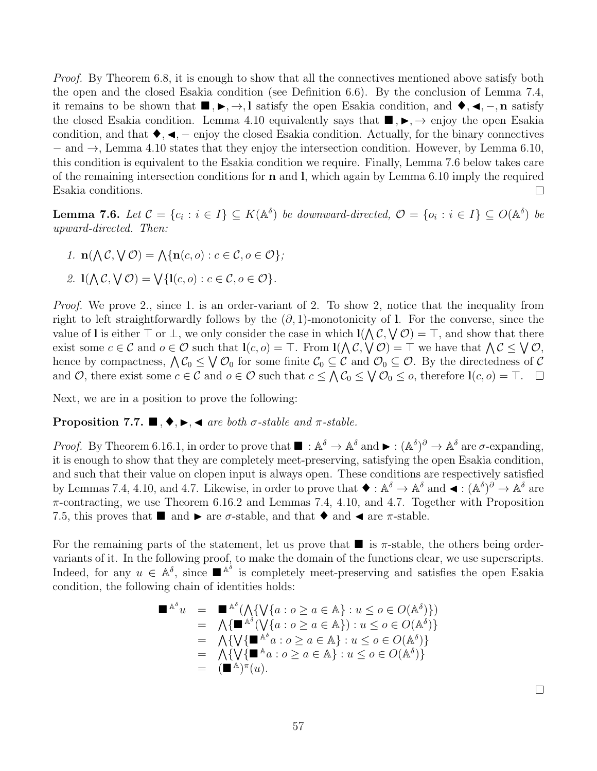*Proof.* By Theorem 6.8, it is enough to show that all the connectives mentioned above satisfy both the open and the closed Esakia condition (see Definition 6.6). By the conclusion of Lemma 7.4, it remains to be shown that  $\blacksquare, \blacktriangleright, \rightarrow, l$  satisfy the open Esakia condition, and  $\blacklozenge, \blacktriangleleft, \neg, n$  satisfy the closed Esakia condition. Lemma 4.10 equivalently says that  $\blacksquare, \blacktriangleright, \rightarrow$  enjoy the open Esakia condition, and that  $\blacklozenge, \blacktriangleleft, -$  enjoy the closed Esakia condition. Actually, for the binary connectives − and →, Lemma 4.10 states that they enjoy the intersection condition. However, by Lemma 6.10, this condition is equivalent to the Esakia condition we require. Finally, Lemma 7.6 below takes care of the remaining intersection conditions for n and l, which again by Lemma 6.10 imply the required Esakia conditions.  $\Box$ 

**Lemma 7.6.** Let  $C = \{c_i : i \in I\} \subseteq K(\mathbb{A}^{\delta})$  be downward-directed,  $\mathcal{O} = \{o_i : i \in I\} \subseteq O(\mathbb{A}^{\delta})$  be upward-directed. Then:

1.  $\mathbf{n}(\bigwedge \mathcal{C}, \bigvee \mathcal{O}) = \bigwedge \{ \mathbf{n}(c, o) : c \in \mathcal{C}, o \in \mathcal{O} \};$ 

2. 
$$
\mathbb{I}(\bigwedge \mathcal{C}, \bigvee \mathcal{O}) = \bigvee \{ \mathbb{I}(c, o) : c \in \mathcal{C}, o \in \mathcal{O} \}.
$$

Proof. We prove 2., since 1. is an order-variant of 2. To show 2, notice that the inequality from right to left straightforwardly follows by the  $(\partial, 1)$ -monotonicity of l. For the converse, since the value of l is either  $\top$  or  $\bot$ , we only consider the case in which  $I(\Lambda \mathcal{C}, \forall \mathcal{O}) = \top$ , and show that there exist some  $c \in \mathcal{C}$  and  $o \in \mathcal{O}$  such that  $\mathbf{l}(c, o) = \top$ . From  $\mathbf{l}(\bigwedge \mathcal{C}, \bigvee \mathcal{O}) = \top$  we have that  $\bigwedge \mathcal{C} \leq \bigvee \mathcal{O}$ , hence by compactness,  $\bigwedge C_0 \leq \bigvee \mathcal{O}_0$  for some finite  $\mathcal{C}_0 \subseteq \mathcal{C}$  and  $\mathcal{O}_0 \subseteq \mathcal{O}$ . By the directedness of  $\mathcal{C}$ and O, there exist some  $c \in \mathcal{C}$  and  $o \in \mathcal{O}$  such that  $c \leq \bigwedge \mathcal{C}_0 \leq \bigvee \mathcal{O}_0 \leq o$ , therefore  $\mathbf{l}(c, o) = \top$ .

Next, we are in a position to prove the following:

#### **Proposition 7.7.**  $\blacksquare$ ,  $\blacklozenge$ ,  $\blacktriangleright$ ,  $\blacktriangleleft$  are both  $\sigma$ -stable and  $\pi$ -stable.

*Proof.* By Theorem 6.16.1, in order to prove that  $\blacksquare : \mathbb{A}^{\delta} \to \mathbb{A}^{\delta}$  and  $\blacktriangleright : (\mathbb{A}^{\delta})^{\partial} \to \mathbb{A}^{\delta}$  are  $\sigma$ -expanding, it is enough to show that they are completely meet-preserving, satisfying the open Esakia condition, and such that their value on clopen input is always open. These conditions are respectively satisfied by Lemmas 7.4, 4.10, and 4.7. Likewise, in order to prove that  $\blacklozenge : \mathbb{A}^{\delta} \to \mathbb{A}^{\delta}$  and  $\blacktriangleleft : (\mathbb{A}^{\delta})^{\partial} \to \mathbb{A}^{\delta}$  are  $\pi$ -contracting, we use Theorem 6.16.2 and Lemmas 7.4, 4.10, and 4.7. Together with Proposition 7.5, this proves that  $\blacksquare$  and  $\blacktriangleright$  are  $\sigma$ -stable, and that  $\blacklozenge$  and  $\blacktriangleleft$  are  $\pi$ -stable.

For the remaining parts of the statement, let us prove that  $\blacksquare$  is  $\pi$ -stable, the others being ordervariants of it. In the following proof, to make the domain of the functions clear, we use superscripts. Indeed, for any  $u \in \mathbb{A}^{\delta}$ , since  $\mathbb{R}^{\mathbb{A}^{\delta}}$  is completely meet-preserving and satisfies the open Esakia condition, the following chain of identities holds:

$$
\begin{array}{rcl}\n\blacksquare^{\mathbb{A}^\delta} u & = & \blacksquare^{\mathbb{A}^\delta} (\bigwedge \{ \bigvee \{ a : o \ge a \in \mathbb{A} \} : u \le o \in O(\mathbb{A}^\delta) \}) \\
& = & \bigwedge \{ \blacksquare^{\mathbb{A}^\delta} (\bigvee \{ a : o \ge a \in \mathbb{A} \} ) : u \le o \in O(\mathbb{A}^\delta) \} \\
& = & \bigwedge \{ \bigvee \{ \blacksquare^{\mathbb{A}^\delta} a : o \ge a \in \mathbb{A} \} : u \le o \in O(\mathbb{A}^\delta) \} \\
& = & \bigwedge \{ \bigvee \{ \blacksquare^{\mathbb{A}^\delta} a : o \ge a \in \mathbb{A} \} : u \le o \in O(\mathbb{A}^\delta) \} \\
& = & (\blacksquare^{\mathbb{A}})^\pi(u).\n\end{array}
$$

 $\Box$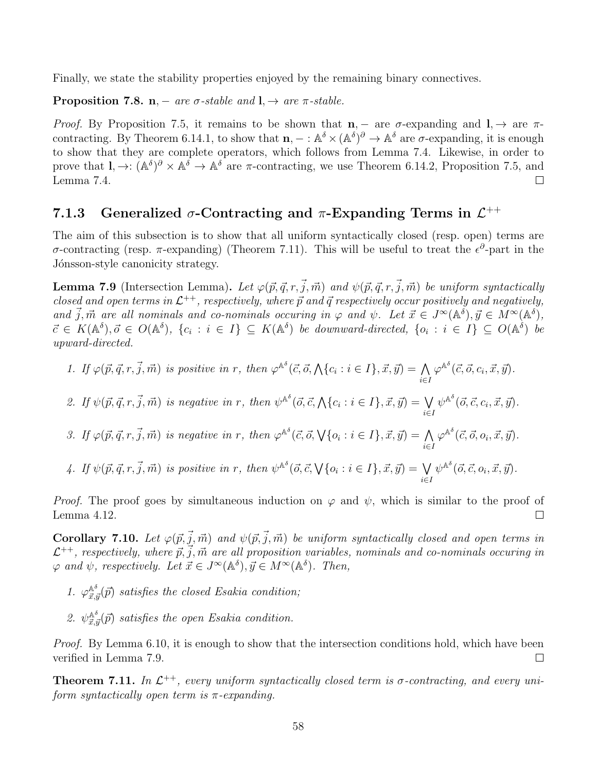Finally, we state the stability properties enjoyed by the remaining binary connectives.

**Proposition 7.8.** n, – are  $\sigma$ -stable and  $\mathbf{l}$ ,  $\rightarrow$  are  $\pi$ -stable.

Proof. By Proposition 7.5, it remains to be shown that  $n -$  are  $\sigma$ -expanding and  $l \rightarrow \alpha r$ contracting. By Theorem 6.14.1, to show that  $\mathbf{n}$ ,  $-$ :  $\mathbb{A}^{\delta} \times (\mathbb{A}^{\delta})^{\partial} \to \mathbb{A}^{\delta}$  are  $\sigma$ -expanding, it is enough to show that they are complete operators, which follows from Lemma 7.4. Likewise, in order to prove that  $I, \to: (\mathbb{A}^{\delta})^{\partial} \times \mathbb{A}^{\delta} \to \mathbb{A}^{\delta}$  are  $\pi$ -contracting, we use Theorem 6.14.2, Proposition 7.5, and Lemma 7.4.  $\Box$ 

## 7.1.3 Generalized  $\sigma$ -Contracting and  $\pi$ -Expanding Terms in  $\mathcal{L}^{++}$

The aim of this subsection is to show that all uniform syntactically closed (resp. open) terms are σ-contracting (resp. π-expanding) (Theorem 7.11). This will be useful to treat the  $\epsilon^{\partial}$ -part in the Jónsson-style canonicity strategy.

**Lemma 7.9** (Intersection Lemma). Let  $\varphi(\vec{p}, \vec{q}, r, \vec{j}, \vec{m})$  and  $\psi(\vec{p}, \vec{q}, r, \vec{j}, \vec{m})$  be uniform syntactically closed and open terms in  $\mathcal{L}^{++}$ , respectively, where  $\vec{p}$  and  $\vec{q}$  respectively occur positively and negatively, and  $\vec{j}, \vec{m}$  are all nominals and co-nominals occuring in  $\varphi$  and  $\psi$ . Let  $\vec{x} \in J^{\infty}(\mathbb{A}^{\delta}), \vec{y} \in M^{\infty}(\mathbb{A}^{\delta}),$  $\vec{c} \in K(\mathbb{A}^{\delta}), \vec{o} \in O(\mathbb{A}^{\delta}), \{c_i : i \in I\} \subseteq K(\mathbb{A}^{\delta})$  be downward-directed,  $\{o_i : i \in I\} \subseteq O(\mathbb{A}^{\delta})$  be upward-directed.

1. If 
$$
\varphi(\vec{p}, \vec{q}, r, \vec{j}, \vec{m})
$$
 is positive in r, then  $\varphi^{\mathbb{A}^{\delta}}(\vec{c}, \vec{o}, \bigwedge \{c_i : i \in I\}, \vec{x}, \vec{y}) = \bigwedge_{i \in I} \varphi^{\mathbb{A}^{\delta}}(\vec{c}, \vec{o}, c_i, \vec{x}, \vec{y}).$ 

2. If 
$$
\psi(\vec{p}, \vec{q}, r, \vec{j}, \vec{m})
$$
 is negative in r, then  $\psi^{\mathbb{A}^{\delta}}(\vec{o}, \vec{c}, \bigwedge \{c_i : i \in I\}, \vec{x}, \vec{y}) = \bigvee_{i \in I} \psi^{\mathbb{A}^{\delta}}(\vec{o}, \vec{c}, c_i, \vec{x}, \vec{y}).$ 

3. If  $\varphi(\vec{p}, \vec{q}, r, \vec{j}, \vec{m})$  is negative in r, then  $\varphi^{\mathbb{A}^{\delta}}(\vec{c}, \vec{o}, \sqrt{\{o_i : i \in I\}}, \vec{x}, \vec{y}) = \bigwedge$ i∈I  $\varphi^{\mathbb{A}^{\delta}}(\vec{c}, \vec{o}, o_i, \vec{x}, \vec{y}).$ 

4. If  $\psi(\vec{p}, \vec{q}, r, \vec{j}, \vec{m})$  is positive in r, then  $\psi^{\mathbb{A}^{\delta}}(\vec{o}, \vec{c}, \forall \{o_i : i \in I\}, \vec{x}, \vec{y}) = \bigvee$ i∈I  $\psi^{\mathbb{A}^{\delta}}(\vec{o}, \vec{c}, o_i, \vec{x}, \vec{y}).$ 

*Proof.* The proof goes by simultaneous induction on  $\varphi$  and  $\psi$ , which is similar to the proof of Lemma 4.12.  $\Box$ 

**Corollary 7.10.** Let  $\varphi(\vec{p}, \vec{j}, \vec{m})$  and  $\psi(\vec{p}, \vec{j}, \vec{m})$  be uniform syntactically closed and open terms in  $\mathcal{L}^{++}$ , respectively, where  $\vec{p}, \vec{j}, \vec{m}$  are all proposition variables, nominals and co-nominals occuring in  $\varphi$  and  $\psi$ , respectively. Let  $\vec{x} \in J^{\infty}(\mathbb{A}^{\delta}), \vec{y} \in M^{\infty}(\mathbb{A}^{\delta})$ . Then,

- 1.  $\varphi_{\vec{x},\vec{y}}^{\mathbb{A}^{\delta}}(\vec{p})$  satisfies the closed Esakia condition;
- 2.  $\psi_{\vec{x},\vec{y}}^{\mathbb{A}^{\delta}}(\vec{p})$  satisfies the open Esakia condition.

Proof. By Lemma 6.10, it is enough to show that the intersection conditions hold, which have been verified in Lemma 7.9.  $\Box$ 

**Theorem 7.11.** In  $\mathcal{L}^{++}$ , every uniform syntactically closed term is  $\sigma$ -contracting, and every uniform syntactically open term is  $\pi$ -expanding.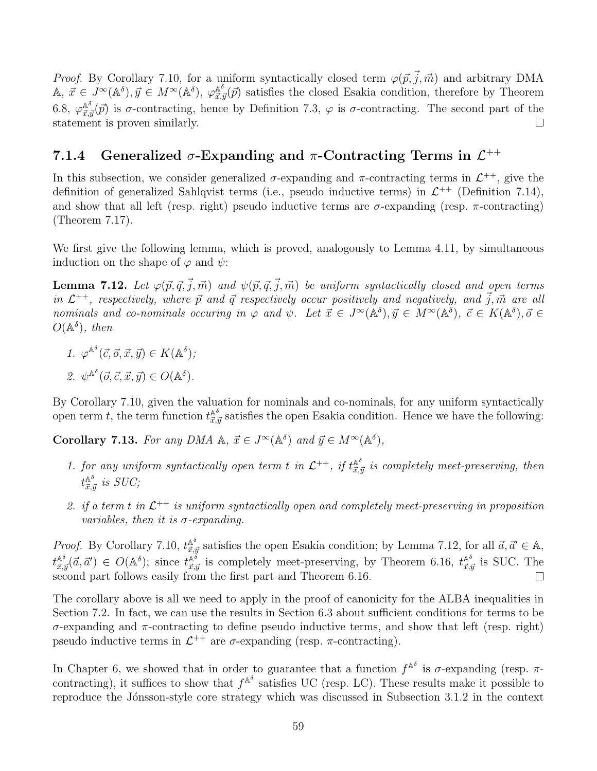*Proof.* By Corollary 7.10, for a uniform syntactically closed term  $\varphi(\vec{p}, \vec{j}, \vec{m})$  and arbitrary DMA  $\mathbb{A}, \, \vec{x} \in J^{\infty}(\mathbb{A}^{\delta}), \vec{y} \in M^{\infty}(\mathbb{A}^{\delta}), \varphi_{\vec{x}, \vec{y}}^{\mathbb{A}^{\delta}}(\vec{p})$  satisfies the closed Esakia condition, therefore by Theorem 6.8,  $\varphi_{\vec{x},\vec{y}}^{\mathbb{A}^{\delta}}(\vec{p})$  is  $\sigma$ -contracting, hence by Definition 7.3,  $\varphi$  is  $\sigma$ -contracting. The second part of the statement is proven similarly.  $\Box$ 

## 7.1.4 Generalized  $\sigma$ -Expanding and  $\pi$ -Contracting Terms in  $\mathcal{L}^{++}$

In this subsection, we consider generalized  $\sigma$ -expanding and  $\pi$ -contracting terms in  $\mathcal{L}^{++}$ , give the definition of generalized Sahlqvist terms (i.e., pseudo inductive terms) in  $\mathcal{L}^{++}$  (Definition 7.14), and show that all left (resp. right) pseudo inductive terms are  $\sigma$ -expanding (resp.  $\pi$ -contracting) (Theorem 7.17).

We first give the following lemma, which is proved, analogously to Lemma 4.11, by simultaneous induction on the shape of  $\varphi$  and  $\psi$ :

**Lemma 7.12.** Let  $\varphi(\vec{p}, \vec{q}, \vec{j}, \vec{m})$  and  $\psi(\vec{p}, \vec{q}, \vec{j}, \vec{m})$  be uniform syntactically closed and open terms in  $\mathcal{L}^{++}$ , respectively, where  $\vec{p}$  and  $\vec{q}$  respectively occur positively and negatively, and  $\vec{j}$ ,  $\vec{m}$  are all nominals and co-nominals occuring in  $\varphi$  and  $\psi$ . Let  $\vec{x} \in J^{\infty}(\mathbb{A}^{\delta}), \vec{y} \in M^{\infty}(\mathbb{A}^{\delta}), \vec{c} \in K(\mathbb{A}^{\delta}), \vec{o} \in$  $O(\mathbb{A}^{\delta})$ , then

1. 
$$
\varphi^{\mathbb{A}^{\delta}}(\vec{c}, \vec{o}, \vec{x}, \vec{y}) \in K(\mathbb{A}^{\delta});
$$
  
2.  $\psi^{\mathbb{A}^{\delta}}(\vec{o}, \vec{c}, \vec{x}, \vec{y}) \in O(\mathbb{A}^{\delta}).$ 

By Corollary 7.10, given the valuation for nominals and co-nominals, for any uniform syntactically open term t, the term function  $t_{\vec{x},\vec{y}}^{\mathbb{A}^{\delta}}$  satisfies the open Esakia condition. Hence we have the following:

**Corollary 7.13.** For any DMA  $\mathbb{A}$ ,  $\vec{x} \in J^{\infty}(\mathbb{A}^{\delta})$  and  $\vec{y} \in M^{\infty}(\mathbb{A}^{\delta})$ ,

- 1. for any uniform syntactically open term t in  $\mathcal{L}^{++}$ , if  $t_{\vec{x},\vec{y}}^{A^{\delta}}$  is completely meet-preserving, then  $t^{{\mathbb A}^{\delta}}_{\vec{x},\vec{y}}$  is  $SUC;$
- 2. if a term t in  $\mathcal{L}^{++}$  is uniform syntactically open and completely meet-preserving in proposition variables, then it is  $\sigma$ -expanding.

*Proof.* By Corollary 7.10,  $t_{\vec{x},\vec{y}}^{\mathbb{A}^{\delta}}$  satisfies the open Esakia condition; by Lemma 7.12, for all  $\vec{a},\vec{a}' \in \mathbb{A}$ ,  $t_{\vec{x},\vec{y}}^{\mathbb{A}^{\delta}}(\vec{a},\vec{a}') \in O(\mathbb{A}^{\delta})$ ; since  $t_{\vec{x},\vec{y}}^{\mathbb{A}^{\delta}}$  is completely meet-preserving, by Theorem 6.16,  $t_{\vec{x},\vec{y}}^{\mathbb{A}^{\delta}}$  is SUC. The second part follows easily from the first part and Theorem 6.16.  $\Box$ 

The corollary above is all we need to apply in the proof of canonicity for the ALBA inequalities in Section 7.2. In fact, we can use the results in Section 6.3 about sufficient conditions for terms to be σ-expanding and π-contracting to define pseudo inductive terms, and show that left (resp. right) pseudo inductive terms in  $\mathcal{L}^{++}$  are  $\sigma$ -expanding (resp.  $\pi$ -contracting).

In Chapter 6, we showed that in order to guarantee that a function  $f^{\mathbb{A}^{\delta}}$  is  $\sigma$ -expanding (resp.  $\pi$ contracting), it suffices to show that  $f^{\mathbb{A}^{\delta}}$  satisfies UC (resp. LC). These results make it possible to reproduce the Jónsson-style core strategy which was discussed in Subsection 3.1.2 in the context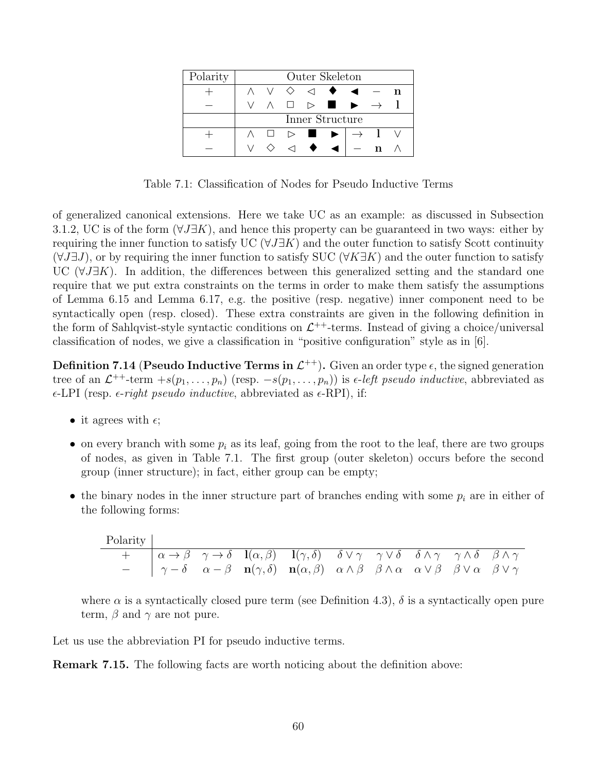| Polarity | Outer Skeleton  |        |   |                                   |                                                                |  |  |  |  |  |
|----------|-----------------|--------|---|-----------------------------------|----------------------------------------------------------------|--|--|--|--|--|
|          |                 |        |   | $\Diamond$ $\lhd$ $\blacklozenge$ |                                                                |  |  |  |  |  |
|          |                 |        |   |                                   | $\Box \quad \rhd \quad \blacksquare \quad \blacktriangleright$ |  |  |  |  |  |
|          | Inner Structure |        |   |                                   |                                                                |  |  |  |  |  |
|          |                 | $\Box$ |   | $\triangleright$ $\blacksquare$   |                                                                |  |  |  |  |  |
|          |                 |        | ◁ |                                   |                                                                |  |  |  |  |  |

Table 7.1: Classification of Nodes for Pseudo Inductive Terms

of generalized canonical extensions. Here we take UC as an example: as discussed in Subsection 3.1.2, UC is of the form  $(\forall J\exists K)$ , and hence this property can be guaranteed in two ways: either by requiring the inner function to satisfy UC ( $\forall J \exists K$ ) and the outer function to satisfy Scott continuity  $(\forall J\exists J)$ , or by requiring the inner function to satisfy SUC  $(\forall K\exists K)$  and the outer function to satisfy UC  $(\forall J\exists K)$ . In addition, the differences between this generalized setting and the standard one require that we put extra constraints on the terms in order to make them satisfy the assumptions of Lemma 6.15 and Lemma 6.17, e.g. the positive (resp. negative) inner component need to be syntactically open (resp. closed). These extra constraints are given in the following definition in the form of Sahlqvist-style syntactic conditions on  $\mathcal{L}^{++}$ -terms. Instead of giving a choice/universal classification of nodes, we give a classification in "positive configuration" style as in [6].

**Definition 7.14 (Pseudo Inductive Terms in**  $\mathcal{L}^{++}$ **).** Given an order type  $\epsilon$ , the signed generation tree of an  $\mathcal{L}^{++}$ -term  $+s(p_1,\ldots,p_n)$  (resp.  $-s(p_1,\ldots,p_n)$ ) is  $\epsilon$ -left pseudo inductive, abbreviated as  $\epsilon$ -LPI (resp.  $\epsilon$ -right pseudo inductive, abbreviated as  $\epsilon$ -RPI), if:

- it agrees with  $\epsilon$ ;
- on every branch with some  $p_i$  as its leaf, going from the root to the leaf, there are two groups of nodes, as given in Table 7.1. The first group (outer skeleton) occurs before the second group (inner structure); in fact, either group can be empty;
- the binary nodes in the inner structure part of branches ending with some  $p_i$  are in either of the following forms:

| Polarity |  |                                                                                                                                                                                                                                 |  |  |  |
|----------|--|---------------------------------------------------------------------------------------------------------------------------------------------------------------------------------------------------------------------------------|--|--|--|
|          |  | + $\alpha \rightarrow \beta$ $\gamma \rightarrow \delta$ $\mathbf{l}(\alpha, \beta)$ $\mathbf{l}(\gamma, \delta)$ $\delta \vee \gamma$ $\gamma \vee \delta$ $\delta \wedge \gamma$ $\gamma \wedge \delta$ $\beta \wedge \gamma$ |  |  |  |
|          |  | $ \gamma-\delta$ $\alpha-\beta$ $\mathbf{n}(\gamma,\delta)$ $\mathbf{n}(\alpha,\beta)$ $\alpha\wedge\beta$ $\beta\wedge\alpha$ $\alpha\vee\beta$ $\beta\vee\alpha$ $\beta\vee\gamma$                                            |  |  |  |

where  $\alpha$  is a syntactically closed pure term (see Definition 4.3),  $\delta$  is a syntactically open pure term,  $\beta$  and  $\gamma$  are not pure.

Let us use the abbreviation PI for pseudo inductive terms.

Remark 7.15. The following facts are worth noticing about the definition above: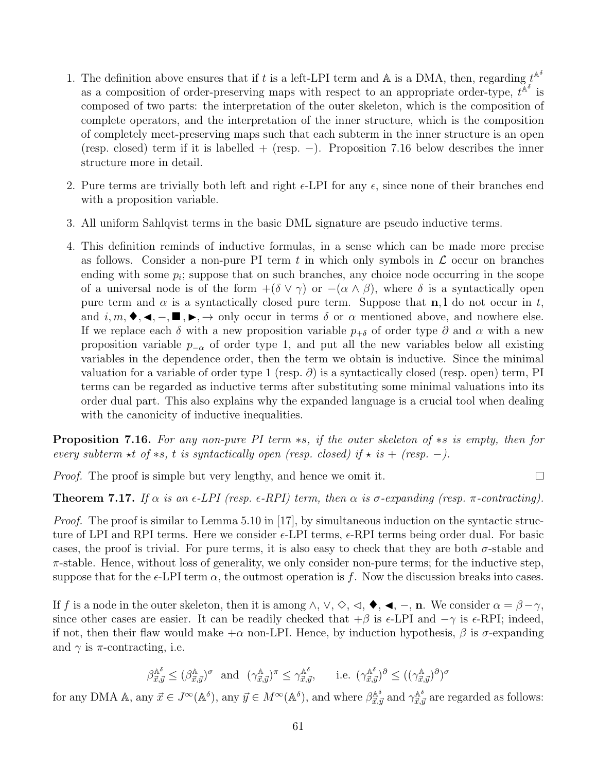- 1. The definition above ensures that if t is a left-LPI term and A is a DMA, then, regarding  $t^{\mathbb{A}^\delta}$ as a composition of order-preserving maps with respect to an appropriate order-type,  $t^{\hat{\mathbb{A}}^{\delta}}$  is composed of two parts: the interpretation of the outer skeleton, which is the composition of complete operators, and the interpretation of the inner structure, which is the composition of completely meet-preserving maps such that each subterm in the inner structure is an open (resp. closed) term if it is labelled + (resp.  $-$ ). Proposition 7.16 below describes the inner structure more in detail.
- 2. Pure terms are trivially both left and right  $\epsilon$ -LPI for any  $\epsilon$ , since none of their branches end with a proposition variable.
- 3. All uniform Sahlqvist terms in the basic DML signature are pseudo inductive terms.
- 4. This definition reminds of inductive formulas, in a sense which can be made more precise as follows. Consider a non-pure PI term t in which only symbols in  $\mathcal L$  occur on branches ending with some  $p_i$ ; suppose that on such branches, any choice node occurring in the scope of a universal node is of the form  $+(\delta \vee \gamma)$  or  $-(\alpha \wedge \beta)$ , where  $\delta$  is a syntactically open pure term and  $\alpha$  is a syntactically closed pure term. Suppose that **n**, l do not occur in t, and  $i, m, \blacklozenge, \blacktriangleleft, -$ ,  $\blacksquare$ ,  $\blacktriangleright$ ,  $\rightarrow$  only occur in terms  $\delta$  or  $\alpha$  mentioned above, and nowhere else. If we replace each  $\delta$  with a new proposition variable  $p_{+\delta}$  of order type  $\partial$  and  $\alpha$  with a new proposition variable  $p_{-\alpha}$  of order type 1, and put all the new variables below all existing variables in the dependence order, then the term we obtain is inductive. Since the minimal valuation for a variable of order type 1 (resp.  $\partial$ ) is a syntactically closed (resp. open) term, PI terms can be regarded as inductive terms after substituting some minimal valuations into its order dual part. This also explains why the expanded language is a crucial tool when dealing with the canonicity of inductive inequalities.

Proposition 7.16. For any non-pure PI term  $\ast s$ , if the outer skeleton of  $\ast s$  is empty, then for every subterm  $\star t$  of  $\star s$ , t is syntactically open (resp. closed) if  $\star$  is + (resp. -).

Proof. The proof is simple but very lengthy, and hence we omit it.

**Theorem 7.17.** If  $\alpha$  is an  $\epsilon$ -LPI (resp.  $\epsilon$ -RPI) term, then  $\alpha$  is  $\sigma$ -expanding (resp.  $\pi$ -contracting).

*Proof.* The proof is similar to Lemma 5.10 in [17], by simultaneous induction on the syntactic structure of LPI and RPI terms. Here we consider  $\epsilon$ -LPI terms,  $\epsilon$ -RPI terms being order dual. For basic cases, the proof is trivial. For pure terms, it is also easy to check that they are both  $\sigma$ -stable and  $\pi$ -stable. Hence, without loss of generality, we only consider non-pure terms; for the inductive step, suppose that for the  $\epsilon$ -LPI term  $\alpha$ , the outmost operation is f. Now the discussion breaks into cases.

If f is a node in the outer skeleton, then it is among  $\land$ ,  $\lor$ ,  $\Diamond$ ,  $\triangleleft$ ,  $\blacktriangleleft$ ,  $\blacktriangleleft$ ,  $\Box$ , We consider  $\alpha = \beta - \gamma$ , since other cases are easier. It can be readily checked that  $+\beta$  is  $\epsilon$ -LPI and  $-\gamma$  is  $\epsilon$ -RPI; indeed, if not, then their flaw would make  $+\alpha$  non-LPI. Hence, by induction hypothesis,  $\beta$  is  $\sigma$ -expanding and  $\gamma$  is  $\pi$ -contracting, i.e.

$$
\beta^{\mathbb{A}^{\delta}}_{\vec{x},\vec{y}} \leq (\beta^{\mathbb{A}}_{\vec{x},\vec{y}})^{\sigma} \text{ and } (\gamma^{\mathbb{A}}_{\vec{x},\vec{y}})^{\pi} \leq \gamma^{\mathbb{A}^{\delta}}_{\vec{x},\vec{y}}, \quad \text{i.e. } (\gamma^{\mathbb{A}^{\delta}}_{\vec{x},\vec{y}})^{\partial} \leq ((\gamma^{\mathbb{A}}_{\vec{x},\vec{y}})^{\partial})^{\sigma}
$$

for any DMA A, any  $\vec{x} \in J^{\infty}(\mathbb{A}^{\delta})$ , any  $\vec{y} \in M^{\infty}(\mathbb{A}^{\delta})$ , and where  $\beta_{\vec{x}, \vec{y}}^{\mathbb{A}^{\delta}}$  and  $\gamma_{\vec{x}, \vec{y}}^{\mathbb{A}^{\delta}}$  are regarded as follows:

 $\Box$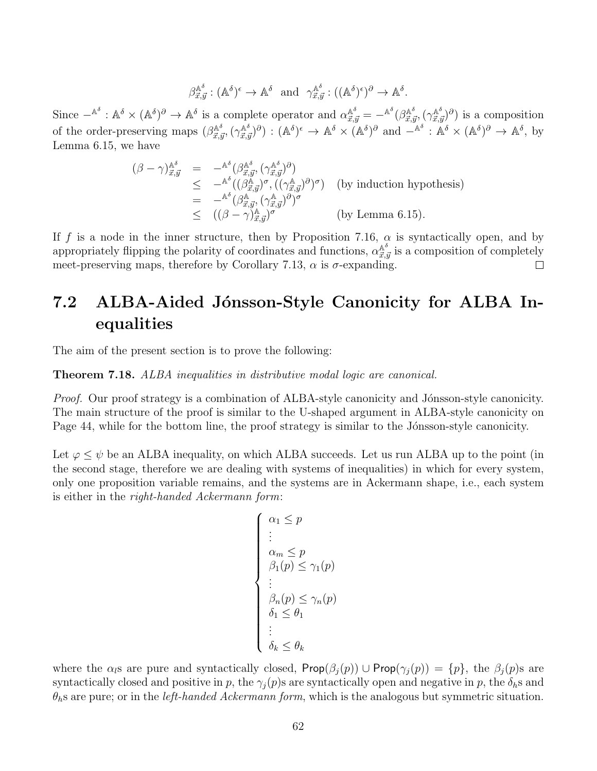$$
\beta^{\mathbb{A}^{\delta}}_{\vec{x},\vec{y}} : (\mathbb{A}^{\delta})^{\epsilon} \to \mathbb{A}^{\delta} \text{ and } \gamma^{\mathbb{A}^{\delta}}_{\vec{x},\vec{y}} : ((\mathbb{A}^{\delta})^{\epsilon})^{\partial} \to \mathbb{A}^{\delta}.
$$

Since  $-{\mathbb A}^\delta: {\mathbb A}^\delta \times ({\mathbb A}^\delta)^\partial \to {\mathbb A}^\delta$  is a complete operator and  $\alpha^{{\mathbb A}^\delta}_{\vec{x},\vec{y}} = -{\mathbb A}^\delta(\beta^{{\mathbb A}^\delta}_{\vec{x},\vec{y}}, (\gamma^{{\mathbb A}^\delta}_{\vec{x},\vec{y}})^\partial)$  is a composition of the order-preserving maps  $(\beta_{\vec{x},\vec{y}}^{\mathbb{A}^{\delta}},(\gamma_{\vec{x},\vec{y}}^{\mathbb{A}^{\delta}})^{\partial} : (\mathbb{A}^{\delta})^{\epsilon} \to \mathbb{A}^{\delta} \times (\mathbb{A}^{\delta})^{\partial}$  and  $-\mathbb{A}^{\delta} : \mathbb{A}^{\delta} \times (\mathbb{A}^{\delta})^{\partial} \to \mathbb{A}^{\delta}$ , by Lemma 6.15, we have

$$
\begin{array}{rcl}\n(\beta - \gamma)^{\mathbb{A}^{\delta}}_{\vec{x},\vec{y}} & = & -^{\mathbb{A}^{\delta}}(\beta^{\mathbb{A}^{\delta}}_{\vec{x},\vec{y}}, (\gamma^{\mathbb{A}^{\delta}}_{\vec{x},\vec{y}})^{\partial}) \\
&\leq & -^{\mathbb{A}^{\delta}}((\beta^{\mathbb{A}}_{\vec{x},\vec{y}})^{\sigma}, ((\gamma^{\mathbb{A}}_{\vec{x},\vec{y}})^{\partial})^{\sigma}) \quad \text{(by induction hypothesis)} \\
& = & -^{\mathbb{A}^{\delta}}(\beta^{\mathbb{A}}_{\vec{x},\vec{y}}, (\gamma^{\mathbb{A}}_{\vec{x},\vec{y}})^{\partial})^{\sigma} \\
&\leq & ((\beta - \gamma)^{\mathbb{A}}_{\vec{x},\vec{y}})^{\sigma} \quad \text{(by Lemma 6.15)}.\n\end{array}
$$

If f is a node in the inner structure, then by Proposition 7.16,  $\alpha$  is syntactically open, and by appropriately flipping the polarity of coordinates and functions,  $\alpha_{\vec{x},\vec{y}}^{\mathbb{A}^{\delta}}$  is a composition of completely meet-preserving maps, therefore by Corollary 7.13,  $\alpha$  is  $\sigma$ -expanding.  $\Box$ 

## 7.2 ALBA-Aided Jónsson-Style Canonicity for ALBA Inequalities

The aim of the present section is to prove the following:

Theorem 7.18. ALBA inequalities in distributive modal logic are canonical.

Proof. Our proof strategy is a combination of ALBA-style canonicity and Jónsson-style canonicity. The main structure of the proof is similar to the U-shaped argument in ALBA-style canonicity on Page 44, while for the bottom line, the proof strategy is similar to the Jónsson-style canonicity.

Let  $\varphi \leq \psi$  be an ALBA inequality, on which ALBA succeeds. Let us run ALBA up to the point (in the second stage, therefore we are dealing with systems of inequalities) in which for every system, only one proposition variable remains, and the systems are in Ackermann shape, i.e., each system is either in the right-handed Ackermann form:

$$
\begin{cases}\n\alpha_1 \leq p \\
\vdots \\
\alpha_m \leq p \\
\beta_1(p) \leq \gamma_1(p) \\
\vdots \\
\beta_n(p) \leq \gamma_n(p) \\
\delta_1 \leq \theta_1 \\
\vdots \\
\delta_k \leq \theta_k\n\end{cases}
$$

where the  $\alpha_i$ s are pure and syntactically closed, Prop $(\beta_i(p)) \cup$ Prop $(\gamma_i(p)) = \{p\}$ , the  $\beta_i(p)$ s are syntactically closed and positive in p, the  $\gamma_i(p)$ s are syntactically open and negative in p, the  $\delta_h$ s and  $\theta_{h}$ s are pure; or in the *left-handed Ackermann form*, which is the analogous but symmetric situation.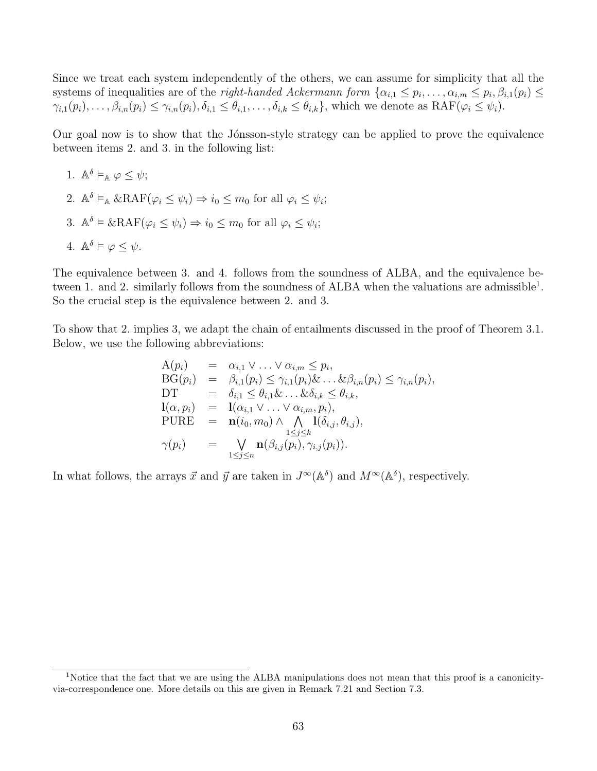Since we treat each system independently of the others, we can assume for simplicity that all the systems of inequalities are of the *right-handed Ackermann form*  $\{\alpha_{i,1} \leq p_i, \ldots, \alpha_{i,m} \leq p_i, \beta_{i,1}(p_i) \leq$  $\gamma_{i,1}(p_i), \ldots, \beta_{i,n}(p_i) \leq \gamma_{i,n}(p_i), \delta_{i,1} \leq \theta_{i,1}, \ldots, \delta_{i,k} \leq \theta_{i,k}$ , which we denote as  $\text{RAF}(\varphi_i \leq \psi_i)$ .

Our goal now is to show that the Jónsson-style strategy can be applied to prove the equivalence between items 2. and 3. in the following list:

1.  $\mathbb{A}^{\delta} \vDash_{\mathbb{A}} \varphi \leq \psi;$ 2.  $\mathbb{A}^{\delta} \models_{\mathbb{A}} \& \text{RAF}(\varphi_i \leq \psi_i) \Rightarrow i_0 \leq m_0 \text{ for all } \varphi_i \leq \psi_i;$ 3.  $\mathbb{A}^{\delta} \models \& \text{RAF}(\varphi_i \leq \psi_i) \Rightarrow i_0 \leq m_0 \text{ for all } \varphi_i \leq \psi_i;$ 4.  $\mathbb{A}^{\delta} \models \varphi \leq \psi$ .

The equivalence between 3. and 4. follows from the soundness of ALBA, and the equivalence between 1. and 2. similarly follows from the soundness of ALBA when the valuations are admissible<sup>1</sup>. So the crucial step is the equivalence between 2. and 3.

To show that 2. implies 3, we adapt the chain of entailments discussed in the proof of Theorem 3.1. Below, we use the following abbreviations:

$$
A(p_i) = \alpha_{i,1} \vee \ldots \vee \alpha_{i,m} \leq p_i,
$$
  
\n
$$
BG(p_i) = \beta_{i,1}(p_i) \leq \gamma_{i,1}(p_i) \& \ldots \& \beta_{i,n}(p_i) \leq \gamma_{i,n}(p_i),
$$
  
\n
$$
DT = \delta_{i,1} \leq \theta_{i,1} \& \ldots \& \delta_{i,k} \leq \theta_{i,k},
$$
  
\n
$$
I(\alpha, p_i) = I(\alpha_{i,1} \vee \ldots \vee \alpha_{i,m}, p_i),
$$
  
\n
$$
PURE = \mathbf{n}(i_0, m_0) \wedge \bigwedge_{\substack{1 \leq j \leq k \\ 1 \leq j \leq n}} I(\delta_{i,j}(p_i), \gamma_{i,j}(p_i)).
$$

In what follows, the arrays  $\vec{x}$  and  $\vec{y}$  are taken in  $J^{\infty}(\mathbb{A}^{\delta})$  and  $M^{\infty}(\mathbb{A}^{\delta})$ , respectively.

<sup>&</sup>lt;sup>1</sup>Notice that the fact that we are using the ALBA manipulations does not mean that this proof is a canonicityvia-correspondence one. More details on this are given in Remark 7.21 and Section 7.3.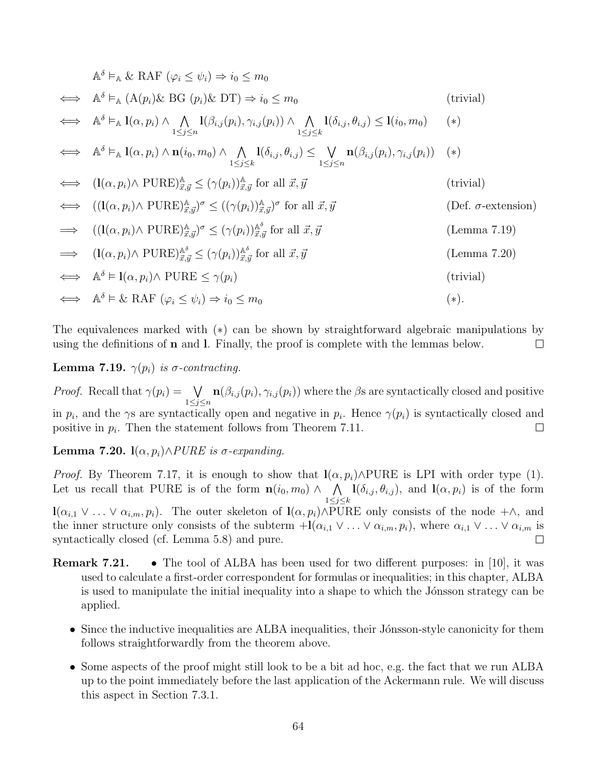$$
\mathbb{A}^{\delta} \vDash_{\mathbb{A}} \& \mathbb{R}\mathcal{A}\mathbb{F} \ (\varphi_{i} \leq \psi_{i}) \Rightarrow i_{0} \leq m_{0}
$$
\n
$$
\iff \mathbb{A}^{\delta} \vDash_{\mathbb{A}} (\mathcal{A}(p_{i})\& \mathbb{B}\mathcal{G}(p_{i})\& \mathbb{D}\mathcal{T}) \Rightarrow i_{0} \leq m_{0}
$$
\n
$$
\iff \mathbb{A}^{\delta} \vDash_{\mathbb{A}} \mathbf{1}(\alpha, p_{i}) \land \bigwedge_{1 \leq j \leq n} \mathbf{1}(\beta_{i,j}(p_{i}), \gamma_{i,j}(p_{i})) \land \bigwedge_{1 \leq j \leq k} \mathbf{1}(i_{0}, p_{0}) \quad (*)
$$
\n
$$
\iff \mathbb{A}^{\delta} \vDash_{\mathbb{A}} \mathbf{1}(\alpha, p_{i}) \land \mathbf{n}(i_{0}, m_{0}) \land \bigwedge_{1 \leq j \leq k} \mathbf{1}(\delta_{i,j}, \theta_{i,j}) \leq \bigvee_{1 \leq j \leq n} \mathbf{n}(\beta_{i,j}(p_{i}), \gamma_{i,j}(p_{i})) \quad (*)
$$
\n
$$
\iff (\mathbf{l}(\alpha, p_{i}) \land \mathbb{P} \mathbf{U}\mathbf{R} \mathbf{E}) \frac{\mathbb{A}}{\mathbb{B}, \mathbb{J}} \leq (\gamma(p_{i})) \frac{\mathbb{A}}{\mathbb{B}, \mathbb{J}} \text{ for all } \mathbb{Z}, \mathbb{J} \quad \text{(trivial)}
$$
\n
$$
\iff ((\mathbf{l}(\alpha, p_{i}) \land \mathbb{P} \mathbf{U}\mathbf{R} \mathbf{E}) \frac{\mathbb{A}}{\mathbb{B}, \mathbb{J}})^{\sigma} \leq ((\gamma(p_{i})) \frac{\mathbb{A}}{\mathbb{B}, \mathbb{J}})^{\sigma} \text{ for all } \mathbb{Z}, \mathbb{J} \quad \text{(Der. } \sigma\text{-extension)}
$$
\n
$$
\Rightarrow ((\mathbf{l}(\alpha, p_{i}) \land \mathbb{P} \mathbf{U}\mathbf{R} \mathbf{E}) \frac{\mathbb{A}}{\mathbb{B}, \mathbb{J}})^{\sigma} \leq (\gamma(p_{i})) \frac{\
$$

The equivalences marked with (∗) can be shown by straightforward algebraic manipulations by using the definitions of  $n$  and  $l$ . Finally, the proof is complete with the lemmas below.  $\Box$ 

Lemma 7.19.  $\gamma(p_i)$  is  $\sigma$ -contracting.

*Proof.* Recall that  $\gamma(p_i) = \sqrt{ }$  $\mathbf{n}(\beta_{i,j}(p_i), \gamma_{i,j}(p_i))$  where the  $\beta$ s are syntactically closed and positive  $1\leq j\leq n$ in  $p_i$ , and the  $\gamma$ s are syntactically open and negative in  $p_i$ . Hence  $\gamma(p_i)$  is syntactically closed and positive in  $p_i$ . Then the statement follows from Theorem 7.11.  $\Box$ 

Lemma 7.20.  $l(\alpha, p_i) \land PURE$  is  $\sigma$ -expanding.

*Proof.* By Theorem 7.17, it is enough to show that  $\mathbf{l}(\alpha, p_i) \wedge \text{PURE}$  is LPI with order type (1). Let us recall that PURE is of the form  $n(i_0, m_0) \wedge \wedge$  $\mathbf{l}(\delta_{i,j}, \theta_{i,j}),$  and  $\mathbf{l}(\alpha, p_i)$  is of the form  $1\leq j\leq k$  $\mathbf{l}(\alpha_{i,1} \vee \ldots \vee \alpha_{i,m}, p_i)$ . The outer skeleton of  $\mathbf{l}(\alpha, p_i) \wedge \text{PURE}$  only consists of the node + $\wedge$ , and the inner structure only consists of the subterm  $+{\bf l}(\alpha_{i,1} \vee ... \vee \alpha_{i,m}, p_i)$ , where  $\alpha_{i,1} \vee ... \vee \alpha_{i,m}$  is syntactically closed (cf. Lemma 5.8) and pure.  $\Box$ 

Remark 7.21. • The tool of ALBA has been used for two different purposes: in [10], it was used to calculate a first-order correspondent for formulas or inequalities; in this chapter, ALBA is used to manipulate the initial inequality into a shape to which the Jónsson strategy can be applied.

- Since the inductive inequalities are ALBA inequalities, their Jónsson-style canonicity for them follows straightforwardly from the theorem above.
- Some aspects of the proof might still look to be a bit ad hoc, e.g. the fact that we run ALBA up to the point immediately before the last application of the Ackermann rule. We will discuss this aspect in Section 7.3.1.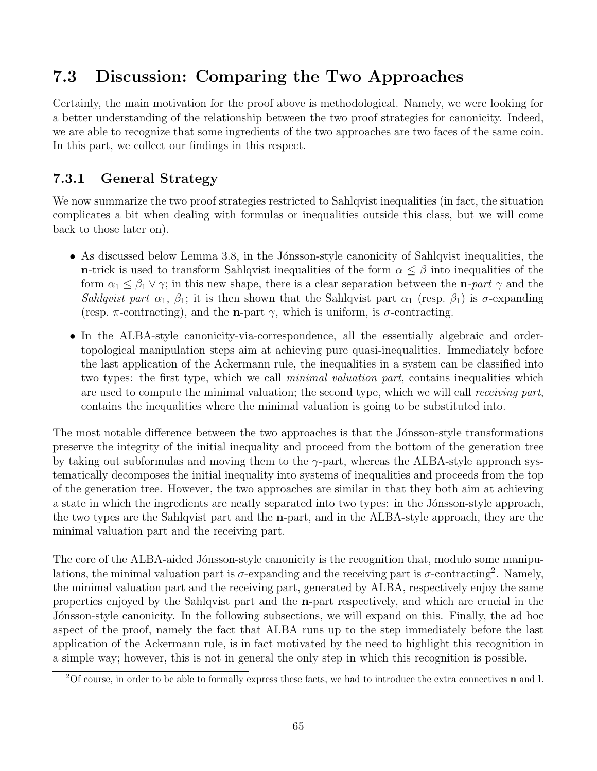## 7.3 Discussion: Comparing the Two Approaches

Certainly, the main motivation for the proof above is methodological. Namely, we were looking for a better understanding of the relationship between the two proof strategies for canonicity. Indeed, we are able to recognize that some ingredients of the two approaches are two faces of the same coin. In this part, we collect our findings in this respect.

## 7.3.1 General Strategy

We now summarize the two proof strategies restricted to Sahlqvist inequalities (in fact, the situation complicates a bit when dealing with formulas or inequalities outside this class, but we will come back to those later on).

- As discussed below Lemma 3.8, in the Jónsson-style canonicity of Sahlqvist inequalities, the n-trick is used to transform Sahlqvist inequalities of the form  $\alpha \leq \beta$  into inequalities of the form  $\alpha_1 \leq \beta_1 \vee \gamma$ ; in this new shape, there is a clear separation between the **n**-part  $\gamma$  and the Sahlqvist part  $\alpha_1$ ,  $\beta_1$ ; it is then shown that the Sahlqvist part  $\alpha_1$  (resp.  $\beta_1$ ) is  $\sigma$ -expanding (resp.  $\pi$ -contracting), and the **n**-part  $\gamma$ , which is uniform, is  $\sigma$ -contracting.
- In the ALBA-style canonicity-via-correspondence, all the essentially algebraic and ordertopological manipulation steps aim at achieving pure quasi-inequalities. Immediately before the last application of the Ackermann rule, the inequalities in a system can be classified into two types: the first type, which we call *minimal valuation part*, contains inequalities which are used to compute the minimal valuation; the second type, which we will call *receiving part*, contains the inequalities where the minimal valuation is going to be substituted into.

The most notable difference between the two approaches is that the Jonsson-style transformations preserve the integrity of the initial inequality and proceed from the bottom of the generation tree by taking out subformulas and moving them to the  $\gamma$ -part, whereas the ALBA-style approach systematically decomposes the initial inequality into systems of inequalities and proceeds from the top of the generation tree. However, the two approaches are similar in that they both aim at achieving a state in which the ingredients are neatly separated into two types: in the Jónsson-style approach, the two types are the Sahlqvist part and the n-part, and in the ALBA-style approach, they are the minimal valuation part and the receiving part.

The core of the ALBA-aided Jónsson-style canonicity is the recognition that, modulo some manipulations, the minimal valuation part is  $\sigma$ -expanding and the receiving part is  $\sigma$ -contracting<sup>2</sup>. Namely, the minimal valuation part and the receiving part, generated by ALBA, respectively enjoy the same properties enjoyed by the Sahlqvist part and the n-part respectively, and which are crucial in the Jónsson-style canonicity. In the following subsections, we will expand on this. Finally, the ad hoc aspect of the proof, namely the fact that ALBA runs up to the step immediately before the last application of the Ackermann rule, is in fact motivated by the need to highlight this recognition in a simple way; however, this is not in general the only step in which this recognition is possible.

 $2^2$ Of course, in order to be able to formally express these facts, we had to introduce the extra connectives **n** and l.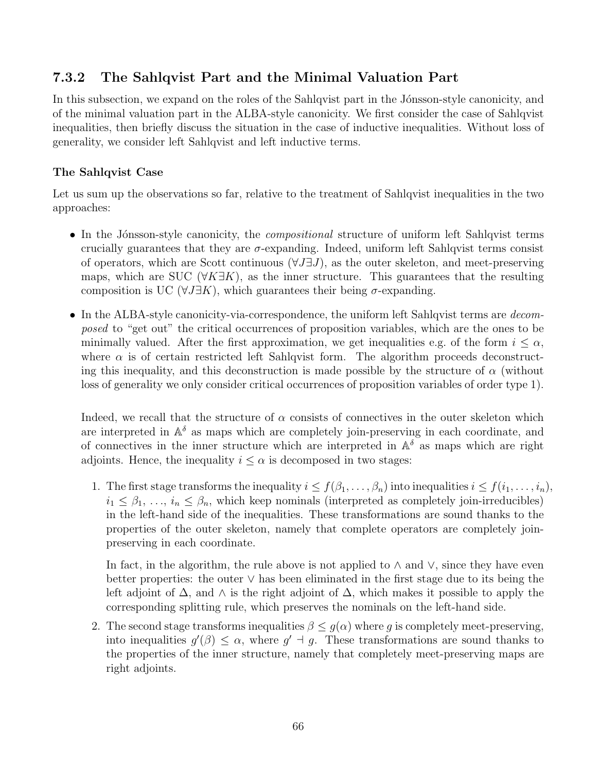### 7.3.2 The Sahlqvist Part and the Minimal Valuation Part

In this subsection, we expand on the roles of the Sahlqvist part in the Jónsson-style canonicity, and of the minimal valuation part in the ALBA-style canonicity. We first consider the case of Sahlqvist inequalities, then briefly discuss the situation in the case of inductive inequalities. Without loss of generality, we consider left Sahlqvist and left inductive terms.

#### The Sahlqvist Case

Let us sum up the observations so far, relative to the treatment of Sahlqvist inequalities in the two approaches:

- In the Jónsson-style canonicity, the *compositional* structure of uniform left Sahlqvist terms crucially guarantees that they are  $\sigma$ -expanding. Indeed, uniform left Sahlqvist terms consist of operators, which are Scott continuous  $(\forall J \exists J)$ , as the outer skeleton, and meet-preserving maps, which are SUC ( $\forall K \exists K$ ), as the inner structure. This guarantees that the resulting composition is UC ( $\forall J \exists K$ ), which guarantees their being  $\sigma$ -expanding.
- In the ALBA-style canonicity-via-correspondence, the uniform left Sahlqvist terms are *decom*posed to "get out" the critical occurrences of proposition variables, which are the ones to be minimally valued. After the first approximation, we get inequalities e.g. of the form  $i \leq \alpha$ , where  $\alpha$  is of certain restricted left Sahlqvist form. The algorithm proceeds deconstructing this inequality, and this deconstruction is made possible by the structure of  $\alpha$  (without loss of generality we only consider critical occurrences of proposition variables of order type 1).

Indeed, we recall that the structure of  $\alpha$  consists of connectives in the outer skeleton which are interpreted in  $\mathbb{A}^{\delta}$  as maps which are completely join-preserving in each coordinate, and of connectives in the inner structure which are interpreted in  $\mathbb{A}^{\delta}$  as maps which are right adjoints. Hence, the inequality  $i \leq \alpha$  is decomposed in two stages:

1. The first stage transforms the inequality  $i \leq f(\beta_1, \ldots, \beta_n)$  into inequalities  $i \leq f(i_1, \ldots, i_n)$ ,  $i_1 \leq \beta_1, \ldots, i_n \leq \beta_n$ , which keep nominals (interpreted as completely join-irreducibles) in the left-hand side of the inequalities. These transformations are sound thanks to the properties of the outer skeleton, namely that complete operators are completely joinpreserving in each coordinate.

In fact, in the algorithm, the rule above is not applied to  $\land$  and  $\lor$ , since they have even better properties: the outer ∨ has been eliminated in the first stage due to its being the left adjoint of  $\Delta$ , and  $\wedge$  is the right adjoint of  $\Delta$ , which makes it possible to apply the corresponding splitting rule, which preserves the nominals on the left-hand side.

2. The second stage transforms inequalities  $\beta \leq g(\alpha)$  where g is completely meet-preserving, into inequalities  $g'(\beta) \leq \alpha$ , where  $g' \dashv g$ . These transformations are sound thanks to the properties of the inner structure, namely that completely meet-preserving maps are right adjoints.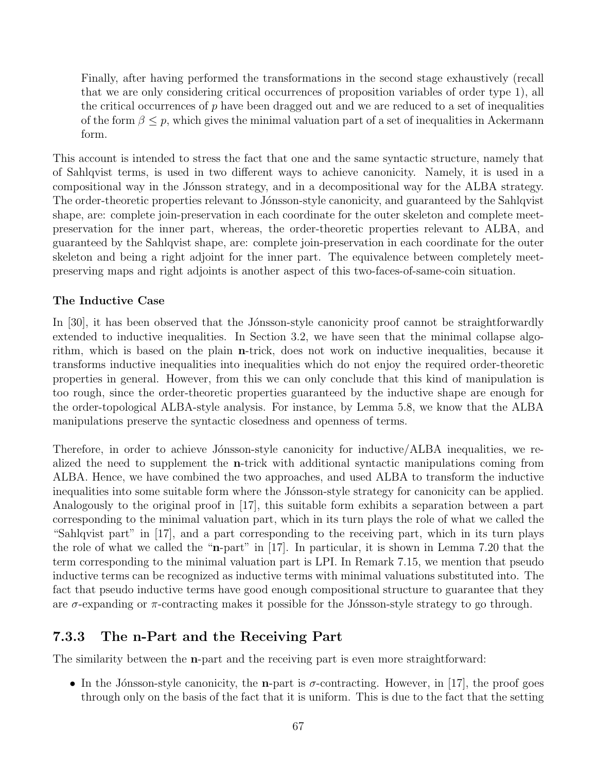Finally, after having performed the transformations in the second stage exhaustively (recall that we are only considering critical occurrences of proposition variables of order type 1), all the critical occurrences of  $p$  have been dragged out and we are reduced to a set of inequalities of the form  $\beta \leq p$ , which gives the minimal valuation part of a set of inequalities in Ackermann form.

This account is intended to stress the fact that one and the same syntactic structure, namely that of Sahlqvist terms, is used in two different ways to achieve canonicity. Namely, it is used in a compositional way in the Jónsson strategy, and in a decompositional way for the ALBA strategy. The order-theoretic properties relevant to Jónsson-style canonicity, and guaranteed by the Sahlqvist shape, are: complete join-preservation in each coordinate for the outer skeleton and complete meetpreservation for the inner part, whereas, the order-theoretic properties relevant to ALBA, and guaranteed by the Sahlqvist shape, are: complete join-preservation in each coordinate for the outer skeleton and being a right adjoint for the inner part. The equivalence between completely meetpreserving maps and right adjoints is another aspect of this two-faces-of-same-coin situation.

#### The Inductive Case

In  $[30]$ , it has been observed that the Jónsson-style canonicity proof cannot be straightforwardly extended to inductive inequalities. In Section 3.2, we have seen that the minimal collapse algorithm, which is based on the plain n-trick, does not work on inductive inequalities, because it transforms inductive inequalities into inequalities which do not enjoy the required order-theoretic properties in general. However, from this we can only conclude that this kind of manipulation is too rough, since the order-theoretic properties guaranteed by the inductive shape are enough for the order-topological ALBA-style analysis. For instance, by Lemma 5.8, we know that the ALBA manipulations preserve the syntactic closedness and openness of terms.

Therefore, in order to achieve Jónsson-style canonicity for inductive/ALBA inequalities, we realized the need to supplement the n-trick with additional syntactic manipulations coming from ALBA. Hence, we have combined the two approaches, and used ALBA to transform the inductive inequalities into some suitable form where the Jónsson-style strategy for canonicity can be applied. Analogously to the original proof in [17], this suitable form exhibits a separation between a part corresponding to the minimal valuation part, which in its turn plays the role of what we called the "Sahlqvist part" in [17], and a part corresponding to the receiving part, which in its turn plays the role of what we called the "n-part" in [17]. In particular, it is shown in Lemma 7.20 that the term corresponding to the minimal valuation part is LPI. In Remark 7.15, we mention that pseudo inductive terms can be recognized as inductive terms with minimal valuations substituted into. The fact that pseudo inductive terms have good enough compositional structure to guarantee that they are  $\sigma$ -expanding or  $\pi$ -contracting makes it possible for the Jónsson-style strategy to go through.

#### 7.3.3 The n-Part and the Receiving Part

The similarity between the n-part and the receiving part is even more straightforward:

• In the Jónsson-style canonicity, the **n**-part is  $\sigma$ -contracting. However, in [17], the proof goes through only on the basis of the fact that it is uniform. This is due to the fact that the setting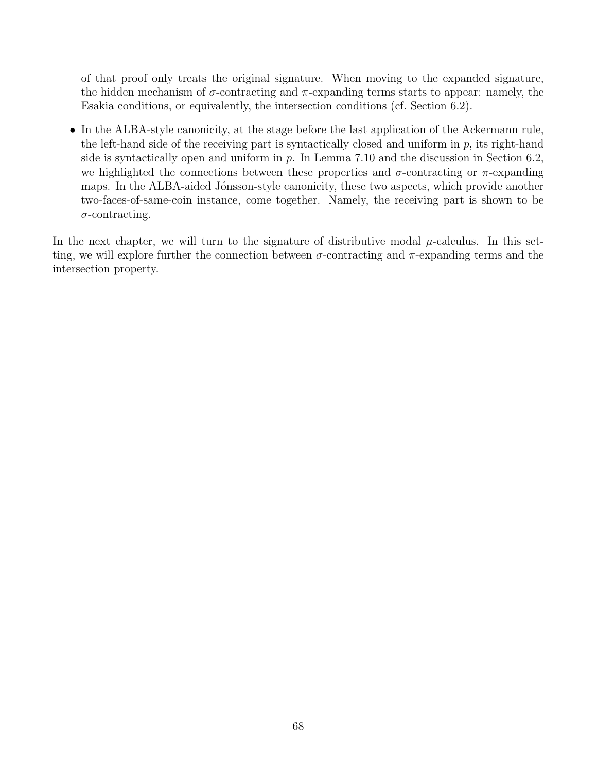of that proof only treats the original signature. When moving to the expanded signature, the hidden mechanism of  $\sigma$ -contracting and  $\pi$ -expanding terms starts to appear: namely, the Esakia conditions, or equivalently, the intersection conditions (cf. Section 6.2).

• In the ALBA-style canonicity, at the stage before the last application of the Ackermann rule, the left-hand side of the receiving part is syntactically closed and uniform in  $p$ , its right-hand side is syntactically open and uniform in  $p$ . In Lemma 7.10 and the discussion in Section 6.2, we highlighted the connections between these properties and  $\sigma$ -contracting or  $\pi$ -expanding maps. In the ALBA-aided Jónsson-style canonicity, these two aspects, which provide another two-faces-of-same-coin instance, come together. Namely, the receiving part is shown to be  $\sigma$ -contracting.

In the next chapter, we will turn to the signature of distributive modal  $\mu$ -calculus. In this setting, we will explore further the connection between  $\sigma$ -contracting and  $\pi$ -expanding terms and the intersection property.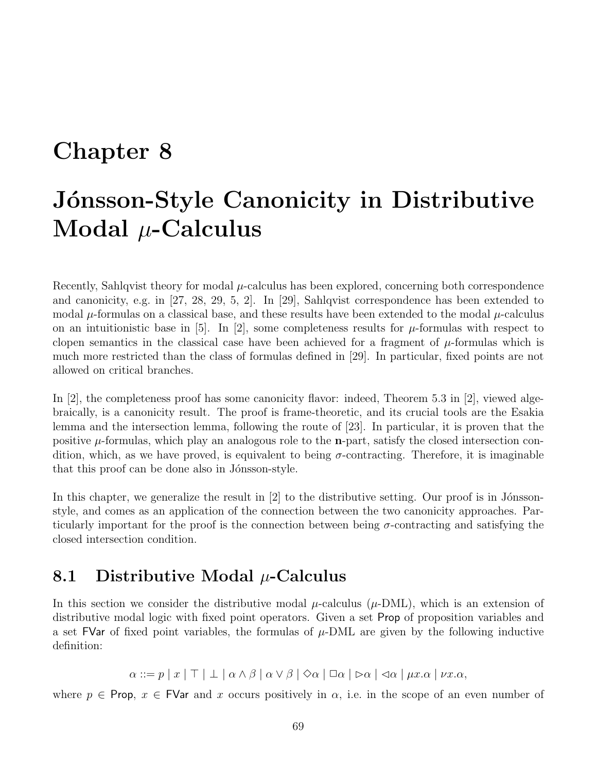# Chapter 8

# Jónsson-Style Canonicity in Distributive Modal  $\mu$ -Calculus

Recently, Sahlqvist theory for modal  $\mu$ -calculus has been explored, concerning both correspondence and canonicity, e.g. in [27, 28, 29, 5, 2]. In [29], Sahlqvist correspondence has been extended to modal  $\mu$ -formulas on a classical base, and these results have been extended to the modal  $\mu$ -calculus on an intuitionistic base in [5]. In [2], some completeness results for  $\mu$ -formulas with respect to clopen semantics in the classical case have been achieved for a fragment of  $\mu$ -formulas which is much more restricted than the class of formulas defined in [29]. In particular, fixed points are not allowed on critical branches.

In [2], the completeness proof has some canonicity flavor: indeed, Theorem 5.3 in [2], viewed algebraically, is a canonicity result. The proof is frame-theoretic, and its crucial tools are the Esakia lemma and the intersection lemma, following the route of [23]. In particular, it is proven that the positive  $\mu$ -formulas, which play an analogous role to the **n**-part, satisfy the closed intersection condition, which, as we have proved, is equivalent to being  $\sigma$ -contracting. Therefore, it is imaginable that this proof can be done also in Jónsson-style.

In this chapter, we generalize the result in  $[2]$  to the distributive setting. Our proof is in Jónssonstyle, and comes as an application of the connection between the two canonicity approaches. Particularly important for the proof is the connection between being  $\sigma$ -contracting and satisfying the closed intersection condition.

## 8.1 Distributive Modal  $\mu$ -Calculus

In this section we consider the distributive modal  $\mu$ -calculus ( $\mu$ -DML), which is an extension of distributive modal logic with fixed point operators. Given a set Prop of proposition variables and a set FVar of fixed point variables, the formulas of  $\mu$ -DML are given by the following inductive definition:

 $\alpha ::= p | x | \top | \bot | \alpha \wedge \beta | \alpha \vee \beta | \Diamond \alpha | \Box \alpha | \triangleright \alpha | \triangleleft \alpha | \mu x. \alpha | \nu x. \alpha$ 

where  $p \in \text{Prop}, x \in \text{FVar}$  and x occurs positively in  $\alpha$ , i.e. in the scope of an even number of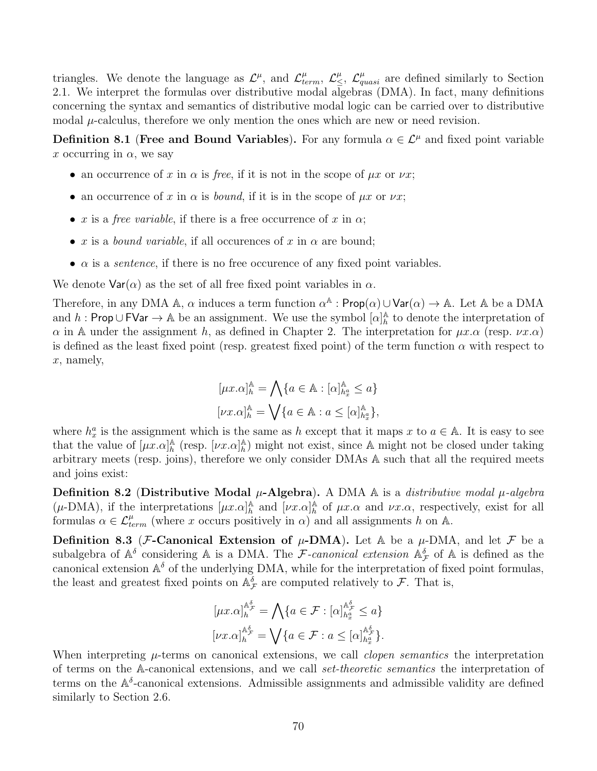triangles. We denote the language as  $\mathcal{L}^{\mu}$ , and  $\mathcal{L}^{\mu}_{term}$ ,  $\mathcal{L}^{\mu}_{\leq}$ ,  $\mathcal{L}^{\mu}_{quasi}$  are defined similarly to Section 2.1. We interpret the formulas over distributive modal algebras (DMA). In fact, many definitions concerning the syntax and semantics of distributive modal logic can be carried over to distributive modal  $\mu$ -calculus, therefore we only mention the ones which are new or need revision.

**Definition 8.1 (Free and Bound Variables).** For any formula  $\alpha \in \mathcal{L}^{\mu}$  and fixed point variable x occurring in  $\alpha$ , we say

- an occurrence of x in  $\alpha$  is free, if it is not in the scope of  $\mu x$  or  $\nu x$ ;
- an occurrence of x in  $\alpha$  is *bound*, if it is in the scope of  $\mu x$  or  $\nu x$ ;
- x is a free variable, if there is a free occurrence of x in  $\alpha$ ;
- x is a *bound variable*, if all occurences of x in  $\alpha$  are bound;
- $\alpha$  is a *sentence*, if there is no free occurence of any fixed point variables.

We denote  $\text{Var}(\alpha)$  as the set of all free fixed point variables in  $\alpha$ .

Therefore, in any DMA A,  $\alpha$  induces a term function  $\alpha^{\mathbb{A}}$ : Prop $(\alpha) \cup \text{Var}(\alpha) \rightarrow \mathbb{A}$ . Let A be a DMA and h: Prop ∪ FVar  $\rightarrow \mathbb{A}$  be an assignment. We use the symbol  $[\alpha]_h^{\mathbb{A}}$  $\frac{A}{h}$  to denote the interpretation of  $\alpha$  in A under the assignment h, as defined in Chapter 2. The interpretation for  $\mu x.\alpha$  (resp.  $\nu x.\alpha$ ) is defined as the least fixed point (resp. greatest fixed point) of the term function  $\alpha$  with respect to x, namely,

$$
\begin{aligned} [\mu x. \alpha]_h^{\mathbb{A}} &= \bigwedge \{ a \in \mathbb{A} : [\alpha]_{h_x^a}^{\mathbb{A}} \le a \} \\ [\nu x. \alpha]_h^{\mathbb{A}} &= \bigvee \{ a \in \mathbb{A} : a \le [\alpha]_{h_x^a}^{\mathbb{A}} \}, \end{aligned}
$$

where  $h_x^a$  is the assignment which is the same as h except that it maps x to  $a \in A$ . It is easy to see that the value of  $[\mu x.\alpha]_h^{\mathbb{A}}$  $_h^{\mathbb{A}}$  (resp.  $[\nu x.\alpha]_h^{\mathbb{A}}$  $\mathbb{A}_{h}$ ) might not exist, since A might not be closed under taking arbitrary meets (resp. joins), therefore we only consider DMAs A such that all the required meets and joins exist:

Definition 8.2 (Distributive Modal  $\mu$ -Algebra). A DMA  $\mathbb A$  is a *distributive modal*  $\mu$ -algebra  $(\mu\text{-}DMA)$ , if the interpretations  $[\mu x.\alpha]_h^{\mathbb{A}}$  $\stackrel{\mathbb{A}}{h}$  and  $[\nu x.\alpha]_h^{\stackrel{\mathbb{A}}{h}}$  $h \atop h$  of  $\mu x.\alpha$  and  $\nu x.\alpha$ , respectively, exist for all formulas  $\alpha \in \mathcal{L}^{\mu}_{term}$  (where x occurs positively in  $\alpha$ ) and all assignments h on A.

**Definition 8.3** (*F*-Canonical Extension of  $\mu$ -DMA). Let A be a  $\mu$ -DMA, and let *F* be a subalgebra of  $\mathbb{A}^{\delta}$  considering  $\mathbb A$  is a DMA. The F-canonical extension  $\mathbb{A}_{\mathcal{F}}^{\delta}$  of  $\mathbb A$  is defined as the canonical extension  $\mathbb{A}^{\delta}$  of the underlying DMA, while for the interpretation of fixed point formulas, the least and greatest fixed points on  $\mathbb{A}_{\mathcal{F}}^{\delta}$  are computed relatively to  $\mathcal{F}$ . That is,

$$
[\mu x.\alpha]_h^{\mathbb{A}_{\mathcal{F}}^{\mathcal{S}}} = \bigwedge \{ a \in \mathcal{F} : [\alpha]_{h_x^{\mathcal{A}}}^{\mathbb{A}_{\mathcal{F}}^{\mathcal{S}}} \le a \}
$$

$$
[\nu x.\alpha]_h^{\mathbb{A}_{\mathcal{F}}^{\mathcal{S}}} = \bigvee \{ a \in \mathcal{F} : a \le [\alpha]_{h_x^{\mathcal{A}}}^{\mathbb{A}_{\mathcal{F}}^{\mathcal{S}}} \}.
$$

When interpreting  $\mu$ -terms on canonical extensions, we call *clopen semantics* the interpretation of terms on the A-canonical extensions, and we call set-theoretic semantics the interpretation of terms on the  $\mathbb{A}^{\delta}$ -canonical extensions. Admissible assignments and admissible validity are defined similarly to Section 2.6.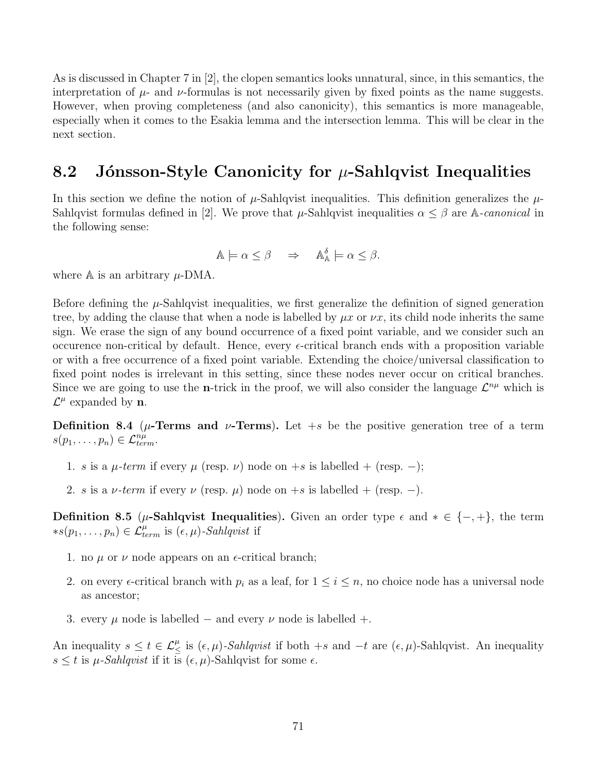As is discussed in Chapter 7 in [2], the clopen semantics looks unnatural, since, in this semantics, the interpretation of  $\mu$ - and  $\nu$ -formulas is not necessarily given by fixed points as the name suggests. However, when proving completeness (and also canonicity), this semantics is more manageable, especially when it comes to the Esakia lemma and the intersection lemma. This will be clear in the next section.

## 8.2 Jónsson-Style Canonicity for  $\mu$ -Sahlqvist Inequalities

In this section we define the notion of  $\mu$ -Sahlqvist inequalities. This definition generalizes the  $\mu$ -Sahlqvist formulas defined in [2]. We prove that  $\mu$ -Sahlqvist inequalities  $\alpha \leq \beta$  are A-canonical in the following sense:

$$
\mathbb{A}\models \alpha \leq \beta \quad \Rightarrow \quad \mathbb{A}_{\mathbb{A}}^{\delta}\models \alpha \leq \beta.
$$

where  $A$  is an arbitrary  $\mu$ -DMA.

Before defining the  $\mu$ -Sahlqvist inequalities, we first generalize the definition of signed generation tree, by adding the clause that when a node is labelled by  $\mu x$  or  $\nu x$ , its child node inherits the same sign. We erase the sign of any bound occurrence of a fixed point variable, and we consider such an occurence non-critical by default. Hence, every  $\epsilon$ -critical branch ends with a proposition variable or with a free occurrence of a fixed point variable. Extending the choice/universal classification to fixed point nodes is irrelevant in this setting, since these nodes never occur on critical branches. Since we are going to use the **n**-trick in the proof, we will also consider the language  $\mathcal{L}^{n\mu}$  which is  $\mathcal{L}^{\mu}$  expanded by **n**.

**Definition 8.4** ( $\mu$ -Terms and  $\nu$ -Terms). Let +s be the positive generation tree of a term  $s(p_1,\ldots,p_n)\in\mathcal{L}^{n\mu}_{term}.$ 

- 1. s is a  $\mu$ -term if every  $\mu$  (resp.  $\nu$ ) node on +s is labelled + (resp. –);
- 2. s is a *ν*-term if every  $\nu$  (resp.  $\mu$ ) node on +s is labelled + (resp. –).

Definition 8.5 ( $\mu$ -Sahlqvist Inequalities). Given an order type  $\epsilon$  and  $* \in \{-, +\}$ , the term \*s(p<sub>1</sub>, ..., p<sub>n</sub>) ∈  $\mathcal{L}_{term}^{\mu}$  is ( $\epsilon, \mu$ )-Sahlqvist if

- 1. no  $\mu$  or  $\nu$  node appears on an  $\epsilon$ -critical branch;
- 2. on every  $\epsilon$ -critical branch with  $p_i$  as a leaf, for  $1 \leq i \leq n$ , no choice node has a universal node as ancestor;
- 3. every  $\mu$  node is labelled and every  $\nu$  node is labelled +.

An inequality  $s \le t \in \mathcal{L}_{\le}^{\mu}$  is  $(\epsilon, \mu)$ -Sahlqvist if both +s and  $-t$  are  $(\epsilon, \mu)$ -Sahlqvist. An inequality  $s \leq t$  is  $\mu$ -Sahlqvist if it is  $(\epsilon, \mu)$ -Sahlqvist for some  $\epsilon$ .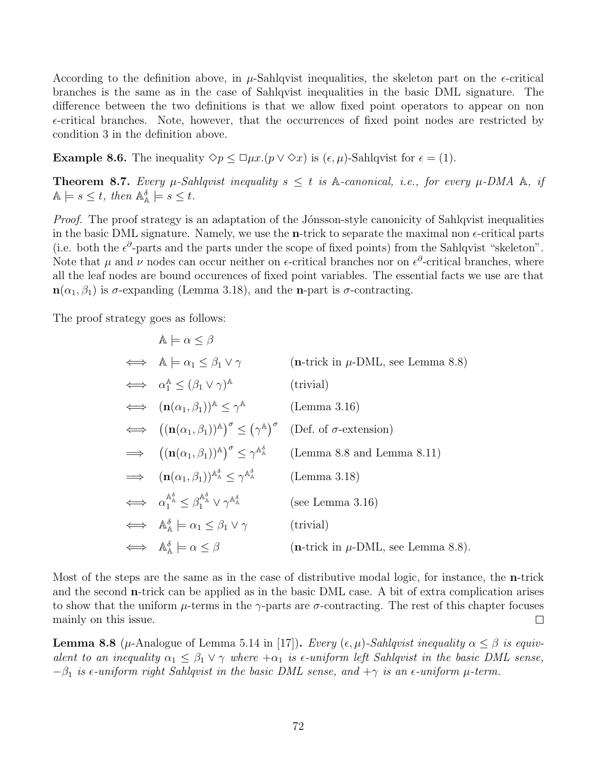According to the definition above, in  $\mu$ -Sahlqvist inequalities, the skeleton part on the  $\epsilon$ -critical branches is the same as in the case of Sahlqvist inequalities in the basic DML signature. The difference between the two definitions is that we allow fixed point operators to appear on non  $\epsilon$ -critical branches. Note, however, that the occurrences of fixed point nodes are restricted by condition 3 in the definition above.

**Example 8.6.** The inequality  $\Diamond p \leq \Box \mu x.(p \vee \Diamond x)$  is  $(\epsilon, \mu)$ -Sahlqvist for  $\epsilon = (1)$ .

**Theorem 8.7.** Every  $\mu$ -Sahlqvist inequality  $s \leq t$  is A-canonical, i.e., for every  $\mu$ -DMA A, if  $\mathbb{A} \models s \leq t$ , then  $\mathbb{A}_{\mathbb{A}}^{\delta} \models s \leq t$ .

Proof. The proof strategy is an adaptation of the Jónsson-style canonicity of Sahlqvist inequalities in the basic DML signature. Namely, we use the **n**-trick to separate the maximal non  $\epsilon$ -critical parts (i.e. both the  $\epsilon^{\partial}$ -parts and the parts under the scope of fixed points) from the Sahlqvist "skeleton". Note that  $\mu$  and  $\nu$  nodes can occur neither on  $\epsilon$ -critical branches nor on  $\epsilon^{\partial}$ -critical branches, where all the leaf nodes are bound occurences of fixed point variables. The essential facts we use are that  $\mathbf{n}(\alpha_1, \beta_1)$  is  $\sigma$ -expanding (Lemma 3.18), and the **n**-part is  $\sigma$ -contracting.

The proof strategy goes as follows:

$$
\mathbb{A} \models \alpha \leq \beta
$$
\n
$$
\iff \mathbb{A} \models \alpha_1 \leq \beta_1 \vee \gamma \qquad (\text{n-trick in } \mu\text{-DML, see Lemma 8.8})
$$
\n
$$
\iff \alpha_1^{\mathbb{A}} \leq (\beta_1 \vee \gamma)^{\mathbb{A}} \qquad (\text{trivial})
$$
\n
$$
\iff (\mathbf{n}(\alpha_1, \beta_1))^{\mathbb{A}} \leq \gamma^{\mathbb{A}} \qquad (\text{Lemma 3.16})
$$
\n
$$
\iff ((\mathbf{n}(\alpha_1, \beta_1))^{\mathbb{A}})^{\sigma} \leq (\gamma^{\mathbb{A}})^{\sigma} \qquad (\text{Def. of } \sigma\text{-extension})
$$
\n
$$
\Rightarrow ((\mathbf{n}(\alpha_1, \beta_1))^{\mathbb{A}})^{\sigma} \leq \gamma^{\mathbb{A}_{\mathbb{A}}^{\delta}} \qquad (\text{Lemma 8.8 and Lemma 8.11})
$$
\n
$$
\iff (\mathbf{n}(\alpha_1, \beta_1))^{\mathbb{A}_{\mathbb{A}}^{\delta}} \leq \gamma^{\mathbb{A}_{\mathbb{A}}^{\delta}} \qquad (\text{Lemma 3.18})
$$
\n
$$
\iff \alpha_1^{\mathbb{A}_{\mathbb{A}}^{\delta}} \leq \beta_1^{\mathbb{A}_{\mathbb{A}}^{\delta} \vee \gamma^{\mathbb{A}_{\mathbb{A}}^{\delta}} \qquad (\text{see Lemma 3.16})
$$
\n
$$
\iff \mathbb{A}_{\mathbb{A}}^{\delta} \models \alpha_1 \leq \beta_1 \vee \gamma \qquad (\text{trivial})
$$
\n
$$
\iff \mathbb{A}_{\mathbb{A}}^{\delta} \models \alpha \leq \beta \qquad (\text{n-trick in } \mu\text{-DML, see Lemma 8.8}).
$$

Most of the steps are the same as in the case of distributive modal logic, for instance, the n-trick and the second n-trick can be applied as in the basic DML case. A bit of extra complication arises to show that the uniform  $\mu$ -terms in the  $\gamma$ -parts are  $\sigma$ -contracting. The rest of this chapter focuses mainly on this issue.  $\Box$ 

**Lemma 8.8** ( $\mu$ -Analogue of Lemma 5.14 in [17]). Every  $(\epsilon, \mu)$ -Sahlqvist inequality  $\alpha \leq \beta$  is equivalent to an inequality  $\alpha_1 \leq \beta_1 \vee \gamma$  where  $+\alpha_1$  is  $\epsilon$ -uniform left Sahlqvist in the basic DML sense,  $-\beta_1$  is  $\epsilon$ -uniform right Sahlqvist in the basic DML sense, and  $+\gamma$  is an  $\epsilon$ -uniform  $\mu$ -term.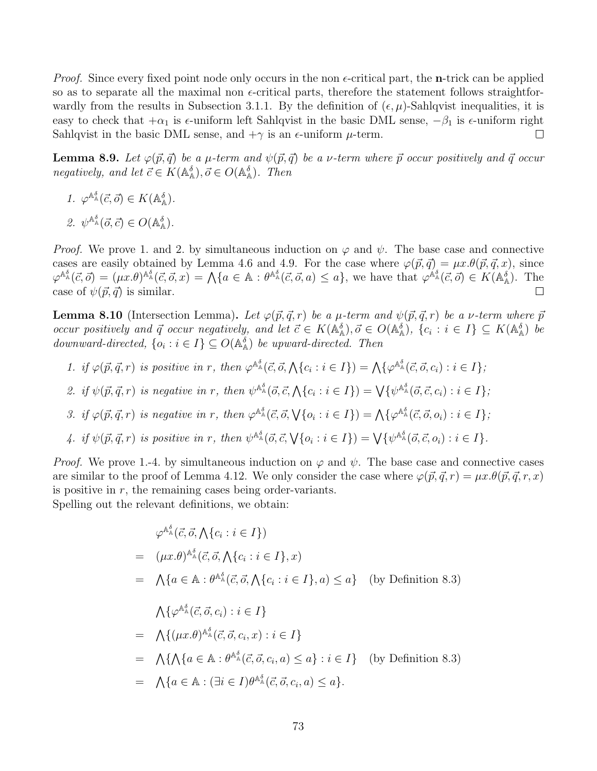*Proof.* Since every fixed point node only occurs in the non  $\epsilon$ -critical part, the **n**-trick can be applied so as to separate all the maximal non  $\epsilon$ -critical parts, therefore the statement follows straightforwardly from the results in Subsection 3.1.1. By the definition of  $(\epsilon, \mu)$ -Sahlqvist inequalities, it is easy to check that  $+\alpha_1$  is  $\epsilon$ -uniform left Sahlqvist in the basic DML sense,  $-\beta_1$  is  $\epsilon$ -uniform right Sahlqvist in the basic DML sense, and  $+\gamma$  is an  $\epsilon$ -uniform  $\mu$ -term.  $\Box$ 

**Lemma 8.9.** Let  $\varphi(\vec{p}, \vec{q})$  be a  $\mu$ -term and  $\psi(\vec{p}, \vec{q})$  be a  $\nu$ -term where  $\vec{p}$  occur positively and  $\vec{q}$  occur negatively, and let  $\vec{c} \in K(\mathbb{A}_{\mathbb{A}}^{\delta}), \vec{o} \in O(\mathbb{A}_{\mathbb{A}}^{\delta}).$  Then

- 1.  $\varphi^{\mathbb{A}^{\delta}}(\vec{c},\vec{o}) \in K(\mathbb{A}^{\delta}_{\mathbb{A}}).$
- 2.  $\psi^{\mathbb{A}^{\delta}}(\vec{o}, \vec{c}) \in O(\mathbb{A}^{\delta}_{\mathbb{A}}).$

*Proof.* We prove 1. and 2. by simultaneous induction on  $\varphi$  and  $\psi$ . The base case and connective cases are easily obtained by Lemma 4.6 and 4.9. For the case where  $\varphi(\vec{p}, \vec{q}) = \mu x.\theta(\vec{p}, \vec{q}, x)$ , since  $\varphi^{\mathbb{A}^{\delta}}_{\mathbb{A}}(\vec{c},\vec{o}) = (\mu x.\theta)^{\mathbb{A}^{\delta}}_{\mathbb{A}}(\vec{c},\vec{o},x) = \mathcal{A}\{a \in \mathbb{A} : \theta^{\mathbb{A}^{\delta}}_{\mathbb{A}}(\vec{c},\vec{o},a) \leq a\},\$ we have that  $\varphi^{\mathbb{A}^{\delta}}_{\mathbb{A}}(\vec{c},\vec{o}) \in K(\mathbb{A}^{\delta}_{\mathbb{A}}).$  The case of  $\psi(\vec{p}, \vec{q})$  is similar.  $\Box$ 

**Lemma 8.10** (Intersection Lemma). Let  $\varphi(\vec{p}, \vec{q}, r)$  be a  $\mu$ -term and  $\psi(\vec{p}, \vec{q}, r)$  be a  $\nu$ -term where  $\vec{p}$ occur positively and  $\vec{q}$  occur negatively, and let  $\vec{c} \in K(\mathbb{A}_{\mathbb{A}}^{\delta}), \vec{o} \in O(\mathbb{A}_{\mathbb{A}}^{\delta}), \{c_i : i \in I\} \subseteq K(\mathbb{A}_{\mathbb{A}}^{\delta})$  be downward-directed,  $\{o_i : i \in I\} \subseteq O(\mathbb{A}_{\mathbb{A}}^{\delta})$  be upward-directed. Then

- 1. if  $\varphi(\vec{p}, \vec{q}, r)$  is positive in r, then  $\varphi^{\mathbb{A}^{\delta}}(\vec{c}, \vec{o}, \bigwedge\{c_i : i \in I\}) = \bigwedge\{\varphi^{\mathbb{A}^{\delta}}(\vec{c}, \vec{o}, c_i) : i \in I\}$ ;
- 2. if  $\psi(\vec{p}, \vec{q}, r)$  is negative in r, then  $\psi^{\mathbb{A}^{\delta}}(\vec{o}, \vec{c}, \bigwedge\{c_i : i \in I\}) = \bigvee \{\psi^{\mathbb{A}^{\delta}}_{\mathbb{A}}(\vec{o}, \vec{c}, c_i) : i \in I\}$ ;
- 3. if  $\varphi(\vec{p}, \vec{q}, r)$  is negative in r, then  $\varphi^{\mathbb{A}^{\delta}}_{\mathbb{A}}(\vec{c}, \vec{o}, \bigvee\{o_i : i \in I\}) = \bigwedge \{\varphi^{\mathbb{A}^{\delta}}_{\mathbb{A}}(\vec{c}, \vec{o}, o_i) : i \in I\}$ ;
- 4. if  $\psi(\vec{p}, \vec{q}, r)$  is positive in r, then  $\psi^{\mathbb{A}^{\delta}}(\vec{o}, \vec{c}, \sqrt{\{o_i : i \in I\}}) = \bigvee \{\psi^{\mathbb{A}^{\delta}}_{\mathbb{A}}(\vec{o}, \vec{c}, o_i) : i \in I\}.$

*Proof.* We prove 1.-4. by simultaneous induction on  $\varphi$  and  $\psi$ . The base case and connective cases are similar to the proof of Lemma 4.12. We only consider the case where  $\varphi(\vec{p}, \vec{q}, r) = \mu x \cdot \theta(\vec{p}, \vec{q}, r, x)$ is positive in  $r$ , the remaining cases being order-variants.

Spelling out the relevant definitions, we obtain:

$$
\varphi^{\mathbb{A}_{\mathbb{A}}^{\delta}}(\vec{c},\vec{o},\bigwedge\{c_{i}:i\in I\})
$$
\n
$$
= (\mu x.\theta)^{\mathbb{A}_{\mathbb{A}}^{\delta}}(\vec{c},\vec{o},\bigwedge\{c_{i}:i\in I\},x)
$$
\n
$$
= \bigwedge\{a\in\mathbb{A} : \theta^{\mathbb{A}_{\mathbb{A}}^{\delta}}(\vec{c},\vec{o},\bigwedge\{c_{i}:i\in I\},a)\leq a\} \quad \text{(by Definition 8.3)}
$$
\n
$$
\bigwedge\{\varphi^{\mathbb{A}_{\mathbb{A}}^{\delta}}(\vec{c},\vec{o},c_{i}):i\in I\}
$$
\n
$$
= \bigwedge\{(\mu x.\theta)^{\mathbb{A}_{\mathbb{A}}^{\delta}}(\vec{c},\vec{o},c_{i},x):i\in I\}
$$
\n
$$
= \bigwedge\{\bigwedge\{a\in\mathbb{A} : \theta^{\mathbb{A}_{\mathbb{A}}^{\delta}}(\vec{c},\vec{o},c_{i},a)\leq a\} : i\in I\} \quad \text{(by Definition 8.3)}
$$
\n
$$
= \bigwedge\{a\in\mathbb{A} : (\exists i\in I)\theta^{\mathbb{A}_{\mathbb{A}}^{\delta}}(\vec{c},\vec{o},c_{i},a)\leq a\}.
$$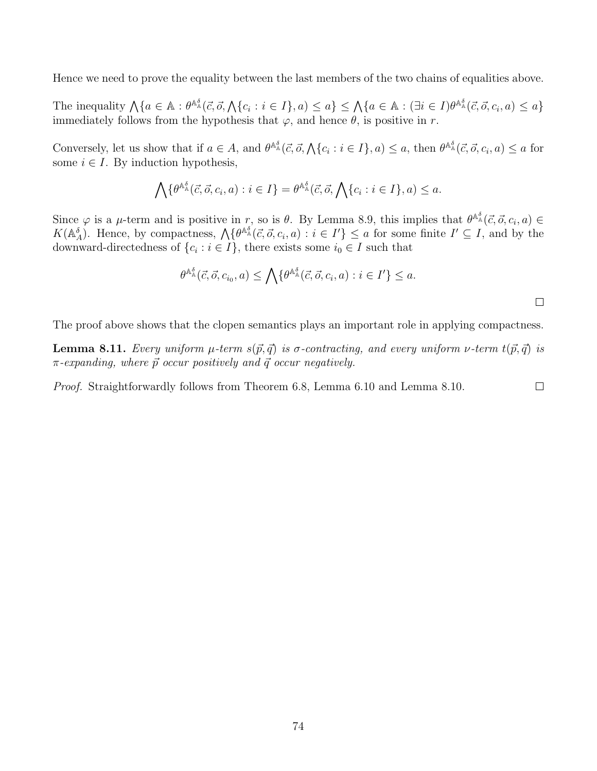Hence we need to prove the equality between the last members of the two chains of equalities above.

The inequality  $\bigwedge \{a \in \mathbb{A} : \theta^{\mathbb{A}^{\delta}_{\mathbb{A}}}(\vec{c}, \vec{o}, \bigwedge \{c_i : i \in I\}, a) \leq a\} \leq \bigwedge \{a \in \mathbb{A} : (\exists i \in I)\theta^{\mathbb{A}^{\delta}_{\mathbb{A}}}(\vec{c}, \vec{o}, c_i, a) \leq a\}$ immediately follows from the hypothesis that  $\varphi$ , and hence  $\theta$ , is positive in r.

Conversely, let us show that if  $a \in A$ , and  $\theta^{\mathbb{A}^{\delta}}(\vec{c}, \vec{o}, \bigwedge\{c_i : i \in I\}, a) \leq a$ , then  $\theta^{\mathbb{A}^{\delta}}(\vec{c}, \vec{o}, c_i, a) \leq a$  for some  $i \in I$ . By induction hypothesis,

$$
\bigwedge \{ \theta^{\mathbb{A}^{\delta}_{\mathbb{A}}}(\vec{c}, \vec{o}, c_i, a) : i \in I \} = \theta^{\mathbb{A}^{\delta}_{\mathbb{A}}}(\vec{c}, \vec{o}, \bigwedge \{c_i : i \in I\}, a) \leq a.
$$

Since  $\varphi$  is a  $\mu$ -term and is positive in r, so is  $\theta$ . By Lemma 8.9, this implies that  $\theta^{\mathbb{A}^{\delta}}(\vec{c}, \vec{o}, c_i, a) \in$  $K(\mathbb{A}_{A}^{\delta})$ . Hence, by compactness,  $\mathcal{A} \{ \theta^{\mathbb{A}_{\mathbb{A}}^{\delta}}(\vec{c}, \vec{o}, c_i, a) : i \in I' \} \leq a$  for some finite  $I' \subseteq I$ , and by the downward-directedness of  $\{c_i : i \in I\}$ , there exists some  $i_0 \in I$  such that

$$
\theta^{\mathbb{A}^{\delta}_{\mathbb{A}}}(\vec{c},\vec{o},c_{i_0},a) \leq \bigwedge \{ \theta^{\mathbb{A}^{\delta}_{\mathbb{A}}}(\vec{c},\vec{o},c_i,a) : i \in I' \} \leq a.
$$

 $\Box$ 

The proof above shows that the clopen semantics plays an important role in applying compactness.

**Lemma 8.11.** Every uniform  $\mu$ -term  $s(\vec{p}, \vec{q})$  is  $\sigma$ -contracting, and every uniform  $\nu$ -term  $t(\vec{p}, \vec{q})$  is  $\pi$ -expanding, where  $\vec{p}$  occur positively and  $\vec{q}$  occur negatively.

Proof. Straightforwardly follows from Theorem 6.8, Lemma 6.10 and Lemma 8.10.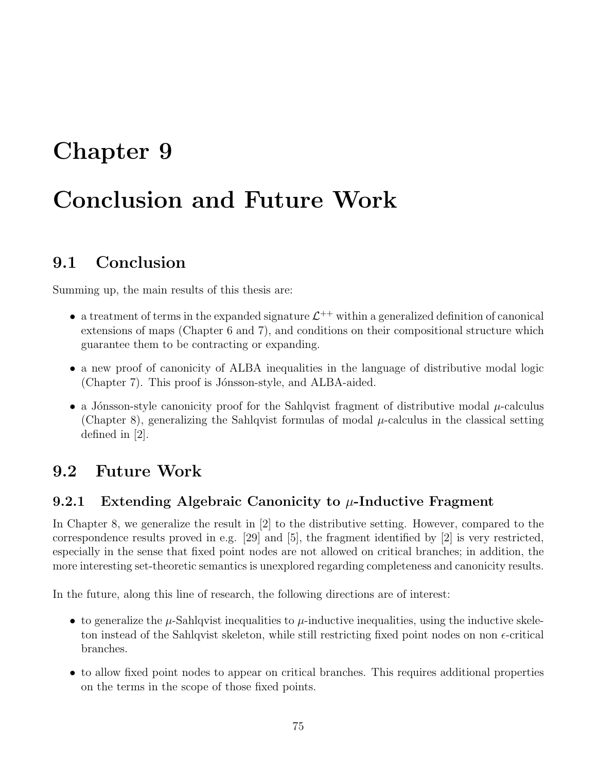## Chapter 9

# Conclusion and Future Work

## 9.1 Conclusion

Summing up, the main results of this thesis are:

- a treatment of terms in the expanded signature  $\mathcal{L}^{++}$  within a generalized definition of canonical extensions of maps (Chapter 6 and 7), and conditions on their compositional structure which guarantee them to be contracting or expanding.
- a new proof of canonicity of ALBA inequalities in the language of distributive modal logic (Chapter 7). This proof is Jónsson-style, and ALBA-aided.
- a Jónsson-style canonicity proof for the Sahlqvist fragment of distributive modal  $\mu$ -calculus (Chapter 8), generalizing the Sahlqvist formulas of modal  $\mu$ -calculus in the classical setting defined in [2].

## 9.2 Future Work

### 9.2.1 Extending Algebraic Canonicity to  $\mu$ -Inductive Fragment

In Chapter 8, we generalize the result in [2] to the distributive setting. However, compared to the correspondence results proved in e.g. [29] and [5], the fragment identified by [2] is very restricted, especially in the sense that fixed point nodes are not allowed on critical branches; in addition, the more interesting set-theoretic semantics is unexplored regarding completeness and canonicity results.

In the future, along this line of research, the following directions are of interest:

- to generalize the  $\mu$ -Sahlqvist inequalities to  $\mu$ -inductive inequalities, using the inductive skeleton instead of the Sahlqvist skeleton, while still restricting fixed point nodes on non  $\epsilon$ -critical branches.
- to allow fixed point nodes to appear on critical branches. This requires additional properties on the terms in the scope of those fixed points.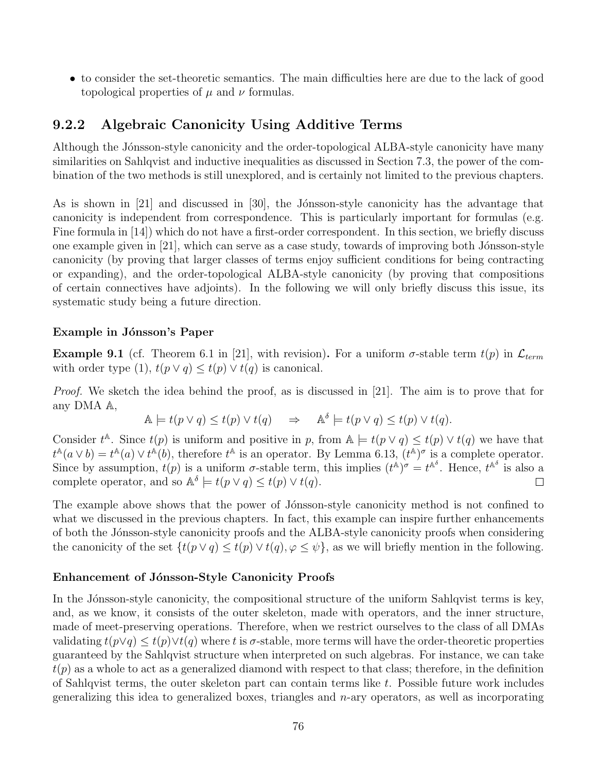• to consider the set-theoretic semantics. The main difficulties here are due to the lack of good topological properties of  $\mu$  and  $\nu$  formulas.

### 9.2.2 Algebraic Canonicity Using Additive Terms

Although the Jónsson-style canonicity and the order-topological ALBA-style canonicity have many similarities on Sahlqvist and inductive inequalities as discussed in Section 7.3, the power of the combination of the two methods is still unexplored, and is certainly not limited to the previous chapters.

As is shown in [21] and discussed in [30], the Jónsson-style canonicity has the advantage that canonicity is independent from correspondence. This is particularly important for formulas (e.g. Fine formula in [14]) which do not have a first-order correspondent. In this section, we briefly discuss one example given in  $[21]$ , which can serve as a case study, towards of improving both Jónsson-style canonicity (by proving that larger classes of terms enjoy sufficient conditions for being contracting or expanding), and the order-topological ALBA-style canonicity (by proving that compositions of certain connectives have adjoints). In the following we will only briefly discuss this issue, its systematic study being a future direction.

### Example in Jónsson's Paper

**Example 9.1** (cf. Theorem 6.1 in [21], with revision). For a uniform  $\sigma$ -stable term  $t(p)$  in  $\mathcal{L}_{term}$ with order type (1),  $t(p \vee q) \leq t(p) \vee t(q)$  is canonical.

Proof. We sketch the idea behind the proof, as is discussed in [21]. The aim is to prove that for any DMA A,

$$
\mathbb{A} \models t(p \lor q) \leq t(p) \lor t(q) \quad \Rightarrow \quad \mathbb{A}^{\delta} \models t(p \lor q) \leq t(p) \lor t(q).
$$

Consider  $t^{\mathbb{A}}$ . Since  $t(p)$  is uniform and positive in p, from  $\mathbb{A} \models t(p \lor q) \leq t(p) \lor t(q)$  we have that  $t^{\mathbb{A}}(a \vee b) = t^{\mathbb{A}}(a) \vee t^{\mathbb{A}}(b)$ , therefore  $t^{\mathbb{A}}$  is an operator. By Lemma 6.13,  $(t^{\mathbb{A}})^{\sigma}$  is a complete operator. Since by assumption,  $t(p)$  is a uniform  $\sigma$ -stable term, this implies  $(t^{\mathbb{A}})^{\sigma} = t^{\mathbb{A}^{\delta}}$ . Hence,  $t^{\mathbb{A}^{\delta}}$  is also a complete operator, and so  $\mathbb{A}^{\delta} \models t(p \lor q) \leq t(p) \lor t(q)$ .  $\Box$ 

The example above shows that the power of Jónsson-style canonicity method is not confined to what we discussed in the previous chapters. In fact, this example can inspire further enhancements of both the J´onsson-style canonicity proofs and the ALBA-style canonicity proofs when considering the canonicity of the set  $\{t(p \vee q) \leq t(p) \vee t(q), \varphi \leq \psi\}$ , as we will briefly mention in the following.

#### Enhancement of Jónsson-Style Canonicity Proofs

In the Jónsson-style canonicity, the compositional structure of the uniform Sahlqvist terms is key, and, as we know, it consists of the outer skeleton, made with operators, and the inner structure, made of meet-preserving operations. Therefore, when we restrict ourselves to the class of all DMAs validating  $t(p\vee q) \leq t(p)\vee t(q)$  where t is  $\sigma$ -stable, more terms will have the order-theoretic properties guaranteed by the Sahlqvist structure when interpreted on such algebras. For instance, we can take  $t(p)$  as a whole to act as a generalized diamond with respect to that class; therefore, in the definition of Sahlqvist terms, the outer skeleton part can contain terms like t. Possible future work includes generalizing this idea to generalized boxes, triangles and  $n$ -ary operators, as well as incorporating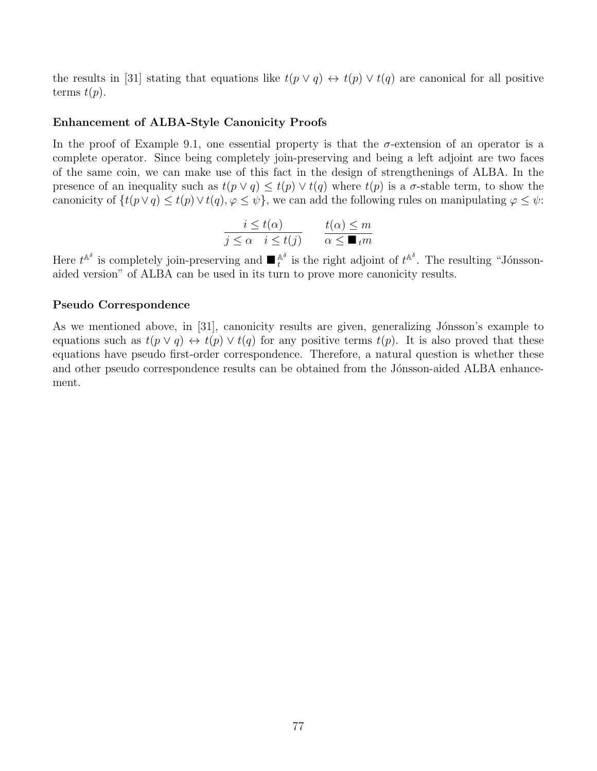the results in [31] stating that equations like  $t(p \vee q) \leftrightarrow t(p) \vee t(q)$  are canonical for all positive terms  $t(p)$ .

#### Enhancement of ALBA-Style Canonicity Proofs

In the proof of Example 9.1, one essential property is that the  $\sigma$ -extension of an operator is a complete operator. Since being completely join-preserving and being a left adjoint are two faces of the same coin, we can make use of this fact in the design of strengthenings of ALBA. In the presence of an inequality such as  $t(p \vee q) \leq t(p) \vee t(q)$  where  $t(p)$  is a  $\sigma$ -stable term, to show the canonicity of  $\{t(p\vee q)\leq t(p)\vee t(q), \varphi\leq \psi\}$ , we can add the following rules on manipulating  $\varphi\leq \psi$ :

$$
\frac{i \le t(\alpha)}{j \le \alpha \quad i \le t(j)} \qquad \frac{t(\alpha) \le m}{\alpha \le \blacksquare_t m}
$$

Here  $t^{\mathbb{A}^\delta}$  is completely join-preserving and  $\blacksquare_t^{\mathbb{A}^\delta}$  is the right adjoint of  $t^{\mathbb{A}^\delta}$ . The resulting "Jónssonaided version" of ALBA can be used in its turn to prove more canonicity results.

#### Pseudo Correspondence

As we mentioned above, in [31], canonicity results are given, generalizing Jónsson's example to equations such as  $t(p \vee q) \leftrightarrow t(p) \vee t(q)$  for any positive terms  $t(p)$ . It is also proved that these equations have pseudo first-order correspondence. Therefore, a natural question is whether these and other pseudo correspondence results can be obtained from the Jónsson-aided ALBA enhancement.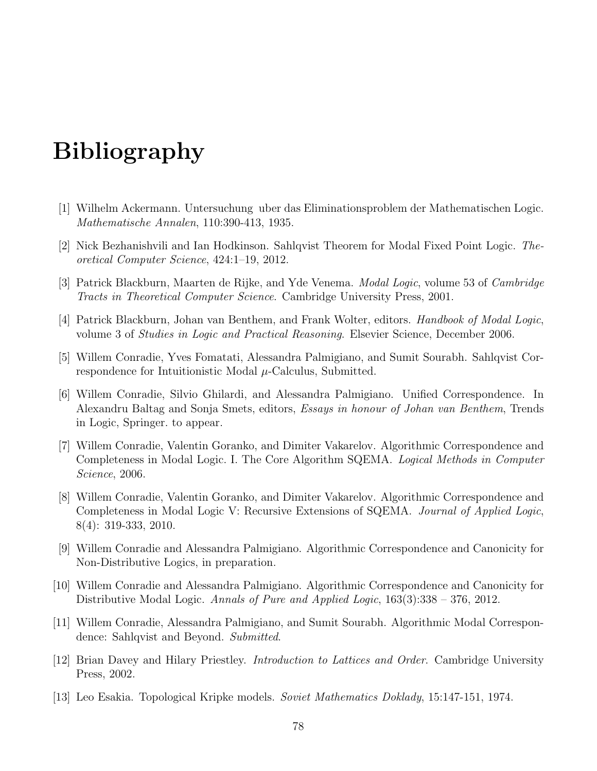# Bibliography

- [1] Wilhelm Ackermann. Untersuchung uber das Eliminationsproblem der Mathematischen Logic. Mathematische Annalen, 110:390-413, 1935.
- [2] Nick Bezhanishvili and Ian Hodkinson. Sahlqvist Theorem for Modal Fixed Point Logic. Theoretical Computer Science, 424:1–19, 2012.
- [3] Patrick Blackburn, Maarten de Rijke, and Yde Venema. Modal Logic, volume 53 of Cambridge Tracts in Theoretical Computer Science. Cambridge University Press, 2001.
- [4] Patrick Blackburn, Johan van Benthem, and Frank Wolter, editors. Handbook of Modal Logic, volume 3 of Studies in Logic and Practical Reasoning. Elsevier Science, December 2006.
- [5] Willem Conradie, Yves Fomatati, Alessandra Palmigiano, and Sumit Sourabh. Sahlqvist Correspondence for Intuitionistic Modal  $\mu$ -Calculus, Submitted.
- [6] Willem Conradie, Silvio Ghilardi, and Alessandra Palmigiano. Unified Correspondence. In Alexandru Baltag and Sonja Smets, editors, Essays in honour of Johan van Benthem, Trends in Logic, Springer. to appear.
- [7] Willem Conradie, Valentin Goranko, and Dimiter Vakarelov. Algorithmic Correspondence and Completeness in Modal Logic. I. The Core Algorithm SQEMA. Logical Methods in Computer Science, 2006.
- [8] Willem Conradie, Valentin Goranko, and Dimiter Vakarelov. Algorithmic Correspondence and Completeness in Modal Logic V: Recursive Extensions of SQEMA. Journal of Applied Logic, 8(4): 319-333, 2010.
- [9] Willem Conradie and Alessandra Palmigiano. Algorithmic Correspondence and Canonicity for Non-Distributive Logics, in preparation.
- [10] Willem Conradie and Alessandra Palmigiano. Algorithmic Correspondence and Canonicity for Distributive Modal Logic. Annals of Pure and Applied Logic, 163(3):338 – 376, 2012.
- [11] Willem Conradie, Alessandra Palmigiano, and Sumit Sourabh. Algorithmic Modal Correspondence: Sahlqvist and Beyond. Submitted.
- [12] Brian Davey and Hilary Priestley. Introduction to Lattices and Order. Cambridge University Press, 2002.
- [13] Leo Esakia. Topological Kripke models. Soviet Mathematics Doklady, 15:147-151, 1974.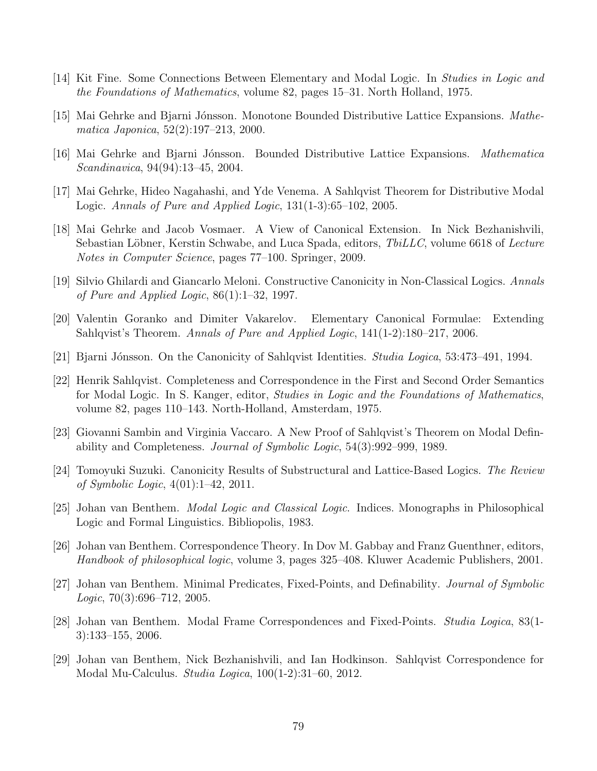- [14] Kit Fine. Some Connections Between Elementary and Modal Logic. In Studies in Logic and the Foundations of Mathematics, volume 82, pages 15–31. North Holland, 1975.
- [15] Mai Gehrke and Bjarni Jónsson. Monotone Bounded Distributive Lattice Expansions. Mathematica Japonica, 52(2):197–213, 2000.
- [16] Mai Gehrke and Bjarni Jónsson. Bounded Distributive Lattice Expansions. *Mathematica* Scandinavica, 94(94):13–45, 2004.
- [17] Mai Gehrke, Hideo Nagahashi, and Yde Venema. A Sahlqvist Theorem for Distributive Modal Logic. Annals of Pure and Applied Logic, 131(1-3):65–102, 2005.
- [18] Mai Gehrke and Jacob Vosmaer. A View of Canonical Extension. In Nick Bezhanishvili, Sebastian Löbner, Kerstin Schwabe, and Luca Spada, editors, *TbiLLC*, volume 6618 of *Lecture* Notes in Computer Science, pages 77–100. Springer, 2009.
- [19] Silvio Ghilardi and Giancarlo Meloni. Constructive Canonicity in Non-Classical Logics. Annals of Pure and Applied Logic,  $86(1):1-32$ , 1997.
- [20] Valentin Goranko and Dimiter Vakarelov. Elementary Canonical Formulae: Extending Sahlqvist's Theorem. Annals of Pure and Applied Logic, 141(1-2):180–217, 2006.
- [21] Bjarni Jónsson. On the Canonicity of Sahlqvist Identities. Studia Logica, 53:473-491, 1994.
- [22] Henrik Sahlqvist. Completeness and Correspondence in the First and Second Order Semantics for Modal Logic. In S. Kanger, editor, Studies in Logic and the Foundations of Mathematics, volume 82, pages 110–143. North-Holland, Amsterdam, 1975.
- [23] Giovanni Sambin and Virginia Vaccaro. A New Proof of Sahlqvist's Theorem on Modal Definability and Completeness. Journal of Symbolic Logic, 54(3):992–999, 1989.
- [24] Tomoyuki Suzuki. Canonicity Results of Substructural and Lattice-Based Logics. The Review of Symbolic Logic, 4(01):1–42, 2011.
- [25] Johan van Benthem. *Modal Logic and Classical Logic*. Indices. Monographs in Philosophical Logic and Formal Linguistics. Bibliopolis, 1983.
- [26] Johan van Benthem. Correspondence Theory. In Dov M. Gabbay and Franz Guenthner, editors, Handbook of philosophical logic, volume 3, pages 325–408. Kluwer Academic Publishers, 2001.
- [27] Johan van Benthem. Minimal Predicates, Fixed-Points, and Definability. Journal of Symbolic  $Logic, 70(3):696-712, 2005.$
- [28] Johan van Benthem. Modal Frame Correspondences and Fixed-Points. Studia Logica, 83(1- 3):133–155, 2006.
- [29] Johan van Benthem, Nick Bezhanishvili, and Ian Hodkinson. Sahlqvist Correspondence for Modal Mu-Calculus. Studia Logica, 100(1-2):31–60, 2012.